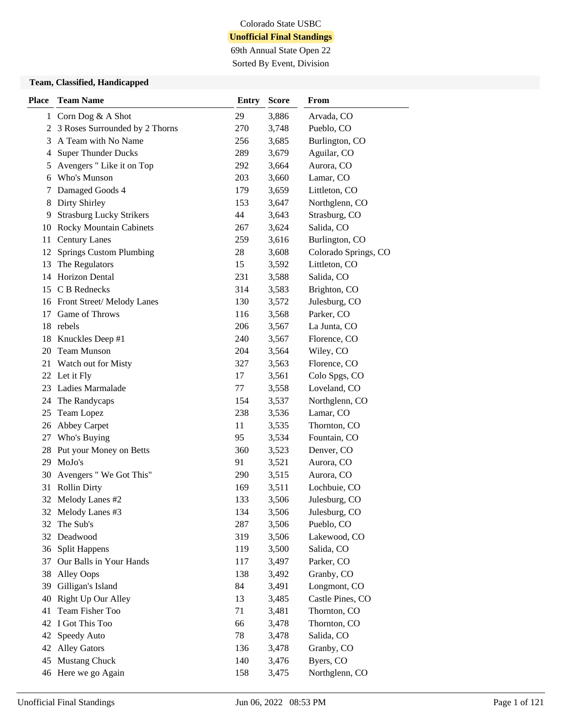69th Annual State Open 22 Sorted By Event, Division

#### **Team, Classified, Handicapped**

| <b>Place</b> | <b>Team Name</b>                | <b>Entry</b> | <b>Score</b> | From                 |
|--------------|---------------------------------|--------------|--------------|----------------------|
|              | 1 Corn Dog & A Shot             | 29           | 3,886        | Arvada, CO           |
| 2            | 3 Roses Surrounded by 2 Thorns  | 270          | 3,748        | Pueblo, CO           |
| 3            | A Team with No Name             | 256          | 3,685        | Burlington, CO       |
| 4            | <b>Super Thunder Ducks</b>      | 289          | 3,679        | Aguilar, CO          |
| 5            | Avengers " Like it on Top       | 292          | 3,664        | Aurora, CO           |
| 6            | Who's Munson                    | 203          | 3,660        | Lamar, CO            |
| 7            | Damaged Goods 4                 | 179          | 3,659        | Littleton, CO        |
| 8            | <b>Dirty Shirley</b>            | 153          | 3,647        | Northglenn, CO       |
| 9            | <b>Strasburg Lucky Strikers</b> | 44           | 3,643        | Strasburg, CO        |
| 10           | <b>Rocky Mountain Cabinets</b>  | 267          | 3,624        | Salida, CO           |
| 11           | <b>Century Lanes</b>            | 259          | 3,616        | Burlington, CO       |
| 12           | <b>Springs Custom Plumbing</b>  | 28           | 3,608        | Colorado Springs, CO |
| 13           | The Regulators                  | 15           | 3,592        | Littleton, CO        |
| 14           | <b>Horizon Dental</b>           | 231          | 3,588        | Salida, CO           |
|              | 15 C B Rednecks                 | 314          | 3,583        | Brighton, CO         |
|              | 16 Front Street/Melody Lanes    | 130          | 3,572        | Julesburg, CO        |
| 17           | Game of Throws                  | 116          | 3,568        | Parker, CO           |
|              | 18 rebels                       | 206          | 3,567        | La Junta, CO         |
| 18           | Knuckles Deep #1                | 240          | 3,567        | Florence, CO         |
|              | 20 Team Munson                  | 204          | 3,564        | Wiley, CO            |
|              | 21 Watch out for Misty          | 327          | 3,563        | Florence, CO         |
| 22           | Let it Fly                      | 17           | 3,561        | Colo Spgs, CO        |
| 23           | Ladies Marmalade                | 77           | 3,558        | Loveland, CO         |
| 24           | The Randycaps                   | 154          | 3,537        | Northglenn, CO       |
| 25           | Team Lopez                      | 238          | 3,536        | Lamar, CO            |
| 26           | Abbey Carpet                    | 11           | 3,535        | Thornton, CO         |
| 27           | Who's Buying                    | 95           | 3,534        | Fountain, CO         |
| 28           | Put your Money on Betts         | 360          | 3,523        | Denver, CO           |
| 29           | MoJo's                          | 91           | 3,521        | Aurora, CO           |
| 30           | Avengers "We Got This"          | 290          | 3,515        | Aurora, CO           |
| 31           | <b>Rollin Dirty</b>             | 169          | 3,511        | Lochbuie, CO         |
| 32           | Melody Lanes #2                 | 133          | 3,506        | Julesburg, CO        |
|              | 32 Melody Lanes #3              | 134          | 3,506        | Julesburg, CO        |
| 32           | The Sub's                       | 287          | 3,506        | Pueblo, CO           |
| 32           | Deadwood                        | 319          | 3,506        | Lakewood, CO         |
| 36           | <b>Split Happens</b>            | 119          | 3,500        | Salida, CO           |
| 37           | Our Balls in Your Hands         | 117          | 3,497        | Parker, CO           |
| 38           | <b>Alley Oops</b>               | 138          | 3,492        | Granby, CO           |
| 39           | Gilligan's Island               | 84           | 3,491        | Longmont, CO         |
| 40           | Right Up Our Alley              | 13           | 3,485        | Castle Pines, CO     |
| 41           | Team Fisher Too                 | 71           | 3,481        | Thornton, CO         |
| 42           | I Got This Too                  | 66           | 3,478        | Thornton, CO         |
| 42           | Speedy Auto                     | 78           | 3,478        | Salida, CO           |
| 42           | <b>Alley Gators</b>             | 136          | 3,478        | Granby, CO           |
| 45           | Mustang Chuck                   | 140          | 3,476        | Byers, CO            |
|              | 46 Here we go Again             | 158          | 3,475        | Northglenn, CO       |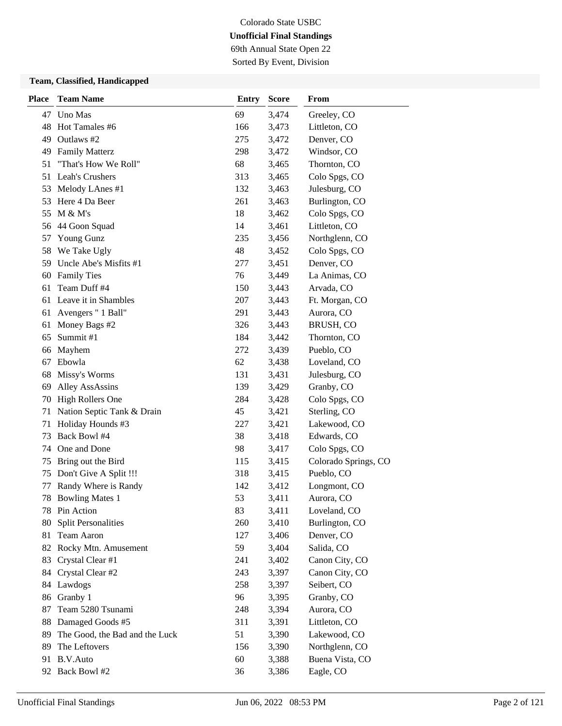69th Annual State Open 22 Sorted By Event, Division

### **Team, Classified, Handicapped**

| <b>Place</b> | <b>Team Name</b>               | <b>Entry</b> | <b>Score</b> | From                 |
|--------------|--------------------------------|--------------|--------------|----------------------|
| 47           | Uno Mas                        | 69           | 3,474        | Greeley, CO          |
| 48           | Hot Tamales #6                 | 166          | 3,473        | Littleton, CO        |
| 49           | Outlaws #2                     | 275          | 3,472        | Denver, CO           |
| 49           | <b>Family Matterz</b>          | 298          | 3,472        | Windsor, CO          |
| 51           | "That's How We Roll"           | 68           | 3,465        | Thornton, CO         |
| 51           | Leah's Crushers                | 313          | 3,465        | Colo Spgs, CO        |
| 53           | Melody LAnes #1                | 132          | 3,463        | Julesburg, CO        |
| 53           | Here 4 Da Beer                 | 261          | 3,463        | Burlington, CO       |
| 55           | M & M's                        | 18           | 3,462        | Colo Spgs, CO        |
| 56           | 44 Goon Squad                  | 14           | 3,461        | Littleton, CO        |
| 57           | Young Gunz                     | 235          | 3,456        | Northglenn, CO       |
| 58           | We Take Ugly                   | 48           | 3,452        | Colo Spgs, CO        |
| 59           | Uncle Abe's Misfits #1         | 277          | 3,451        | Denver, CO           |
| 60           | <b>Family Ties</b>             | 76           | 3,449        | La Animas, CO        |
| 61           | Team Duff #4                   | 150          | 3,443        | Arvada, CO           |
| 61           | Leave it in Shambles           | 207          | 3,443        | Ft. Morgan, CO       |
| 61           | Avengers " 1 Ball"             | 291          | 3,443        | Aurora, CO           |
| 61           | Money Bags #2                  | 326          | 3,443        | BRUSH, CO            |
| 65           | Summit#1                       | 184          | 3,442        | Thornton, CO         |
| 66           | Mayhem                         | 272          | 3,439        | Pueblo, CO           |
| 67           | Ebowla                         | 62           | 3,438        | Loveland, CO         |
| 68           | Missy's Worms                  | 131          | 3,431        | Julesburg, CO        |
| 69           | <b>Alley AssAssins</b>         | 139          | 3,429        | Granby, CO           |
| 70           | <b>High Rollers One</b>        | 284          | 3,428        | Colo Spgs, CO        |
| 71           | Nation Septic Tank & Drain     | 45           | 3,421        | Sterling, CO         |
| 71           | Holiday Hounds #3              | 227          | 3,421        | Lakewood, CO         |
| 73           | Back Bowl #4                   | 38           | 3,418        | Edwards, CO          |
| 74           | One and Done                   | 98           | 3,417        | Colo Spgs, CO        |
| 75           | Bring out the Bird             | 115          | 3,415        | Colorado Springs, CO |
| 75           | Don't Give A Split !!!         | 318          | 3,415        | Pueblo, CO           |
| 77           | Randy Where is Randy           | 142          | 3,412        | Longmont, CO         |
| 78           | <b>Bowling Mates 1</b>         | 53           | 3,411        | Aurora, CO           |
| 78           | Pin Action                     | 83           | 3,411        | Loveland, CO         |
| 80           | <b>Split Personalities</b>     | 260          | 3,410        | Burlington, CO       |
| 81           | Team Aaron                     | 127          | 3,406        | Denver, CO           |
|              | 82 Rocky Mtn. Amusement        | 59           | 3,404        | Salida, CO           |
| 83           | Crystal Clear #1               | 241          | 3,402        | Canon City, CO       |
| 84           | Crystal Clear #2               | 243          | 3,397        | Canon City, CO       |
| 84           | Lawdogs                        | 258          | 3,397        | Seibert, CO          |
| 86           | Granby 1                       | 96           | 3,395        | Granby, CO           |
| 87           | Team 5280 Tsunami              | 248          | 3,394        | Aurora, CO           |
| 88           | Damaged Goods #5               | 311          | 3,391        | Littleton, CO        |
| 89           | The Good, the Bad and the Luck | 51           | 3,390        | Lakewood, CO         |
| 89           | The Leftovers                  | 156          | 3,390        | Northglenn, CO       |
| 91           | B.V.Auto                       | 60           | 3,388        | Buena Vista, CO      |
|              | 92 Back Bowl #2                | 36           | 3,386        | Eagle, CO            |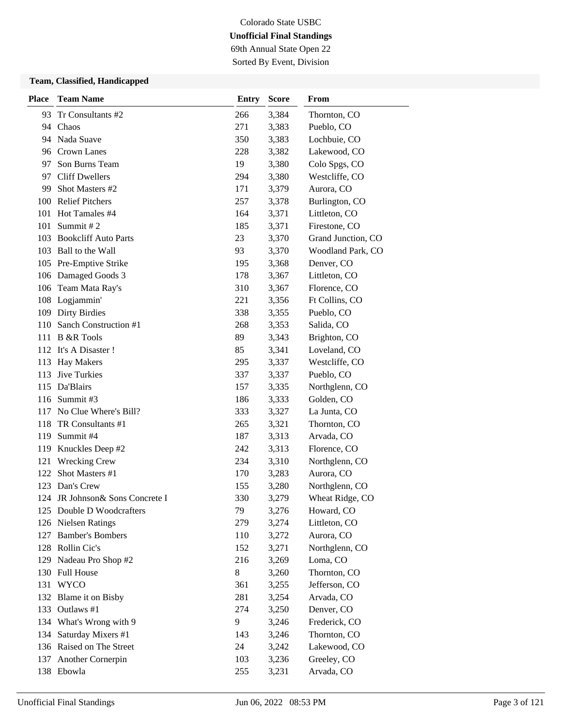69th Annual State Open 22 Sorted By Event, Division

### **Team, Classified, Handicapped**

| <b>Place</b> | <b>Team Name</b>                          | <b>Entry</b> | <b>Score</b>   | From                          |
|--------------|-------------------------------------------|--------------|----------------|-------------------------------|
| 93           | Tr Consultants #2                         | 266          | 3,384          | Thornton, CO                  |
|              | 94 Chaos                                  | 271          | 3,383          | Pueblo, CO                    |
|              | 94 Nada Suave                             | 350          | 3,383          | Lochbuie, CO                  |
|              | 96 Crown Lanes                            | 228          | 3,382          | Lakewood, CO                  |
| 97           | Son Burns Team                            | 19           | 3,380          | Colo Spgs, CO                 |
| 97           | <b>Cliff Dwellers</b>                     | 294          | 3,380          | Westcliffe, CO                |
| 99           | Shot Masters #2                           | 171          | 3,379          | Aurora, CO                    |
| 100          | <b>Relief Pitchers</b>                    | 257          | 3,378          | Burlington, CO                |
| 101          | Hot Tamales #4                            | 164          | 3,371          | Littleton, CO                 |
| 101          | Summit #2                                 | 185          | 3,371          | Firestone, CO                 |
| 103          | <b>Bookcliff Auto Parts</b>               | 23           | 3,370          | Grand Junction, CO            |
| 103          | Ball to the Wall                          | 93           | 3,370          | Woodland Park, CO             |
| 105          | Pre-Emptive Strike                        | 195          | 3,368          | Denver, CO                    |
| 106          | Damaged Goods 3                           | 178          | 3,367          | Littleton, CO                 |
| 106          | Team Mata Ray's                           | 310          | 3,367          | Florence, CO                  |
| 108          | Logjammin'                                | 221          | 3,356          | Ft Collins, CO                |
| 109          | <b>Dirty Birdies</b>                      | 338          | 3,355          | Pueblo, CO                    |
| 110          | Sanch Construction #1                     | 268          | 3,353          | Salida, CO                    |
|              | 111 B &R Tools                            | 89           | 3,343          | Brighton, CO                  |
|              | 112 It's A Disaster!                      | 85           | 3,341          | Loveland, CO                  |
| 113          | <b>Hay Makers</b>                         | 295          | 3,337          | Westcliffe, CO                |
| 113          | Jive Turkies                              | 337          | 3,337          | Pueblo, CO                    |
| 115          | Da'Blairs                                 | 157          | 3,335          | Northglenn, CO                |
|              | 116 Summit #3                             | 186          | 3,333          | Golden, CO                    |
|              | 117 No Clue Where's Bill?                 | 333          | 3,327          | La Junta, CO                  |
| 118          | TR Consultants #1                         | 265          | 3,321          | Thornton, CO                  |
| 119          | Summit #4                                 | 187          | 3,313          | Arvada, CO                    |
| 119          | Knuckles Deep #2                          | 242          | 3,313          | Florence, CO                  |
| 121          | <b>Wrecking Crew</b>                      | 234          | 3,310          | Northglenn, CO                |
| 122          | Shot Masters #1                           | 170          | 3,283          | Aurora, CO                    |
| 123          | Dan's Crew                                | 155          | 3,280          | Northglenn, CO                |
|              | 124 JR Johnson & Sons Concrete I          | 330          | 3,279          | Wheat Ridge, CO               |
|              | 125 Double D Woodcrafters                 | 79           | 3,276          | Howard, CO                    |
|              | 126 Nielsen Ratings                       | 279          | 3,274          | Littleton, CO                 |
| 127          | <b>Bamber's Bombers</b>                   | 110          | 3,272          | Aurora, CO                    |
|              | 128 Rollin Cic's                          | 152          | 3,271          | Northglenn, CO                |
|              | 129 Nadeau Pro Shop #2                    | 216          | 3,269          | Loma, CO                      |
| 130          | <b>Full House</b>                         | 8            | 3,260          | Thornton, CO                  |
|              | 131 WYCO                                  | 361          | 3,255          | Jefferson, CO<br>Arvada, CO   |
| 132          | Blame it on Bisby<br>Outlaws #1           | 281          | 3,254          |                               |
| 133          |                                           | 274          | 3,250          | Denver, CO                    |
| 134<br>134   | What's Wrong with 9<br>Saturday Mixers #1 | 9<br>143     | 3,246<br>3,246 | Frederick, CO<br>Thornton, CO |
|              | 136 Raised on The Street                  | 24           | 3,242          | Lakewood, CO                  |
|              |                                           | 103          | 3,236          | Greeley, CO                   |
| 137          | Another Cornerpin<br>138 Ebowla           |              |                | Arvada, CO                    |
|              |                                           | 255          | 3,231          |                               |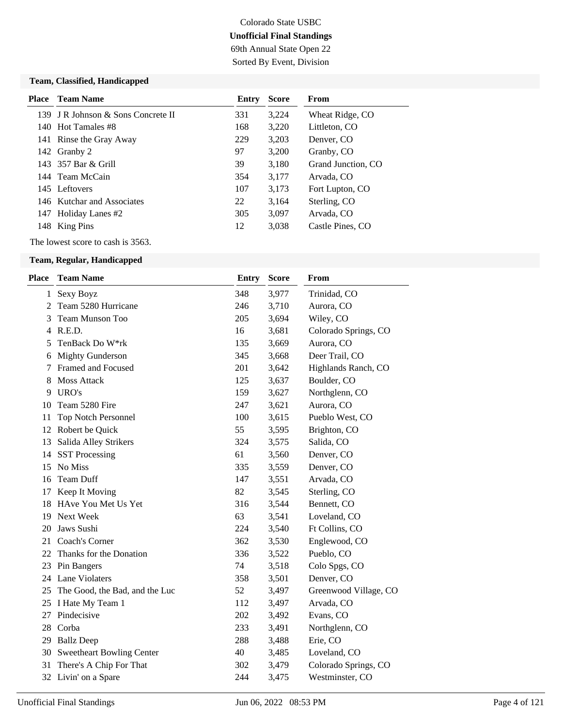## Colorado State USBC **Unofficial Final Standings** 69th Annual State Open 22

Sorted By Event, Division

### **Team, Classified, Handicapped**

|     | <b>Place</b> Team Name             | Entry | <b>Score</b> | From               |
|-----|------------------------------------|-------|--------------|--------------------|
|     | 139 I R Johnson & Sons Concrete II | 331   | 3,224        | Wheat Ridge, CO    |
|     | 140 Hot Tamales #8                 | 168   | 3,220        | Littleton, CO      |
|     | 141 Rinse the Gray Away            | 229   | 3,203        | Denver, CO         |
|     | 142 Granby 2                       | 97    | 3,200        | Granby, CO         |
|     | 143 357 Bar & Grill                | 39    | 3,180        | Grand Junction, CO |
|     | 144 Team McCain                    | 354   | 3,177        | Arvada, CO         |
|     | 145 Leftovers                      | 107   | 3,173        | Fort Lupton, CO    |
|     | 146 Kutchar and Associates         | 22    | 3,164        | Sterling, CO       |
| 147 | Holiday Lanes #2                   | 305   | 3,097        | Arvada, CO         |
|     | 148 King Pins                      | 12    | 3,038        | Castle Pines, CO   |

The lowest score to cash is 3563.

| Place | <b>Team Name</b>                  | Entry | <b>Score</b> | From                  |
|-------|-----------------------------------|-------|--------------|-----------------------|
|       | 1 Sexy Boyz                       | 348   | 3,977        | Trinidad, CO          |
| 2     | Team 5280 Hurricane               | 246   | 3,710        | Aurora, CO            |
| 3     | Team Munson Too                   | 205   | 3,694        | Wiley, CO             |
| 4     | R.E.D.                            | 16    | 3,681        | Colorado Springs, CO  |
| 5     | TenBack Do W*rk                   | 135   | 3,669        | Aurora, CO            |
| 6     | <b>Mighty Gunderson</b>           | 345   | 3,668        | Deer Trail, CO        |
| 7     | Framed and Focused                | 201   | 3,642        | Highlands Ranch, CO   |
| 8     | <b>Moss Attack</b>                | 125   | 3,637        | Boulder, CO           |
| 9     | URO's                             | 159   | 3,627        | Northglenn, CO        |
| 10    | Team 5280 Fire                    | 247   | 3,621        | Aurora, CO            |
| 11    | <b>Top Notch Personnel</b>        | 100   | 3,615        | Pueblo West, CO       |
|       | 12 Robert be Quick                | 55    | 3,595        | Brighton, CO          |
| 13    | Salida Alley Strikers             | 324   | 3,575        | Salida, CO            |
| 14    | <b>SST Processing</b>             | 61    | 3,560        | Denver, CO            |
| 15    | No Miss                           | 335   | 3,559        | Denver, CO            |
| 16    | Team Duff                         | 147   | 3,551        | Arvada, CO            |
| 17    | Keep It Moving                    | 82    | 3,545        | Sterling, CO          |
| 18    | HAve You Met Us Yet               | 316   | 3,544        | Bennett, CO           |
| 19    | Next Week                         | 63    | 3,541        | Loveland, CO          |
| 20    | Jaws Sushi                        | 224   | 3,540        | Ft Collins, CO        |
| 21    | Coach's Corner                    | 362   | 3,530        | Englewood, CO         |
| 22    | Thanks for the Donation           | 336   | 3,522        | Pueblo, CO            |
|       | 23 Pin Bangers                    | 74    | 3,518        | Colo Spgs, CO         |
|       | 24 Lane Violaters                 | 358   | 3,501        | Denver, CO            |
|       | 25 The Good, the Bad, and the Luc | 52    | 3,497        | Greenwood Village, CO |
|       | 25 I Hate My Team 1               | 112   | 3,497        | Arvada, CO            |
| 27    | Pindecisive                       | 202   | 3,492        | Evans, CO             |
| 28    | Corba                             | 233   | 3,491        | Northglenn, CO        |
|       | 29 Ballz Deep                     | 288   | 3,488        | Erie, CO              |
|       | 30 Sweetheart Bowling Center      | 40    | 3,485        | Loveland, CO          |
| 31    | There's A Chip For That           | 302   | 3,479        | Colorado Springs, CO  |
|       | 32 Livin' on a Spare              | 244   | 3,475        | Westminster, CO       |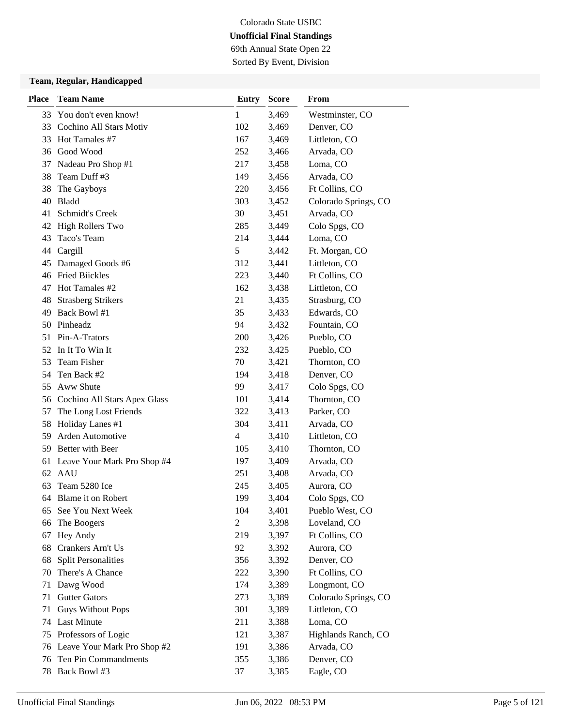69th Annual State Open 22 Sorted By Event, Division

| <b>Place</b> | <b>Team Name</b>                | <b>Entry</b>   | <b>Score</b> | From                 |
|--------------|---------------------------------|----------------|--------------|----------------------|
| 33           | You don't even know!            | 1              | 3,469        | Westminster, CO      |
| 33           | Cochino All Stars Motiv         | 102            | 3,469        | Denver, CO           |
| 33           | Hot Tamales #7                  | 167            | 3,469        | Littleton, CO        |
|              | 36 Good Wood                    | 252            | 3,466        | Arvada, CO           |
| 37           | Nadeau Pro Shop #1              | 217            | 3,458        | Loma, CO             |
| 38           | Team Duff #3                    | 149            | 3,456        | Arvada, CO           |
| 38           | The Gayboys                     | 220            | 3,456        | Ft Collins, CO       |
| 40           | <b>Bladd</b>                    | 303            | 3,452        | Colorado Springs, CO |
| 41           | Schmidt's Creek                 | 30             | 3,451        | Arvada, CO           |
| 42           | <b>High Rollers Two</b>         | 285            | 3,449        | Colo Spgs, CO        |
| 43           | Taco's Team                     | 214            | 3,444        | Loma, CO             |
| 44           | Cargill                         | 5              | 3,442        | Ft. Morgan, CO       |
| 45           | Damaged Goods #6                | 312            | 3,441        | Littleton, CO        |
| 46           | <b>Fried Biickles</b>           | 223            | 3,440        | Ft Collins, CO       |
| 47           | Hot Tamales #2                  | 162            | 3,438        | Littleton, CO        |
| 48           | <b>Strasberg Strikers</b>       | 21             | 3,435        | Strasburg, CO        |
| 49           | Back Bowl #1                    | 35             | 3,433        | Edwards, CO          |
| 50           | Pinheadz                        | 94             | 3,432        | Fountain, CO         |
| 51           | Pin-A-Trators                   | 200            | 3,426        | Pueblo, CO           |
| 52           | In It To Win It                 | 232            | 3,425        | Pueblo, CO           |
| 53           | <b>Team Fisher</b>              | 70             | 3,421        | Thornton, CO         |
| 54           | Ten Back #2                     | 194            | 3,418        | Denver, CO           |
| 55           | Aww Shute                       | 99             | 3,417        | Colo Spgs, CO        |
|              | 56 Cochino All Stars Apex Glass | 101            | 3,414        | Thornton, CO         |
| 57           | The Long Lost Friends           | 322            | 3,413        | Parker, CO           |
| 58           | Holiday Lanes #1                | 304            | 3,411        | Arvada, CO           |
| 59           | Arden Automotive                | 4              | 3,410        | Littleton, CO        |
| 59           | Better with Beer                | 105            | 3,410        | Thornton, CO         |
|              | 61 Leave Your Mark Pro Shop #4  | 197            | 3,409        | Arvada, CO           |
| 62           | AAU                             | 251            | 3,408        | Arvada, CO           |
| 63           | Team 5280 Ice                   | 245            | 3,405        | Aurora, CO           |
| 64           | Blame it on Robert              | 199            | 3,404        | Colo Spgs, CO        |
| 65           | See You Next Week               | 104            | 3,401        | Pueblo West, CO      |
| 66           | The Boogers                     | $\overline{c}$ | 3,398        | Loveland, CO         |
| 67           | Hey Andy                        | 219            | 3,397        | Ft Collins, CO       |
| 68           | Crankers Arn't Us               | 92             | 3,392        | Aurora, CO           |
| 68           | <b>Split Personalities</b>      | 356            | 3,392        | Denver, CO           |
| 70           | There's A Chance                | 222            | 3,390        | Ft Collins, CO       |
| 71           | Dawg Wood                       | 174            | 3,389        | Longmont, CO         |
| 71           | <b>Gutter Gators</b>            | 273            | 3,389        | Colorado Springs, CO |
| 71           | <b>Guys Without Pops</b>        | 301            | 3,389        | Littleton, CO        |
| 74           | <b>Last Minute</b>              | 211            | 3,388        | Loma, CO             |
| 75           | Professors of Logic             | 121            | 3,387        | Highlands Ranch, CO  |
|              | 76 Leave Your Mark Pro Shop #2  | 191            | 3,386        | Arvada, CO           |
| 76           | Ten Pin Commandments            | 355            | 3,386        | Denver, CO           |
| 78           | Back Bowl #3                    | 37             | 3,385        | Eagle, CO            |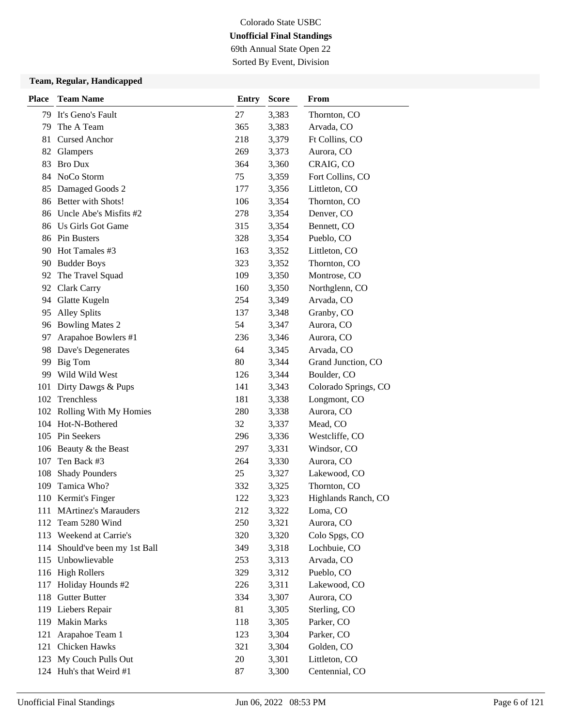69th Annual State Open 22 Sorted By Event, Division

| <b>Place</b> | <b>Team Name</b>           | <b>Entry</b> | <b>Score</b> | From                 |
|--------------|----------------------------|--------------|--------------|----------------------|
| 79.          | It's Geno's Fault          | 27           | 3,383        | Thornton, CO         |
| 79           | The A Team                 | 365          | 3,383        | Arvada, CO           |
| 81           | <b>Cursed Anchor</b>       | 218          | 3,379        | Ft Collins, CO       |
| 82           | Glampers                   | 269          | 3,373        | Aurora, CO           |
| 83           | <b>Bro Dux</b>             | 364          | 3,360        | CRAIG, CO            |
| 84           | NoCo Storm                 | 75           | 3,359        | Fort Collins, CO     |
| 85           | Damaged Goods 2            | 177          | 3,356        | Littleton, CO        |
| 86           | Better with Shots!         | 106          | 3,354        | Thornton, CO         |
| 86           | Uncle Abe's Misfits #2     | 278          | 3,354        | Denver, CO           |
| 86           | Us Girls Got Game          | 315          | 3,354        | Bennett, CO          |
| 86           | Pin Busters                | 328          | 3,354        | Pueblo, CO           |
| 90           | Hot Tamales #3             | 163          | 3,352        | Littleton, CO        |
|              | 90 Budder Boys             | 323          | 3,352        | Thornton, CO         |
| 92           | The Travel Squad           | 109          | 3,350        | Montrose, CO         |
| 92           | Clark Carry                | 160          | 3,350        | Northglenn, CO       |
| 94           | Glatte Kugeln              | 254          | 3,349        | Arvada, CO           |
| 95           | <b>Alley Splits</b>        | 137          | 3,348        | Granby, CO           |
| 96           | <b>Bowling Mates 2</b>     | 54           | 3,347        | Aurora, CO           |
| 97           | Arapahoe Bowlers #1        | 236          | 3,346        | Aurora, CO           |
| 98           | Dave's Degenerates         | 64           | 3,345        | Arvada, CO           |
| 99           | Big Tom                    | 80           | 3,344        | Grand Junction, CO   |
| 99           | Wild Wild West             | 126          | 3,344        | Boulder, CO          |
| 101          | Dirty Dawgs & Pups         | 141          | 3,343        | Colorado Springs, CO |
|              | 102 Trenchless             | 181          | 3,338        | Longmont, CO         |
|              | 102 Rolling With My Homies | 280          | 3,338        | Aurora, CO           |
|              | 104 Hot-N-Bothered         | 32           | 3,337        | Mead, CO             |
|              | 105 Pin Seekers            | 296          | 3,336        | Westcliffe, CO       |
|              | 106 Beauty & the Beast     | 297          | 3,331        | Windsor, CO          |
| 107          | Ten Back #3                | 264          | 3,330        | Aurora, CO           |
| 108          | <b>Shady Pounders</b>      | 25           | 3,327        | Lakewood, CO         |
| 109          | Tamica Who?                | 332          | 3,325        | Thornton, CO         |
|              | 110 Kermit's Finger        | 122          | 3,323        | Highlands Ranch, CO  |
|              | 111 MArtinez's Marauders   | 212          | 3,322        | Loma, CO             |
| 112          | Team 5280 Wind             | 250          | 3,321        | Aurora, CO           |
| 113          | Weekend at Carrie's        | 320          | 3,320        | Colo Spgs, CO        |
| 114          | Should've been my 1st Ball | 349          | 3,318        | Lochbuie, CO         |
|              | 115 Unbowlievable          | 253          | 3,313        | Arvada, CO           |
|              | 116 High Rollers           | 329          | 3,312        | Pueblo, CO           |
| 117          | Holiday Hounds #2          | 226          | 3,311        | Lakewood, CO         |
| 118          | <b>Gutter Butter</b>       | 334          | 3,307        | Aurora, CO           |
|              | 119 Liebers Repair         | 81           | 3,305        | Sterling, CO         |
| 119          | <b>Makin Marks</b>         | 118          | 3,305        | Parker, CO           |
| 121          | Arapahoe Team 1            | 123          | 3,304        | Parker, CO           |
| 121          | Chicken Hawks              | 321          | 3,304        | Golden, CO           |
| 123          | My Couch Pulls Out         | 20           | 3,301        | Littleton, CO        |
|              | 124 Huh's that Weird #1    | 87           | 3,300        | Centennial, CO       |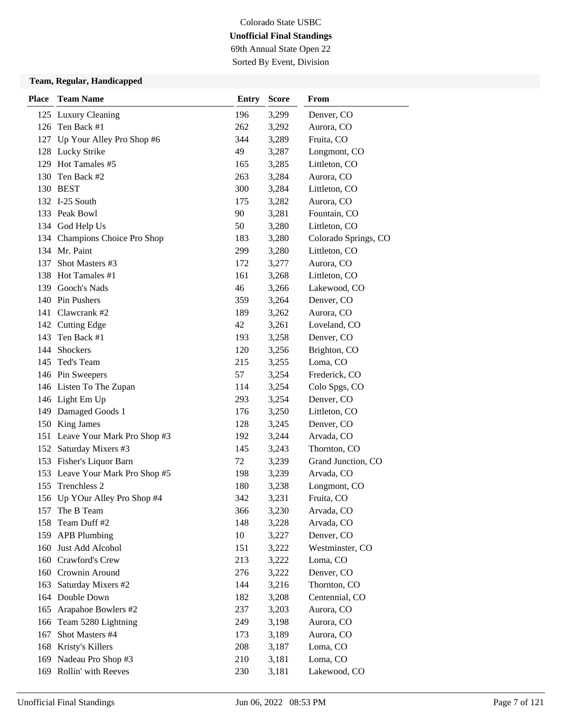69th Annual State Open 22 Sorted By Event, Division

| <b>Place</b> | <b>Team Name</b>                | <b>Entry</b> | <b>Score</b> | From                 |
|--------------|---------------------------------|--------------|--------------|----------------------|
|              | 125 Luxury Cleaning             | 196          | 3,299        | Denver, CO           |
|              | 126 Ten Back #1                 | 262          | 3,292        | Aurora, CO           |
|              | 127 Up Your Alley Pro Shop #6   | 344          | 3,289        | Fruita, CO           |
|              | 128 Lucky Strike                | 49           | 3,287        | Longmont, CO         |
|              | 129 Hot Tamales #5              | 165          | 3,285        | Littleton, CO        |
| 130          | Ten Back #2                     | 263          | 3,284        | Aurora, CO           |
|              | 130 BEST                        | 300          | 3,284        | Littleton, CO        |
|              | 132 I-25 South                  | 175          | 3,282        | Aurora, CO           |
|              | 133 Peak Bowl                   | 90           | 3,281        | Fountain, CO         |
|              | 134 God Help Us                 | 50           | 3,280        | Littleton, CO        |
|              | 134 Champions Choice Pro Shop   | 183          | 3,280        | Colorado Springs, CO |
|              | 134 Mr. Paint                   | 299          | 3,280        | Littleton, CO        |
| 137          | Shot Masters #3                 | 172          | 3,277        | Aurora, CO           |
| 138          | Hot Tamales #1                  | 161          | 3,268        | Littleton, CO        |
|              | 139 Gooch's Nads                | 46           | 3,266        | Lakewood, CO         |
|              | 140 Pin Pushers                 | 359          | 3,264        | Denver, CO           |
|              | 141 Clawcrank #2                | 189          | 3,262        | Aurora, CO           |
|              | 142 Cutting Edge                | 42           | 3,261        | Loveland, CO         |
| 143          | Ten Back #1                     | 193          | 3,258        | Denver, CO           |
| 144          | Shockers                        | 120          | 3,256        | Brighton, CO         |
| 145          | Ted's Team                      | 215          | 3,255        | Loma, CO             |
|              | 146 Pin Sweepers                | 57           | 3,254        | Frederick, CO        |
|              | 146 Listen To The Zupan         | 114          | 3,254        | Colo Spgs, CO        |
|              | 146 Light Em Up                 | 293          | 3,254        | Denver, CO           |
|              | 149 Damaged Goods 1             | 176          | 3,250        | Littleton, CO        |
|              | 150 King James                  | 128          | 3,245        | Denver, CO           |
|              | 151 Leave Your Mark Pro Shop #3 | 192          | 3,244        | Arvada, CO           |
|              | 152 Saturday Mixers #3          | 145          | 3,243        | Thornton, CO         |
|              | 153 Fisher's Liquor Barn        | 72           | 3,239        | Grand Junction, CO   |
|              | 153 Leave Your Mark Pro Shop #5 | 198          | 3,239        | Arvada, CO           |
| 155          | Trenchless 2                    | 180          | 3,238        | Longmont, CO         |
|              | 156 Up YOur Alley Pro Shop #4   | 342          | 3,231        | Fruita, CO           |
| 157          | The B Team                      | 366          | 3,230        | Arvada, CO           |
| 158          | Team Duff #2                    | 148          | 3,228        | Arvada, CO           |
| 159          | <b>APB Plumbing</b>             | 10           | 3,227        | Denver, CO           |
| 160          | Just Add Alcohol                | 151          | 3,222        | Westminster, CO      |
| 160          | Crawford's Crew                 | 213          | 3,222        | Loma, CO             |
| 160          | Crownin Around                  | 276          | 3,222        | Denver, CO           |
| 163          | Saturday Mixers #2              | 144          | 3,216        | Thornton, CO         |
| 164          | Double Down                     | 182          | 3,208        | Centennial, CO       |
| 165          | Arapahoe Bowlers #2             | 237          | 3,203        | Aurora, CO           |
| 166          | Team 5280 Lightning             | 249          | 3,198        | Aurora, CO           |
| 167          | Shot Masters #4                 | 173          | 3,189        | Aurora, CO           |
| 168          | Kristy's Killers                | 208          | 3,187        | Loma, CO             |
| 169          | Nadeau Pro Shop #3              | 210          | 3,181        | Loma, CO             |
| 169          | Rollin' with Reeves             | 230          | 3,181        | Lakewood, CO         |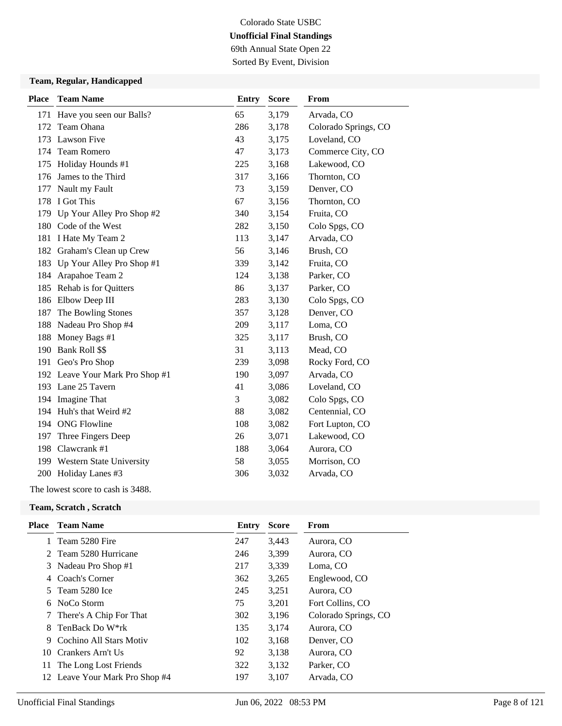69th Annual State Open 22 Sorted By Event, Division

### **Team, Regular, Handicapped**

| <b>Place</b> | <b>Team Name</b>                | <b>Entry</b> | <b>Score</b> | From                 |
|--------------|---------------------------------|--------------|--------------|----------------------|
| 171          | Have you seen our Balls?        | 65           | 3,179        | Arvada, CO           |
| 172          | Team Ohana                      | 286          | 3,178        | Colorado Springs, CO |
| 173          | Lawson Five                     | 43           | 3,175        | Loveland, CO         |
| 174          | <b>Team Romero</b>              | 47           | 3,173        | Commerce City, CO    |
| 175          | Holiday Hounds #1               | 225          | 3,168        | Lakewood, CO         |
| 176          | James to the Third              | 317          | 3,166        | Thornton, CO         |
| 177          | Nault my Fault                  | 73           | 3,159        | Denver, CO           |
| 178          | I Got This                      | 67           | 3,156        | Thornton, CO         |
|              | 179 Up Your Alley Pro Shop #2   | 340          | 3,154        | Fruita, CO           |
| 180          | Code of the West                | 282          | 3,150        | Colo Spgs, CO        |
| 181          | I Hate My Team 2                | 113          | 3,147        | Arvada, CO           |
| 182          | Graham's Clean up Crew          | 56           | 3,146        | Brush, CO            |
| 183          | Up Your Alley Pro Shop #1       | 339          | 3,142        | Fruita, CO           |
| 184          | Arapahoe Team 2                 | 124          | 3,138        | Parker, CO           |
| 185          | Rehab is for Quitters           | 86           | 3,137        | Parker, CO           |
|              | 186 Elbow Deep III              | 283          | 3,130        | Colo Spgs, CO        |
| 187          | The Bowling Stones              | 357          | 3,128        | Denver, CO           |
| 188          | Nadeau Pro Shop #4              | 209          | 3,117        | Loma, CO             |
| 188          | Money Bags #1                   | 325          | 3,117        | Brush, CO            |
| 190          | Bank Roll \$\$                  | 31           | 3,113        | Mead, CO             |
|              | 191 Geo's Pro Shop              | 239          | 3,098        | Rocky Ford, CO       |
|              | 192 Leave Your Mark Pro Shop #1 | 190          | 3,097        | Arvada, CO           |
|              | 193 Lane 25 Tavern              | 41           | 3,086        | Loveland, CO         |
| 194          | Imagine That                    | 3            | 3,082        | Colo Spgs, CO        |
|              | 194 Huh's that Weird #2         | 88           | 3,082        | Centennial, CO       |
| 194          | <b>ONG Flowline</b>             | 108          | 3,082        | Fort Lupton, CO      |
| 197          | Three Fingers Deep              | 26           | 3,071        | Lakewood, CO         |
| 198          | Clawcrank #1                    | 188          | 3,064        | Aurora, CO           |
|              | 199 Western State University    | 58           | 3,055        | Morrison, CO         |
|              | 200 Holiday Lanes #3            | 306          | 3,032        | Arvada, CO           |
|              |                                 |              |              |                      |

The lowest score to cash is 3488.

#### **Team, Scratch , Scratch**

| <b>Team Name</b>        | Entry                                                                                                                                                                                                                    | <b>Score</b> | From                 |
|-------------------------|--------------------------------------------------------------------------------------------------------------------------------------------------------------------------------------------------------------------------|--------------|----------------------|
|                         | 247                                                                                                                                                                                                                      | 3,443        | Aurora, CO           |
|                         | 246                                                                                                                                                                                                                      | 3,399        | Aurora, CO           |
|                         | 217                                                                                                                                                                                                                      | 3,339        | Loma, CO             |
|                         | 362                                                                                                                                                                                                                      | 3,265        | Englewood, CO        |
|                         | 245                                                                                                                                                                                                                      | 3,251        | Aurora, CO           |
| NoCo Storm              | 75                                                                                                                                                                                                                       | 3,201        | Fort Collins, CO     |
|                         | 302                                                                                                                                                                                                                      | 3,196        | Colorado Springs, CO |
| TenBack Do W*rk         | 135                                                                                                                                                                                                                      | 3,174        | Aurora, CO           |
| Cochino All Stars Motiv | 102                                                                                                                                                                                                                      | 3,168        | Denver, CO           |
|                         | 92                                                                                                                                                                                                                       | 3,138        | Aurora, CO           |
|                         | 322                                                                                                                                                                                                                      | 3,132        | Parker, CO           |
|                         | 197                                                                                                                                                                                                                      | 3,107        | Arvada, CO           |
|                         | 1 Team 5280 Fire<br>2 Team 5280 Hurricane<br>3 Nadeau Pro Shop #1<br>4 Coach's Corner<br>Team 5280 Ice<br>5<br>7 There's A Chip For That<br>Crankers Arn't Us<br>The Long Lost Friends<br>12 Leave Your Mark Pro Shop #4 |              |                      |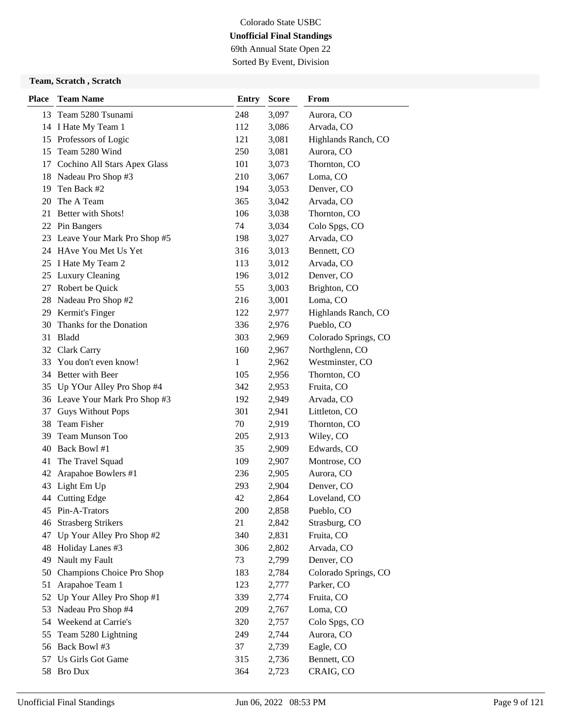69th Annual State Open 22 Sorted By Event, Division

### **Team, Scratch , Scratch**

| <b>Place</b> | <b>Team Name</b>                | <b>Entry</b> | <b>Score</b> | From                 |
|--------------|---------------------------------|--------------|--------------|----------------------|
|              | 13 Team 5280 Tsunami            | 248          | 3,097        | Aurora, CO           |
|              | 14 I Hate My Team 1             | 112          | 3,086        | Arvada, CO           |
|              | 15 Professors of Logic          | 121          | 3,081        | Highlands Ranch, CO  |
|              | 15 Team 5280 Wind               | 250          | 3,081        | Aurora, CO           |
|              | 17 Cochino All Stars Apex Glass | 101          | 3,073        | Thornton, CO         |
| 18           | Nadeau Pro Shop #3              | 210          | 3,067        | Loma, CO             |
| 19           | Ten Back #2                     | 194          | 3,053        | Denver, CO           |
| 20           | The A Team                      | 365          | 3,042        | Arvada, CO           |
|              | 21 Better with Shots!           | 106          | 3,038        | Thornton, CO         |
|              | 22 Pin Bangers                  | 74           | 3,034        | Colo Spgs, CO        |
|              | 23 Leave Your Mark Pro Shop #5  | 198          | 3,027        | Arvada, CO           |
|              | 24 HAve You Met Us Yet          | 316          | 3,013        | Bennett, CO          |
|              | 25 I Hate My Team 2             | 113          | 3,012        | Arvada, CO           |
| 25           | Luxury Cleaning                 | 196          | 3,012        | Denver, CO           |
| 27           | Robert be Quick                 | 55           | 3,003        | Brighton, CO         |
| 28           | Nadeau Pro Shop #2              | 216          | 3,001        | Loma, CO             |
| 29           | Kermit's Finger                 | 122          | 2,977        | Highlands Ranch, CO  |
| 30           | Thanks for the Donation         | 336          | 2,976        | Pueblo, CO           |
|              | 31 Bladd                        | 303          | 2,969        | Colorado Springs, CO |
|              | 32 Clark Carry                  | 160          | 2,967        | Northglenn, CO       |
| 33           | You don't even know!            | 1            | 2,962        | Westminster, CO      |
|              | 34 Better with Beer             | 105          | 2,956        | Thornton, CO         |
|              | 35 Up YOur Alley Pro Shop #4    | 342          | 2,953        | Fruita, CO           |
|              | 36 Leave Your Mark Pro Shop #3  | 192          | 2,949        | Arvada, CO           |
| 37           | <b>Guys Without Pops</b>        | 301          | 2,941        | Littleton, CO        |
| 38           | <b>Team Fisher</b>              | 70           | 2,919        | Thornton, CO         |
| 39           | Team Munson Too                 | 205          | 2,913        | Wiley, CO            |
| 40           | Back Bowl #1                    | 35           | 2,909        | Edwards, CO          |
| 41           | The Travel Squad                | 109          | 2,907        | Montrose, CO         |
| 42           | Arapahoe Bowlers #1             | 236          | 2,905        | Aurora, CO           |
| 43           | Light Em Up                     | 293          | 2,904        | Denver, CO           |
|              | 44 Cutting Edge                 | 42           | 2,864        | Loveland, CO         |
| 45           | Pin-A-Trators                   | 200          | 2,858        | Pueblo, CO           |
| 46           | <b>Strasberg Strikers</b>       | 21           | 2,842        | Strasburg, CO        |
| 47           | Up Your Alley Pro Shop #2       | 340          | 2,831        | Fruita, CO           |
| 48           | Holiday Lanes #3                | 306          | 2,802        | Arvada, CO           |
| 49           | Nault my Fault                  | 73           | 2,799        | Denver, CO           |
| 50           | Champions Choice Pro Shop       | 183          | 2,784        | Colorado Springs, CO |
| 51           | Arapahoe Team 1                 | 123          | 2,777        | Parker, CO           |
| 52           | Up Your Alley Pro Shop #1       | 339          | 2,774        | Fruita, CO           |
| 53           | Nadeau Pro Shop #4              | 209          | 2,767        | Loma, CO             |
| 54           | Weekend at Carrie's             | 320          | 2,757        | Colo Spgs, CO        |
| 55           | Team 5280 Lightning             | 249          | 2,744        | Aurora, CO           |
| 56           | Back Bowl #3                    | 37           | 2,739        | Eagle, CO            |
| 57           | Us Girls Got Game               | 315          | 2,736        | Bennett, CO          |
|              | 58 Bro Dux                      | 364          | 2,723        | CRAIG, CO            |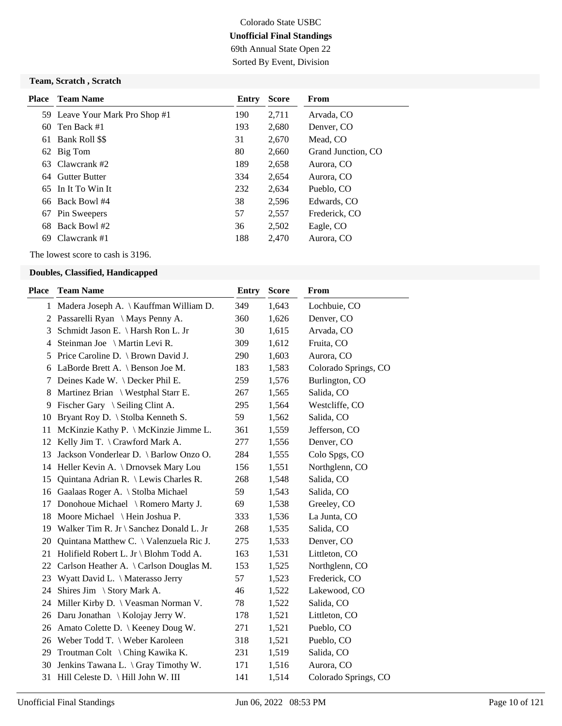## Colorado State USBC **Unofficial Final Standings** 69th Annual State Open 22

Sorted By Event, Division

### **Team, Scratch , Scratch**

| Place | Team Name                      | Entry | <b>Score</b> | <b>From</b>        |
|-------|--------------------------------|-------|--------------|--------------------|
|       | 59 Leave Your Mark Pro Shop #1 | 190   | 2,711        | Arvada, CO         |
| 60    | Ten Back #1                    | 193   | 2,680        | Denver, CO         |
| 61    | Bank Roll \$\$                 | 31    | 2,670        | Mead, CO           |
|       | 62 Big Tom                     | 80    | 2,660        | Grand Junction, CO |
| 63    | Clawcrank #2                   | 189   | 2,658        | Aurora, CO         |
| 64    | <b>Gutter Butter</b>           | 334   | 2,654        | Aurora, CO         |
|       | 65 In It To Win It             | 232   | 2,634        | Pueblo, CO         |
|       | 66 Back Bowl #4                | 38    | 2,596        | Edwards, CO        |
| 67    | Pin Sweepers                   | 57    | 2,557        | Frederick, CO      |
| 68    | Back Bowl #2                   | 36    | 2,502        | Eagle, CO          |
| 69    | Clawcrank #1                   | 188   | 2,470        | Aurora, CO         |
|       |                                |       |              |                    |

The lowest score to cash is 3196.

| Place | <b>Team Name</b>                             | <b>Entry</b> | <b>Score</b> | From                 |
|-------|----------------------------------------------|--------------|--------------|----------------------|
|       | 1 Madera Joseph A. \ Kauffman William D.     | 349          | 1,643        | Lochbuie, CO         |
| 2     | Passarelli Ryan \ Mays Penny A.              | 360          | 1,626        | Denver, CO           |
| 3     | Schmidt Jason E. \ Harsh Ron L. Jr           | 30           | 1,615        | Arvada, CO           |
| 4     | Steinman Joe \ Martin Levi R.                | 309          | 1,612        | Fruita, CO           |
| 5     | Price Caroline D. \ Brown David J.           | 290          | 1,603        | Aurora, CO           |
| 6     | LaBorde Brett A. \ Benson Joe M.             | 183          | 1,583        | Colorado Springs, CO |
| 7     | Deines Kade W. \ Decker Phil E.              | 259          | 1,576        | Burlington, CO       |
| 8     | Martinez Brian $\setminus$ Westphal Starr E. | 267          | 1,565        | Salida, CO           |
| 9     | Fischer Gary \ Seiling Clint A.              | 295          | 1,564        | Westcliffe, CO       |
| 10    | Bryant Roy D. \ Stolba Kenneth S.            | 59           | 1,562        | Salida, CO           |
| 11    | McKinzie Kathy P. \ McKinzie Jimme L.        | 361          | 1,559        | Jefferson, CO        |
| 12    | Kelly Jim T. \ Crawford Mark A.              | 277          | 1,556        | Denver, CO           |
| 13    | Jackson Vonderlear D. \ Barlow Onzo O.       | 284          | 1,555        | Colo Spgs, CO        |
| 14    | Heller Kevin A. \ Drnovsek Mary Lou          | 156          | 1,551        | Northglenn, CO       |
| 15    | Quintana Adrian R. \ Lewis Charles R.        | 268          | 1,548        | Salida, CO           |
|       | 16 Gaalaas Roger A. \ Stolba Michael         | 59           | 1,543        | Salida, CO           |
| 17    | Donohoue Michael \ Romero Marty J.           | 69           | 1,538        | Greeley, CO          |
|       | 18 Moore Michael \ Hein Joshua P.            | 333          | 1,536        | La Junta, CO         |
|       | 19 Walker Tim R. Jr \ Sanchez Donald L. Jr   | 268          | 1,535        | Salida, CO           |
| 20    | Quintana Matthew C. \ Valenzuela Ric J.      | 275          | 1,533        | Denver, CO           |
| 21    | Holifield Robert L. Jr \ Blohm Todd A.       | 163          | 1,531        | Littleton, CO        |
| 22    | Carlson Heather A. \ Carlson Douglas M.      | 153          | 1,525        | Northglenn, CO       |
| 23    | Wyatt David L. \ Materasso Jerry             | 57           | 1,523        | Frederick, CO        |
| 24    | Shires Jim \ Story Mark A.                   | 46           | 1,522        | Lakewood, CO         |
|       | 24 Miller Kirby D. \ Veasman Norman V.       | 78           | 1,522        | Salida, CO           |
| 26    | Daru Jonathan \ Kolojay Jerry W.             | 178          | 1,521        | Littleton, CO        |
| 26    | Amato Colette D.   Keeney Doug W.            | 271          | 1,521        | Pueblo, CO           |
|       | 26 Weber Todd T. \ Weber Karoleen            | 318          | 1,521        | Pueblo, CO           |
| 29    | Troutman Colt \ Ching Kawika K.              | 231          | 1,519        | Salida, CO           |
| 30    | Jenkins Tawana L. \ Gray Timothy W.          | 171          | 1,516        | Aurora, CO           |
| 31    | Hill Celeste D. \ Hill John W. III           | 141          | 1,514        | Colorado Springs, CO |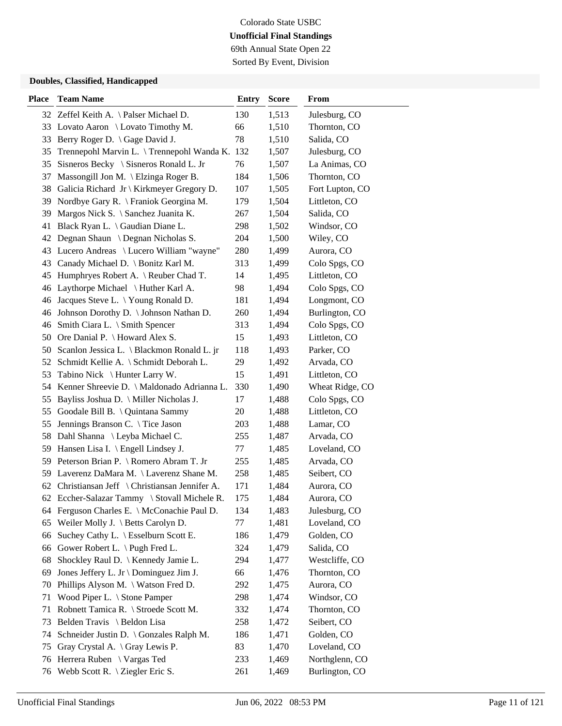69th Annual State Open 22 Sorted By Event, Division

| <b>Place</b> | <b>Team Name</b>                              | <b>Entry</b> | <b>Score</b> | From            |
|--------------|-----------------------------------------------|--------------|--------------|-----------------|
|              | 32 Zeffel Keith A. \Palser Michael D.         | 130          | 1,513        | Julesburg, CO   |
|              | 33 Lovato Aaron \ Lovato Timothy M.           | 66           | 1,510        | Thornton, CO    |
| 33           | Berry Roger D. \ Gage David J.                | 78           | 1,510        | Salida, CO      |
| 35           | Trennepohl Marvin L. \Trennepohl Wanda K. 132 |              | 1,507        | Julesburg, CO   |
| 35           | Sisneros Becky \ Sisneros Ronald L. Jr        | 76           | 1,507        | La Animas, CO   |
| 37           | Massongill Jon M. \ Elzinga Roger B.          | 184          | 1,506        | Thornton, CO    |
| 38           | Galicia Richard Jr \ Kirkmeyer Gregory D.     | 107          | 1,505        | Fort Lupton, CO |
| 39           | Nordbye Gary R. \ Franiok Georgina M.         | 179          | 1,504        | Littleton, CO   |
| 39           | Margos Nick S. \ Sanchez Juanita K.           | 267          | 1,504        | Salida, CO      |
| 41           | Black Ryan L. \ Gaudian Diane L.              | 298          | 1,502        | Windsor, CO     |
| 42           | Degnan Shaun \ Degnan Nicholas S.             | 204          | 1,500        | Wiley, CO       |
| 43           | Lucero Andreas \ Lucero William "wayne"       | 280          | 1,499        | Aurora, CO      |
| 43           | Canady Michael D. \ Bonitz Karl M.            | 313          | 1,499        | Colo Spgs, CO   |
| 45           | Humphryes Robert A. \ Reuber Chad T.          | 14           | 1,495        | Littleton, CO   |
| 46           | Laythorpe Michael \ Huther Karl A.            | 98           | 1,494        | Colo Spgs, CO   |
| 46           | Jacques Steve L. \ Young Ronald D.            | 181          | 1,494        | Longmont, CO    |
| 46           | Johnson Dorothy D. \ Johnson Nathan D.        | 260          | 1,494        | Burlington, CO  |
| 46           | Smith Ciara L. \ Smith Spencer                | 313          | 1,494        | Colo Spgs, CO   |
| 50           | Ore Danial P. \ Howard Alex S.                | 15           | 1,493        | Littleton, CO   |
|              | 50 Scanlon Jessica L. \ Blackmon Ronald L. jr | 118          | 1,493        | Parker, CO      |
|              | 52 Schmidt Kellie A. \ Schmidt Deborah L.     | 29           | 1,492        | Arvada, CO      |
| 53           | Tabino Nick \ Hunter Larry W.                 | 15           | 1,491        | Littleton, CO   |
| 54           | Kenner Shreevie D. \ Maldonado Adrianna L.    | 330          | 1,490        | Wheat Ridge, CO |
| 55           | Bayliss Joshua D. \ Miller Nicholas J.        | 17           | 1,488        | Colo Spgs, CO   |
| 55           | Goodale Bill B. \ Quintana Sammy              | 20           | 1,488        | Littleton, CO   |
| 55           | Jennings Branson C. \ Tice Jason              | 203          | 1,488        | Lamar, CO       |
| 58           | Dahl Shanna \ Leyba Michael C.                | 255          | 1,487        | Arvada, CO      |
| 59           | Hansen Lisa I. $\langle$ Engell Lindsey J.    | 77           | 1,485        | Loveland, CO    |
| 59           | Peterson Brian P. \ Romero Abram T. Jr        | 255          | 1,485        | Arvada, CO      |
| 59           | Laverenz DaMara M. \Laverenz Shane M.         | 258          | 1,485        | Seibert, CO     |
| 62           | Christiansan Jeff \ Christiansan Jennifer A.  | 171          | 1,484        | Aurora, CO      |
|              | 62 Eccher-Salazar Tammy \ Stovall Michele R.  | 175          | 1,484        | Aurora, CO      |
|              | 64 Ferguson Charles E. \ McConachie Paul D.   | 134          | 1,483        | Julesburg, CO   |
| 65           | Weiler Molly J. \ Betts Carolyn D.            | 77           | 1,481        | Loveland, CO    |
| 66           | Suchey Cathy L. \ Esselburn Scott E.          | 186          | 1,479        | Golden, CO      |
| 66           | Gower Robert L. \ Pugh Fred L.                | 324          | 1,479        | Salida, CO      |
| 68           | Shockley Raul D. \ Kennedy Jamie L.           | 294          | 1,477        | Westcliffe, CO  |
| 69           | Jones Jeffery L. Jr \ Dominguez Jim J.        | 66           | 1,476        | Thornton, CO    |
| 70           | Phillips Alyson M. \ Watson Fred D.           | 292          | 1,475        | Aurora, CO      |
| 71           | Wood Piper L. \ Stone Pamper                  | 298          | 1,474        | Windsor, CO     |
| 71           | Robnett Tamica R. \ Stroede Scott M.          | 332          | 1,474        | Thornton, CO    |
| 73           | Belden Travis \ Beldon Lisa                   | 258          | 1,472        | Seibert, CO     |
| 74           | Schneider Justin D. \ Gonzales Ralph M.       | 186          | 1,471        | Golden, CO      |
| 75           | Gray Crystal A. \ Gray Lewis P.               | 83           | 1,470        | Loveland, CO    |
| 76           | Herrera Ruben \ Vargas Ted                    | 233          | 1,469        | Northglenn, CO  |
|              | 76 Webb Scott R. \ Ziegler Eric S.            | 261          | 1,469        | Burlington, CO  |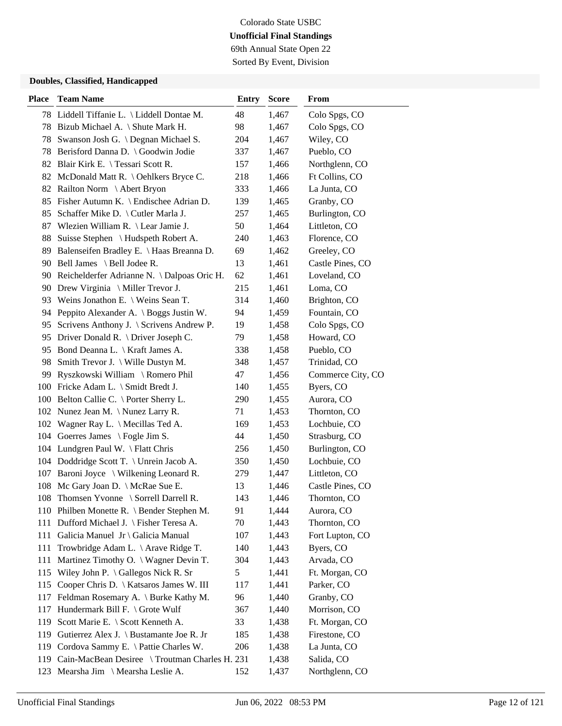69th Annual State Open 22 Sorted By Event, Division

| <b>Place</b> | <b>Team Name</b>                               | <b>Entry</b> | <b>Score</b> | From              |
|--------------|------------------------------------------------|--------------|--------------|-------------------|
|              | 78 Liddell Tiffanie L. \ Liddell Dontae M.     | 48           | 1,467        | Colo Spgs, CO     |
|              | 78 Bizub Michael A. \ Shute Mark H.            | 98           | 1,467        | Colo Spgs, CO     |
| 78           | Swanson Josh G. \ Degnan Michael S.            | 204          | 1,467        | Wiley, CO         |
| 78           | Berisford Danna D. \ Goodwin Jodie             | 337          | 1,467        | Pueblo, CO        |
| 82           | Blair Kirk E. \ Tessari Scott R.               | 157          | 1,466        | Northglenn, CO    |
| 82           | McDonald Matt R. \ Oehlkers Bryce C.           | 218          | 1,466        | Ft Collins, CO    |
| 82           | Railton Norm \ Abert Bryon                     | 333          | 1,466        | La Junta, CO      |
| 85           | Fisher Autumn K. \ Endischee Adrian D.         | 139          | 1,465        | Granby, CO        |
| 85           | Schaffer Mike D. \ Cutler Marla J.             | 257          | 1,465        | Burlington, CO    |
| 87           | Wlezien William R. \ Lear Jamie J.             | 50           | 1,464        | Littleton, CO     |
| 88           | Suisse Stephen \ Hudspeth Robert A.            | 240          | 1,463        | Florence, CO      |
| 89           | Balenseifen Bradley E. \ Haas Breanna D.       | 69           | 1,462        | Greeley, CO       |
| 90           | Bell James \ Bell Jodee R.                     | 13           | 1,461        | Castle Pines, CO  |
|              | 90 Reichelderfer Adrianne N. \ Dalpoas Oric H. | 62           | 1,461        | Loveland, CO      |
| 90           | Drew Virginia $\setminus$ Miller Trevor J.     | 215          | 1,461        | Loma, CO          |
|              | 93 Weins Jonathon E. \ Weins Sean T.           | 314          | 1,460        | Brighton, CO      |
| 94           | Peppito Alexander A. \ Boggs Justin W.         | 94           | 1,459        | Fountain, CO      |
| 95           | Scrivens Anthony J. \ Scrivens Andrew P.       | 19           | 1,458        | Colo Spgs, CO     |
| 95           | Driver Donald R. $\backslash$ Driver Joseph C. | 79           | 1,458        | Howard, CO        |
|              | 95 Bond Deanna L. \ Kraft James A.             | 338          | 1,458        | Pueblo, CO        |
| 98           | Smith Trevor J. $\setminus$ Wille Dustyn M.    | 348          | 1,457        | Trinidad, CO      |
| 99           | Ryszkowski William \ Romero Phil               | 47           | 1,456        | Commerce City, CO |
|              | 100 Fricke Adam L. \ Smidt Bredt J.            | 140          | 1,455        | Byers, CO         |
|              | 100 Belton Callie C. \ Porter Sherry L.        | 290          | 1,455        | Aurora, CO        |
|              | 102 Nunez Jean M. \ Nunez Larry R.             | 71           | 1,453        | Thornton, CO      |
| 102          | Wagner Ray L. $\Lambda$ Mecillas Ted A.        | 169          | 1,453        | Lochbuie, CO      |
| 104          | Goerres James $\setminus$ Fogle Jim S.         | 44           | 1,450        | Strasburg, CO     |
|              | 104 Lundgren Paul W. \ Flatt Chris             | 256          | 1,450        | Burlington, CO    |
|              | 104 Doddridge Scott T. \ Unrein Jacob A.       | 350          | 1,450        | Lochbuie, CO      |
| 107          | Baroni Joyce \ Wilkening Leonard R.            | 279          | 1,447        | Littleton, CO     |
| 108          | Mc Gary Joan D. \ McRae Sue E.                 | 13           | 1,446        | Castle Pines, CO  |
|              | 108 Thomsen Yvonne \ Sorrell Darrell R.        | 143          | 1,446        | Thornton, CO      |
|              | 110 Philben Monette R. \ Bender Stephen M.     | 91           | 1,444        | Aurora, CO        |
| 111          | Dufford Michael J. \ Fisher Teresa A.          | 70           | 1,443        | Thornton, CO      |
| 111          | Galicia Manuel Jr \ Galicia Manual             | 107          | 1,443        | Fort Lupton, CO   |
| 111          | Trowbridge Adam L. \ Arave Ridge T.            | 140          | 1,443        | Byers, CO         |
| 111          | Martinez Timothy O. \ Wagner Devin T.          | 304          | 1,443        | Arvada, CO        |
| 115          | Wiley John P. $\langle$ Gallegos Nick R. Sr    | 5            | 1,441        | Ft. Morgan, CO    |
| 115          | Cooper Chris D.   Katsaros James W. III        | 117          | 1,441        | Parker, CO        |
| 117          | Feldman Rosemary A. \ Burke Kathy M.           | 96           | 1,440        | Granby, CO        |
| 117          | Hundermark Bill F. \ Grote Wulf                | 367          | 1,440        | Morrison, CO      |
| 119          | Scott Marie E. \ Scott Kenneth A.              | 33           | 1,438        | Ft. Morgan, CO    |
| 119          | Gutierrez Alex J. \ Bustamante Joe R. Jr       | 185          | 1,438        | Firestone, CO     |
| 119          | Cordova Sammy E. \ Pattie Charles W.           | 206          | 1,438        | La Junta, CO      |
| 119          | Cain-MacBean Desiree \ Troutman Charles H. 231 |              | 1,438        | Salida, CO        |
| 123          | Mearsha Jim \ Mearsha Leslie A.                | 152          | 1,437        | Northglenn, CO    |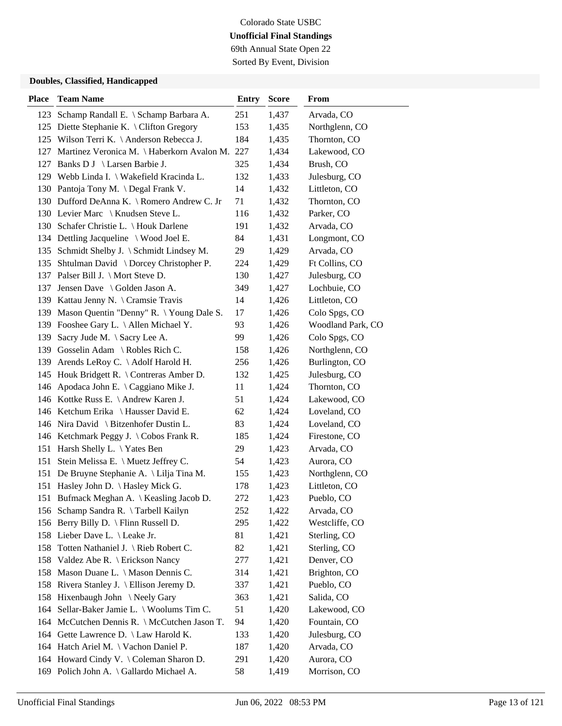69th Annual State Open 22 Sorted By Event, Division

| <b>Place</b> | <b>Team Name</b>                                | <b>Entry</b> | <b>Score</b> | From              |
|--------------|-------------------------------------------------|--------------|--------------|-------------------|
| 123          | Schamp Randall E. \ Schamp Barbara A.           | 251          | 1,437        | Arvada, CO        |
|              | 125 Diette Stephanie K. \ Clifton Gregory       | 153          | 1,435        | Northglenn, CO    |
|              | 125 Wilson Terri K. \Anderson Rebecca J.        | 184          | 1,435        | Thornton, CO      |
| 127          | Martinez Veronica M. \Haberkorn Avalon M. 227   |              | 1,434        | Lakewood, CO      |
| 127          | Banks D J \ Larsen Barbie J.                    | 325          | 1,434        | Brush, CO         |
|              | 129 Webb Linda I. \ Wakefield Kracinda L.       | 132          | 1,433        | Julesburg, CO     |
|              | 130 Pantoja Tony M. \Degal Frank V.             | 14           | 1,432        | Littleton, CO     |
|              | 130 Dufford DeAnna K. \ Romero Andrew C. Jr     | 71           | 1,432        | Thornton, CO      |
|              | 130 Levier Marc \ Knudsen Steve L.              | 116          | 1,432        | Parker, CO        |
|              | 130 Schafer Christie L. \ Houk Darlene          | 191          | 1,432        | Arvada, CO        |
|              | 134 Dettling Jacqueline \ Wood Joel E.          | 84           | 1,431        | Longmont, CO      |
| 135          | Schmidt Shelby J. \ Schmidt Lindsey M.          | 29           | 1,429        | Arvada, CO        |
| 135          | Shtulman David \ Dorcey Christopher P.          | 224          | 1,429        | Ft Collins, CO    |
|              | 137 Palser Bill J. \ Mort Steve D.              | 130          | 1,427        | Julesburg, CO     |
| 137          | Jensen Dave \ Golden Jason A.                   | 349          | 1,427        | Lochbuie, CO      |
|              | 139 Kattau Jenny N. \ Cramsie Travis            | 14           | 1,426        | Littleton, CO     |
|              | 139 Mason Quentin "Denny" R. \Young Dale S.     | 17           | 1,426        | Colo Spgs, CO     |
| 139          | Fooshee Gary L. \ Allen Michael Y.              | 93           | 1,426        | Woodland Park, CO |
| 139          | Sacry Jude M. \ Sacry Lee A.                    | 99           | 1,426        | Colo Spgs, CO     |
| 139          | Gosselin Adam \ Robles Rich C.                  | 158          | 1,426        | Northglenn, CO    |
| 139          | Arends LeRoy C. \Adolf Harold H.                | 256          | 1,426        | Burlington, CO    |
| 145          | Houk Bridgett R. $\setminus$ Contreras Amber D. | 132          | 1,425        | Julesburg, CO     |
|              | 146 Apodaca John E. \ Caggiano Mike J.          | 11           | 1,424        | Thornton, CO      |
|              | 146 Kottke Russ E. \ Andrew Karen J.            | 51           | 1,424        | Lakewood, CO      |
|              | 146 Ketchum Erika \ Hausser David E.            | 62           | 1,424        | Loveland, CO      |
|              | 146 Nira David \ Bitzenhofer Dustin L.          | 83           | 1,424        | Loveland, CO      |
|              | 146 Ketchmark Peggy J. \ Cobos Frank R.         | 185          | 1,424        | Firestone, CO     |
| 151          | Harsh Shelly L. \Yates Ben                      | 29           | 1,423        | Arvada, CO        |
| 151          | Stein Melissa E. \ Muetz Jeffrey C.             | 54           | 1,423        | Aurora, CO        |
| 151          | De Bruyne Stephanie A. \ Lilja Tina M.          | 155          | 1,423        | Northglenn, CO    |
| 151          | Hasley John D. \ Hasley Mick G.                 | 178          | 1,423        | Littleton, CO     |
| 151          | Bufmack Meghan A.   Keasling Jacob D.           | 272          | 1,423        | Pueblo, CO        |
|              | 156 Schamp Sandra R. \Tarbell Kailyn            | 252          | 1,422        | Arvada, CO        |
|              | 156 Berry Billy D. \ Flinn Russell D.           | 295          | 1,422        | Westcliffe, CO    |
|              | 158 Lieber Dave L. \ Leake Jr.                  | 81           | 1,421        | Sterling, CO      |
| 158          | Totten Nathaniel J. \ Rieb Robert C.            | 82           | 1,421        | Sterling, CO      |
|              | 158 Valdez Abe R. \ Erickson Nancy              | 277          | 1,421        | Denver, CO        |
| 158          | Mason Duane L. \ Mason Dennis C.                | 314          | 1,421        | Brighton, CO      |
| 158          | Rivera Stanley J. \ Ellison Jeremy D.           | 337          | 1,421        | Pueblo, CO        |
| 158          | Hixenbaugh John \Neely Gary                     | 363          | 1,421        | Salida, CO        |
| 164          | Sellar-Baker Jamie L. \ Woolums Tim C.          | 51           | 1,420        | Lakewood, CO      |
|              | 164 McCutchen Dennis R. \ McCutchen Jason T.    | 94           | 1,420        | Fountain, CO      |
| 164          | Gette Lawrence D. \ Law Harold K.               | 133          | 1,420        | Julesburg, CO     |
|              | 164 Hatch Ariel M. \ Vachon Daniel P.           | 187          | 1,420        | Arvada, CO        |
|              | 164 Howard Cindy V. \ Coleman Sharon D.         | 291          | 1,420        | Aurora, CO        |
|              | 169 Polich John A. \ Gallardo Michael A.        | 58           | 1,419        | Morrison, CO      |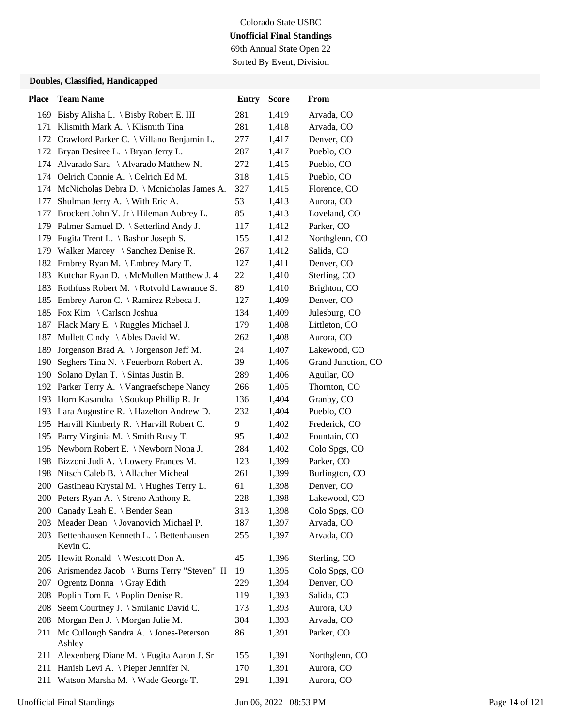## Colorado State USBC **Unofficial Final Standings** 69th Annual State Open 22

Sorted By Event, Division

| <b>Place</b> | <b>Team Name</b>                                       | <b>Entry</b> | <b>Score</b> | From               |
|--------------|--------------------------------------------------------|--------------|--------------|--------------------|
|              | 169 Bisby Alisha L. \ Bisby Robert E. III              | 281          | 1,419        | Arvada, CO         |
|              | 171 Klismith Mark A. \ Klismith Tina                   | 281          | 1,418        | Arvada, CO         |
| 172          | Crawford Parker C. \ Villano Benjamin L.               | 277          | 1,417        | Denver, CO         |
|              | 172 Bryan Desiree L. \ Bryan Jerry L.                  | 287          | 1,417        | Pueblo, CO         |
|              | 174 Alvarado Sara \ Alvarado Matthew N.                | 272          | 1,415        | Pueblo, CO         |
|              | 174 Oelrich Connie A. \ Oelrich Ed M.                  | 318          | 1,415        | Pueblo, CO         |
|              | 174 McNicholas Debra D. \ Mcnicholas James A.          | 327          | 1,415        | Florence, CO       |
| 177          | Shulman Jerry A. $\setminus$ With Eric A.              | 53           | 1,413        | Aurora, CO         |
| 177          | Brockert John V. Jr \ Hileman Aubrey L.                | 85           | 1,413        | Loveland, CO       |
|              | 179 Palmer Samuel D. \ Setterlind Andy J.              | 117          | 1,412        | Parker, CO         |
|              | 179 Fugita Trent L. \ Bashor Joseph S.                 | 155          | 1,412        | Northglenn, CO     |
|              | 179 Walker Marcey \ Sanchez Denise R.                  | 267          | 1,412        | Salida, CO         |
|              | 182 Embrey Ryan M. \ Embrey Mary T.                    | 127          | 1,411        | Denver, CO         |
| 183          | Kutchar Ryan D. \ McMullen Matthew J. 4                | 22           | 1,410        | Sterling, CO       |
|              | 183 Rothfuss Robert M. \ Rotvold Lawrance S.           | 89           | 1,410        | Brighton, CO       |
|              | 185 Embrey Aaron C. \ Ramirez Rebeca J.                | 127          | 1,409        | Denver, CO         |
|              | 185 Fox Kim \ Carlson Joshua                           | 134          | 1,409        | Julesburg, CO      |
|              | 187 Flack Mary E. \ Ruggles Michael J.                 | 179          | 1,408        | Littleton, CO      |
| 187          | Mullett Cindy \ Ables David W.                         | 262          | 1,408        | Aurora, CO         |
| 189          | Jorgenson Brad A. \ Jorgenson Jeff M.                  | 24           | 1,407        | Lakewood, CO       |
| 190          | Seghers Tina N. \ Feuerborn Robert A.                  | 39           | 1,406        | Grand Junction, CO |
|              | 190 Solano Dylan T. \ Sintas Justin B.                 | 289          | 1,406        | Aguilar, CO        |
|              | 192 Parker Terry A. \ Vangraefschepe Nancy             | 266          | 1,405        | Thornton, CO       |
|              | 193 Horn Kasandra \ Soukup Phillip R. Jr               | 136          | 1,404        | Granby, CO         |
|              | 193 Lara Augustine R. \ Hazelton Andrew D.             | 232          | 1,404        | Pueblo, CO         |
|              | 195 Harvill Kimberly R. \ Harvill Robert C.            | 9            | 1,402        | Frederick, CO      |
|              | 195 Parry Virginia M. \ Smith Rusty T.                 | 95           | 1,402        | Fountain, CO       |
|              | 195 Newborn Robert E. \ Newborn Nona J.                | 284          | 1,402        | Colo Spgs, CO      |
| 198          | Bizzoni Judi A. \ Lowery Frances M.                    | 123          | 1,399        | Parker, CO         |
| 198          | Nitsch Caleb B. \ Allacher Micheal                     | 261          | 1,399        | Burlington, CO     |
|              | 200 Gastineau Krystal M. \Hughes Terry L.              | 61           | 1,398        | Denver, CO         |
|              | 200 Peters Ryan A. \ Streno Anthony R.                 | 228          | 1,398        | Lakewood, CO       |
|              | 200 Canady Leah E. \ Bender Sean                       | 313          | 1,398        | Colo Spgs, CO      |
|              | 203 Meader Dean \ Jovanovich Michael P.                | 187          | 1,397        | Arvada, CO         |
|              | 203 Bettenhausen Kenneth L. \ Bettenhausen<br>Kevin C. | 255          | 1,397        | Arvada, CO         |
|              | 205 Hewitt Ronald \ Westcott Don A.                    | 45           | 1,396        | Sterling, CO       |
|              | 206 Arismendez Jacob \ Burns Terry "Steven" II         | 19           | 1,395        | Colo Spgs, CO      |
|              | 207 Ogrentz Donna \ Gray Edith                         | 229          | 1,394        | Denver, CO         |
|              | 208 Poplin Tom E. \ Poplin Denise R.                   | 119          | 1,393        | Salida, CO         |
| 208          | Seem Courtney J. \ Smilanic David C.                   | 173          | 1,393        | Aurora, CO         |
| 208          | Morgan Ben J. \ Morgan Julie M.                        | 304          | 1,393        | Arvada, CO         |
|              | 211 Mc Cullough Sandra A. \ Jones-Peterson<br>Ashley   | 86           | 1,391        | Parker, CO         |
| 211          | Alexenberg Diane M. \ Fugita Aaron J. Sr               | 155          | 1,391        | Northglenn, CO     |
| 211          | Hanish Levi A. \ Pieper Jennifer N.                    | 170          | 1,391        | Aurora, CO         |
|              | 211 Watson Marsha M. \ Wade George T.                  | 291          | 1,391        | Aurora, CO         |
|              |                                                        |              |              |                    |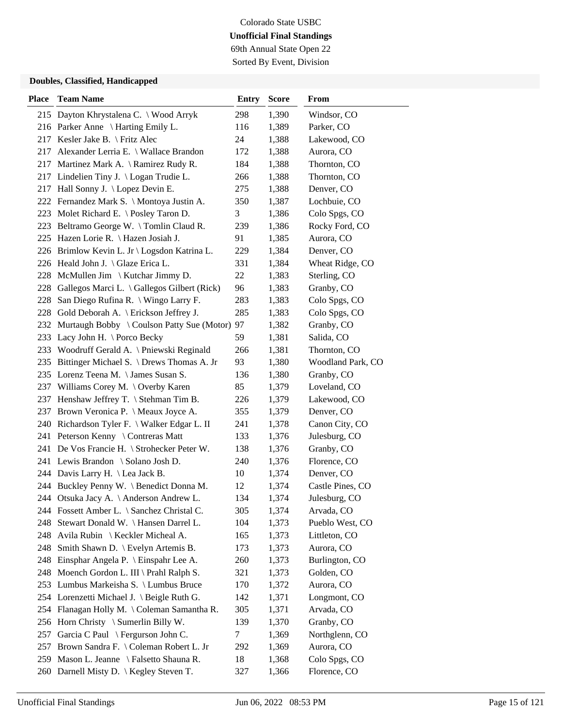69th Annual State Open 22 Sorted By Event, Division

| <b>Place</b> | <b>Team Name</b>                             | <b>Entry</b> | <b>Score</b> | From              |
|--------------|----------------------------------------------|--------------|--------------|-------------------|
|              | 215 Dayton Khrystalena C. \ Wood Arryk       | 298          | 1,390        | Windsor, CO       |
|              | 216 Parker Anne \ Harting Emily L.           | 116          | 1,389        | Parker, CO        |
|              | 217 Kesler Jake B. \ Fritz Alec              | 24           | 1,388        | Lakewood, CO      |
| 217          | Alexander Lerria E. \ Wallace Brandon        | 172          | 1,388        | Aurora, CO        |
|              | 217 Martinez Mark A. \ Ramirez Rudy R.       | 184          | 1,388        | Thornton, CO      |
|              | 217 Lindelien Tiny J. \ Logan Trudie L.      | 266          | 1,388        | Thornton, CO      |
|              | 217 Hall Sonny J. \ Lopez Devin E.           | 275          | 1,388        | Denver, CO        |
|              | 222 Fernandez Mark S. \ Montoya Justin A.    | 350          | 1,387        | Lochbuie, CO      |
|              | 223 Molet Richard E. \Posley Taron D.        | 3            | 1,386        | Colo Spgs, CO     |
|              | 223 Beltramo George W. \Tomlin Claud R.      | 239          | 1,386        | Rocky Ford, CO    |
|              | 225 Hazen Lorie R. \ Hazen Josiah J.         | 91           | 1,385        | Aurora, CO        |
|              | 226 Brimlow Kevin L. Jr \ Logsdon Katrina L. | 229          | 1,384        | Denver, CO        |
|              | 226 Heald John J. \ Glaze Erica L.           | 331          | 1,384        | Wheat Ridge, CO   |
|              | 228 McMullen Jim \ Kutchar Jimmy D.          | 22           | 1,383        | Sterling, CO      |
| 228          | Gallegos Marci L. \ Gallegos Gilbert (Rick)  | 96           | 1,383        | Granby, CO        |
| 228          | San Diego Rufina R. \ Wingo Larry F.         | 283          | 1,383        | Colo Spgs, CO     |
|              | 228 Gold Deborah A. \ Erickson Jeffrey J.    | 285          | 1,383        | Colo Spgs, CO     |
| 232          | Murtaugh Bobby \ Coulson Patty Sue (Motor)   | 97           | 1,382        | Granby, CO        |
| 233          | Lacy John H. \ Porco Becky                   | 59           | 1,381        | Salida, CO        |
| 233          | Woodruff Gerald A. \ Pniewski Reginald       | 266          | 1,381        | Thornton, CO      |
| 235          | Bittinger Michael S. \ Drews Thomas A. Jr    | 93           | 1,380        | Woodland Park, CO |
|              | 235 Lorenz Teena M. \ James Susan S.         | 136          | 1,380        | Granby, CO        |
|              | 237 Williams Corey M. \ Overby Karen         | 85           | 1,379        | Loveland, CO      |
|              | 237 Henshaw Jeffrey T. \ Stehman Tim B.      | 226          | 1,379        | Lakewood, CO      |
|              | 237 Brown Veronica P. \ Meaux Joyce A.       | 355          | 1,379        | Denver, CO        |
|              | 240 Richardson Tyler F. \ Walker Edgar L. II | 241          | 1,378        | Canon City, CO    |
| 241          | Peterson Kenny \ Contreras Matt              | 133          | 1,376        | Julesburg, CO     |
| 241          | De Vos Francie H. \ Strohecker Peter W.      | 138          | 1,376        | Granby, CO        |
|              | 241 Lewis Brandon \ Solano Josh D.           | 240          | 1,376        | Florence, CO      |
|              | 244 Davis Larry H. \ Lea Jack B.             | 10           | 1,374        | Denver, CO        |
|              | 244 Buckley Penny W. \ Benedict Donna M.     | 12           | 1,374        | Castle Pines, CO  |
|              | 244 Otsuka Jacy A. \ Anderson Andrew L.      | 134          | 1,374        | Julesburg, CO     |
|              | 244 Fossett Amber L. \ Sanchez Christal C.   | 305          | 1,374        | Arvada, CO        |
| 248          | Stewart Donald W. \ Hansen Darrel L.         | 104          | 1,373        | Pueblo West, CO   |
|              | 248 Avila Rubin \ Keckler Micheal A.         | 165          | 1,373        | Littleton, CO     |
|              | 248 Smith Shawn D. \ Evelyn Artemis B.       | 173          | 1,373        | Aurora, CO        |
|              | 248 Einsphar Angela P. \ Einspahr Lee A.     | 260          | 1,373        | Burlington, CO    |
|              | 248 Moench Gordon L. III \ Prahl Ralph S.    | 321          | 1,373        | Golden, CO        |
|              | 253 Lumbus Markeisha S. \ Lumbus Bruce       | 170          | 1,372        | Aurora, CO        |
|              | 254 Lorenzetti Michael J. \ Beigle Ruth G.   | 142          | 1,371        | Longmont, CO      |
| 254          | Flanagan Holly M. \ Coleman Samantha R.      | 305          | 1,371        | Arvada, CO        |
|              | 256 Horn Christy \ Sumerlin Billy W.         | 139          | 1,370        | Granby, CO        |
| 257          | Garcia C Paul \ Fergurson John C.            | 7            | 1,369        | Northglenn, CO    |
|              | 257 Brown Sandra F. \ Coleman Robert L. Jr   | 292          | 1,369        | Aurora, CO        |
|              | 259 Mason L. Jeanne \ Falsetto Shauna R.     | 18           | 1,368        | Colo Spgs, CO     |
|              | 260 Darnell Misty D. \ Kegley Steven T.      | 327          | 1,366        | Florence, CO      |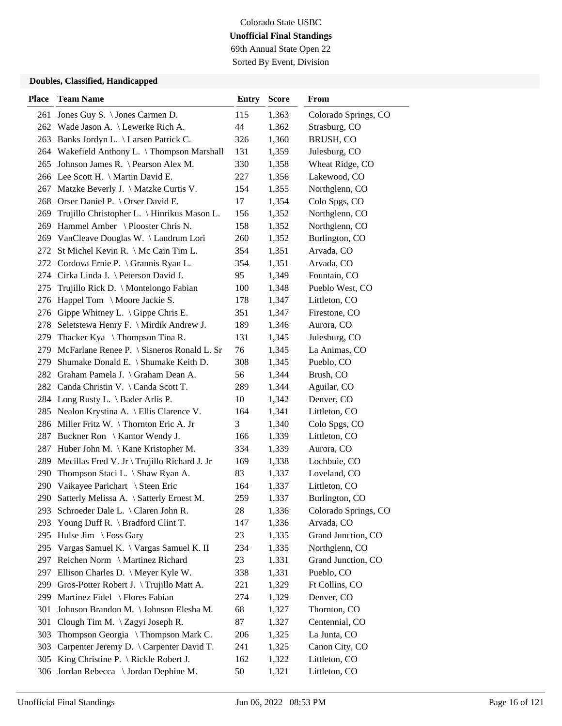69th Annual State Open 22 Sorted By Event, Division

| <b>Place</b> | <b>Team Name</b>                                | <b>Entry</b> | <b>Score</b> | From                 |
|--------------|-------------------------------------------------|--------------|--------------|----------------------|
|              | 261 Jones Guy S. \ Jones Carmen D.              | 115          | 1,363        | Colorado Springs, CO |
|              | 262 Wade Jason A. \ Lewerke Rich A.             | 44           | 1,362        | Strasburg, CO        |
| 263          | Banks Jordyn L. \ Larsen Patrick C.             | 326          | 1,360        | BRUSH, CO            |
|              | 264 Wakefield Anthony L. \Thompson Marshall     | 131          | 1,359        | Julesburg, CO        |
| 265          | Johnson James R. $\ \$ Pearson Alex M.          | 330          | 1,358        | Wheat Ridge, CO      |
|              | 266 Lee Scott H. \ Martin David E.              | 227          | 1,356        | Lakewood, CO         |
| 267          | Matzke Beverly J. \ Matzke Curtis V.            | 154          | 1,355        | Northglenn, CO       |
|              | 268 Orser Daniel P. \ Orser David E.            | 17           | 1,354        | Colo Spgs, CO        |
|              | 269 Trujillo Christopher L. \ Hinrikus Mason L. | 156          | 1,352        | Northglenn, CO       |
| 269          | Hammel Amber \ Plooster Chris N.                | 158          | 1,352        | Northglenn, CO       |
| 269          | VanCleave Douglas W. \ Landrum Lori             | 260          | 1,352        | Burlington, CO       |
| 272          | St Michel Kevin R. \ Mc Cain Tim L.             | 354          | 1,351        | Arvada, CO           |
| 272          | Cordova Ernie P. $\{$ Grannis Ryan L.           | 354          | 1,351        | Arvada, CO           |
| 274          | Cirka Linda J. \ Peterson David J.              | 95           | 1,349        | Fountain, CO         |
| 275          | Trujillo Rick D. \ Montelongo Fabian            | 100          | 1,348        | Pueblo West, CO      |
| 276          | Happel Tom \ Moore Jackie S.                    | 178          | 1,347        | Littleton, CO        |
|              | 276 Gippe Whitney L. \ Gippe Chris E.           | 351          | 1,347        | Firestone, CO        |
|              | 278 Seletstewa Henry F. \ Mirdik Andrew J.      | 189          | 1,346        | Aurora, CO           |
| 279          | Thacker Kya $\langle$ Thompson Tina R.          | 131          | 1,345        | Julesburg, CO        |
| 279          | McFarlane Renee P. \ Sisneros Ronald L. Sr      | 76           | 1,345        | La Animas, CO        |
| 279          | Shumake Donald E. \ Shumake Keith D.            | 308          | 1,345        | Pueblo, CO           |
| 282          | Graham Pamela J. \ Graham Dean A.               | 56           | 1,344        | Brush, CO            |
|              | 282 Canda Christin V. \ Canda Scott T.          | 289          | 1,344        | Aguilar, CO          |
|              | 284 Long Rusty L. \ Bader Arlis P.              | 10           | 1,342        | Denver, CO           |
| 285          | Nealon Krystina A. \ Ellis Clarence V.          | 164          | 1,341        | Littleton, CO        |
|              | 286 Miller Fritz W. \Thornton Eric A. Jr        | 3            | 1,340        | Colo Spgs, CO        |
| 287          | Buckner Ron \ Kantor Wendy J.                   | 166          | 1,339        | Littleton, CO        |
| 287          | Huber John M. $\setminus$ Kane Kristopher M.    | 334          | 1,339        | Aurora, CO           |
| 289          | Mecillas Fred V. Jr \ Trujillo Richard J. Jr    | 169          | 1,338        | Lochbuie, CO         |
| 290          | Thompson Staci L. \ Shaw Ryan A.                | 83           | 1,337        | Loveland, CO         |
| 290          | Vaikayee Parichart \ Steen Eric                 | 164          | 1,337        | Littleton, CO        |
| 290          | Satterly Melissa A. \ Satterly Ernest M.        | 259          | 1,337        | Burlington, CO       |
|              | 293 Schroeder Dale L. \ Claren John R.          | 28           | 1,336        | Colorado Springs, CO |
| 293          | Young Duff R. \ Bradford Clint T.               | 147          | 1,336        | Arvada, CO           |
| 295          | Hulse Jim \ Foss Gary                           | 23           | 1,335        | Grand Junction, CO   |
|              | 295 Vargas Samuel K. \ Vargas Samuel K. II      | 234          | 1,335        | Northglenn, CO       |
|              | 297 Reichen Norm \ Martinez Richard             | 23           | 1,331        | Grand Junction, CO   |
| 297          | Ellison Charles D. $\setminus$ Meyer Kyle W.    | 338          | 1,331        | Pueblo, CO           |
| 299          | Gros-Potter Robert J. \Trujillo Matt A.         | 221          | 1,329        | Ft Collins, CO       |
| 299          | Martinez Fidel \ Flores Fabian                  | 274          | 1,329        | Denver, CO           |
| 301          | Johnson Brandon M. \Johnson Elesha M.           | 68           | 1,327        | Thornton, CO         |
| 301          | Clough Tim M. \ Zagyi Joseph R.                 | 87           | 1,327        | Centennial, CO       |
| 303          | Thompson Georgia \Thompson Mark C.              | 206          | 1,325        | La Junta, CO         |
| 303          | Carpenter Jeremy D. \ Carpenter David T.        | 241          | 1,325        | Canon City, CO       |
| 305          | King Christine P. \ Rickle Robert J.            | 162          | 1,322        | Littleton, CO        |
| 306          | Jordan Rebecca \ Jordan Dephine M.              | 50           | 1,321        | Littleton, CO        |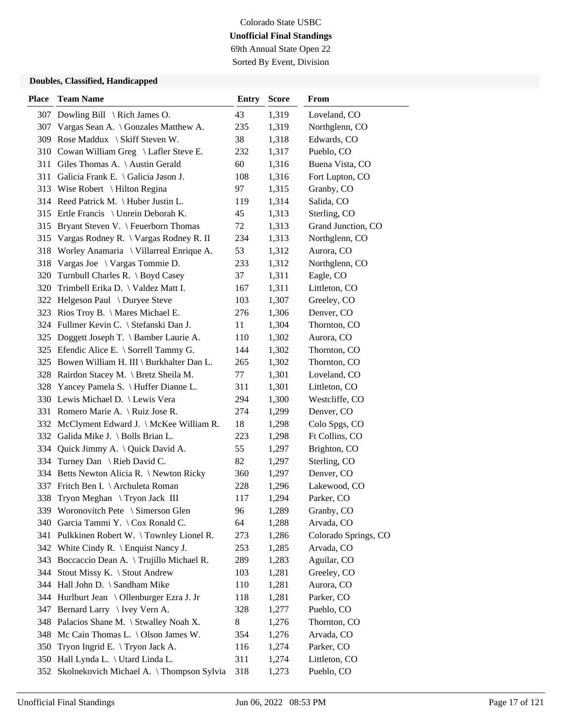69th Annual State Open 22 Sorted By Event, Division

| <b>Place</b> | <b>Team Name</b>                             | <b>Entry</b> | <b>Score</b> | From                 |
|--------------|----------------------------------------------|--------------|--------------|----------------------|
| 307          | Dowling Bill $\setminus$ Rich James O.       | 43           | 1,319        | Loveland, CO         |
| 307          | Vargas Sean A. \ Gonzales Matthew A.         | 235          | 1,319        | Northglenn, CO       |
| 309          | Rose Maddux \ Skiff Steven W.                | 38           | 1,318        | Edwards, CO          |
| 310          | Cowan William Greg \ Lafler Steve E.         | 232          | 1,317        | Pueblo, CO           |
| 311          | Giles Thomas A. \ Austin Gerald              | 60           | 1,316        | Buena Vista, CO      |
| 311          | Galicia Frank E. \ Galicia Jason J.          | 108          | 1,316        | Fort Lupton, CO      |
|              | 313 Wise Robert \ Hilton Regina              | 97           | 1,315        | Granby, CO           |
|              | 314 Reed Patrick M. \Huber Justin L.         | 119          | 1,314        | Salida, CO           |
|              | 315 Ertle Francis \ Unrein Deborah K.        | 45           | 1,313        | Sterling, CO         |
| 315          | Bryant Steven V. \ Feuerborn Thomas          | 72           | 1,313        | Grand Junction, CO   |
| 315          | Vargas Rodney R. \ Vargas Rodney R. II       | 234          | 1,313        | Northglenn, CO       |
| 318          | Worley Anamaria \ Villarreal Enrique A.      | 53           | 1,312        | Aurora, CO           |
| 318          | Vargas Joe $\setminus$ Vargas Tommie D.      | 233          | 1,312        | Northglenn, CO       |
| 320          | Turnbull Charles R. \ Boyd Casey             | 37           | 1,311        | Eagle, CO            |
| 320          | Trimbell Erika D. \ Valdez Matt I.           | 167          | 1,311        | Littleton, CO        |
|              | 322 Helgeson Paul \ Duryee Steve             | 103          | 1,307        | Greeley, CO          |
|              | 323 Rios Troy B. \ Mares Michael E.          | 276          | 1,306        | Denver, CO           |
|              | 324 Fullmer Kevin C. \ Stefanski Dan J.      | 11           | 1,304        | Thornton, CO         |
|              | 325 Doggett Joseph T. \ Bamber Laurie A.     | 110          | 1,302        | Aurora, CO           |
|              | 325 Efendic Alice E. \ Sorrell Tammy G.      | 144          | 1,302        | Thornton, CO         |
|              | 325 Bowen William H. III \ Burkhalter Dan L. | 265          | 1,302        | Thornton, CO         |
| 328          | Rairdon Stacey M. \ Bretz Sheila M.          | 77           | 1,301        | Loveland, CO         |
| 328          | Yancey Pamela S. \ Huffer Dianne L.          | 311          | 1,301        | Littleton, CO        |
|              | 330 Lewis Michael D. \ Lewis Vera            | 294          | 1,300        | Westcliffe, CO       |
| 331          | Romero Marie A. \ Ruiz Jose R.               | 274          | 1,299        | Denver, CO           |
|              | 332 McClyment Edward J. \ McKee William R.   | 18           | 1,298        | Colo Spgs, CO        |
| 332          | Galida Mike J. \ Bolls Brian L.              | 223          | 1,298        | Ft Collins, CO       |
| 334          | Quick Jimmy A. \ Quick David A.              | 55           | 1,297        | Brighton, CO         |
| 334          | Turney Dan \ Rieb David C.                   | 82           | 1,297        | Sterling, CO         |
|              | 334 Betts Newton Alicia R. \ Newton Ricky    | 360          | 1,297        | Denver, CO           |
|              | 337 Fritch Ben I. \ Archuleta Roman          | 228          | 1,296        | Lakewood, CO         |
| 338          | Tryon Meghan \ Tryon Jack III                | 117          | 1,294        | Parker, CO           |
|              | 339 Woronovitch Pete \ Simerson Glen         | 96           | 1,289        | Granby, CO           |
| 340          | Garcia Tammi Y. \ Cox Ronald C.              | 64           | 1,288        | Arvada, CO           |
|              | 341 Pulkkinen Robert W. \Townley Lionel R.   | 273          | 1,286        | Colorado Springs, CO |
|              | 342 White Cindy R. \ Enquist Nancy J.        | 253          | 1,285        | Arvada, CO           |
| 343          | Boccaccio Dean A. \Trujillo Michael R.       | 289          | 1,283        | Aguilar, CO          |
| 344          | Stout Missy K. \ Stout Andrew                | 103          | 1,281        | Greeley, CO          |
| 344          | Hall John D. \ Sandham Mike                  | 110          | 1,281        | Aurora, CO           |
|              | 344 Hurlburt Jean \ Ollenburger Ezra J. Jr   | 118          | 1,281        | Parker, CO           |
| 347          | Bernard Larry \ Ivey Vern A.                 | 328          | 1,277        | Pueblo, CO           |
| 348          | Palacios Shane M. \ Stwalley Noah X.         | 8            | 1,276        | Thornton, CO         |
| 348          | Mc Cain Thomas L. $\setminus$ Olson James W. | 354          | 1,276        | Arvada, CO           |
| 350          | Tryon Ingrid E. $\Gamma$ Tryon Jack A.       | 116          | 1,274        | Parker, CO           |
| 350          | Hall Lynda L. \ Utard Linda L.               | 311          | 1,274        | Littleton, CO        |
| 352          | Skolnekovich Michael A. \Thompson Sylvia     | 318          | 1,273        | Pueblo, CO           |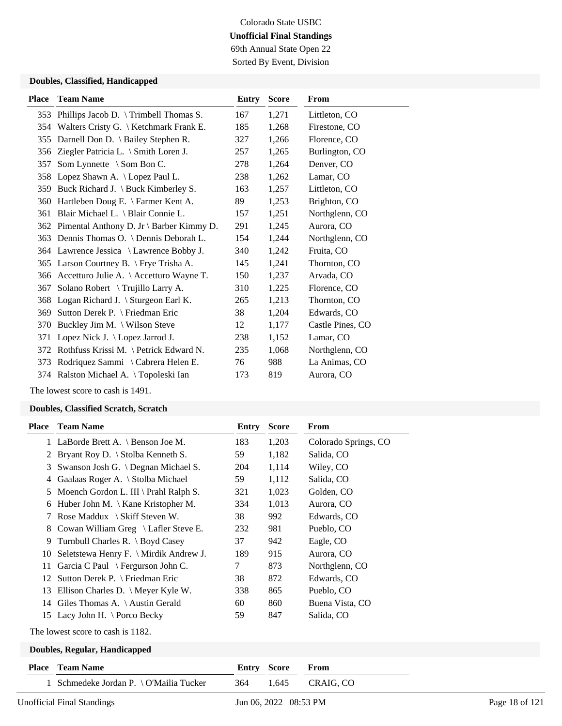69th Annual State Open 22 Sorted By Event, Division

### **Doubles, Classified, Handicapped**

|     | <b>Place</b> Team Name                       | Entry | <b>Score</b> | From             |
|-----|----------------------------------------------|-------|--------------|------------------|
| 353 | Phillips Jacob D. \Trimbell Thomas S.        | 167   | 1,271        | Littleton, CO    |
| 354 | Walters Cristy G. \ Ketchmark Frank E.       | 185   | 1,268        | Firestone, CO    |
|     | 355 Darnell Don D. \ Bailey Stephen R.       | 327   | 1,266        | Florence, CO     |
|     | 356 Ziegler Patricia L. \ Smith Loren J.     | 257   | 1,265        | Burlington, CO   |
| 357 | Som Lynnette $\setminus$ Som Bon C.          | 278   | 1,264        | Denver, CO       |
| 358 | Lopez Shawn A. \ Lopez Paul L.               | 238   | 1,262        | Lamar, CO        |
| 359 | Buck Richard J. \ Buck Kimberley S.          | 163   | 1,257        | Littleton, CO    |
| 360 | Hartleben Doug E. \ Farmer Kent A.           | 89    | 1,253        | Brighton, CO     |
| 361 | Blair Michael L. \ Blair Connie L.           | 157   | 1,251        | Northglenn, CO   |
|     | 362 Pimental Anthony D. Jr \ Barber Kimmy D. | 291   | 1,245        | Aurora, CO       |
|     | 363 Dennis Thomas O. \ Dennis Deborah L.     | 154   | 1,244        | Northglenn, CO   |
|     | 364 Lawrence Jessica \ Lawrence Bobby J.     | 340   | 1,242        | Fruita, CO       |
|     | 365 Larson Courtney B. \ Frye Trisha A.      | 145   | 1,241        | Thornton, CO     |
| 366 | Accetturo Julie A. \ Accetturo Wayne T.      | 150   | 1,237        | Arvada, CO       |
| 367 | Solano Robert \ Trujillo Larry A.            | 310   | 1,225        | Florence, CO     |
|     | 368 Logan Richard J. \ Sturgeon Earl K.      | 265   | 1,213        | Thornton, CO     |
| 369 | Sutton Derek P. \ Friedman Eric              | 38    | 1,204        | Edwards, CO      |
| 370 | Buckley Jim M. \ Wilson Steve                | 12    | 1,177        | Castle Pines, CO |
| 371 | Lopez Nick J. \ Lopez Jarrod J.              | 238   | 1,152        | Lamar, CO        |
|     | 372 Rothfuss Krissi M. \ Petrick Edward N.   | 235   | 1,068        | Northglenn, CO   |
|     | 373 Rodriquez Sammi \ Cabrera Helen E.       | 76    | 988          | La Animas, CO    |
|     | 374 Ralston Michael A. \Topoleski Ian        | 173   | 819          | Aurora, CO       |

The lowest score to cash is 1491.

#### **Doubles, Classified Scratch, Scratch**

| Place | <b>Team Name</b>                               | Entry | <b>Score</b> | From                 |
|-------|------------------------------------------------|-------|--------------|----------------------|
|       | 1 LaBorde Brett A. \ Benson Joe M.             | 183   | 1,203        | Colorado Springs, CO |
| 2     | Bryant Roy D. $\setminus$ Stolba Kenneth S.    | 59    | 1,182        | Salida, CO           |
| 3     | Swanson Josh G. \ Degnan Michael S.            | 204   | 1,114        | Wiley, CO            |
| 4     | Gaalaas Roger A. \ Stolba Michael              | 59    | 1,112        | Salida, CO           |
| 5     | Moench Gordon L. III \ Prahl Ralph S.          | 321   | 1,023        | Golden, CO           |
| 6     | Huber John M. $\setminus$ Kane Kristopher M.   | 334   | 1,013        | Aurora, CO           |
|       | Rose Maddux \ Skiff Steven W.                  | 38    | 992          | Edwards, CO          |
| 8     | Cowan William Greg $\setminus$ Lafler Steve E. | 232   | 981          | Pueblo, CO           |
| 9     | Turnbull Charles R. \ Boyd Casey               | 37    | 942          | Eagle, CO            |
| 10    | Seletstewa Henry F. \ Mirdik Andrew J.         | 189   | 915          | Aurora, CO           |
| 11    | Garcia C Paul \ Fergurson John C.              | 7     | 873          | Northglenn, CO       |
| 12    | Sutton Derek P. $\lvert$ Friedman Eric         | 38    | 872          | Edwards, CO          |
| 13    | Ellison Charles D. \ Meyer Kyle W.             | 338   | 865          | Pueblo, CO           |
| 14    | Giles Thomas A. $\setminus$ Austin Gerald      | 60    | 860          | Buena Vista, CO      |
|       | 15 Lacy John H. \ Porco Becky                  | 59    | 847          | Salida, CO           |
|       | The lowest score to cash is 1182.              |       |              |                      |
|       | Doubles, Regular, Handicapped                  |       |              |                      |
| Place | <b>Team Name</b>                               | Entry | <b>Score</b> | From                 |
|       | Schmedeke Jordan P. \ O'Mailia Tucker          | 364   | 1,645        | CRAIG, CO            |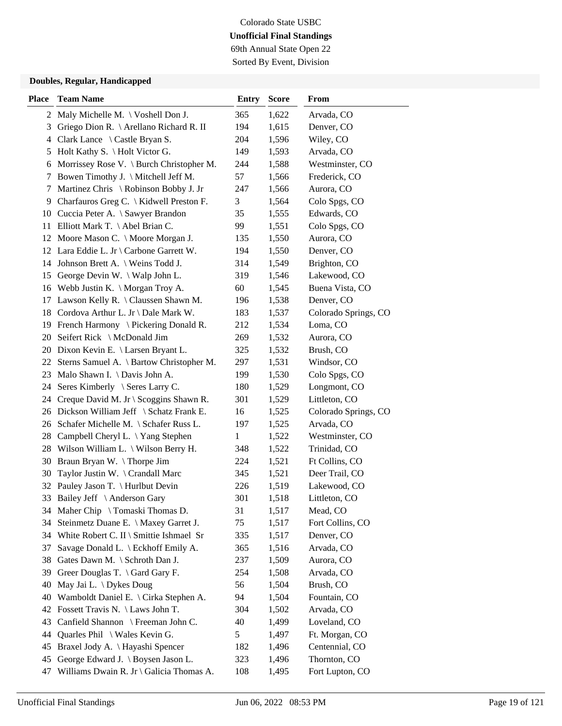69th Annual State Open 22 Sorted By Event, Division

| <b>Place</b> | <b>Team Name</b>                                  | <b>Entry</b> | <b>Score</b> | From                 |
|--------------|---------------------------------------------------|--------------|--------------|----------------------|
|              | 2 Maly Michelle M. \ Voshell Don J.               | 365          | 1,622        | Arvada, CO           |
| 3            | Griego Dion R. \ Arellano Richard R. II           | 194          | 1,615        | Denver, CO           |
| 4            | Clark Lance \ Castle Bryan S.                     | 204          | 1,596        | Wiley, CO            |
| 5            | Holt Kathy S. \ Holt Victor G.                    | 149          | 1,593        | Arvada, CO           |
| 6            | Morrissey Rose V. \ Burch Christopher M.          | 244          | 1,588        | Westminster, CO      |
| 7            | Bowen Timothy J. \ Mitchell Jeff M.               | 57           | 1,566        | Frederick, CO        |
| 7            | Martinez Chris \ Robinson Bobby J. Jr             | 247          | 1,566        | Aurora, CO           |
| 9            | Charfauros Greg C. $\setminus$ Kidwell Preston F. | 3            | 1,564        | Colo Spgs, CO        |
| 10           | Cuccia Peter A. \ Sawyer Brandon                  | 35           | 1,555        | Edwards, CO          |
| 11           | Elliott Mark T. \ Abel Brian C.                   | 99           | 1,551        | Colo Spgs, CO        |
| 12           | Moore Mason C. \ Moore Morgan J.                  | 135          | 1,550        | Aurora, CO           |
|              | 12 Lara Eddie L. Jr \ Carbone Garrett W.          | 194          | 1,550        | Denver, CO           |
|              | 14 Johnson Brett A. \ Weins Todd J.               | 314          | 1,549        | Brighton, CO         |
| 15           | George Devin W. \ Walp John L.                    | 319          | 1,546        | Lakewood, CO         |
| 16           | Webb Justin K. \ Morgan Troy A.                   | 60           | 1,545        | Buena Vista, CO      |
| 17           | Lawson Kelly R. $\setminus$ Claussen Shawn M.     | 196          | 1,538        | Denver, CO           |
| 18           | Cordova Arthur L. Jr \ Dale Mark W.               | 183          | 1,537        | Colorado Springs, CO |
| 19           | French Harmony $\setminus$ Pickering Donald R.    | 212          | 1,534        | Loma, CO             |
| 20           | Seifert Rick \ McDonald Jim                       | 269          | 1,532        | Aurora, CO           |
| 20           | Dixon Kevin E. \ Larsen Bryant L.                 | 325          | 1,532        | Brush, CO            |
| 22           | Sterns Samuel A. \ Bartow Christopher M.          | 297          | 1,531        | Windsor, CO          |
| 23           | Malo Shawn I. \ Davis John A.                     | 199          | 1,530        | Colo Spgs, CO        |
| 24           | Seres Kimberly \ Seres Larry C.                   | 180          | 1,529        | Longmont, CO         |
|              | 24 Creque David M. Jr \ Scoggins Shawn R.         | 301          | 1,529        | Littleton, CO        |
| 26           | Dickson William Jeff \ Schatz Frank E.            | 16           | 1,525        | Colorado Springs, CO |
| 26           | Schafer Michelle M. \ Schafer Russ L.             | 197          | 1,525        | Arvada, CO           |
| 28           | Campbell Cheryl L. \Yang Stephen                  | 1            | 1,522        | Westminster, CO      |
| 28           | Wilson William L. \ Wilson Berry H.               | 348          | 1,522        | Trinidad, CO         |
| 30           | Braun Bryan W. \Thorpe Jim                        | 224          | 1,521        | Ft Collins, CO       |
| 30           | Taylor Justin W. \ Crandall Marc                  | 345          | 1,521        | Deer Trail, CO       |
| 32           | Pauley Jason T. \ Hurlbut Devin                   | 226          | 1,519        | Lakewood, CO         |
| 33           | Bailey Jeff \ Anderson Gary                       | 301          | 1,518        | Littleton, CO        |
|              | 34 Maher Chip \ Tomaski Thomas D.                 | 31           | 1,517        | Mead, CO             |
| 34           | Steinmetz Duane E. \ Maxey Garret J.              | 75           | 1,517        | Fort Collins, CO     |
| 34           | White Robert C. II \ Smittie Ishmael Sr           | 335          | 1,517        | Denver, CO           |
| 37           | Savage Donald L. \ Eckhoff Emily A.               | 365          | 1,516        | Arvada, CO           |
| 38           | Gates Dawn M. \ Schroth Dan J.                    | 237          | 1,509        | Aurora, CO           |
| 39           | Greer Douglas T. $\langle$ Gard Gary F.           | 254          | 1,508        | Arvada, CO           |
| 40           | May Jai L. $\bigcup$ Dykes Doug                   | 56           | 1,504        | Brush, CO            |
| 40           | Wamboldt Daniel E. \ Cirka Stephen A.             | 94           | 1,504        | Fountain, CO         |
| 42           | Fossett Travis N. \ Laws John T.                  | 304          | 1,502        | Arvada, CO           |
| 43           | Canfield Shannon \ Freeman John C.                | 40           | 1,499        | Loveland, CO         |
| 44           | Quarles Phil \ Wales Kevin G.                     | 5            | 1,497        | Ft. Morgan, CO       |
| 45           | Braxel Jody A. \ Hayashi Spencer                  | 182          | 1,496        | Centennial, CO       |
| 45           | George Edward J. \ Boysen Jason L.                | 323          | 1,496        | Thornton, CO         |
| 47           | Williams Dwain R. Jr \ Galicia Thomas A.          | 108          | 1,495        | Fort Lupton, CO      |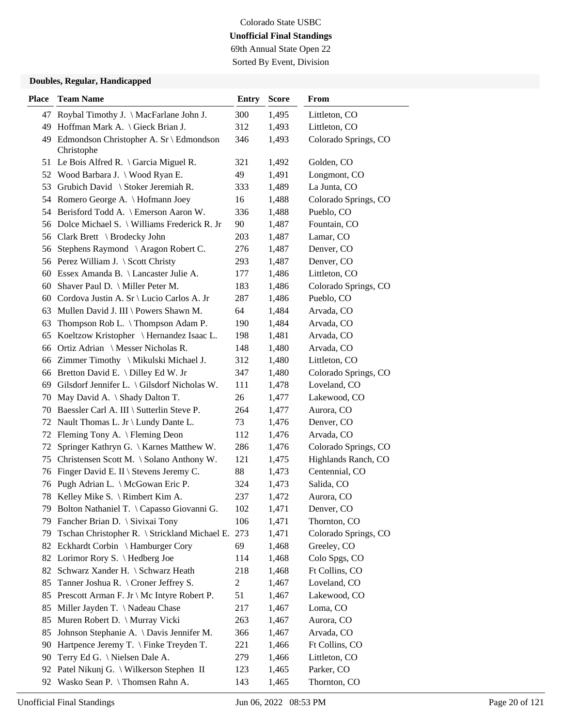## Colorado State USBC **Unofficial Final Standings** 69th Annual State Open 22

Sorted By Event, Division

| <b>Place</b> | <b>Team Name</b>                                         | <b>Entry</b> | <b>Score</b> | From                 |
|--------------|----------------------------------------------------------|--------------|--------------|----------------------|
|              | 47 Roybal Timothy J. \ MacFarlane John J.                | 300          | 1,495        | Littleton, CO        |
|              | 49 Hoffman Mark A. \ Gieck Brian J.                      | 312          | 1,493        | Littleton, CO        |
|              | 49 Edmondson Christopher A. Sr \ Edmondson<br>Christophe | 346          | 1,493        | Colorado Springs, CO |
|              | 51 Le Bois Alfred R. \ Garcia Miguel R.                  | 321          | 1,492        | Golden, CO           |
|              | 52 Wood Barbara J. \ Wood Ryan E.                        | 49           | 1,491        | Longmont, CO         |
| 53           | Grubich David \ Stoker Jeremiah R.                       | 333          | 1,489        | La Junta, CO         |
|              | 54 Romero George A. \ Hofmann Joey                       | 16           | 1,488        | Colorado Springs, CO |
|              | 54 Berisford Todd A. \ Emerson Aaron W.                  | 336          | 1,488        | Pueblo, CO           |
|              | 56 Dolce Michael S. \ Williams Frederick R. Jr           | 90           | 1,487        | Fountain, CO         |
|              | 56 Clark Brett \ Brodecky John                           | 203          | 1,487        | Lamar, CO            |
| 56           | Stephens Raymond \ Aragon Robert C.                      | 276          | 1,487        | Denver, CO           |
|              | 56 Perez William J. \ Scott Christy                      | 293          | 1,487        | Denver, CO           |
|              | 60 Essex Amanda B. \ Lancaster Julie A.                  | 177          | 1,486        | Littleton, CO        |
|              | 60 Shaver Paul D. \ Miller Peter M.                      | 183          | 1,486        | Colorado Springs, CO |
|              | 60 Cordova Justin A. Sr \ Lucio Carlos A. Jr             | 287          | 1,486        | Pueblo, CO           |
|              | 63 Mullen David J. III \ Powers Shawn M.                 | 64           | 1,484        | Arvada, CO           |
| 63           | Thompson Rob L. \Thompson Adam P.                        | 190          | 1,484        | Arvada, CO           |
| 65           | Koeltzow Kristopher \ Hernandez Isaac L.                 | 198          | 1,481        | Arvada, CO           |
| 66           | Ortiz Adrian \ Messer Nicholas R.                        | 148          | 1,480        | Arvada, CO           |
|              | 66 Zimmer Timothy \ Mikulski Michael J.                  | 312          | 1,480        | Littleton, CO        |
|              | 66 Bretton David E. \ Dilley Ed W. Jr                    | 347          | 1,480        | Colorado Springs, CO |
|              | 69 Gilsdorf Jennifer L. \ Gilsdorf Nicholas W.           | 111          | 1,478        | Loveland, CO         |
|              | 70 May David A. \ Shady Dalton T.                        | 26           | 1,477        | Lakewood, CO         |
|              | 70 Baessler Carl A. III \ Sutterlin Steve P.             | 264          | 1,477        | Aurora, CO           |
|              | 72 Nault Thomas L. Jr \ Lundy Dante L.                   | 73           | 1,476        | Denver, CO           |
| 72           | Fleming Tony A. \ Fleming Deon                           | 112          | 1,476        | Arvada, CO           |
| 72           | Springer Kathryn G. \ Karnes Matthew W.                  | 286          | 1,476        | Colorado Springs, CO |
| 75           | Christensen Scott M. \ Solano Anthony W.                 | 121          | 1,475        | Highlands Ranch, CO  |
| 76           | Finger David E. II \ Stevens Jeremy C.                   | 88           | 1,473        | Centennial, CO       |
|              | 76 Pugh Adrian L. \ McGowan Eric P.                      | 324          | 1,473        | Salida, CO           |
|              | 78 Kelley Mike S. \ Rimbert Kim A.                       | 237          | 1,472        | Aurora, CO           |
|              | 79 Bolton Nathaniel T. \ Capasso Giovanni G.             | 102          | 1,471        | Denver, CO           |
|              | 79 Fancher Brian D. \ Sivixai Tony                       | 106          | 1,471        | Thornton, CO         |
| 79           | Tschan Christopher R. \ Strickland Michael E. 273        |              | 1,471        | Colorado Springs, CO |
|              | 82 Eckhardt Corbin \ Hamburger Cory                      | 69           | 1,468        | Greeley, CO          |
|              | 82 Lorimor Rory S. \ Hedberg Joe                         | 114          | 1,468        | Colo Spgs, CO        |
|              | 82 Schwarz Xander H. \ Schwarz Heath                     | 218          | 1,468        | Ft Collins, CO       |
| 85           | Tanner Joshua R. \ Croner Jeffrey S.                     | 2            | 1,467        | Loveland, CO         |
| 85           | Prescott Arman F. Jr \ Mc Intyre Robert P.               | 51           | 1,467        | Lakewood, CO         |
| 85           | Miller Jayden T. \ Nadeau Chase                          | 217          | 1,467        | Loma, CO             |
| 85           | Muren Robert D. \ Murray Vicki                           | 263          | 1,467        | Aurora, CO           |
| 85           | Johnson Stephanie A. \ Davis Jennifer M.                 | 366          | 1,467        | Arvada, CO           |
| 90           | Hartpence Jeremy T. \ Finke Treyden T.                   | 221          | 1,466        | Ft Collins, CO       |
| 90           | Terry Ed G. \ Nielsen Dale A.                            | 279          | 1,466        | Littleton, CO        |
|              | 92 Patel Nikunj G. \ Wilkerson Stephen II                | 123          | 1,465        | Parker, CO           |
| 92           | Wasko Sean P. \ Thomsen Rahn A.                          | 143          | 1,465        | Thornton, CO         |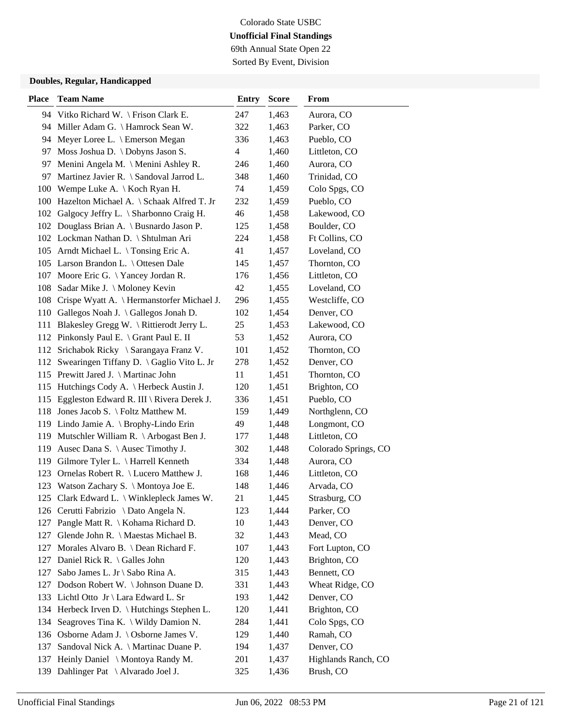69th Annual State Open 22 Sorted By Event, Division

| <b>Place</b> | <b>Team Name</b>                               | <b>Entry</b> | <b>Score</b> | From                 |
|--------------|------------------------------------------------|--------------|--------------|----------------------|
|              | 94 Vitko Richard W. \ Frison Clark E.          | 247          | 1,463        | Aurora, CO           |
|              | 94 Miller Adam G. \ Hamrock Sean W.            | 322          | 1,463        | Parker, CO           |
| 94           | Meyer Loree L. \ Emerson Megan                 | 336          | 1,463        | Pueblo, CO           |
| 97           | Moss Joshua D. \ Dobyns Jason S.               | 4            | 1,460        | Littleton, CO        |
| 97           | Menini Angela M. \ Menini Ashley R.            | 246          | 1,460        | Aurora, CO           |
| 97           | Martinez Javier R. \ Sandoval Jarrod L.        | 348          | 1,460        | Trinidad, CO         |
| 100          | Wempe Luke A. $\setminus$ Koch Ryan H.         | 74           | 1,459        | Colo Spgs, CO        |
|              | 100 Hazelton Michael A. \ Schaak Alfred T. Jr  | 232          | 1,459        | Pueblo, CO           |
|              | 102 Galgocy Jeffry L. \ Sharbonno Craig H.     | 46           | 1,458        | Lakewood, CO         |
|              | 102 Douglass Brian A. \ Busnardo Jason P.      | 125          | 1,458        | Boulder, CO          |
|              | 102 Lockman Nathan D. \ Shtulman Ari           | 224          | 1,458        | Ft Collins, CO       |
|              | 105 Arndt Michael L. \Tonsing Eric A.          | 41           | 1,457        | Loveland, CO         |
|              | 105 Larson Brandon L. \ Ottesen Dale           | 145          | 1,457        | Thornton, CO         |
|              | 107 Moore Eric G. \Yancey Jordan R.            | 176          | 1,456        | Littleton, CO        |
| 108          | Sadar Mike J. \ Moloney Kevin                  | 42           | 1,455        | Loveland, CO         |
|              | 108 Crispe Wyatt A. \ Hermanstorfer Michael J. | 296          | 1,455        | Westcliffe, CO       |
|              | 110 Gallegos Noah J. \Gallegos Jonah D.        | 102          | 1,454        | Denver, CO           |
|              | 111 Blakesley Gregg W. \ Rittierodt Jerry L.   | 25           | 1,453        | Lakewood, CO         |
|              | 112 Pinkonsly Paul E. \ Grant Paul E. II       | 53           | 1,452        | Aurora, CO           |
| 112          | Srichabok Ricky \ Sarangaya Franz V.           | 101          | 1,452        | Thornton, CO         |
| 112          | Swearingen Tiffany D. \ Gaglio Vito L. Jr      | 278          | 1,452        | Denver, CO           |
|              | 115 Prewitt Jared J. \ Martinac John           | 11           | 1,451        | Thornton, CO         |
| 115          | Hutchings Cody A.   Herbeck Austin J.          | 120          | 1,451        | Brighton, CO         |
| 115          | Eggleston Edward R. III \ Rivera Derek J.      | 336          | 1,451        | Pueblo, CO           |
|              | 118 Jones Jacob S. \ Foltz Matthew M.          | 159          | 1,449        | Northglenn, CO       |
|              | 119 Lindo Jamie A. \ Brophy-Lindo Erin         | 49           | 1,448        | Longmont, CO         |
| 119          | Mutschler William R. $\Lambda$ Arbogast Ben J. | 177          | 1,448        | Littleton, CO        |
| 119          | Ausec Dana S. \ Ausec Timothy J.               | 302          | 1,448        | Colorado Springs, CO |
| 119          | Gilmore Tyler L. \ Harrell Kenneth             | 334          | 1,448        | Aurora, CO           |
| 123          | Ornelas Robert R. \ Lucero Matthew J.          | 168          | 1,446        | Littleton, CO        |
| 123          | Watson Zachary S. \ Montoya Joe E.             | 148          | 1,446        | Arvada, CO           |
|              | 125 Clark Edward L. \ Winklepleck James W.     | 21           | 1,445        | Strasburg, CO        |
|              | 126 Cerutti Fabrizio \ Dato Angela N.          | 123          | 1,444        | Parker, CO           |
| 127          | Pangle Matt R. \ Kohama Richard D.             | 10           | 1,443        | Denver, CO           |
| 127          | Glende John R. \ Maestas Michael B.            | 32           | 1,443        | Mead, CO             |
| 127          | Morales Alvaro B. \ Dean Richard F.            | 107          | 1,443        | Fort Lupton, CO      |
| 127          | Daniel Rick R. \ Galles John                   | 120          | 1,443        | Brighton, CO         |
| 127          | Sabo James L. Jr \ Sabo Rina A.                | 315          | 1,443        | Bennett, CO          |
| 127          | Dodson Robert W. \ Johnson Duane D.            | 331          | 1,443        | Wheat Ridge, CO      |
|              | 133 Lichtl Otto Jr \ Lara Edward L. Sr         | 193          | 1,442        | Denver, CO           |
| 134          | Herbeck Irven D. \ Hutchings Stephen L.        | 120          | 1,441        | Brighton, CO         |
| 134          | Seagroves Tina K. \ Wildy Damion N.            | 284          | 1,441        | Colo Spgs, CO        |
| 136          | Osborne Adam J. \ Osborne James V.             | 129          | 1,440        | Ramah, CO            |
| 137          | Sandoval Nick A. \ Martinac Duane P.           | 194          | 1,437        | Denver, CO           |
| 137          | Heinly Daniel \ Montoya Randy M.               | 201          | 1,437        | Highlands Ranch, CO  |
| 139          | Dahlinger Pat \ Alvarado Joel J.               | 325          | 1,436        | Brush, CO            |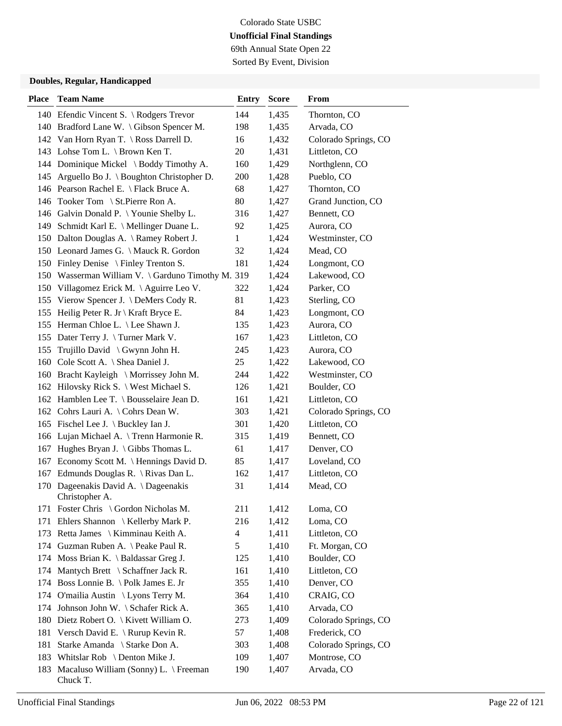69th Annual State Open 22 Sorted By Event, Division

| <b>Place</b> | <b>Team Name</b>                                  | <b>Entry</b> | <b>Score</b> | From                 |
|--------------|---------------------------------------------------|--------------|--------------|----------------------|
|              | 140 Efendic Vincent S. \ Rodgers Trevor           | 144          | 1,435        | Thornton, CO         |
|              | 140 Bradford Lane W. \Gibson Spencer M.           | 198          | 1,435        | Arvada, CO           |
|              | 142 Van Horn Ryan T. \ Ross Darrell D.            | 16           | 1,432        | Colorado Springs, CO |
|              | 143 Lohse Tom L. \ Brown Ken T.                   | 20           | 1,431        | Littleton, CO        |
|              | 144 Dominique Mickel \ Boddy Timothy A.           | 160          | 1,429        | Northglenn, CO       |
|              | 145 Arguello Bo J. \ Boughton Christopher D.      | 200          | 1,428        | Pueblo, CO           |
|              | 146 Pearson Rachel E. \ Flack Bruce A.            | 68           | 1,427        | Thornton, CO         |
|              | 146 Tooker Tom \ St. Pierre Ron A.                | 80           | 1,427        | Grand Junction, CO   |
|              | 146 Galvin Donald P. \Younie Shelby L.            | 316          | 1,427        | Bennett, CO          |
|              | 149 Schmidt Karl E. \ Mellinger Duane L.          | 92           | 1,425        | Aurora, CO           |
|              | 150 Dalton Douglas A. \ Ramey Robert J.           | $\mathbf{1}$ | 1,424        | Westminster, CO      |
|              | 150 Leonard James G. \ Mauck R. Gordon            | 32           | 1,424        | Mead, CO             |
|              | 150 Finley Denise \ Finley Trenton S.             | 181          | 1,424        | Longmont, CO         |
|              | 150 Wasserman William V. \ Garduno Timothy M. 319 |              | 1,424        | Lakewood, CO         |
| 150          | Villagomez Erick M. \Aguirre Leo V.               | 322          | 1,424        | Parker, CO           |
|              | 155 Vierow Spencer J. \ DeMers Cody R.            | 81           | 1,423        | Sterling, CO         |
| 155          | Heilig Peter R. Jr \ Kraft Bryce E.               | 84           | 1,423        | Longmont, CO         |
|              | 155 Herman Chloe L. \ Lee Shawn J.                | 135          | 1,423        | Aurora, CO           |
|              | 155 Dater Terry J. \Turner Mark V.                | 167          | 1,423        | Littleton, CO        |
| 155          | Trujillo David \ Gwynn John H.                    | 245          | 1,423        | Aurora, CO           |
| 160          | Cole Scott A. \ Shea Daniel J.                    | 25           | 1,422        | Lakewood, CO         |
|              | 160 Bracht Kayleigh \ Morrissey John M.           | 244          | 1,422        | Westminster, CO      |
|              | 162 Hilovsky Rick S. \ West Michael S.            | 126          | 1,421        | Boulder, CO          |
|              | 162 Hamblen Lee T. \ Bousselaire Jean D.          | 161          | 1,421        | Littleton, CO        |
|              | 162 Cohrs Lauri A. \ Cohrs Dean W.                | 303          | 1,421        | Colorado Springs, CO |
|              | 165 Fischel Lee J. \ Buckley Ian J.               | 301          | 1,420        | Littleton, CO        |
| 166          | Lujan Michael A. \ Trenn Harmonie R.              | 315          | 1,419        | Bennett, CO          |
| 167          | Hughes Bryan J. $\setminus$ Gibbs Thomas L.       | 61           | 1,417        | Denver, CO           |
| 167          | Economy Scott M. \ Hennings David D.              | 85           | 1,417        | Loveland, CO         |
|              | 167 Edmunds Douglas R. \ Rivas Dan L.             | 162          | 1,417        | Littleton, CO        |
| 170          | Dageenakis David A. \Dageenakis<br>Christopher A. | 31           | 1,414        | Mead, CO             |
|              | 171 Foster Chris \ Gordon Nicholas M.             | 211          | 1,412        | Loma, CO             |
| 171          | Ehlers Shannon \ Kellerby Mark P.                 | 216          | 1,412        | Loma, CO             |
|              | 173 Retta James \ Kimminau Keith A.               | 4            | 1,411        | Littleton, CO        |
|              | 174 Guzman Ruben A. \ Peake Paul R.               | 5            | 1,410        | Ft. Morgan, CO       |
|              | 174 Moss Brian K. \ Baldassar Greg J.             | 125          | 1,410        | Boulder, CO          |
| 174          | Mantych Brett $\ \$ Schaffner Jack R.             | 161          | 1,410        | Littleton, CO        |
|              | 174 Boss Lonnie B. \Polk James E. Jr              | 355          | 1,410        | Denver, CO           |
|              | 174 O'mailia Austin \ Lyons Terry M.              | 364          | 1,410        | CRAIG, CO            |
| 174          | Johnson John W. \ Schafer Rick A.                 | 365          | 1,410        | Arvada, CO           |
| 180          | Dietz Robert O. \ Kivett William O.               | 273          | 1,409        | Colorado Springs, CO |
| 181          | Versch David E. \ Rurup Kevin R.                  | 57           | 1,408        | Frederick, CO        |
| 181          | Starke Amanda \ Starke Don A.                     | 303          | 1,408        | Colorado Springs, CO |
|              | 183 Whitslar Rob \ Denton Mike J.                 | 109          | 1,407        | Montrose, CO         |
| 183          | Macaluso William (Sonny) L. \ Freeman<br>Chuck T. | 190          | 1,407        | Arvada, CO           |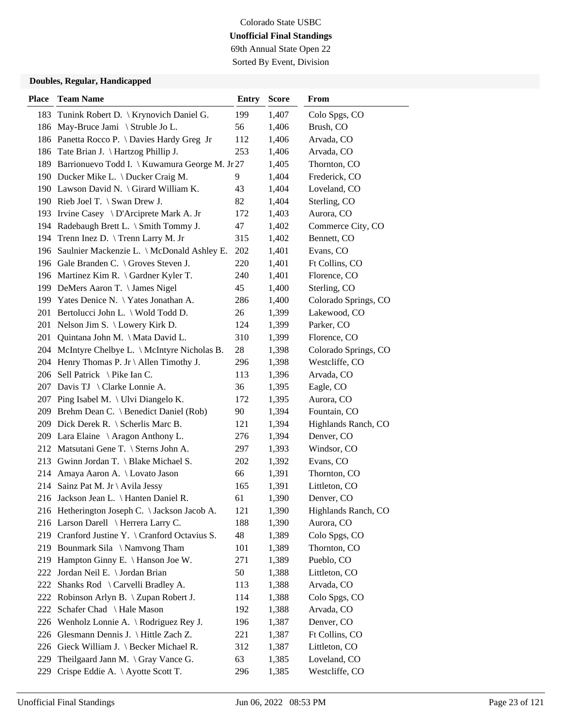69th Annual State Open 22 Sorted By Event, Division

| <b>Place</b> | <b>Team Name</b>                                   | <b>Entry</b> | <b>Score</b> | From                 |
|--------------|----------------------------------------------------|--------------|--------------|----------------------|
|              | 183 Tunink Robert D.   Krynovich Daniel G.         | 199          | 1,407        | Colo Spgs, CO        |
|              | 186 May-Bruce Jami \ Struble Jo L.                 | 56           | 1,406        | Brush, CO            |
|              | 186 Panetta Rocco P. \ Davies Hardy Greg Jr        | 112          | 1,406        | Arvada, CO           |
|              | 186 Tate Brian J. \ Hartzog Phillip J.             | 253          | 1,406        | Arvada, CO           |
|              | 189 Barrionuevo Todd I. \ Kuwamura George M. Jr 27 |              | 1,405        | Thornton, CO         |
|              | 190 Ducker Mike L. \ Ducker Craig M.               | 9.           | 1,404        | Frederick, CO        |
|              | 190 Lawson David N. \ Girard William K.            | 43           | 1,404        | Loveland, CO         |
|              | 190 Rieb Joel T. \ Swan Drew J.                    | 82           | 1,404        | Sterling, CO         |
|              | 193 Irvine Casey \ D'Arciprete Mark A. Jr          | 172          | 1,403        | Aurora, CO           |
|              | 194 Radebaugh Brett L. \ Smith Tommy J.            | 47           | 1,402        | Commerce City, CO    |
| 194          | Trenn Inez D. \Trenn Larry M. Jr                   | 315          | 1,402        | Bennett, CO          |
|              | 196 Saulnier Mackenzie L. \ McDonald Ashley E.     | 202          | 1,401        | Evans, CO            |
|              | 196 Gale Branden C. \ Groves Steven J.             | 220          | 1,401        | Ft Collins, CO       |
|              | 196 Martinez Kim R. \ Gardner Kyler T.             | 240          | 1,401        | Florence, CO         |
|              | 199 DeMers Aaron T. \ James Nigel                  | 45           | 1,400        | Sterling, CO         |
|              | 199 Yates Denice N. \Yates Jonathan A.             | 286          | 1,400        | Colorado Springs, CO |
|              | 201 Bertolucci John L. \ Wold Todd D.              | 26           | 1,399        | Lakewood, CO         |
| 201          | Nelson Jim S. $\text{Lowery Kirk D.}$              | 124          | 1,399        | Parker, CO           |
| 201          | Quintana John M. \ Mata David L.                   | 310          | 1,399        | Florence, CO         |
|              | 204 McIntyre Chelbye L. \ McIntyre Nicholas B.     | 28           | 1,398        | Colorado Springs, CO |
|              | 204 Henry Thomas P. Jr \ Allen Timothy J.          | 296          | 1,398        | Westcliffe, CO       |
|              | 206 Sell Patrick \ Pike Ian C.                     | 113          | 1,396        | Arvada, CO           |
|              | 207 Davis TJ \ Clarke Lonnie A.                    | 36           | 1,395        | Eagle, CO            |
|              | 207 Ping Isabel M. \ Ulvi Diangelo K.              | 172          | 1,395        | Aurora, CO           |
|              | 209 Brehm Dean C. \ Benedict Daniel (Rob)          | 90           | 1,394        | Fountain, CO         |
|              | 209 Dick Derek R. \ Scherlis Marc B.               | 121          | 1,394        | Highlands Ranch, CO  |
|              | 209 Lara Elaine \ Aragon Anthony L.                | 276          | 1,394        | Denver, CO           |
|              | 212 Matsutani Gene T. \ Sterns John A.             | 297          | 1,393        | Windsor, CO          |
|              | 213 Gwinn Jordan T. \ Blake Michael S.             | 202          | 1,392        | Evans, CO            |
|              | 214 Amaya Aaron A. \ Lovato Jason                  | 66           | 1,391        | Thornton, CO         |
|              | 214 Sainz Pat M. Jr \ Avila Jessy                  | 165          | 1,391        | Littleton, CO        |
|              | 216 Jackson Jean L. \ Hanten Daniel R.             | 61           | 1,390        | Denver, CO           |
|              | 216 Hetherington Joseph C. \ Jackson Jacob A.      | 121          | 1,390        | Highlands Ranch, CO  |
|              | 216 Larson Darell \ Herrera Larry C.               | 188          | 1,390        | Aurora, CO           |
|              | 219 Cranford Justine Y. \ Cranford Octavius S.     | 48           | 1,389        | Colo Spgs, CO        |
|              | 219 Bounmark Sila \Namvong Tham                    | 101          | 1,389        | Thornton, CO         |
|              | 219 Hampton Ginny E. \ Hanson Joe W.               | 271          | 1,389        | Pueblo, CO           |
| 222          | Jordan Neil E. \ Jordan Brian                      | 50           | 1,388        | Littleton, CO        |
| 222          | Shanks Rod \ Carvelli Bradley A.                   | 113          | 1,388        | Arvada, CO           |
| 222          | Robinson Arlyn B. \ Zupan Robert J.                | 114          | 1,388        | Colo Spgs, CO        |
| 222          | Schafer Chad \ Hale Mason                          | 192          | 1,388        | Arvada, CO           |
| 226          | Wenholz Lonnie A. \ Rodriguez Rey J.               | 196          | 1,387        | Denver, CO           |
| 226          | Glesmann Dennis J. \ Hittle Zach Z.                | 221          | 1,387        | Ft Collins, CO       |
|              | 226 Gieck William J. \ Becker Michael R.           | 312          | 1,387        | Littleton, CO        |
| 229          | Theilgaard Jann M. \ Gray Vance G.                 | 63           | 1,385        | Loveland, CO         |
| 229          | Crispe Eddie A. \ Ayotte Scott T.                  | 296          | 1,385        | Westcliffe, CO       |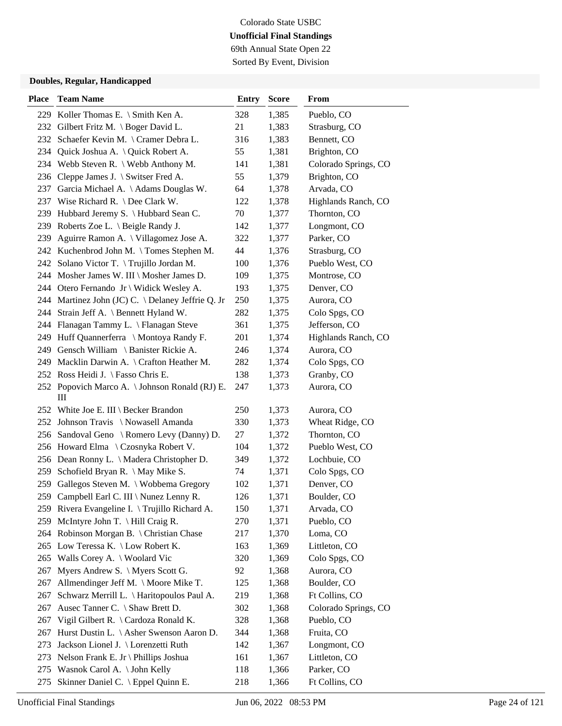69th Annual State Open 22 Sorted By Event, Division

| <b>Place</b> | <b>Team Name</b>                                    | <b>Entry</b> | <b>Score</b> | From                 |
|--------------|-----------------------------------------------------|--------------|--------------|----------------------|
|              | 229 Koller Thomas E. \ Smith Ken A.                 | 328          | 1,385        | Pueblo, CO           |
|              | 232 Gilbert Fritz M. \ Boger David L.               | 21           | 1,383        | Strasburg, CO        |
|              | 232 Schaefer Kevin M. \ Cramer Debra L.             | 316          | 1,383        | Bennett, CO          |
|              | 234 Quick Joshua A. \ Quick Robert A.               | 55           | 1,381        | Brighton, CO         |
|              | 234 Webb Steven R. \ Webb Anthony M.                | 141          | 1,381        | Colorado Springs, CO |
|              | 236 Cleppe James J. \ Switser Fred A.               | 55           | 1,379        | Brighton, CO         |
| 237          | Garcia Michael A. \ Adams Douglas W.                | 64           | 1,378        | Arvada, CO           |
|              | 237 Wise Richard R. \ Dee Clark W.                  | 122          | 1,378        | Highlands Ranch, CO  |
|              | 239 Hubbard Jeremy S. \ Hubbard Sean C.             | 70           | 1,377        | Thornton, CO         |
|              | 239 Roberts Zoe L. \ Beigle Randy J.                | 142          | 1,377        | Longmont, CO         |
| 239          | Aguirre Ramon A. \ Villagomez Jose A.               | 322          | 1,377        | Parker, CO           |
|              | 242 Kuchenbrod John M. \Tomes Stephen M.            | 44           | 1,376        | Strasburg, CO        |
|              | 242 Solano Victor T. \Trujillo Jordan M.            | 100          | 1,376        | Pueblo West, CO      |
|              | 244 Mosher James W. III \ Mosher James D.           | 109          | 1,375        | Montrose, CO         |
|              | 244 Otero Fernando Jr \ Widick Wesley A.            | 193          | 1,375        | Denver, CO           |
|              | 244 Martinez John (JC) C. \ Delaney Jeffrie Q. Jr   | 250          | 1,375        | Aurora, CO           |
|              | 244 Strain Jeff A. \ Bennett Hyland W.              | 282          | 1,375        | Colo Spgs, CO        |
|              | 244 Flanagan Tammy L. \ Flanagan Steve              | 361          | 1,375        | Jefferson, CO        |
|              | 249 Huff Quannerferra \ Montoya Randy F.            | 201          | 1,374        | Highlands Ranch, CO  |
|              | 249 Gensch William \ Banister Rickie A.             | 246          | 1,374        | Aurora, CO           |
| 249          | Macklin Darwin A. \ Crafton Heather M.              | 282          | 1,374        | Colo Spgs, CO        |
|              | 252 Ross Heidi J. \ Fasso Chris E.                  | 138          | 1,373        | Granby, CO           |
|              | 252 Popovich Marco A. \ Johnson Ronald (RJ) E.<br>Ш | 247          | 1,373        | Aurora, CO           |
|              | 252 White Joe E. III \ Becker Brandon               | 250          | 1,373        | Aurora, CO           |
|              | 252 Johnson Travis \ Nowasell Amanda                | 330          | 1,373        | Wheat Ridge, CO      |
|              | 256 Sandoval Geno \ Romero Levy (Danny) D.          | 27           | 1,372        | Thornton, CO         |
|              | 256 Howard Elma \ Czosnyka Robert V.                | 104          | 1,372        | Pueblo West, CO      |
|              | 256 Dean Ronny L. \ Madera Christopher D.           | 349          | 1,372        | Lochbuie, CO         |
|              | 259 Schofield Bryan R. \ May Mike S.                | 74           | 1,371        | Colo Spgs, CO        |
| 259          | Gallegos Steven M. \ Wobbema Gregory                | 102          | 1,371        | Denver, CO           |
|              | 259 Campbell Earl C. III \ Nunez Lenny R.           | 126          | 1,371        | Boulder, CO          |
|              | 259 Rivera Evangeline I. \Trujillo Richard A.       | 150          | 1,371        | Arvada, CO           |
| 259          | McIntyre John T. \ Hill Craig R.                    | 270          | 1,371        | Pueblo, CO           |
|              | 264 Robinson Morgan B. \ Christian Chase            | 217          | 1,370        | Loma, CO             |
|              | 265 Low Teressa K. \ Low Robert K.                  | 163          | 1,369        | Littleton, CO        |
|              | 265 Walls Corey A.   Woolard Vic                    | 320          | 1,369        | Colo Spgs, CO        |
| 267          | Myers Andrew S. \ Myers Scott G.                    | 92           | 1,368        | Aurora, CO           |
| 267          | Allmendinger Jeff M. \ Moore Mike T.                | 125          | 1,368        | Boulder, CO          |
| 267          | Schwarz Merrill L. \ Haritopoulos Paul A.           | 219          | 1,368        | Ft Collins, CO       |
| 267          | Ausec Tanner C. \ Shaw Brett D.                     | 302          | 1,368        | Colorado Springs, CO |
| 267          | Vigil Gilbert R. \ Cardoza Ronald K.                | 328          | 1,368        | Pueblo, CO           |
| 267          | Hurst Dustin L. \ Asher Swenson Aaron D.            | 344          | 1,368        | Fruita, CO           |
| 273          | Jackson Lionel J. \ Lorenzetti Ruth                 | 142          | 1,367        | Longmont, CO         |
| 273          | Nelson Frank E. Jr \ Phillips Joshua                | 161          | 1,367        | Littleton, CO        |
|              | 275 Wasnok Carol A. \ John Kelly                    | 118          | 1,366        | Parker, CO           |
| 275          | Skinner Daniel C. \ Eppel Quinn E.                  | 218          | 1,366        | Ft Collins, CO       |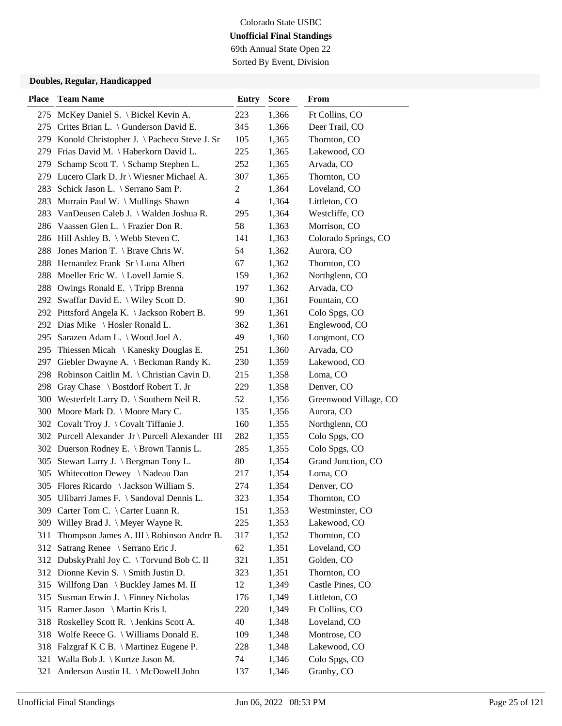## Colorado State USBC **Unofficial Final Standings** 69th Annual State Open 22

Sorted By Event, Division

| <b>Place</b> | <b>Team Name</b>                                 | <b>Entry</b>            | <b>Score</b> | From                  |
|--------------|--------------------------------------------------|-------------------------|--------------|-----------------------|
|              | 275 McKey Daniel S. \ Bickel Kevin A.            | 223                     | 1,366        | Ft Collins, CO        |
|              | 275 Crites Brian L. \ Gunderson David E.         | 345                     | 1,366        | Deer Trail, CO        |
|              | 279 Konold Christopher J. \ Pacheco Steve J. Sr  | 105                     | 1,365        | Thornton, CO          |
|              | 279 Frias David M. \ Haberkorn David L.          | 225                     | 1,365        | Lakewood, CO          |
| 279          | Schamp Scott T. \ Schamp Stephen L.              | 252                     | 1,365        | Arvada, CO            |
|              | 279 Lucero Clark D. Jr \ Wiesner Michael A.      | 307                     | 1,365        | Thornton, CO          |
| 283          | Schick Jason L. \ Serrano Sam P.                 | 2                       | 1,364        | Loveland, CO          |
|              | 283 Murrain Paul W. \ Mullings Shawn             | $\overline{\mathbf{4}}$ | 1,364        | Littleton, CO         |
|              | 283 VanDeusen Caleb J. \ Walden Joshua R.        | 295                     | 1,364        | Westcliffe, CO        |
|              | 286 Vaassen Glen L. \ Frazier Don R.             | 58                      | 1,363        | Morrison, CO          |
|              | 286 Hill Ashley B. \ Webb Steven C.              | 141                     | 1,363        | Colorado Springs, CO  |
| 288          | Jones Marion T. \ Brave Chris W.                 | 54                      | 1,362        | Aurora, CO            |
| 288          | Hernandez Frank Sr \ Luna Albert                 | 67                      | 1,362        | Thornton, CO          |
| 288          | Moeller Eric W. $\text{Level}$ Jamie S.          | 159                     | 1,362        | Northglenn, CO        |
| 288          | Owings Ronald E. \Tripp Brenna                   | 197                     | 1,362        | Arvada, CO            |
|              | 292 Swaffar David E. \ Wiley Scott D.            | 90                      | 1,361        | Fountain, CO          |
|              | 292 Pittsford Angela K. \ Jackson Robert B.      | 99                      | 1,361        | Colo Spgs, CO         |
|              | 292 Dias Mike \ Hosler Ronald L.                 | 362                     | 1,361        | Englewood, CO         |
| 295          | Sarazen Adam L. \ Wood Joel A.                   | 49                      | 1,360        | Longmont, CO          |
| 295          | Thiessen Micah \ Kanesky Douglas E.              | 251                     | 1,360        | Arvada, CO            |
| 297          | Giebler Dwayne A. \ Beckman Randy K.             | 230                     | 1,359        | Lakewood, CO          |
| 298          | Robinson Caitlin M. \ Christian Cavin D.         | 215                     | 1,358        | Loma, CO              |
| 298          | Gray Chase \ Bostdorf Robert T. Jr               | 229                     | 1,358        | Denver, CO            |
|              | 300 Westerfelt Larry D. \ Southern Neil R.       | 52                      | 1,356        | Greenwood Village, CO |
|              | 300 Moore Mark D. \ Moore Mary C.                | 135                     | 1,356        | Aurora, CO            |
|              | 302 Covalt Troy J. \ Covalt Tiffanie J.          | 160                     | 1,355        | Northglenn, CO        |
|              | 302 Purcell Alexander Jr \ Purcell Alexander III | 282                     | 1,355        | Colo Spgs, CO         |
|              | 302 Duerson Rodney E. \ Brown Tannis L.          | 285                     | 1,355        | Colo Spgs, CO         |
| 305          | Stewart Larry J. \ Bergman Tony L.               | 80                      | 1,354        | Grand Junction, CO    |
|              | 305 Whitecotton Dewey \Nadeau Dan                | 217                     | 1,354        | Loma, CO              |
|              | 305 Flores Ricardo \ Jackson William S.          | 274                     | 1,354        | Denver, CO            |
|              | 305 Ulibarri James F. \ Sandoval Dennis L.       | 323                     | 1,354        | Thornton, CO          |
|              | 309 Carter Tom C. \ Carter Luann R.              | 151                     | 1,353        | Westminster, CO       |
|              | 309 Willey Brad J. \ Meyer Wayne R.              | 225                     | 1,353        | Lakewood, CO          |
| 311          | Thompson James A. III \ Robinson Andre B.        | 317                     | 1,352        | Thornton, CO          |
| 312          | Satrang Renee \ Serrano Eric J.                  | 62                      | 1,351        | Loveland, CO          |
|              | 312 DubskyPrahl Joy C. \ Torvund Bob C. II       | 321                     | 1,351        | Golden, CO            |
|              | 312 Dionne Kevin S. \ Smith Justin D.            | 323                     | 1,351        | Thornton, CO          |
| 315          | Willfong Dan \ Buckley James M. II               | 12                      | 1,349        | Castle Pines, CO      |
| 315          | Susman Erwin J. \ Finney Nicholas                | 176                     | 1,349        | Littleton, CO         |
| 315          | Ramer Jason \ Martin Kris I.                     | 220                     | 1,349        | Ft Collins, CO        |
| 318          | Roskelley Scott R. \ Jenkins Scott A.            | 40                      | 1,348        | Loveland, CO          |
| 318          | Wolfe Reece G. \ Williams Donald E.              | 109                     | 1,348        | Montrose, CO          |
| 318          | Falzgraf K C B. \ Martinez Eugene P.             | 228                     | 1,348        | Lakewood, CO          |
| 321          | Walla Bob J. \ Kurtze Jason M.                   | 74                      | 1,346        | Colo Spgs, CO         |
| 321          | Anderson Austin H. \ McDowell John               | 137                     | 1,346        | Granby, CO            |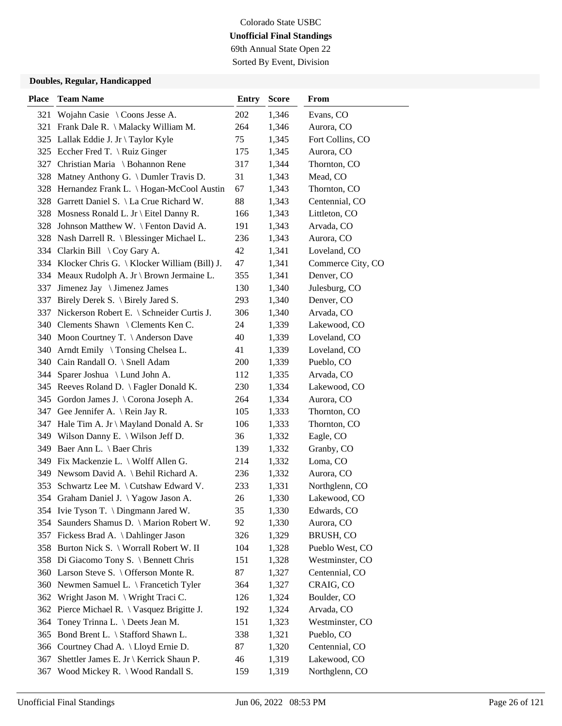69th Annual State Open 22 Sorted By Event, Division

| <b>Place</b> | <b>Team Name</b>                                 | <b>Entry</b> | <b>Score</b> | From              |
|--------------|--------------------------------------------------|--------------|--------------|-------------------|
| 321          | Wojahn Casie $\setminus$ Coons Jesse A.          | 202          | 1,346        | Evans, CO         |
|              | 321 Frank Dale R. \ Malacky William M.           | 264          | 1,346        | Aurora, CO        |
|              | 325 Lallak Eddie J. Jr \ Taylor Kyle             | 75           | 1,345        | Fort Collins, CO  |
|              | 325 Eccher Fred T. \ Ruiz Ginger                 | 175          | 1,345        | Aurora, CO        |
|              | 327 Christian Maria \ Bohannon Rene              | 317          | 1,344        | Thornton, CO      |
|              | 328 Matney Anthony G. \ Dumler Travis D.         | 31           | 1,343        | Mead, CO          |
|              | 328 Hernandez Frank L. \ Hogan-McCool Austin     | 67           | 1,343        | Thornton, CO      |
|              | 328 Garrett Daniel S. \ La Crue Richard W.       | 88           | 1,343        | Centennial, CO    |
|              | 328 Mosness Ronald L. Jr \ Eitel Danny R.        | 166          | 1,343        | Littleton, CO     |
|              | 328 Johnson Matthew W. \ Fenton David A.         | 191          | 1,343        | Arvada, CO        |
|              | 328 Nash Darrell R. \ Blessinger Michael L.      | 236          | 1,343        | Aurora, CO        |
|              | 334 Clarkin Bill \ Coy Gary A.                   | 42           | 1,341        | Loveland, CO      |
|              | 334 Klocker Chris G.   Klocker William (Bill) J. | 47           | 1,341        | Commerce City, CO |
|              | 334 Meaux Rudolph A. Jr \ Brown Jermaine L.      | 355          | 1,341        | Denver, CO        |
| 337          | Jimenez Jay \ Jimenez James                      | 130          | 1,340        | Julesburg, CO     |
|              | 337 Birely Derek S. \ Birely Jared S.            | 293          | 1,340        | Denver, CO        |
|              | 337 Nickerson Robert E. \ Schneider Curtis J.    | 306          | 1,340        | Arvada, CO        |
|              | 340 Clements Shawn \ Clements Ken C.             | 24           | 1,339        | Lakewood, CO      |
|              | 340 Moon Courtney T. \ Anderson Dave             | 40           | 1,339        | Loveland, CO      |
|              | 340 Arndt Emily \ Tonsing Chelsea L.             | 41           | 1,339        | Loveland, CO      |
|              | 340 Cain Randall O. \ Snell Adam                 | 200          | 1,339        | Pueblo, CO        |
|              | 344 Sparer Joshua \ Lund John A.                 | 112          | 1,335        | Arvada, CO        |
|              | 345 Reeves Roland D. \ Fagler Donald K.          | 230          | 1,334        | Lakewood, CO      |
|              | 345 Gordon James J. \ Corona Joseph A.           | 264          | 1,334        | Aurora, CO        |
|              | 347 Gee Jennifer A. \ Rein Jay R.                | 105          | 1,333        | Thornton, CO      |
|              | 347 Hale Tim A. Jr \ Mayland Donald A. Sr        | 106          | 1,333        | Thornton, CO      |
|              | 349 Wilson Danny E. \ Wilson Jeff D.             | 36           | 1,332        | Eagle, CO         |
|              | 349 Baer Ann L. \ Baer Chris                     | 139          | 1,332        | Granby, CO        |
|              | 349 Fix Mackenzie L. \ Wolff Allen G.            | 214          | 1,332        | Loma, CO          |
|              | 349 Newsom David A. \ Behil Richard A.           | 236          | 1,332        | Aurora, CO        |
|              | 353 Schwartz Lee M. \ Cutshaw Edward V.          | 233          | 1,331        | Northglenn, CO    |
|              | 354 Graham Daniel J. \Yagow Jason A.             | 26           | 1,330        | Lakewood, CO      |
|              | 354 Ivie Tyson T. \ Dingmann Jared W.            | 35           | 1,330        | Edwards, CO       |
| 354          | Saunders Shamus D. \ Marion Robert W.            | 92           | 1,330        | Aurora, CO        |
|              | 357 Fickess Brad A. \ Dahlinger Jason            | 326          | 1,329        | BRUSH, CO         |
|              | 358 Burton Nick S. \ Worrall Robert W. II        | 104          | 1,328        | Pueblo West, CO   |
|              | 358 Di Giacomo Tony S. \ Bennett Chris           | 151          | 1,328        | Westminster, CO   |
|              | 360 Larson Steve S. \ Offerson Monte R.          | 87           | 1,327        | Centennial, CO    |
|              | 360 Newmen Samuel L. \ Francetich Tyler          | 364          | 1,327        | CRAIG, CO         |
| 362          | Wright Jason M. \ Wright Traci C.                | 126          | 1,324        | Boulder, CO       |
| 362          | Pierce Michael R. \ Vasquez Brigitte J.          | 192          | 1,324        | Arvada, CO        |
| 364          | Toney Trinna L. \ Deets Jean M.                  | 151          | 1,323        | Westminster, CO   |
| 365          | Bond Brent L. \ Stafford Shawn L.                | 338          | 1,321        | Pueblo, CO        |
| 366          | Courtney Chad A. \ Lloyd Ernie D.                | 87           | 1,320        | Centennial, CO    |
| 367          | Shettler James E. Jr \ Kerrick Shaun P.          | 46           | 1,319        | Lakewood, CO      |
| 367          | Wood Mickey R. \ Wood Randall S.                 | 159          | 1,319        | Northglenn, CO    |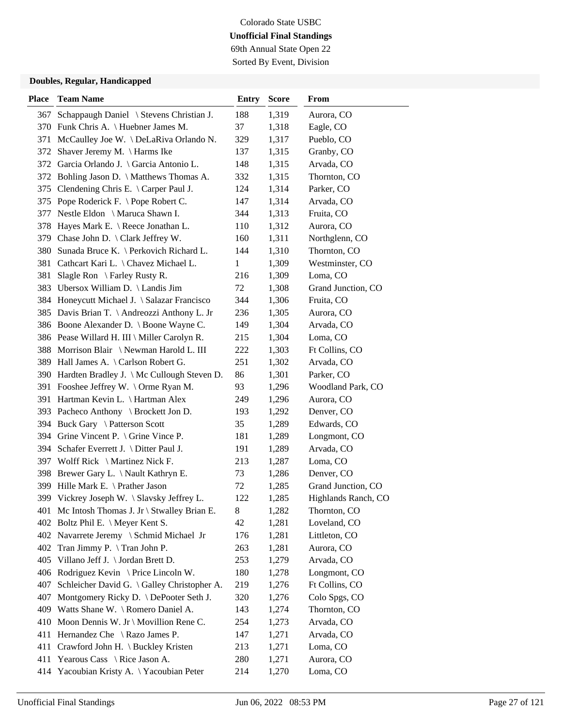69th Annual State Open 22 Sorted By Event, Division

| <b>Place</b> | <b>Team Name</b>                                                                      | <b>Entry</b> | <b>Score</b>   | From                            |
|--------------|---------------------------------------------------------------------------------------|--------------|----------------|---------------------------------|
| 367          | Schappaugh Daniel \ Stevens Christian J.                                              | 188          | 1,319          | Aurora, CO                      |
|              | 370 Funk Chris A. \ Huebner James M.                                                  | 37           | 1,318          | Eagle, CO                       |
| 371          | McCaulley Joe W. \ DeLaRiva Orlando N.                                                | 329          | 1,317          | Pueblo, CO                      |
| 372          | Shaver Jeremy M. \ Harms Ike                                                          | 137          | 1,315          | Granby, CO                      |
| 372          | Garcia Orlando J. \ Garcia Antonio L.                                                 | 148          | 1,315          | Arvada, CO                      |
|              | 372 Bohling Jason D. \ Matthews Thomas A.                                             | 332          | 1,315          | Thornton, CO                    |
| 375          | Clendening Chris E. \ Carper Paul J.                                                  | 124          | 1,314          | Parker, CO                      |
|              | 375 Pope Roderick F. \Pope Robert C.                                                  | 147          | 1,314          | Arvada, CO                      |
| 377          | Nestle Eldon \ Maruca Shawn I.                                                        | 344          | 1,313          | Fruita, CO                      |
|              | 378 Hayes Mark E. \ Reece Jonathan L.                                                 | 110          | 1,312          | Aurora, CO                      |
| 379          | Chase John D. \ Clark Jeffrey W.                                                      | 160          | 1,311          | Northglenn, CO                  |
| 380          | Sunada Bruce K. \ Perkovich Richard L.                                                | 144          | 1,310          | Thornton, CO                    |
| 381          | Cathcart Kari L. \ Chavez Michael L.                                                  | 1            | 1,309          | Westminster, CO                 |
| 381          | Slagle Ron \ Farley Rusty R.                                                          | 216          | 1,309          | Loma, CO                        |
| 383          | Ubersox William D. \ Landis Jim                                                       | 72           | 1,308          | Grand Junction, CO              |
|              | 384 Honeycutt Michael J. \ Salazar Francisco                                          | 344          | 1,306          | Fruita, CO                      |
|              | 385 Davis Brian T. \ Andreozzi Anthony L. Jr                                          | 236          | 1,305          | Aurora, CO                      |
|              | 386 Boone Alexander D. \ Boone Wayne C.                                               | 149          | 1,304          | Arvada, CO                      |
|              | 386 Pease Willard H. III \ Miller Carolyn R.                                          | 215          | 1,304          | Loma, CO                        |
|              | 388 Morrison Blair \Newman Harold L. III                                              | 222          | 1,303          | Ft Collins, CO                  |
|              | 389 Hall James A. \ Carlson Robert G.                                                 | 251          | 1,302          | Arvada, CO                      |
|              | 390 Hardten Bradley J. \ Mc Cullough Steven D.                                        | 86           | 1,301          | Parker, CO                      |
|              | 391 Fooshee Jeffrey W. \Orme Ryan M.                                                  | 93           | 1,296          | Woodland Park, CO               |
|              | 391 Hartman Kevin L. \ Hartman Alex                                                   | 249          | 1,296          | Aurora, CO                      |
|              | 393 Pacheco Anthony \ Brockett Jon D.                                                 | 193          | 1,292          | Denver, CO                      |
|              | 394 Buck Gary \ Patterson Scott                                                       | 35           | 1,289          | Edwards, CO                     |
| 394          | Grine Vincent P. $\setminus$ Grine Vince P.                                           | 181          | 1,289          | Longmont, CO                    |
| 394          | Schafer Everrett J. \ Ditter Paul J.                                                  | 191          | 1,289          | Arvada, CO                      |
|              | 397 Wolff Rick \ Martinez Nick F.                                                     | 213          | 1,287          | Loma, CO                        |
|              | 398 Brewer Gary L. \ Nault Kathryn E.                                                 | 73           | 1,286          | Denver, CO                      |
| 399          | Hille Mark E. \ Prather Jason                                                         | 72           | 1,285          | Grand Junction, CO              |
|              | 399 Vickrey Joseph W. \ Slavsky Jeffrey L.                                            | 122          | 1,285          | Highlands Ranch, CO             |
|              | 401 Mc Intosh Thomas J. Jr \ Stwalley Brian E.                                        | 8            | 1,282          | Thornton, CO                    |
|              | 402 Boltz Phil E. \ Meyer Kent S.                                                     | 42           | 1,281          | Loveland, CO                    |
|              | 402 Navarrete Jeremy \ Schmid Michael Jr                                              | 176          | 1,281          | Littleton, CO                   |
|              | 402 Tran Jimmy P. \Tran John P.                                                       | 263          | 1,281          | Aurora, CO                      |
|              | 405 Villano Jeff J. \ Jordan Brett D.                                                 | 253          | 1,279          | Arvada, CO                      |
|              | 406 Rodriguez Kevin \ Price Lincoln W.<br>Schleicher David G. \ Galley Christopher A. | 180          | 1,278          | Longmont, CO                    |
| 407          |                                                                                       | 219          | 1,276          | Ft Collins, CO<br>Colo Spgs, CO |
| 407          | Montgomery Ricky D. \ DePooter Seth J.<br>409 Watts Shane W. \ Romero Daniel A.       | 320          | 1,276          |                                 |
|              |                                                                                       | 143          | 1,274          | Thornton, CO                    |
| 411          | 410 Moon Dennis W. Jr \ Movillion Rene C.                                             | 254          | 1,273          | Arvada, CO                      |
|              | Hernandez Che $\setminus$ Razo James P.<br>411 Crawford John H. \ Buckley Kristen     | 147<br>213   | 1,271<br>1,271 | Arvada, CO<br>Loma, CO          |
| 411          | Yearous Cass \ Rice Jason A.                                                          | 280          | 1,271          | Aurora, CO                      |
|              | Yacoubian Kristy A. \Yacoubian Peter                                                  | 214          | 1,270          | Loma, CO                        |
| 414          |                                                                                       |              |                |                                 |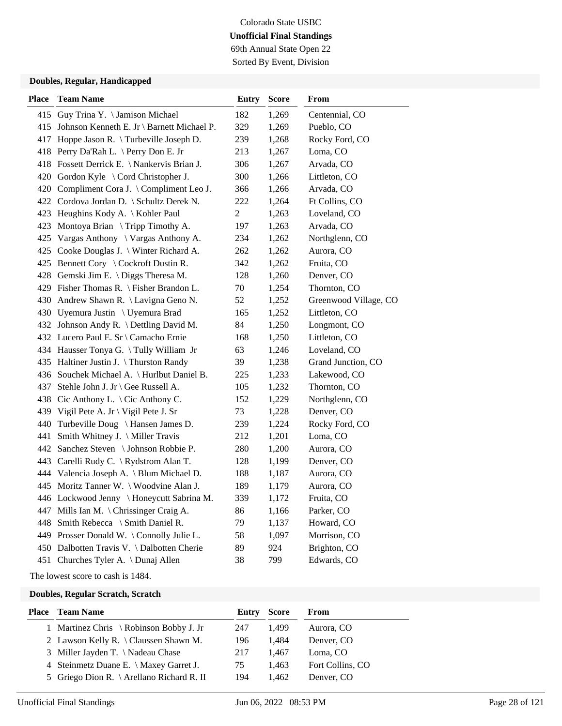### Colorado State USBC **Unofficial Final Standings** 69th Annual State Open 22

Sorted By Event, Division

### **Doubles, Regular, Handicapped**

| <b>Place</b> | <b>Team Name</b>                            | <b>Entry</b>     | <b>Score</b> | From                  |
|--------------|---------------------------------------------|------------------|--------------|-----------------------|
| 415          | Guy Trina Y. \ Jamison Michael              | 182              | 1,269        | Centennial, CO        |
| 415          | Johnson Kenneth E. Jr \ Barnett Michael P.  | 329              | 1,269        | Pueblo, CO            |
| 417          | Hoppe Jason R. \Turbeville Joseph D.        | 239              | 1,268        | Rocky Ford, CO        |
| 418          | Perry Da'Rah L. \ Perry Don E. Jr           | 213              | 1,267        | Loma, CO              |
|              | 418 Fossett Derrick E. \ Nankervis Brian J. | 306              | 1,267        | Arvada, CO            |
|              | 420 Gordon Kyle \ Cord Christopher J.       | 300              | 1,266        | Littleton, CO         |
|              | 420 Compliment Cora J. \ Compliment Leo J.  | 366              | 1,266        | Arvada, CO            |
|              | 422 Cordova Jordan D. \ Schultz Derek N.    | 222              | 1,264        | Ft Collins, CO        |
|              | 423 Heughins Kody A. \ Kohler Paul          | $\boldsymbol{2}$ | 1,263        | Loveland, CO          |
| 423          | Montoya Brian \ Tripp Timothy A.            | 197              | 1,263        | Arvada, CO            |
| 425          | Vargas Anthony \ Vargas Anthony A.          | 234              | 1,262        | Northglenn, CO        |
| 425          | Cooke Douglas J. \ Winter Richard A.        | 262              | 1,262        | Aurora, CO            |
|              | 425 Bennett Cory \ Cockroft Dustin R.       | 342              | 1,262        | Fruita, CO            |
|              | 428 Gemski Jim E. \ Diggs Theresa M.        | 128              | 1,260        | Denver, CO            |
|              | 429 Fisher Thomas R. \ Fisher Brandon L.    | 70               | 1,254        | Thornton, CO          |
|              | 430 Andrew Shawn R. \ Lavigna Geno N.       | 52               | 1,252        | Greenwood Village, CO |
|              | 430 Uyemura Justin \ Uyemura Brad           | 165              | 1,252        | Littleton, CO         |
|              | 432 Johnson Andy R. \ Dettling David M.     | 84               | 1,250        | Longmont, CO          |
|              | 432 Lucero Paul E. Sr \ Camacho Ernie       | 168              | 1,250        | Littleton, CO         |
|              | 434 Hausser Tonya G. \Tully William Jr      | 63               | 1,246        | Loveland, CO          |
|              | 435 Haltiner Justin J. \Thurston Randy      | 39               | 1,238        | Grand Junction, CO    |
|              | 436 Souchek Michael A. \ Hurlbut Daniel B.  | 225              | 1,233        | Lakewood, CO          |
| 437          | Stehle John J. Jr \ Gee Russell A.          | 105              | 1,232        | Thornton, CO          |
|              | 438 Cic Anthony L. \ Cic Anthony C.         | 152              | 1,229        | Northglenn, CO        |
| 439          | Vigil Pete A. Jr \ Vigil Pete J. Sr         | 73               | 1,228        | Denver, CO            |
| 440          | Turbeville Doug \ Hansen James D.           | 239              | 1,224        | Rocky Ford, CO        |
| 441          | Smith Whitney J. \ Miller Travis            | 212              | 1,201        | Loma, CO              |
| 442          | Sanchez Steven \ Johnson Robbie P.          | 280              | 1,200        | Aurora, CO            |
|              | 443 Carelli Rudy C. \ Rydstrom Alan T.      | 128              | 1,199        | Denver, CO            |
|              | 444 Valencia Joseph A. \ Blum Michael D.    | 188              | 1,187        | Aurora, CO            |
|              | 445 Moritz Tanner W. \ Woodvine Alan J.     | 189              | 1,179        | Aurora, CO            |
|              | 446 Lockwood Jenny \ Honeycutt Sabrina M.   | 339              | 1,172        | Fruita, CO            |
|              | 447 Mills Ian M. \ Chrissinger Craig A.     | 86               | 1,166        | Parker, CO            |
| 448          | Smith Rebecca \ Smith Daniel R.             | 79               | 1,137        | Howard, CO            |
|              | 449 Prosser Donald W. \ Connolly Julie L.   | 58               | 1,097        | Morrison, CO          |
|              | 450 Dalbotten Travis V. \Dalbotten Cherie   | 89               | 924          | Brighton, CO          |
|              | 451 Churches Tyler A. \ Dunaj Allen         | 38               | 799          | Edwards, CO           |

The lowest score to cash is 1484.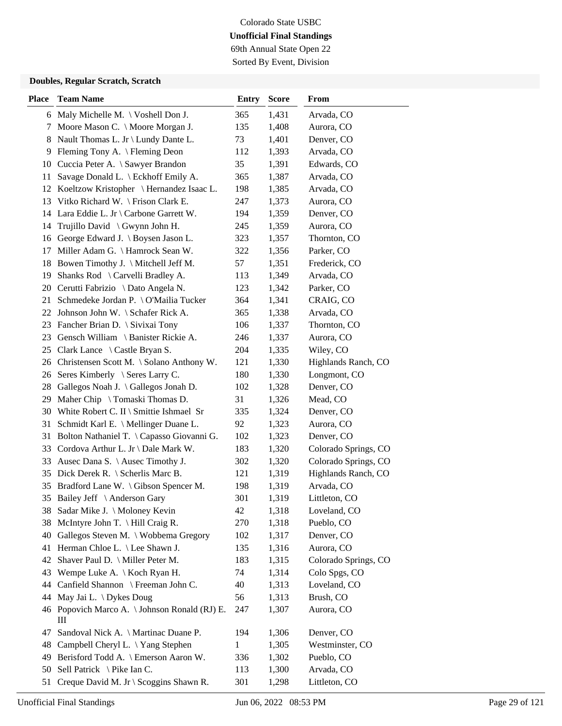69th Annual State Open 22 Sorted By Event, Division

| <b>Place</b> | <b>Team Name</b>                              | <b>Entry</b> | <b>Score</b> | From                 |
|--------------|-----------------------------------------------|--------------|--------------|----------------------|
|              | 6 Maly Michelle M. \ Voshell Don J.           | 365          | 1,431        | Arvada, CO           |
|              | 7 Moore Mason C. \ Moore Morgan J.            | 135          | 1,408        | Aurora, CO           |
| 8            | Nault Thomas L. Jr \ Lundy Dante L.           | 73           | 1,401        | Denver, CO           |
| 9            | Fleming Tony A. \ Fleming Deon                | 112          | 1,393        | Arvada, CO           |
|              | 10 Cuccia Peter A. \ Sawyer Brandon           | 35           | 1,391        | Edwards, CO          |
| 11           | Savage Donald L. \ Eckhoff Emily A.           | 365          | 1,387        | Arvada, CO           |
|              | 12 Koeltzow Kristopher \ Hernandez Isaac L.   | 198          | 1,385        | Arvada, CO           |
|              | 13 Vitko Richard W. \ Frison Clark E.         | 247          | 1,373        | Aurora, CO           |
|              | 14 Lara Eddie L. Jr \ Carbone Garrett W.      | 194          | 1,359        | Denver, CO           |
| 14           | Trujillo David \ Gwynn John H.                | 245          | 1,359        | Aurora, CO           |
| 16           | George Edward J. \ Boysen Jason L.            | 323          | 1,357        | Thornton, CO         |
| 17           | Miller Adam G. \ Hamrock Sean W.              | 322          | 1,356        | Parker, CO           |
|              | 18 Bowen Timothy J. \ Mitchell Jeff M.        | 57           | 1,351        | Frederick, CO        |
| 19           | Shanks Rod \ Carvelli Bradley A.              | 113          | 1,349        | Arvada, CO           |
|              | 20 Cerutti Fabrizio \ Dato Angela N.          | 123          | 1,342        | Parker, CO           |
|              | 21 Schmedeke Jordan P. \ O'Mailia Tucker      | 364          | 1,341        | CRAIG, CO            |
|              | 22 Johnson John W. \ Schafer Rick A.          | 365          | 1,338        | Arvada, CO           |
|              | 23 Fancher Brian D. \ Sivixai Tony            | 106          | 1,337        | Thornton, CO         |
| 23           | Gensch William \ Banister Rickie A.           | 246          | 1,337        | Aurora, CO           |
|              | 25 Clark Lance $\setminus$ Castle Bryan S.    | 204          | 1,335        | Wiley, CO            |
|              | 26 Christensen Scott M. \ Solano Anthony W.   | 121          | 1,330        | Highlands Ranch, CO  |
|              | 26 Seres Kimberly \ Seres Larry C.            | 180          | 1,330        | Longmont, CO         |
|              | 28 Gallegos Noah J. \Gallegos Jonah D.        | 102          | 1,328        | Denver, CO           |
|              | 29 Maher Chip \ Tomaski Thomas D.             | 31           | 1,326        | Mead, CO             |
|              | 30 White Robert C. II \ Smittie Ishmael Sr    | 335          | 1,324        | Denver, CO           |
| 31           | Schmidt Karl E. \ Mellinger Duane L.          | 92           | 1,323        | Aurora, CO           |
| 31           | Bolton Nathaniel T. \ Capasso Giovanni G.     | 102          | 1,323        | Denver, CO           |
|              | 33 Cordova Arthur L. Jr \ Dale Mark W.        | 183          | 1,320        | Colorado Springs, CO |
| 33           | Ausec Dana S. \ Ausec Timothy J.              | 302          | 1,320        | Colorado Springs, CO |
|              | 35 Dick Derek R. \ Scherlis Marc B.           | 121          | 1,319        | Highlands Ranch, CO  |
| 35           | Bradford Lane W. \ Gibson Spencer M.          | 198          | 1,319        | Arvada, CO           |
|              | 35 Bailey Jeff \ Anderson Gary                | 301          | 1,319        | Littleton, CO        |
|              | 38 Sadar Mike J. \ Moloney Kevin              | 42           | 1,318        | Loveland, CO         |
| 38           | McIntyre John T. \ Hill Craig R.              | 270          | 1,318        | Pueblo, CO           |
| 40           | Gallegos Steven M. \ Wobbema Gregory          | 102          | 1,317        | Denver, CO           |
| 41           | Herman Chloe L. \ Lee Shawn J.                | 135          | 1,316        | Aurora, CO           |
| 42           | Shaver Paul D. \ Miller Peter M.              | 183          | 1,315        | Colorado Springs, CO |
| 43           | Wempe Luke A. $\setminus$ Koch Ryan H.        | 74           | 1,314        | Colo Spgs, CO        |
| 44           | Canfield Shannon \ Freeman John C.            | 40           | 1,313        | Loveland, CO         |
| 44           | May Jai L. \ Dykes Doug                       | 56           | 1,313        | Brush, CO            |
|              | 46 Popovich Marco A. \ Johnson Ronald (RJ) E. | 247          | 1,307        | Aurora, CO           |
|              | Ш                                             |              |              |                      |
| 47           | Sandoval Nick A. \ Martinac Duane P.          | 194          | 1,306        | Denver, CO           |
| 48           | Campbell Cheryl L. \Yang Stephen              | 1            | 1,305        | Westminster, CO      |
| 49           | Berisford Todd A. \ Emerson Aaron W.          | 336          | 1,302        | Pueblo, CO           |
| 50           | Sell Patrick $\setminus$ Pike Ian C.          | 113          | 1,300        | Arvada, CO           |
| 51           | Creque David M. Jr \ Scoggins Shawn R.        | 301          | 1,298        | Littleton, CO        |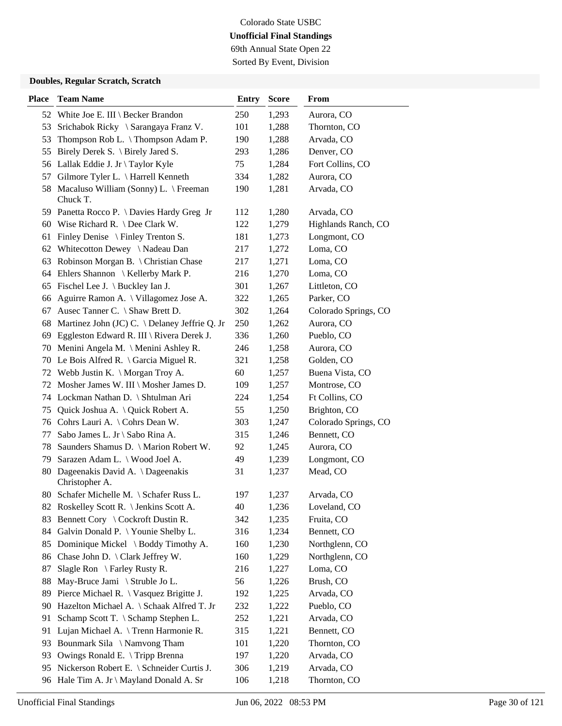69th Annual State Open 22 Sorted By Event, Division

| <b>Place</b> | <b>Team Name</b>                                  | <b>Entry</b> | <b>Score</b> | From                 |
|--------------|---------------------------------------------------|--------------|--------------|----------------------|
|              | 52 White Joe E. III \ Becker Brandon              | 250          | 1,293        | Aurora, CO           |
| 53           | Srichabok Ricky \ Sarangaya Franz V.              | 101          | 1,288        | Thornton, CO         |
| 53           | Thompson Rob L. \Thompson Adam P.                 | 190          | 1,288        | Arvada, CO           |
| 55           | Birely Derek S. $\backslash$ Birely Jared S.      | 293          | 1,286        | Denver, CO           |
|              | 56 Lallak Eddie J. Jr \ Taylor Kyle               | 75           | 1,284        | Fort Collins, CO     |
| 57           | Gilmore Tyler L. \ Harrell Kenneth                | 334          | 1,282        | Aurora, CO           |
| 58           | Macaluso William (Sonny) L. \ Freeman<br>Chuck T. | 190          | 1,281        | Arvada, CO           |
|              | 59 Panetta Rocco P. \ Davies Hardy Greg Jr        | 112          | 1,280        | Arvada, CO           |
|              | 60 Wise Richard R. \ Dee Clark W.                 | 122          | 1,279        | Highlands Ranch, CO  |
| 61           | Finley Denise $\{ \}$ Finley Trenton S.           | 181          | 1,273        | Longmont, CO         |
| 62           | Whitecotton Dewey \Nadeau Dan                     | 217          | 1,272        | Loma, CO             |
| 63           | Robinson Morgan B. \ Christian Chase              | 217          | 1,271        | Loma, CO             |
| 64           | Ehlers Shannon \ Kellerby Mark P.                 | 216          | 1,270        | Loma, CO             |
|              | 65 Fischel Lee J. \ Buckley Ian J.                | 301          | 1,267        | Littleton, CO        |
| 66           | Aguirre Ramon A. \ Villagomez Jose A.             | 322          | 1,265        | Parker, CO           |
| 67           | Ausec Tanner C. \ Shaw Brett D.                   | 302          | 1,264        | Colorado Springs, CO |
| 68           | Martinez John (JC) C. \ Delaney Jeffrie Q. Jr     | 250          | 1,262        | Aurora, CO           |
| 69           | Eggleston Edward R. III \ Rivera Derek J.         | 336          | 1,260        | Pueblo, CO           |
| 70           | Menini Angela M. $\setminus$ Menini Ashley R.     | 246          | 1,258        | Aurora, CO           |
|              | 70 Le Bois Alfred R. \ Garcia Miguel R.           | 321          | 1,258        | Golden, CO           |
|              | 72 Webb Justin K. \ Morgan Troy A.                | 60           | 1,257        | Buena Vista, CO      |
| 72           | Mosher James W. III \ Mosher James D.             | 109          | 1,257        | Montrose, CO         |
|              | 74 Lockman Nathan D. \ Shtulman Ari               | 224          | 1,254        | Ft Collins, CO       |
|              | 75 Quick Joshua A. \ Quick Robert A.              | 55           | 1,250        | Brighton, CO         |
|              | 76 Cohrs Lauri A. \ Cohrs Dean W.                 | 303          | 1,247        | Colorado Springs, CO |
| 77           | Sabo James L. Jr \ Sabo Rina A.                   | 315          | 1,246        | Bennett, CO          |
| 78           | Saunders Shamus D. \ Marion Robert W.             | 92           | 1,245        | Aurora, CO           |
| 79           | Sarazen Adam L. \ Wood Joel A.                    | 49           | 1,239        | Longmont, CO         |
| 80           | Dageenakis David A. \Dageenakis<br>Christopher A. | 31           | 1,237        | Mead, CO             |
|              | 80 Schafer Michelle M. \ Schafer Russ L.          | 197          | 1,237        | Arvada, CO           |
|              | 82 Roskelley Scott R. \ Jenkins Scott A.          | 40           | 1,236        | Loveland, CO         |
| 83           | Bennett Cory \ Cockroft Dustin R.                 | 342          | 1,235        | Fruita, CO           |
| 84           | Galvin Donald P. \ Younie Shelby L.               | 316          | 1,234        | Bennett, CO          |
| 85           | Dominique Mickel \ Boddy Timothy A.               | 160          | 1,230        | Northglenn, CO       |
| 86           | Chase John D. \ Clark Jeffrey W.                  | 160          | 1,229        | Northglenn, CO       |
| 87           | Slagle Ron \ Farley Rusty R.                      | 216          | 1,227        | Loma, CO             |
| 88           | May-Bruce Jami \ Struble Jo L.                    | 56           | 1,226        | Brush, CO            |
| 89           | Pierce Michael R. \ Vasquez Brigitte J.           | 192          | 1,225        | Arvada, CO           |
| 90           | Hazelton Michael A. \ Schaak Alfred T. Jr         | 232          | 1,222        | Pueblo, CO           |
| 91           | Schamp Scott T. \ Schamp Stephen L.               | 252          | 1,221        | Arvada, CO           |
| 91           | Lujan Michael A. \ Trenn Harmonie R.              | 315          | 1,221        | Bennett, CO          |
| 93           | Bounmark Sila \Namvong Tham                       | 101          | 1,220        | Thornton, CO         |
| 93           | Owings Ronald E. \Tripp Brenna                    | 197          | 1,220        | Arvada, CO           |
|              | 95 Nickerson Robert E. \ Schneider Curtis J.      | 306          | 1,219        | Arvada, CO           |
| 96           | Hale Tim A. Jr \ Mayland Donald A. Sr             | 106          | 1,218        | Thornton, CO         |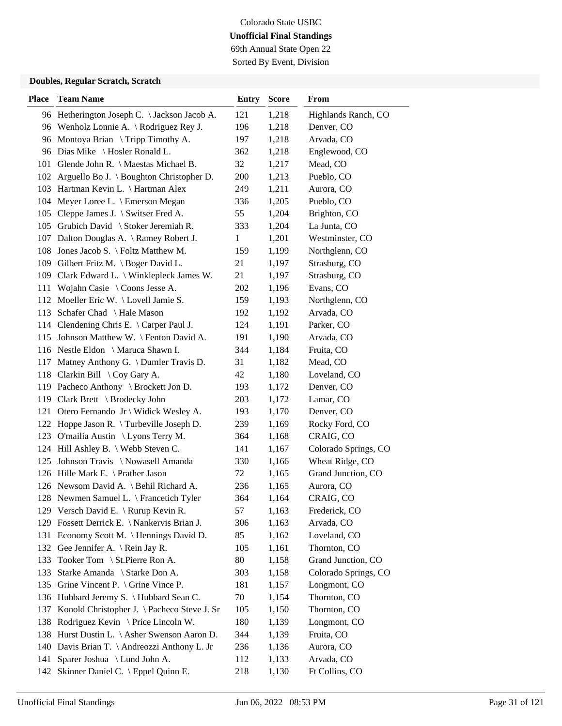69th Annual State Open 22 Sorted By Event, Division

| <b>Place</b> | <b>Team Name</b>                             | <b>Entry</b> | <b>Score</b> | From                 |
|--------------|----------------------------------------------|--------------|--------------|----------------------|
|              | 96 Hetherington Joseph C. \ Jackson Jacob A. | 121          | 1,218        | Highlands Ranch, CO  |
|              | 96 Wenholz Lonnie A. \ Rodriguez Rey J.      | 196          | 1,218        | Denver, CO           |
| 96           | Montoya Brian $\Im$ Tripp Timothy A.         | 197          | 1,218        | Arvada, CO           |
|              | 96 Dias Mike \ Hosler Ronald L.              | 362          | 1,218        | Englewood, CO        |
|              | 101 Glende John R. \ Maestas Michael B.      | 32           | 1,217        | Mead, CO             |
|              | 102 Arguello Bo J. \ Boughton Christopher D. | 200          | 1,213        | Pueblo, CO           |
|              | 103 Hartman Kevin L. \ Hartman Alex          | 249          | 1,211        | Aurora, CO           |
|              | 104 Meyer Loree L. \ Emerson Megan           | 336          | 1,205        | Pueblo, CO           |
|              | 105 Cleppe James J. \ Switser Fred A.        | 55           | 1,204        | Brighton, CO         |
|              | 105 Grubich David \ Stoker Jeremiah R.       | 333          | 1,204        | La Junta, CO         |
|              | 107 Dalton Douglas A. \ Ramey Robert J.      | 1            | 1,201        | Westminster, CO      |
| 108          | Jones Jacob S. \ Foltz Matthew M.            | 159          | 1,199        | Northglenn, CO       |
|              | 109 Gilbert Fritz M. \ Boger David L.        | 21           | 1,197        | Strasburg, CO        |
|              | 109 Clark Edward L. \ Winklepleck James W.   | 21           | 1,197        | Strasburg, CO        |
| 111          | Wojahn Casie \ Coons Jesse A.                | 202          | 1,196        | Evans, CO            |
|              | 112 Moeller Eric W. \Lovell Jamie S.         | 159          | 1,193        | Northglenn, CO       |
|              | 113 Schafer Chad \ Hale Mason                | 192          | 1,192        | Arvada, CO           |
|              | 114 Clendening Chris E. \ Carper Paul J.     | 124          | 1,191        | Parker, CO           |
|              | 115 Johnson Matthew W. \ Fenton David A.     | 191          | 1,190        | Arvada, CO           |
|              | 116 Nestle Eldon \ Maruca Shawn I.           | 344          | 1,184        | Fruita, CO           |
|              | 117 Matney Anthony G. \ Dumler Travis D.     | 31           | 1,182        | Mead, CO             |
|              | 118 Clarkin Bill \ Coy Gary A.               | 42           | 1,180        | Loveland, CO         |
|              | 119 Pacheco Anthony \ Brockett Jon D.        | 193          | 1,172        | Denver, CO           |
|              | 119 Clark Brett \ Brodecky John              | 203          | 1,172        | Lamar, CO            |
|              | 121 Otero Fernando Jr \ Widick Wesley A.     | 193          | 1,170        | Denver, CO           |
|              | 122 Hoppe Jason R. \Turbeville Joseph D.     | 239          | 1,169        | Rocky Ford, CO       |
| 123          | O'mailia Austin \ Lyons Terry M.             | 364          | 1,168        | CRAIG, CO            |
|              | 124 Hill Ashley B. \ Webb Steven C.          | 141          | 1,167        | Colorado Springs, CO |
| 125          | Johnson Travis \ Nowasell Amanda             | 330          | 1,166        | Wheat Ridge, CO      |
|              | 126 Hille Mark E. \ Prather Jason            | 72           | 1,165        | Grand Junction, CO   |
|              | 126 Newsom David A. \ Behil Richard A.       | 236          | 1,165        | Aurora, CO           |
|              | 128 Newmen Samuel L. \ Francetich Tyler      | 364          | 1,164        | CRAIG, CO            |
|              | 129 Versch David E. \ Rurup Kevin R.         | 57           | 1,163        | Frederick, CO        |
|              | 129 Fossett Derrick E. \ Nankervis Brian J.  | 306          | 1,163        | Arvada, CO           |
|              | 131 Economy Scott M. \ Hennings David D.     | 85           | 1,162        | Loveland, CO         |
|              | 132 Gee Jennifer A. \ Rein Jay R.            | 105          | 1,161        | Thornton, CO         |
| 133          | Tooker Tom \ St.Pierre Ron A.                | 80           | 1,158        | Grand Junction, CO   |
| 133          | Starke Amanda \ Starke Don A.                | 303          | 1,158        | Colorado Springs, CO |
| 135          | Grine Vincent P. $\setminus$ Grine Vince P.  | 181          | 1,157        | Longmont, CO         |
|              | 136 Hubbard Jeremy S. \ Hubbard Sean C.      | 70           | 1,154        | Thornton, CO         |
| 137          | Konold Christopher J. \ Pacheco Steve J. Sr  | 105          | 1,150        | Thornton, CO         |
| 138          | Rodriguez Kevin \ Price Lincoln W.           | 180          | 1,139        | Longmont, CO         |
| 138          | Hurst Dustin L. \ Asher Swenson Aaron D.     | 344          | 1,139        | Fruita, CO           |
| 140          | Davis Brian T. \ Andreozzi Anthony L. Jr     | 236          | 1,136        | Aurora, CO           |
|              | 141 Sparer Joshua \ Lund John A.             | 112          | 1,133        | Arvada, CO           |
| 142          | Skinner Daniel C. \ Eppel Quinn E.           | 218          | 1,130        | Ft Collins, CO       |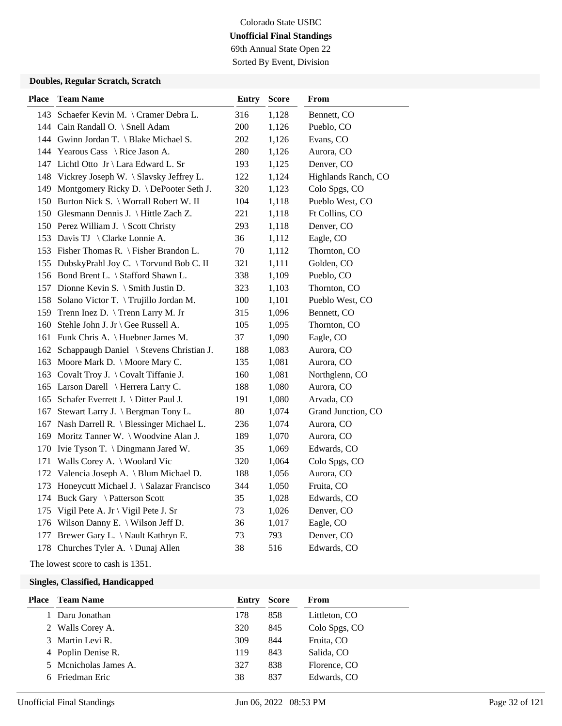69th Annual State Open 22 Sorted By Event, Division

#### **Doubles, Regular Scratch, Scratch**

| <b>Place</b> | <b>Team Name</b>                             | <b>Entry</b> | <b>Score</b> | From                |
|--------------|----------------------------------------------|--------------|--------------|---------------------|
|              | 143 Schaefer Kevin M. \ Cramer Debra L.      | 316          | 1,128        | Bennett, CO         |
|              | 144 Cain Randall O. \ Snell Adam             | 200          | 1,126        | Pueblo, CO          |
|              | 144 Gwinn Jordan T. \ Blake Michael S.       | 202          | 1,126        | Evans, CO           |
|              | 144 Yearous Cass \ Rice Jason A.             | 280          | 1,126        | Aurora, CO          |
|              | 147 Lichtl Otto Jr \ Lara Edward L. Sr       | 193          | 1,125        | Denver, CO          |
|              | 148 Vickrey Joseph W. \ Slavsky Jeffrey L.   | 122          | 1,124        | Highlands Ranch, CO |
|              | 149 Montgomery Ricky D. \ DePooter Seth J.   | 320          | 1,123        | Colo Spgs, CO       |
|              | 150 Burton Nick S. \ Worrall Robert W. II    | 104          | 1,118        | Pueblo West, CO     |
|              | 150 Glesmann Dennis J. \ Hittle Zach Z.      | 221          | 1,118        | Ft Collins, CO      |
|              | 150 Perez William J. \ Scott Christy         | 293          | 1,118        | Denver, CO          |
|              | 153 Davis TJ \ Clarke Lonnie A.              | 36           | 1,112        | Eagle, CO           |
|              | 153 Fisher Thomas R. \ Fisher Brandon L.     | $70\,$       | 1,112        | Thornton, CO        |
|              | 155 DubskyPrahl Joy C. \ Torvund Bob C. II   | 321          | 1,111        | Golden, CO          |
|              | 156 Bond Brent L. \ Stafford Shawn L.        | 338          | 1,109        | Pueblo, CO          |
|              | 157 Dionne Kevin S. \ Smith Justin D.        | 323          | 1,103        | Thornton, CO        |
|              | 158 Solano Victor T. \Trujillo Jordan M.     | 100          | 1,101        | Pueblo West, CO     |
|              | 159 Trenn Inez D. \Trenn Larry M. Jr         | 315          | 1,096        | Bennett, CO         |
|              | 160 Stehle John J. Jr \ Gee Russell A.       | 105          | 1,095        | Thornton, CO        |
|              | 161 Funk Chris A. \ Huebner James M.         | 37           | 1,090        | Eagle, CO           |
|              | 162 Schappaugh Daniel \ Stevens Christian J. | 188          | 1,083        | Aurora, CO          |
|              | 163 Moore Mark D. \ Moore Mary C.            | 135          | 1,081        | Aurora, CO          |
|              | 163 Covalt Troy J. \ Covalt Tiffanie J.      | 160          | 1,081        | Northglenn, CO      |
|              | 165 Larson Darell \ Herrera Larry C.         | 188          | 1,080        | Aurora, CO          |
|              | 165 Schafer Everrett J. \ Ditter Paul J.     | 191          | 1,080        | Arvada, CO          |
|              | 167 Stewart Larry J. \ Bergman Tony L.       | 80           | 1,074        | Grand Junction, CO  |
|              | 167 Nash Darrell R. \ Blessinger Michael L.  | 236          | 1,074        | Aurora, CO          |
|              | 169 Moritz Tanner W. \ Woodvine Alan J.      | 189          | 1,070        | Aurora, CO          |
|              | 170 Ivie Tyson T. \ Dingmann Jared W.        | 35           | 1,069        | Edwards, CO         |
|              | 171 Walls Corey A. \ Woolard Vic             | 320          | 1,064        | Colo Spgs, CO       |
|              | 172 Valencia Joseph A. \ Blum Michael D.     | 188          | 1,056        | Aurora, CO          |
|              | 173 Honeycutt Michael J. \ Salazar Francisco | 344          | 1,050        | Fruita, CO          |
|              | 174 Buck Gary \ Patterson Scott              | 35           | 1,028        | Edwards, CO         |
|              | 175 Vigil Pete A. Jr \ Vigil Pete J. Sr      | 73           | 1,026        | Denver, CO          |
|              | 176 Wilson Danny E. \ Wilson Jeff D.         | 36           | 1,017        | Eagle, CO           |
| 177          | Brewer Gary L. \ Nault Kathryn E.            | 73           | 793          | Denver, CO          |
|              | 178 Churches Tyler A. \ Dunaj Allen          | 38           | 516          | Edwards, CO         |

The lowest score to cash is 1351.

| <b>Place</b> Team Name | Entry | <b>Score</b> | From          |
|------------------------|-------|--------------|---------------|
| Daru Jonathan          | 178   | 858          | Littleton, CO |
| 2 Walls Corey A.       | 320   | 845          | Colo Spgs, CO |
| 3 Martin Levi R.       | 309   | 844          | Fruita, CO    |
| 4 Poplin Denise R.     | 119   | 843          | Salida, CO    |
| 5 Menicholas James A.  | 327   | 838          | Florence, CO  |
| 6 Friedman Eric        | 38    | 837          | Edwards, CO   |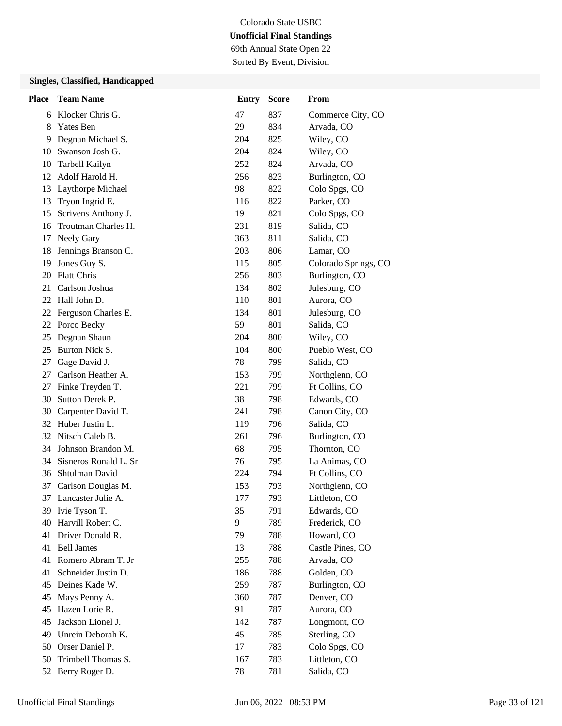69th Annual State Open 22 Sorted By Event, Division

| <b>Place</b> | <b>Team Name</b>      | <b>Entry</b> | <b>Score</b> | From                 |
|--------------|-----------------------|--------------|--------------|----------------------|
| 6            | Klocker Chris G.      | 47           | 837          | Commerce City, CO    |
| 8            | <b>Yates Ben</b>      | 29           | 834          | Arvada, CO           |
| 9            | Degnan Michael S.     | 204          | 825          | Wiley, CO            |
| 10           | Swanson Josh G.       | 204          | 824          | Wiley, CO            |
| 10           | Tarbell Kailyn        | 252          | 824          | Arvada, CO           |
| 12           | Adolf Harold H.       | 256          | 823          | Burlington, CO       |
| 13           | Laythorpe Michael     | 98           | 822          | Colo Spgs, CO        |
| 13           | Tryon Ingrid E.       | 116          | 822          | Parker, CO           |
| 15           | Scrivens Anthony J.   | 19           | 821          | Colo Spgs, CO        |
| 16           | Troutman Charles H.   | 231          | 819          | Salida, CO           |
| 17           | <b>Neely Gary</b>     | 363          | 811          | Salida, CO           |
| 18           | Jennings Branson C.   | 203          | 806          | Lamar, CO            |
| 19           | Jones Guy S.          | 115          | 805          | Colorado Springs, CO |
| 20           | <b>Flatt Chris</b>    | 256          | 803          | Burlington, CO       |
| 21           | Carlson Joshua        | 134          | 802          | Julesburg, CO        |
| 22           | Hall John D.          | 110          | 801          | Aurora, CO           |
| 22           | Ferguson Charles E.   | 134          | 801          | Julesburg, CO        |
| 22           | Porco Becky           | 59           | 801          | Salida, CO           |
| 25           | Degnan Shaun          | 204          | 800          | Wiley, CO            |
| 25           | Burton Nick S.        | 104          | 800          | Pueblo West, CO      |
| 27           | Gage David J.         | 78           | 799          | Salida, CO           |
| 27           | Carlson Heather A.    | 153          | 799          | Northglenn, CO       |
| 27           | Finke Treyden T.      | 221          | 799          | Ft Collins, CO       |
| 30           | Sutton Derek P.       | 38           | 798          | Edwards, CO          |
| 30           | Carpenter David T.    | 241          | 798          | Canon City, CO       |
| 32           | Huber Justin L.       | 119          | 796          | Salida, CO           |
| 32           | Nitsch Caleb B.       | 261          | 796          | Burlington, CO       |
| 34           | Johnson Brandon M.    | 68           | 795          | Thornton, CO         |
| 34           | Sisneros Ronald L. Sr | 76           | 795          | La Animas, CO        |
| 36           | Shtulman David        | 224          | 794          | Ft Collins, CO       |
| 37           | Carlson Douglas M.    | 153          | 793          | Northglenn, CO       |
|              | 37 Lancaster Julie A. | 177          | 793          | Littleton, CO        |
| 39           | Ivie Tyson T.         | 35           | 791          | Edwards, CO          |
| 40           | Harvill Robert C.     | 9            | 789          | Frederick, CO        |
| 41           | Driver Donald R.      | 79           | 788          | Howard, CO           |
| 41           | <b>Bell James</b>     | 13           | 788          | Castle Pines, CO     |
| 41           | Romero Abram T. Jr    | 255          | 788          | Arvada, CO           |
| 41           | Schneider Justin D.   | 186          | 788          | Golden, CO           |
| 45           | Deines Kade W.        | 259          | 787          | Burlington, CO       |
| 45           | Mays Penny A.         | 360          | 787          | Denver, CO           |
| 45           | Hazen Lorie R.        | 91           | 787          | Aurora, CO           |
| 45           | Jackson Lionel J.     | 142          | 787          | Longmont, CO         |
| 49           | Unrein Deborah K.     | 45           | 785          | Sterling, CO         |
| 50           | Orser Daniel P.       | 17           | 783          | Colo Spgs, CO        |
| 50           | Trimbell Thomas S.    | 167          | 783          | Littleton, CO        |
| 52           | Berry Roger D.        | 78           | 781          | Salida, CO           |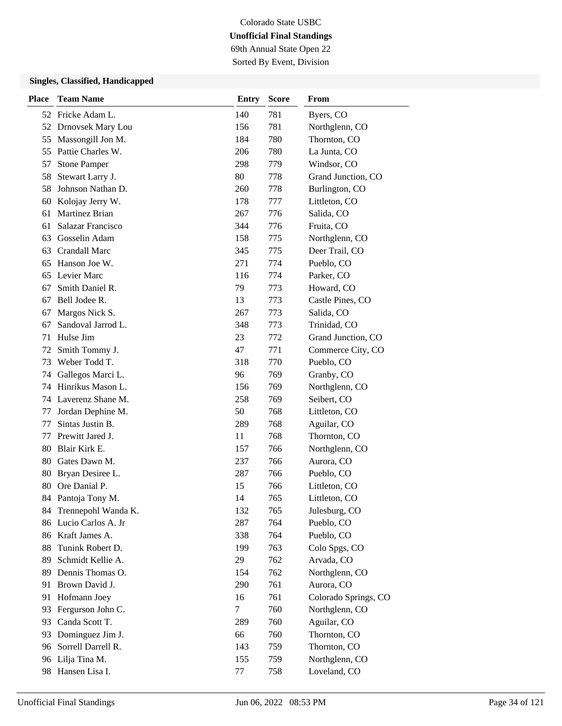69th Annual State Open 22 Sorted By Event, Division

| <b>Place</b> | <b>Team Name</b>      | <b>Entry</b> | <b>Score</b> | From                 |
|--------------|-----------------------|--------------|--------------|----------------------|
|              | 52 Fricke Adam L.     | 140          | 781          | Byers, CO            |
|              | 52 Drnovsek Mary Lou  | 156          | 781          | Northglenn, CO       |
| 55           | Massongill Jon M.     | 184          | 780          | Thornton, CO         |
|              | 55 Pattie Charles W.  | 206          | 780          | La Junta, CO         |
| 57           | <b>Stone Pamper</b>   | 298          | 779          | Windsor, CO          |
| 58           | Stewart Larry J.      | 80           | 778          | Grand Junction, CO   |
| 58           | Johnson Nathan D.     | 260          | 778          | Burlington, CO       |
| 60           | Kolojay Jerry W.      | 178          | 777          | Littleton, CO        |
| 61           | <b>Martinez Brian</b> | 267          | 776          | Salida, CO           |
| 61           | Salazar Francisco     | 344          | 776          | Fruita, CO           |
| 63           | Gosselin Adam         | 158          | 775          | Northglenn, CO       |
| 63           | <b>Crandall Marc</b>  | 345          | 775          | Deer Trail, CO       |
| 65           | Hanson Joe W.         | 271          | 774          | Pueblo, CO           |
| 65           | Levier Marc           | 116          | 774          | Parker, CO           |
| 67           | Smith Daniel R.       | 79           | 773          | Howard, CO           |
| 67           | Bell Jodee R.         | 13           | 773          | Castle Pines, CO     |
| 67           | Margos Nick S.        | 267          | 773          | Salida, CO           |
| 67           | Sandoval Jarrod L.    | 348          | 773          | Trinidad, CO         |
| 71           | Hulse Jim             | 23           | 772          | Grand Junction, CO   |
| 72           | Smith Tommy J.        | 47           | 771          | Commerce City, CO    |
| 73           | Weber Todd T.         | 318          | 770          | Pueblo, CO           |
| 74           | Gallegos Marci L.     | 96           | 769          | Granby, CO           |
| 74           | Hinrikus Mason L.     | 156          | 769          | Northglenn, CO       |
| 74           | Laverenz Shane M.     | 258          | 769          | Seibert, CO          |
| 77           | Jordan Dephine M.     | 50           | 768          | Littleton, CO        |
| 77           | Sintas Justin B.      | 289          | 768          | Aguilar, CO          |
| 77           | Prewitt Jared J.      | 11           | 768          | Thornton, CO         |
|              | 80 Blair Kirk E.      | 157          | 766          | Northglenn, CO       |
| 80           | Gates Dawn M.         | 237          | 766          | Aurora, CO           |
| 80           | Bryan Desiree L.      | 287          | 766          | Pueblo, CO           |
| 80           | Ore Danial P.         | 15           | 766          | Littleton, CO        |
|              | 84 Pantoja Tony M.    | 14           | 765          | Littleton, CO        |
| 84.          | Trennepohl Wanda K.   | 132          | 765          | Julesburg, CO        |
|              | 86 Lucio Carlos A. Jr | 287          | 764          | Pueblo, CO           |
|              | 86 Kraft James A.     | 338          | 764          | Pueblo, CO           |
| 88           | Tunink Robert D.      | 199          | 763          | Colo Spgs, CO        |
| 89           | Schmidt Kellie A.     | 29           | 762          | Arvada, CO           |
| 89           | Dennis Thomas O.      | 154          | 762          | Northglenn, CO       |
| 91           | Brown David J.        | 290          | 761          | Aurora, CO           |
| 91           | Hofmann Joey          | 16           | 761          | Colorado Springs, CO |
| 93           | Fergurson John C.     | 7            | 760          | Northglenn, CO       |
| 93           | Canda Scott T.        | 289          | 760          | Aguilar, CO          |
| 93           | Dominguez Jim J.      | 66           | 760          | Thornton, CO         |
| 96           | Sorrell Darrell R.    | 143          | 759          | Thornton, CO         |
|              | 96 Lilja Tina M.      | 155          | 759          | Northglenn, CO       |
|              | 98 Hansen Lisa I.     | 77           | 758          | Loveland, CO         |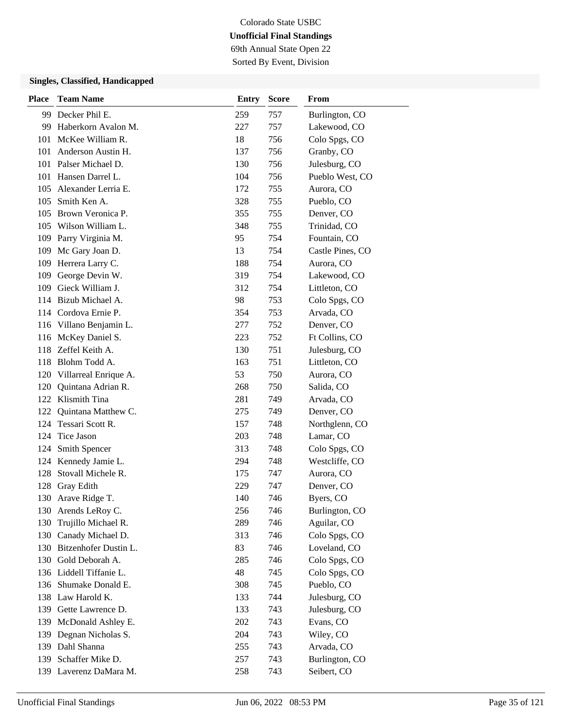69th Annual State Open 22 Sorted By Event, Division

| <b>Place</b> | <b>Team Name</b>          | <b>Entry</b> | <b>Score</b> | From             |
|--------------|---------------------------|--------------|--------------|------------------|
|              | 99 Decker Phil E.         | 259          | 757          | Burlington, CO   |
| 99           | Haberkorn Avalon M.       | 227          | 757          | Lakewood, CO     |
| 101          | McKee William R.          | 18           | 756          | Colo Spgs, CO    |
| 101          | Anderson Austin H.        | 137          | 756          | Granby, CO       |
| 101          | Palser Michael D.         | 130          | 756          | Julesburg, CO    |
|              | 101 Hansen Darrel L.      | 104          | 756          | Pueblo West, CO  |
|              | 105 Alexander Lerria E.   | 172          | 755          | Aurora, CO       |
|              | 105 Smith Ken A.          | 328          | 755          | Pueblo, CO       |
| 105          | Brown Veronica P.         | 355          | 755          | Denver, CO       |
|              | 105 Wilson William L.     | 348          | 755          | Trinidad, CO     |
| 109          | Parry Virginia M.         | 95           | 754          | Fountain, CO     |
| 109          | Mc Gary Joan D.           | 13           | 754          | Castle Pines, CO |
| 109          | Herrera Larry C.          | 188          | 754          | Aurora, CO       |
| 109          | George Devin W.           | 319          | 754          | Lakewood, CO     |
|              | 109 Gieck William J.      | 312          | 754          | Littleton, CO    |
|              | 114 Bizub Michael A.      | 98           | 753          | Colo Spgs, CO    |
|              | 114 Cordova Ernie P.      | 354          | 753          | Arvada, CO       |
|              | 116 Villano Benjamin L.   | 277          | 752          | Denver, CO       |
| 116          | McKey Daniel S.           | 223          | 752          | Ft Collins, CO   |
|              | 118 Zeffel Keith A.       | 130          | 751          | Julesburg, CO    |
| 118          | Blohm Todd A.             | 163          | 751          | Littleton, CO    |
|              | 120 Villarreal Enrique A. | 53           | 750          | Aurora, CO       |
| 120          | Quintana Adrian R.        | 268          | 750          | Salida, CO       |
|              | 122 Klismith Tina         | 281          | 749          | Arvada, CO       |
| 122          | Quintana Matthew C.       | 275          | 749          | Denver, CO       |
| 124          | Tessari Scott R.          | 157          | 748          | Northglenn, CO   |
|              | 124 Tice Jason            | 203          | 748          | Lamar, CO        |
|              | 124 Smith Spencer         | 313          | 748          | Colo Spgs, CO    |
| 124          | Kennedy Jamie L.          | 294          | 748          | Westcliffe, CO   |
| 128          | Stovall Michele R.        | 175          | 747          | Aurora, CO       |
|              | 128 Gray Edith            | 229          | 747          | Denver, CO       |
| 130          | Arave Ridge T.            | 140          | 746          | Byers, CO        |
| 130          | Arends LeRoy C.           | 256          | 746          | Burlington, CO   |
| 130          | Trujillo Michael R.       | 289          | 746          | Aguilar, CO      |
| 130          | Canady Michael D.         | 313          | 746          | Colo Spgs, CO    |
|              | 130 Bitzenhofer Dustin L. | 83           | 746          | Loveland, CO     |
|              | 130 Gold Deborah A.       | 285          | 746          | Colo Spgs, CO    |
|              | 136 Liddell Tiffanie L.   | 48           | 745          | Colo Spgs, CO    |
|              | 136 Shumake Donald E.     | 308          | 745          | Pueblo, CO       |
|              | 138 Law Harold K.         | 133          | 744          | Julesburg, CO    |
|              | 139 Gette Lawrence D.     | 133          | 743          | Julesburg, CO    |
| 139          | McDonald Ashley E.        | 202          | 743          | Evans, CO        |
| 139          | Degnan Nicholas S.        | 204          | 743          | Wiley, CO        |
|              | 139 Dahl Shanna           | 255          | 743          | Arvada, CO       |
| 139          | Schaffer Mike D.          | 257          | 743          | Burlington, CO   |
|              | 139 Laverenz DaMara M.    | 258          | 743          | Seibert, CO      |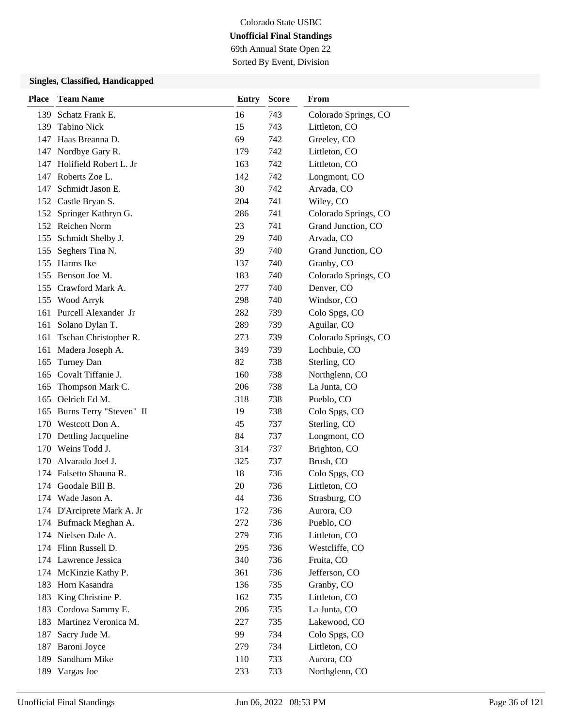69th Annual State Open 22 Sorted By Event, Division

| <b>Place</b> | <b>Team Name</b>           | <b>Entry</b> | <b>Score</b> | From                 |
|--------------|----------------------------|--------------|--------------|----------------------|
| 139          | Schatz Frank E.            | 16           | 743          | Colorado Springs, CO |
| 139          | <b>Tabino Nick</b>         | 15           | 743          | Littleton, CO        |
|              | 147 Haas Breanna D.        | 69           | 742          | Greeley, CO          |
|              | 147 Nordbye Gary R.        | 179          | 742          | Littleton, CO        |
| 147          | Holifield Robert L. Jr     | 163          | 742          | Littleton, CO        |
| 147          | Roberts Zoe L.             | 142          | 742          | Longmont, CO         |
| 147          | Schmidt Jason E.           | 30           | 742          | Arvada, CO           |
|              | 152 Castle Bryan S.        | 204          | 741          | Wiley, CO            |
|              | 152 Springer Kathryn G.    | 286          | 741          | Colorado Springs, CO |
|              | 152 Reichen Norm           | 23           | 741          | Grand Junction, CO   |
| 155          | Schmidt Shelby J.          | 29           | 740          | Arvada, CO           |
| 155          | Seghers Tina N.            | 39           | 740          | Grand Junction, CO   |
|              | 155 Harms Ike              | 137          | 740          | Granby, CO           |
|              | 155 Benson Joe M.          | 183          | 740          | Colorado Springs, CO |
|              | 155 Crawford Mark A.       | 277          | 740          | Denver, CO           |
|              | 155 Wood Arryk             | 298          | 740          | Windsor, CO          |
|              | 161 Purcell Alexander Jr   | 282          | 739          | Colo Spgs, CO        |
| 161          | Solano Dylan T.            | 289          | 739          | Aguilar, CO          |
| 161          | Tschan Christopher R.      | 273          | 739          | Colorado Springs, CO |
| 161          | Madera Joseph A.           | 349          | 739          | Lochbuie, CO         |
| 165          | Turney Dan                 | 82           | 738          | Sterling, CO         |
|              | 165 Covalt Tiffanie J.     | 160          | 738          | Northglenn, CO       |
| 165          | Thompson Mark C.           | 206          | 738          | La Junta, CO         |
|              | 165 Oelrich Ed M.          | 318          | 738          | Pueblo, CO           |
| 165          | Burns Terry "Steven" II    | 19           | 738          | Colo Spgs, CO        |
|              | 170 Westcott Don A.        | 45           | 737          | Sterling, CO         |
| 170          | Dettling Jacqueline        | 84           | 737          | Longmont, CO         |
|              | 170 Weins Todd J.          | 314          | 737          | Brighton, CO         |
| 170          | Alvarado Joel J.           | 325          | 737          | Brush, CO            |
| 174          | Falsetto Shauna R.         | 18           | 736          | Colo Spgs, CO        |
| 174          | Goodale Bill B.            | 20           | 736          | Littleton, CO        |
|              | 174 Wade Jason A.          | 44           | 736          | Strasburg, CO        |
|              | 174 D'Arciprete Mark A. Jr | 172          | 736          | Aurora, CO           |
|              | 174 Bufmack Meghan A.      | 272          | 736          | Pueblo, CO           |
|              | 174 Nielsen Dale A.        | 279          | 736          | Littleton, CO        |
|              | 174 Flinn Russell D.       | 295          | 736          | Westcliffe, CO       |
|              | 174 Lawrence Jessica       | 340          | 736          | Fruita, CO           |
|              | 174 McKinzie Kathy P.      | 361          | 736          | Jefferson, CO        |
| 183          | Horn Kasandra              | 136          | 735          | Granby, CO           |
| 183          | King Christine P.          | 162          | 735          | Littleton, CO        |
| 183          | Cordova Sammy E.           | 206          | 735          | La Junta, CO         |
| 183          | Martinez Veronica M.       | 227          | 735          | Lakewood, CO         |
| 187          | Sacry Jude M.              | 99           | 734          | Colo Spgs, CO        |
| 187          | Baroni Joyce               | 279          | 734          | Littleton, CO        |
| 189          | Sandham Mike               | 110          | 733          | Aurora, CO           |
| 189          | Vargas Joe                 | 233          | 733          | Northglenn, CO       |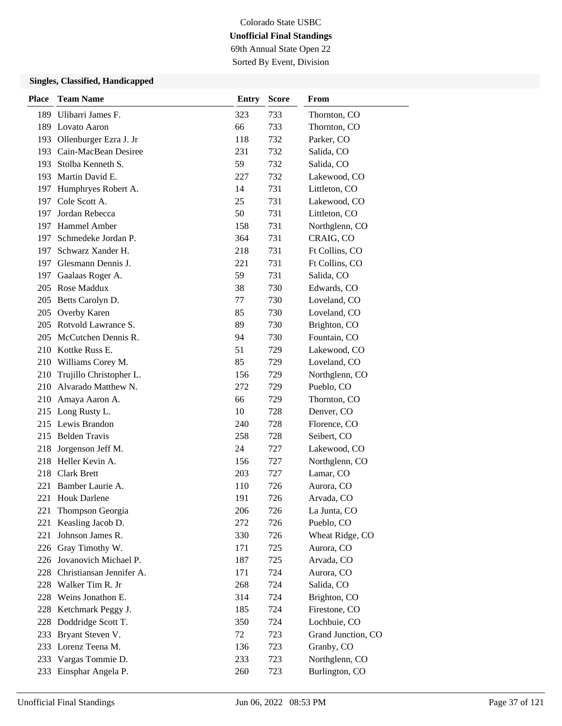# Colorado State USBC **Unofficial Final Standings** 69th Annual State Open 22

Sorted By Event, Division

| <b>Place</b> | <b>Team Name</b>             | <b>Entry</b> | <b>Score</b> | From               |
|--------------|------------------------------|--------------|--------------|--------------------|
| 189          | Ulibarri James F.            | 323          | 733          | Thornton, CO       |
|              | 189 Lovato Aaron             | 66           | 733          | Thornton, CO       |
| 193          | Ollenburger Ezra J. Jr       | 118          | 732          | Parker, CO         |
|              | 193 Cain-MacBean Desiree     | 231          | 732          | Salida, CO         |
|              | 193 Stolba Kenneth S.        | 59           | 732          | Salida, CO         |
|              | 193 Martin David E.          | 227          | 732          | Lakewood, CO       |
|              | 197 Humphryes Robert A.      | 14           | 731          | Littleton, CO      |
|              | 197 Cole Scott A.            | 25           | 731          | Lakewood, CO       |
| 197          | Jordan Rebecca               | 50           | 731          | Littleton, CO      |
|              | 197 Hammel Amber             | 158          | 731          | Northglenn, CO     |
| 197          | Schmedeke Jordan P.          | 364          | 731          | CRAIG, CO          |
| 197          | Schwarz Xander H.            | 218          | 731          | Ft Collins, CO     |
|              | 197 Glesmann Dennis J.       | 221          | 731          | Ft Collins, CO     |
| 197          | Gaalaas Roger A.             | 59           | 731          | Salida, CO         |
|              | 205 Rose Maddux              | 38           | 730          | Edwards, CO        |
|              | 205 Betts Carolyn D.         | 77           | 730          | Loveland, CO       |
|              | 205 Overby Karen             | 85           | 730          | Loveland, CO       |
| 205          | Rotvold Lawrance S.          | 89           | 730          | Brighton, CO       |
| 205          | McCutchen Dennis R.          | 94           | 730          | Fountain, CO       |
|              | 210 Kottke Russ E.           | 51           | 729          | Lakewood, CO       |
|              | 210 Williams Corey M.        | 85           | 729          | Loveland, CO       |
| 210          | Trujillo Christopher L.      | 156          | 729          | Northglenn, CO     |
|              | 210 Alvarado Matthew N.      | 272          | 729          | Pueblo, CO         |
|              | 210 Amaya Aaron A.           | 66           | 729          | Thornton, CO       |
|              | 215 Long Rusty L.            | 10           | 728          | Denver, CO         |
|              | 215 Lewis Brandon            | 240          | 728          | Florence, CO       |
|              | 215 Belden Travis            | 258          | 728          | Seibert, CO        |
| 218          | Jorgenson Jeff M.            | 24           | 727          | Lakewood, CO       |
| 218          | Heller Kevin A.              | 156          | 727          | Northglenn, CO     |
|              | 218 Clark Brett              | 203          | 727          | Lamar, CO          |
| 221          | Bamber Laurie A.             | 110          | 726          | Aurora, CO         |
| 221          | <b>Houk Darlene</b>          | 191          | 726          | Arvada, CO         |
| 221          | Thompson Georgia             | 206          | 726          | La Junta, CO       |
| 221          | Keasling Jacob D.            | 272          | 726          | Pueblo, CO         |
| 221          | Johnson James R.             | 330          | 726          | Wheat Ridge, CO    |
|              | 226 Gray Timothy W.          | 171          | 725          | Aurora, CO         |
|              | 226 Jovanovich Michael P.    | 187          | 725          | Arvada, CO         |
|              | 228 Christiansan Jennifer A. | 171          | 724          | Aurora, CO         |
|              | 228 Walker Tim R. Jr         | 268          | 724          | Salida, CO         |
| 228          | Weins Jonathon E.            | 314          | 724          | Brighton, CO       |
| 228          | Ketchmark Peggy J.           | 185          | 724          | Firestone, CO      |
| 228          | Doddridge Scott T.           | 350          | 724          | Lochbuie, CO       |
| 233          | Bryant Steven V.             | 72           | 723          | Grand Junction, CO |
|              | 233 Lorenz Teena M.          | 136          | 723          | Granby, CO         |
| 233          | Vargas Tommie D.             | 233          | 723          | Northglenn, CO     |
| 233          | Einsphar Angela P.           | 260          | 723          | Burlington, CO     |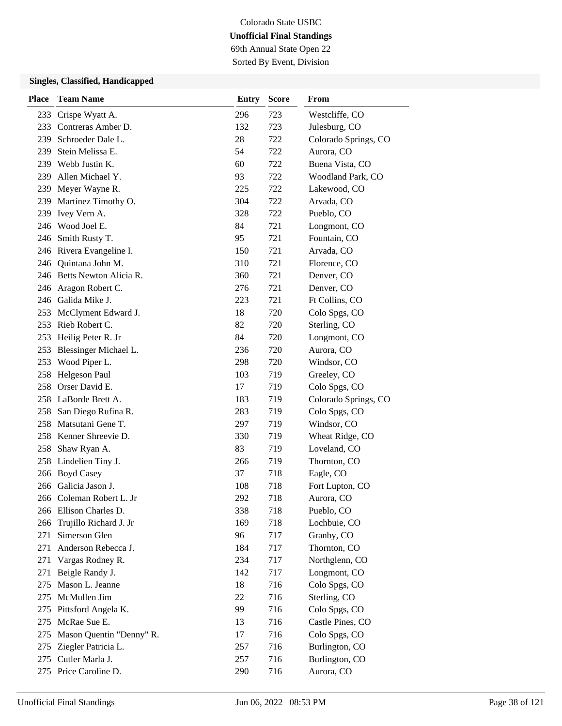69th Annual State Open 22 Sorted By Event, Division

| Place | <b>Team Name</b>           | Entry | <b>Score</b> | From                 |
|-------|----------------------------|-------|--------------|----------------------|
|       | 233 Crispe Wyatt A.        | 296   | 723          | Westcliffe, CO       |
|       | 233 Contreras Amber D.     | 132   | 723          | Julesburg, CO        |
| 239   | Schroeder Dale L.          | 28    | 722          | Colorado Springs, CO |
| 239   | Stein Melissa E.           | 54    | 722          | Aurora, CO           |
|       | 239 Webb Justin K.         | 60    | 722          | Buena Vista, CO      |
| 239   | Allen Michael Y.           | 93    | 722          | Woodland Park, CO    |
|       | 239 Meyer Wayne R.         | 225   | 722          | Lakewood, CO         |
|       | 239 Martinez Timothy O.    | 304   | 722          | Arvada, CO           |
|       | 239 Ivey Vern A.           | 328   | 722          | Pueblo, CO           |
|       | 246 Wood Joel E.           | 84    | 721          | Longmont, CO         |
|       | 246 Smith Rusty T.         | 95    | 721          | Fountain, CO         |
|       | 246 Rivera Evangeline I.   | 150   | 721          | Arvada, CO           |
|       | 246 Quintana John M.       | 310   | 721          | Florence, CO         |
|       | 246 Betts Newton Alicia R. | 360   | 721          | Denver, CO           |
|       | 246 Aragon Robert C.       | 276   | 721          | Denver, CO           |
|       | 246 Galida Mike J.         | 223   | 721          | Ft Collins, CO       |
|       | 253 McClyment Edward J.    | 18    | 720          | Colo Spgs, CO        |
|       | 253 Rieb Robert C.         | 82    | 720          | Sterling, CO         |
| 253   | Heilig Peter R. Jr         | 84    | 720          | Longmont, CO         |
| 253   | Blessinger Michael L.      | 236   | 720          | Aurora, CO           |
| 253   | Wood Piper L.              | 298   | 720          | Windsor, CO          |
|       | 258 Helgeson Paul          | 103   | 719          | Greeley, CO          |
|       | 258 Orser David E.         | 17    | 719          | Colo Spgs, CO        |
|       | 258 LaBorde Brett A.       | 183   | 719          | Colorado Springs, CO |
|       | 258 San Diego Rufina R.    | 283   | 719          | Colo Spgs, CO        |
|       | 258 Matsutani Gene T.      | 297   | 719          | Windsor, CO          |
|       | 258 Kenner Shreevie D.     | 330   | 719          | Wheat Ridge, CO      |
|       | 258 Shaw Ryan A.           | 83    | 719          | Loveland, CO         |
|       | 258 Lindelien Tiny J.      | 266   | 719          | Thornton, CO         |
|       | 266 Boyd Casey             | 37    | 718          | Eagle, CO            |
|       | 266 Galicia Jason J.       | 108   | 718          | Fort Lupton, CO      |
|       | 266 Coleman Robert L. Jr   | 292   | 718          | Aurora, CO           |
|       | 266 Ellison Charles D.     | 338   | 718          | Pueblo, CO           |
|       | 266 Trujillo Richard J. Jr | 169   | 718          | Lochbuie, CO         |
| 271   | Simerson Glen              | 96    | 717          | Granby, CO           |
| 271   | Anderson Rebecca J.        | 184   | 717          | Thornton, CO         |
| 271   | Vargas Rodney R.           | 234   | 717          | Northglenn, CO       |
| 271   | Beigle Randy J.            | 142   | 717          | Longmont, CO         |
| 275   | Mason L. Jeanne            | 18    | 716          | Colo Spgs, CO        |
| 275   | McMullen Jim               | 22    | 716          | Sterling, CO         |
| 275   | Pittsford Angela K.        | 99    | 716          | Colo Spgs, CO        |
| 275   | McRae Sue E.               | 13    | 716          | Castle Pines, CO     |
| 275   | Mason Quentin "Denny" R.   | 17    | 716          | Colo Spgs, CO        |
| 275   | Ziegler Patricia L.        | 257   | 716          | Burlington, CO       |
|       | 275 Cutler Marla J.        | 257   | 716          | Burlington, CO       |
|       | 275 Price Caroline D.      | 290   | 716          | Aurora, CO           |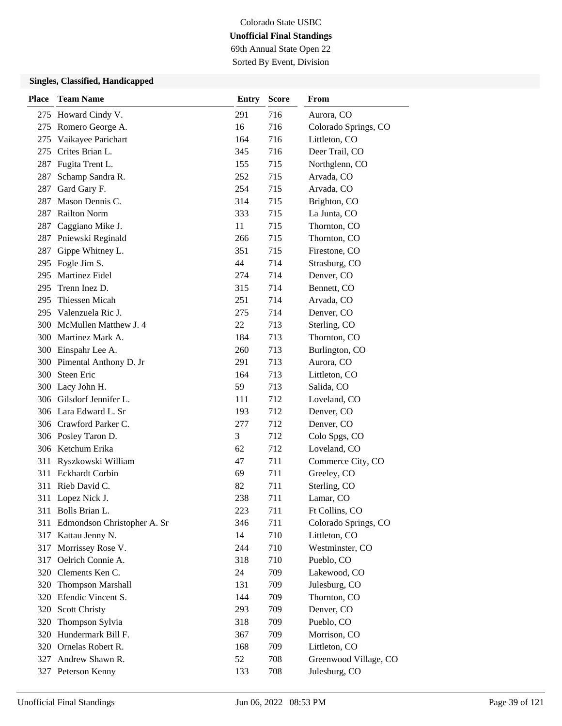69th Annual State Open 22 Sorted By Event, Division

| <b>Place</b> | <b>Team Name</b>                | <b>Entry</b> | <b>Score</b> | From                  |
|--------------|---------------------------------|--------------|--------------|-----------------------|
|              | 275 Howard Cindy V.             | 291          | 716          | Aurora, CO            |
|              | 275 Romero George A.            | 16           | 716          | Colorado Springs, CO  |
| 275          | Vaikayee Parichart              | 164          | 716          | Littleton, CO         |
|              | 275 Crites Brian L.             | 345          | 716          | Deer Trail, CO        |
|              | 287 Fugita Trent L.             | 155          | 715          | Northglenn, CO        |
| 287          | Schamp Sandra R.                | 252          | 715          | Arvada, CO            |
| 287          | Gard Gary F.                    | 254          | 715          | Arvada, CO            |
|              | 287 Mason Dennis C.             | 314          | 715          | Brighton, CO          |
|              | 287 Railton Norm                | 333          | 715          | La Junta, CO          |
| 287          | Caggiano Mike J.                | 11           | 715          | Thornton, CO          |
|              | 287 Pniewski Reginald           | 266          | 715          | Thornton, CO          |
| 287          | Gippe Whitney L.                | 351          | 715          | Firestone, CO         |
|              | 295 Fogle Jim S.                | 44           | 714          | Strasburg, CO         |
|              | 295 Martinez Fidel              | 274          | 714          | Denver, CO            |
|              | 295 Trenn Inez D.               | 315          | 714          | Bennett, CO           |
|              | 295 Thiessen Micah              | 251          | 714          | Arvada, CO            |
|              | 295 Valenzuela Ric J.           | 275          | 714          | Denver, CO            |
|              | 300 McMullen Matthew J. 4       | 22           | 713          | Sterling, CO          |
|              | 300 Martinez Mark A.            | 184          | 713          | Thornton, CO          |
|              | 300 Einspahr Lee A.             | 260          | 713          | Burlington, CO        |
|              | 300 Pimental Anthony D. Jr      | 291          | 713          | Aurora, CO            |
|              | 300 Steen Eric                  | 164          | 713          | Littleton, CO         |
|              | 300 Lacy John H.                | 59           | 713          | Salida, CO            |
|              | 306 Gilsdorf Jennifer L.        | 111          | 712          | Loveland, CO          |
|              | 306 Lara Edward L. Sr           | 193          | 712          | Denver, CO            |
|              | 306 Crawford Parker C.          | 277          | 712          | Denver, CO            |
|              | 306 Posley Taron D.             | 3            | 712          | Colo Spgs, CO         |
|              | 306 Ketchum Erika               | 62           | 712          | Loveland, CO          |
|              | 311 Ryszkowski William          | 47           | 711          | Commerce City, CO     |
|              | 311 Eckhardt Corbin             | 69           | 711          | Greeley, CO           |
|              | 311 Rieb David C.               | 82           | 711          | Sterling, CO          |
|              | 311 Lopez Nick J.               | 238          | 711          | Lamar, CO             |
|              | 311 Bolls Brian L.              | 223          | 711          | Ft Collins, CO        |
|              | 311 Edmondson Christopher A. Sr | 346          | 711          | Colorado Springs, CO  |
|              | 317 Kattau Jenny N.             | 14           | 710          | Littleton, CO         |
|              | 317 Morrissey Rose V.           | 244          | 710          | Westminster, CO       |
|              | 317 Oelrich Connie A.           | 318          | 710          | Pueblo, CO            |
|              | 320 Clements Ken C.             | 24           | 709          | Lakewood, CO          |
| 320          | Thompson Marshall               | 131          | 709          | Julesburg, CO         |
|              | 320 Efendic Vincent S.          | 144          | 709          | Thornton, CO          |
|              | 320 Scott Christy               | 293          | 709          | Denver, CO            |
| 320          | Thompson Sylvia                 | 318          | 709          | Pueblo, CO            |
|              | 320 Hundermark Bill F.          | 367          | 709          | Morrison, CO          |
|              | 320 Ornelas Robert R.           | 168          | 709          | Littleton, CO         |
|              | 327 Andrew Shawn R.             | 52           | 708          | Greenwood Village, CO |
|              | 327 Peterson Kenny              | 133          | 708          | Julesburg, CO         |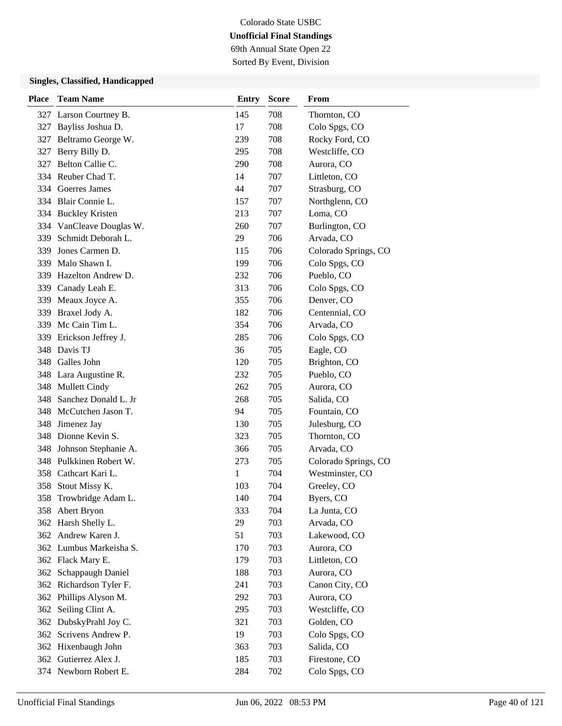69th Annual State Open 22 Sorted By Event, Division

| Place | <b>Team Name</b>         | <b>Entry</b> | <b>Score</b> | From                 |
|-------|--------------------------|--------------|--------------|----------------------|
|       | 327 Larson Courtney B.   | 145          | 708          | Thornton, CO         |
| 327   | Bayliss Joshua D.        | 17           | 708          | Colo Spgs, CO        |
| 327   | Beltramo George W.       | 239          | 708          | Rocky Ford, CO       |
| 327   | Berry Billy D.           | 295          | 708          | Westcliffe, CO       |
| 327   | Belton Callie C.         | 290          | 708          | Aurora, CO           |
|       | 334 Reuber Chad T.       | 14           | 707          | Littleton, CO        |
|       | 334 Goerres James        | 44           | 707          | Strasburg, CO        |
|       | 334 Blair Connie L.      | 157          | 707          | Northglenn, CO       |
|       | 334 Buckley Kristen      | 213          | 707          | Loma, CO             |
|       | 334 VanCleave Douglas W. | 260          | 707          | Burlington, CO       |
| 339   | Schmidt Deborah L.       | 29           | 706          | Arvada, CO           |
| 339   | Jones Carmen D.          | 115          | 706          | Colorado Springs, CO |
| 339   | Malo Shawn I.            | 199          | 706          | Colo Spgs, CO        |
|       | 339 Hazelton Andrew D.   | 232          | 706          | Pueblo, CO           |
| 339   | Canady Leah E.           | 313          | 706          | Colo Spgs, CO        |
|       | 339 Meaux Joyce A.       | 355          | 706          | Denver, CO           |
| 339   | Braxel Jody A.           | 182          | 706          | Centennial, CO       |
|       | 339 Mc Cain Tim L.       | 354          | 706          | Arvada, CO           |
| 339   | Erickson Jeffrey J.      | 285          | 706          | Colo Spgs, CO        |
| 348   | Davis TJ                 | 36           | 705          | Eagle, CO            |
| 348   | Galles John              | 120          | 705          | Brighton, CO         |
| 348   | Lara Augustine R.        | 232          | 705          | Pueblo, CO           |
|       | 348 Mullett Cindy        | 262          | 705          | Aurora, CO           |
| 348   | Sanchez Donald L. Jr     | 268          | 705          | Salida, CO           |
|       | 348 McCutchen Jason T.   | 94           | 705          | Fountain, CO         |
| 348   | Jimenez Jay              | 130          | 705          | Julesburg, CO        |
| 348   | Dionne Kevin S.          | 323          | 705          | Thornton, CO         |
| 348   | Johnson Stephanie A.     | 366          | 705          | Arvada, CO           |
| 348   | Pulkkinen Robert W.      | 273          | 705          | Colorado Springs, CO |
| 358   | Cathcart Kari L.         | 1            | 704          | Westminster, CO      |
| 358   | Stout Missy K.           | 103          | 704          | Greeley, CO          |
| 358   | Trowbridge Adam L.       | 140          | 704          | Byers, CO            |
|       | 358 Abert Bryon          | 333          | 704          | La Junta, CO         |
| 362   | Harsh Shelly L.          | 29           | 703          | Arvada, CO           |
|       | 362 Andrew Karen J.      | 51           | 703          | Lakewood, CO         |
|       | 362 Lumbus Markeisha S.  | 170          | 703          | Aurora, CO           |
|       | 362 Flack Mary E.        | 179          | 703          | Littleton, CO        |
| 362   | Schappaugh Daniel        | 188          | 703          | Aurora, CO           |
| 362   | Richardson Tyler F.      | 241          | 703          | Canon City, CO       |
| 362   | Phillips Alyson M.       | 292          | 703          | Aurora, CO           |
| 362   | Seiling Clint A.         | 295          | 703          | Westcliffe, CO       |
| 362   | DubskyPrahl Joy C.       | 321          | 703          | Golden, CO           |
| 362   | Scrivens Andrew P.       | 19           | 703          | Colo Spgs, CO        |
| 362   | Hixenbaugh John          | 363          | 703          | Salida, CO           |
|       | 362 Gutierrez Alex J.    | 185          | 703          | Firestone, CO        |
|       | 374 Newborn Robert E.    | 284          | 702          | Colo Spgs, CO        |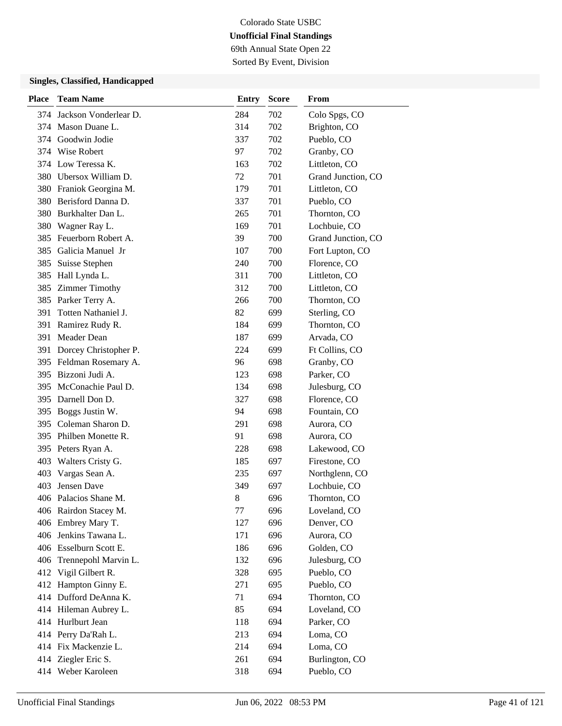69th Annual State Open 22 Sorted By Event, Division

| <b>Place</b> | <b>Team Name</b>          | <b>Entry</b> | <b>Score</b> | From               |
|--------------|---------------------------|--------------|--------------|--------------------|
|              | 374 Jackson Vonderlear D. | 284          | 702          | Colo Spgs, CO      |
|              | 374 Mason Duane L.        | 314          | 702          | Brighton, CO       |
|              | 374 Goodwin Jodie         | 337          | 702          | Pueblo, CO         |
| 374          | Wise Robert               | 97           | 702          | Granby, CO         |
|              | 374 Low Teressa K.        | 163          | 702          | Littleton, CO      |
|              | 380 Ubersox William D.    | 72           | 701          | Grand Junction, CO |
|              | 380 Franiok Georgina M.   | 179          | 701          | Littleton, CO      |
|              | 380 Berisford Danna D.    | 337          | 701          | Pueblo, CO         |
|              | 380 Burkhalter Dan L.     | 265          | 701          | Thornton, CO       |
| 380          | Wagner Ray L.             | 169          | 701          | Lochbuie, CO       |
| 385          | Feuerborn Robert A.       | 39           | 700          | Grand Junction, CO |
|              | 385 Galicia Manuel Jr     | 107          | 700          | Fort Lupton, CO    |
| 385          | Suisse Stephen            | 240          | 700          | Florence, CO       |
| 385          | Hall Lynda L.             | 311          | 700          | Littleton, CO      |
|              | 385 Zimmer Timothy        | 312          | 700          | Littleton, CO      |
|              | 385 Parker Terry A.       | 266          | 700          | Thornton, CO       |
| 391          | Totten Nathaniel J.       | 82           | 699          | Sterling, CO       |
| 391          | Ramirez Rudy R.           | 184          | 699          | Thornton, CO       |
| 391          | Meader Dean               | 187          | 699          | Arvada, CO         |
| 391          | Dorcey Christopher P.     | 224          | 699          | Ft Collins, CO     |
|              | 395 Feldman Rosemary A.   | 96           | 698          | Granby, CO         |
|              | 395 Bizzoni Judi A.       | 123          | 698          | Parker, CO         |
| 395          | McConachie Paul D.        | 134          | 698          | Julesburg, CO      |
|              | 395 Darnell Don D.        | 327          | 698          | Florence, CO       |
| 395          | Boggs Justin W.           | 94           | 698          | Fountain, CO       |
| 395          | Coleman Sharon D.         | 291          | 698          | Aurora, CO         |
|              | 395 Philben Monette R.    | 91           | 698          | Aurora, CO         |
|              | 395 Peters Ryan A.        | 228          | 698          | Lakewood, CO       |
| 403          | Walters Cristy G.         | 185          | 697          | Firestone, CO      |
| 403          | Vargas Sean A.            | 235          | 697          | Northglenn, CO     |
| 403          | Jensen Dave               | 349          | 697          | Lochbuie, CO       |
|              | 406 Palacios Shane M.     | 8            | 696          | Thornton, CO       |
|              | 406 Rairdon Stacey M.     | 77           | 696          | Loveland, CO       |
|              | 406 Embrey Mary T.        | 127          | 696          | Denver, CO         |
|              | 406 Jenkins Tawana L.     | 171          | 696          | Aurora, CO         |
|              | 406 Esselburn Scott E.    | 186          | 696          | Golden, CO         |
|              | 406 Trennepohl Marvin L.  | 132          | 696          | Julesburg, CO      |
|              | 412 Vigil Gilbert R.      | 328          | 695          | Pueblo, CO         |
|              | 412 Hampton Ginny E.      | 271          | 695          | Pueblo, CO         |
|              | 414 Dufford DeAnna K.     | 71           | 694          | Thornton, CO       |
|              | 414 Hileman Aubrey L.     | 85           | 694          | Loveland, CO       |
| 414          | Hurlburt Jean             | 118          | 694          | Parker, CO         |
|              | 414 Perry Da'Rah L.       | 213          | 694          | Loma, CO           |
|              | 414 Fix Mackenzie L.      | 214          | 694          | Loma, CO           |
|              | 414 Ziegler Eric S.       | 261          | 694          | Burlington, CO     |
|              | 414 Weber Karoleen        | 318          | 694          | Pueblo, CO         |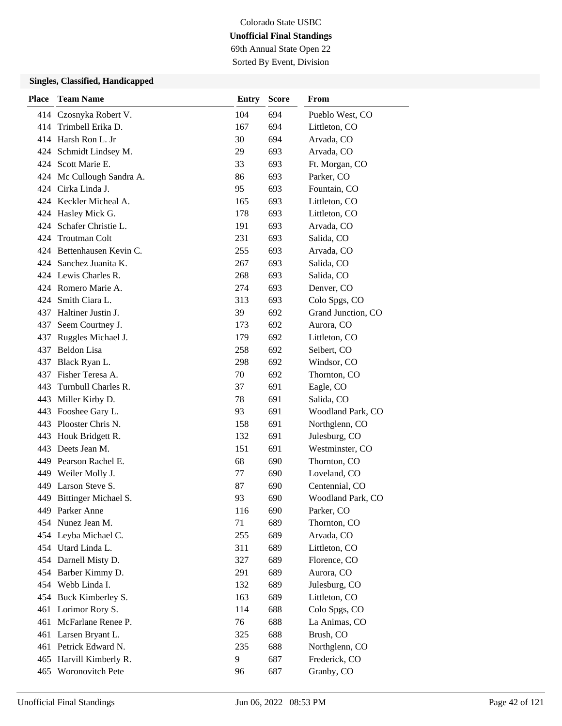69th Annual State Open 22 Sorted By Event, Division

| <b>Place</b> | <b>Team Name</b>          | <b>Entry</b> | <b>Score</b> | From               |
|--------------|---------------------------|--------------|--------------|--------------------|
|              | 414 Czosnyka Robert V.    | 104          | 694          | Pueblo West, CO    |
| 414          | Trimbell Erika D.         | 167          | 694          | Littleton, CO      |
|              | 414 Harsh Ron L. Jr       | 30           | 694          | Arvada, CO         |
|              | 424 Schmidt Lindsey M.    | 29           | 693          | Arvada, CO         |
|              | 424 Scott Marie E.        | 33           | 693          | Ft. Morgan, CO     |
|              | 424 Mc Cullough Sandra A. | 86           | 693          | Parker, CO         |
|              | 424 Cirka Linda J.        | 95           | 693          | Fountain, CO       |
|              | 424 Keckler Micheal A.    | 165          | 693          | Littleton, CO      |
|              | 424 Hasley Mick G.        | 178          | 693          | Littleton, CO      |
|              | 424 Schafer Christie L.   | 191          | 693          | Arvada, CO         |
| 424          | <b>Troutman Colt</b>      | 231          | 693          | Salida, CO         |
|              | 424 Bettenhausen Kevin C. | 255          | 693          | Arvada, CO         |
|              | 424 Sanchez Juanita K.    | 267          | 693          | Salida, CO         |
|              | 424 Lewis Charles R.      | 268          | 693          | Salida, CO         |
|              | 424 Romero Marie A.       | 274          | 693          | Denver, CO         |
|              | 424 Smith Ciara L.        | 313          | 693          | Colo Spgs, CO      |
|              | 437 Haltiner Justin J.    | 39           | 692          | Grand Junction, CO |
| 437          | Seem Courtney J.          | 173          | 692          | Aurora, CO         |
| 437          | Ruggles Michael J.        | 179          | 692          | Littleton, CO      |
| 437          | Beldon Lisa               | 258          | 692          | Seibert, CO        |
| 437          | Black Ryan L.             | 298          | 692          | Windsor, CO        |
| 437          | Fisher Teresa A.          | 70           | 692          | Thornton, CO       |
| 443          | Turnbull Charles R.       | 37           | 691          | Eagle, CO          |
|              | 443 Miller Kirby D.       | 78           | 691          | Salida, CO         |
| 443          | Fooshee Gary L.           | 93           | 691          | Woodland Park, CO  |
|              | 443 Plooster Chris N.     | 158          | 691          | Northglenn, CO     |
| 443          | Houk Bridgett R.          | 132          | 691          | Julesburg, CO      |
| 443          | Deets Jean M.             | 151          | 691          | Westminster, CO    |
|              | 449 Pearson Rachel E.     | 68           | 690          | Thornton, CO       |
|              | 449 Weiler Molly J.       | 77           | 690          | Loveland, CO       |
| 449          | Larson Steve S.           | 87           | 690          | Centennial, CO     |
| 449          | Bittinger Michael S.      | 93           | 690          | Woodland Park, CO  |
|              | 449 Parker Anne           | 116          | 690          | Parker, CO         |
|              | 454 Nunez Jean M.         | 71           | 689          | Thornton, CO       |
|              | 454 Leyba Michael C.      | 255          | 689          | Arvada, CO         |
|              | 454 Utard Linda L.        | 311          | 689          | Littleton, CO      |
|              | 454 Darnell Misty D.      | 327          | 689          | Florence, CO       |
|              | 454 Barber Kimmy D.       | 291          | 689          | Aurora, CO         |
|              | 454 Webb Linda I.         | 132          | 689          | Julesburg, CO      |
| 454          | Buck Kimberley S.         | 163          | 689          | Littleton, CO      |
| 461          | Lorimor Rory S.           | 114          | 688          | Colo Spgs, CO      |
| 461          | McFarlane Renee P.        | 76           | 688          | La Animas, CO      |
| 461          | Larsen Bryant L.          | 325          | 688          | Brush, CO          |
|              | 461 Petrick Edward N.     | 235          | 688          | Northglenn, CO     |
|              | 465 Harvill Kimberly R.   | 9            | 687          | Frederick, CO      |
|              | 465 Woronovitch Pete      | 96           | 687          | Granby, CO         |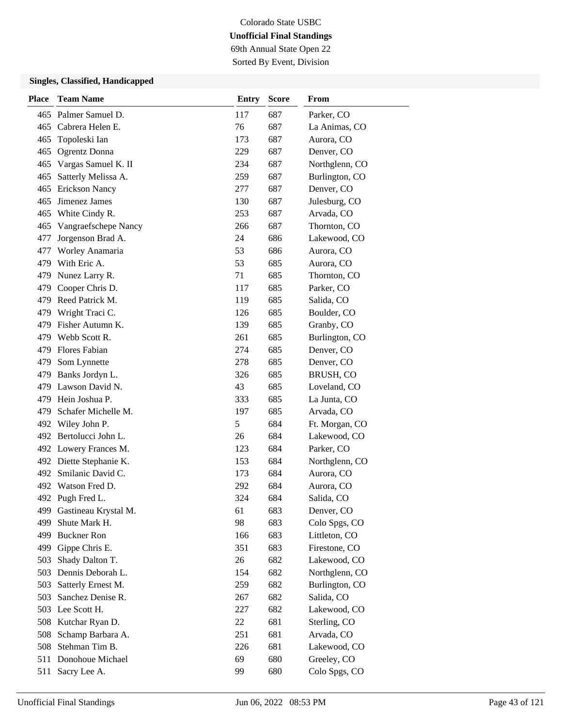69th Annual State Open 22 Sorted By Event, Division

| <b>Place</b> | <b>Team Name</b>        | <b>Entry</b> | <b>Score</b> | <b>From</b>    |
|--------------|-------------------------|--------------|--------------|----------------|
|              | 465 Palmer Samuel D.    | 117          | 687          | Parker, CO     |
|              | 465 Cabrera Helen E.    | 76           | 687          | La Animas, CO  |
| 465          | Topoleski Ian           | 173          | 687          | Aurora, CO     |
| 465          | Ogrentz Donna           | 229          | 687          | Denver, CO     |
| 465          | Vargas Samuel K. II     | 234          | 687          | Northglenn, CO |
| 465          | Satterly Melissa A.     | 259          | 687          | Burlington, CO |
|              | 465 Erickson Nancy      | 277          | 687          | Denver, CO     |
| 465          | Jimenez James           | 130          | 687          | Julesburg, CO  |
|              | 465 White Cindy R.      | 253          | 687          | Arvada, CO     |
| 465          | Vangraefschepe Nancy    | 266          | 687          | Thornton, CO   |
| 477          | Jorgenson Brad A.       | 24           | 686          | Lakewood, CO   |
| 477          | Worley Anamaria         | 53           | 686          | Aurora, CO     |
|              | 479 With Eric A.        | 53           | 685          | Aurora, CO     |
|              | 479 Nunez Larry R.      | 71           | 685          | Thornton, CO   |
| 479          | Cooper Chris D.         | 117          | 685          | Parker, CO     |
|              | 479 Reed Patrick M.     | 119          | 685          | Salida, CO     |
|              | 479 Wright Traci C.     | 126          | 685          | Boulder, CO    |
| 479          | Fisher Autumn K.        | 139          | 685          | Granby, CO     |
|              | 479 Webb Scott R.       | 261          | 685          | Burlington, CO |
|              | 479 Flores Fabian       | 274          | 685          | Denver, CO     |
| 479          | Som Lynnette            | 278          | 685          | Denver, CO     |
| 479          | Banks Jordyn L.         | 326          | 685          | BRUSH, CO      |
|              | 479 Lawson David N.     | 43           | 685          | Loveland, CO   |
|              | 479 Hein Joshua P.      | 333          | 685          | La Junta, CO   |
| 479          | Schafer Michelle M.     | 197          | 685          | Arvada, CO     |
|              | 492 Wiley John P.       | 5            | 684          | Ft. Morgan, CO |
|              | 492 Bertolucci John L.  | 26           | 684          | Lakewood, CO   |
|              | 492 Lowery Frances M.   | 123          | 684          | Parker, CO     |
|              | 492 Diette Stephanie K. | 153          | 684          | Northglenn, CO |
| 492          | Smilanic David C.       | 173          | 684          | Aurora, CO     |
|              | 492 Watson Fred D.      | 292          | 684          | Aurora, CO     |
|              | 492 Pugh Fred L.        | 324          | 684          | Salida, CO     |
| 499          | Gastineau Krystal M.    | 61           | 683          | Denver, CO     |
| 499          | Shute Mark H.           | 98           | 683          | Colo Spgs, CO  |
| 499          | <b>Buckner Ron</b>      | 166          | 683          | Littleton, CO  |
|              | 499 Gippe Chris E.      | 351          | 683          | Firestone, CO  |
| 503          | Shady Dalton T.         | 26           | 682          | Lakewood, CO   |
| 503          | Dennis Deborah L.       | 154          | 682          | Northglenn, CO |
| 503          | Satterly Ernest M.      | 259          | 682          | Burlington, CO |
| 503          | Sanchez Denise R.       | 267          | 682          | Salida, CO     |
|              | 503 Lee Scott H.        | 227          | 682          | Lakewood, CO   |
|              | 508 Kutchar Ryan D.     | 22           | 681          | Sterling, CO   |
| 508          | Schamp Barbara A.       | 251          | 681          | Arvada, CO     |
| 508          | Stehman Tim B.          | 226          | 681          | Lakewood, CO   |
| 511          | Donohoue Michael        | 69           | 680          | Greeley, CO    |
| 511          | Sacry Lee A.            | 99           | 680          | Colo Spgs, CO  |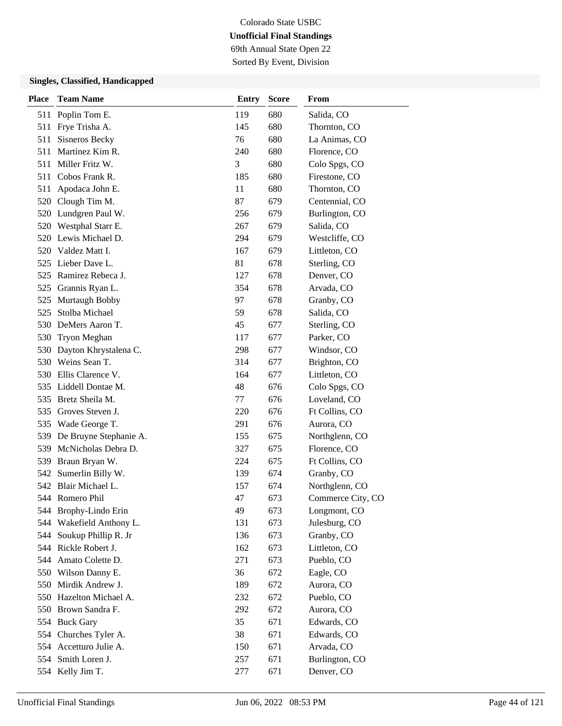69th Annual State Open 22 Sorted By Event, Division

| <b>Place</b> | <b>Team Name</b>         | <b>Entry</b> | <b>Score</b> | From              |
|--------------|--------------------------|--------------|--------------|-------------------|
|              | 511 Poplin Tom E.        | 119          | 680          | Salida, CO        |
|              | 511 Frye Trisha A.       | 145          | 680          | Thornton, CO      |
| 511          | Sisneros Becky           | 76           | 680          | La Animas, CO     |
| 511          | Martinez Kim R.          | 240          | 680          | Florence, CO      |
|              | 511 Miller Fritz W.      | 3            | 680          | Colo Spgs, CO     |
|              | 511 Cobos Frank R.       | 185          | 680          | Firestone, CO     |
| 511          | Apodaca John E.          | 11           | 680          | Thornton, CO      |
|              | 520 Clough Tim M.        | 87           | 679          | Centennial, CO    |
|              | 520 Lundgren Paul W.     | 256          | 679          | Burlington, CO    |
|              | 520 Westphal Starr E.    | 267          | 679          | Salida, CO        |
|              | 520 Lewis Michael D.     | 294          | 679          | Westcliffe, CO    |
| 520          | Valdez Matt I.           | 167          | 679          | Littleton, CO     |
|              | 525 Lieber Dave L.       | 81           | 678          | Sterling, CO      |
| 525          | Ramirez Rebeca J.        | 127          | 678          | Denver, CO        |
| 525          | Grannis Ryan L.          | 354          | 678          | Arvada, CO        |
| 525          | Murtaugh Bobby           | 97           | 678          | Granby, CO        |
| 525          | Stolba Michael           | 59           | 678          | Salida, CO        |
|              | 530 DeMers Aaron T.      | 45           | 677          | Sterling, CO      |
| 530          | <b>Tryon Meghan</b>      | 117          | 677          | Parker, CO        |
| 530          | Dayton Khrystalena C.    | 298          | 677          | Windsor, CO       |
|              | 530 Weins Sean T.        | 314          | 677          | Brighton, CO      |
|              | 530 Ellis Clarence V.    | 164          | 677          | Littleton, CO     |
|              | 535 Liddell Dontae M.    | 48           | 676          | Colo Spgs, CO     |
| 535          | Bretz Sheila M.          | 77           | 676          | Loveland, CO      |
| 535          | Groves Steven J.         | 220          | 676          | Ft Collins, CO    |
|              | 535 Wade George T.       | 291          | 676          | Aurora, CO        |
| 539          | De Bruyne Stephanie A.   | 155          | 675          | Northglenn, CO    |
| 539          | McNicholas Debra D.      | 327          | 675          | Florence, CO      |
| 539          | Braun Bryan W.           | 224          | 675          | Ft Collins, CO    |
| 542          | Sumerlin Billy W.        | 139          | 674          | Granby, CO        |
|              | 542 Blair Michael L.     | 157          | 674          | Northglenn, CO    |
|              | 544 Romero Phil          | 47           | 673          | Commerce City, CO |
|              | 544 Brophy-Lindo Erin    | 49           | 673          | Longmont, CO      |
|              | 544 Wakefield Anthony L. | 131          | 673          | Julesburg, CO     |
| 544          | Soukup Phillip R. Jr     | 136          | 673          | Granby, CO        |
|              | 544 Rickle Robert J.     | 162          | 673          | Littleton, CO     |
|              | 544 Amato Colette D.     | 271          | 673          | Pueblo, CO        |
|              | 550 Wilson Danny E.      | 36           | 672          | Eagle, CO         |
| 550          | Mirdik Andrew J.         | 189          | 672          | Aurora, CO        |
|              | 550 Hazelton Michael A.  | 232          | 672          | Pueblo, CO        |
|              | 550 Brown Sandra F.      | 292          | 672          | Aurora, CO        |
|              | 554 Buck Gary            | 35           | 671          | Edwards, CO       |
|              | 554 Churches Tyler A.    | 38           | 671          | Edwards, CO       |
|              | 554 Accetturo Julie A.   | 150          | 671          | Arvada, CO        |
|              | 554 Smith Loren J.       | 257          | 671          | Burlington, CO    |
|              | 554 Kelly Jim T.         | 277          | 671          | Denver, CO        |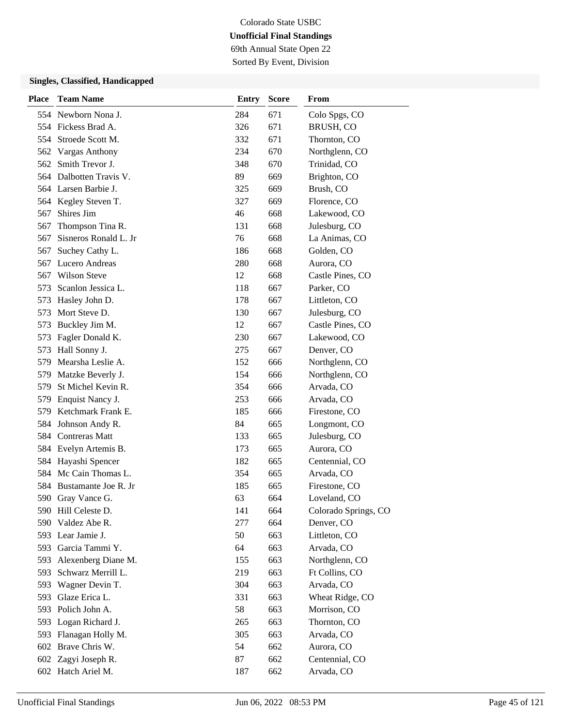69th Annual State Open 22 Sorted By Event, Division

| <b>Place</b> | <b>Team Name</b>        | <b>Entry</b> | <b>Score</b> | From                 |
|--------------|-------------------------|--------------|--------------|----------------------|
|              | 554 Newborn Nona J.     | 284          | 671          | Colo Spgs, CO        |
|              | 554 Fickess Brad A.     | 326          | 671          | BRUSH, CO            |
| 554          | Stroede Scott M.        | 332          | 671          | Thornton, CO         |
| 562          | <b>Vargas Anthony</b>   | 234          | 670          | Northglenn, CO       |
| 562          | Smith Trevor J.         | 348          | 670          | Trinidad, CO         |
|              | 564 Dalbotten Travis V. | 89           | 669          | Brighton, CO         |
|              | 564 Larsen Barbie J.    | 325          | 669          | Brush, CO            |
|              | 564 Kegley Steven T.    | 327          | 669          | Florence, CO         |
| 567          | Shires Jim              | 46           | 668          | Lakewood, CO         |
| 567          | Thompson Tina R.        | 131          | 668          | Julesburg, CO        |
| 567          | Sisneros Ronald L. Jr   | 76           | 668          | La Animas, CO        |
| 567          | Suchey Cathy L.         | 186          | 668          | Golden, CO           |
| 567          | Lucero Andreas          | 280          | 668          | Aurora, CO           |
| 567          | <b>Wilson Steve</b>     | 12           | 668          | Castle Pines, CO     |
| 573          | Scanlon Jessica L.      | 118          | 667          | Parker, CO           |
| 573          | Hasley John D.          | 178          | 667          | Littleton, CO        |
| 573          | Mort Steve D.           | 130          | 667          | Julesburg, CO        |
| 573          | Buckley Jim M.          | 12           | 667          | Castle Pines, CO     |
| 573          | Fagler Donald K.        | 230          | 667          | Lakewood, CO         |
| 573          | Hall Sonny J.           | 275          | 667          | Denver, CO           |
| 579          | Mearsha Leslie A.       | 152          | 666          | Northglenn, CO       |
| 579          | Matzke Beverly J.       | 154          | 666          | Northglenn, CO       |
| 579          | St Michel Kevin R.      | 354          | 666          | Arvada, CO           |
| 579          | Enquist Nancy J.        | 253          | 666          | Arvada, CO           |
| 579          | Ketchmark Frank E.      | 185          | 666          | Firestone, CO        |
| 584          | Johnson Andy R.         | 84           | 665          | Longmont, CO         |
| 584          | <b>Contreras Matt</b>   | 133          | 665          | Julesburg, CO        |
|              | 584 Evelyn Artemis B.   | 173          | 665          | Aurora, CO           |
| 584          | Hayashi Spencer         | 182          | 665          | Centennial, CO       |
| 584          | Mc Cain Thomas L.       | 354          | 665          | Arvada, CO           |
| 584          | Bustamante Joe R. Jr.   | 185          | 665          | Firestone, CO        |
|              | 590 Gray Vance G.       | 63           | 664          | Loveland, CO         |
|              | 590 Hill Celeste D.     | 141          | 664          | Colorado Springs, CO |
|              | 590 Valdez Abe R.       | 277          | 664          | Denver, CO           |
|              | 593 Lear Jamie J.       | 50           | 663          | Littleton, CO        |
|              | 593 Garcia Tammi Y.     | 64           | 663          | Arvada, CO           |
| 593          | Alexenberg Diane M.     | 155          | 663          | Northglenn, CO       |
| 593          | Schwarz Merrill L.      | 219          | 663          | Ft Collins, CO       |
| 593          | Wagner Devin T.         | 304          | 663          | Arvada, CO           |
| 593          | Glaze Erica L.          | 331          | 663          | Wheat Ridge, CO      |
|              | 593 Polich John A.      | 58           | 663          | Morrison, CO         |
| 593          | Logan Richard J.        | 265          | 663          | Thornton, CO         |
| 593          | Flanagan Holly M.       | 305          | 663          | Arvada, CO           |
| 602          | Brave Chris W.          | 54           | 662          | Aurora, CO           |
|              | 602 Zagyi Joseph R.     | 87           | 662          | Centennial, CO       |
|              | 602 Hatch Ariel M.      | 187          | 662          | Arvada, CO           |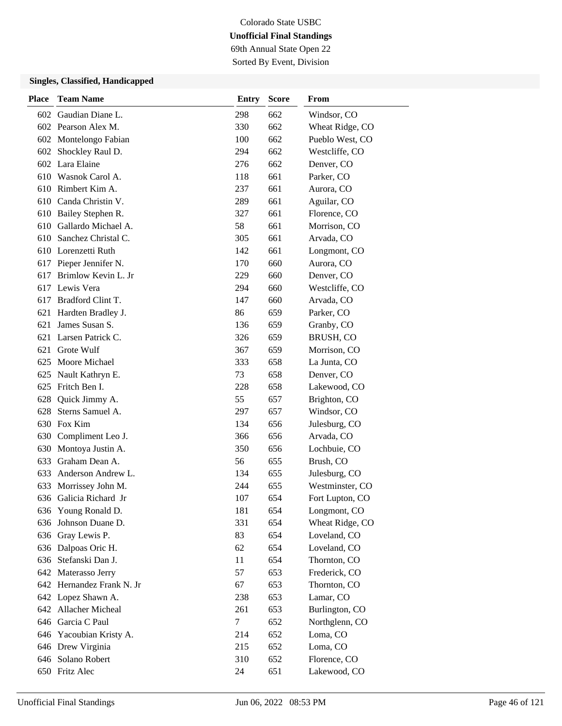69th Annual State Open 22 Sorted By Event, Division

| <b>Place</b> | <b>Team Name</b>          | <b>Entry</b> | <b>Score</b> | <b>From</b>     |
|--------------|---------------------------|--------------|--------------|-----------------|
|              | 602 Gaudian Diane L.      | 298          | 662          | Windsor, CO     |
|              | 602 Pearson Alex M.       | 330          | 662          | Wheat Ridge, CO |
|              | 602 Montelongo Fabian     | 100          | 662          | Pueblo West, CO |
|              | 602 Shockley Raul D.      | 294          | 662          | Westcliffe, CO  |
|              | 602 Lara Elaine           | 276          | 662          | Denver, CO      |
|              | 610 Wasnok Carol A.       | 118          | 661          | Parker, CO      |
|              | 610 Rimbert Kim A.        | 237          | 661          | Aurora, CO      |
|              | 610 Canda Christin V.     | 289          | 661          | Aguilar, CO     |
|              | 610 Bailey Stephen R.     | 327          | 661          | Florence, CO    |
|              | 610 Gallardo Michael A.   | 58           | 661          | Morrison, CO    |
| 610          | Sanchez Christal C.       | 305          | 661          | Arvada, CO      |
|              | 610 Lorenzetti Ruth       | 142          | 661          | Longmont, CO    |
|              | 617 Pieper Jennifer N.    | 170          | 660          | Aurora, CO      |
| 617          | Brimlow Kevin L. Jr       | 229          | 660          | Denver, CO      |
|              | 617 Lewis Vera            | 294          | 660          | Westcliffe, CO  |
|              | 617 Bradford Clint T.     | 147          | 660          | Arvada, CO      |
| 621          | Hardten Bradley J.        | 86           | 659          | Parker, CO      |
| 621          | James Susan S.            | 136          | 659          | Granby, CO      |
| 621          | Larsen Patrick C.         | 326          | 659          | BRUSH, CO       |
| 621          | Grote Wulf                | 367          | 659          | Morrison, CO    |
|              | 625 Moore Michael         | 333          | 658          | La Junta, CO    |
| 625          | Nault Kathryn E.          | 73           | 658          | Denver, CO      |
| 625          | Fritch Ben I.             | 228          | 658          | Lakewood, CO    |
| 628          | Quick Jimmy A.            | 55           | 657          | Brighton, CO    |
| 628          | Sterns Samuel A.          | 297          | 657          | Windsor, CO     |
| 630          | Fox Kim                   | 134          | 656          | Julesburg, CO   |
| 630          | Compliment Leo J.         | 366          | 656          | Arvada, CO      |
| 630          | Montoya Justin A.         | 350          | 656          | Lochbuie, CO    |
| 633          | Graham Dean A.            | 56           | 655          | Brush, CO       |
| 633          | Anderson Andrew L.        | 134          | 655          | Julesburg, CO   |
| 633          | Morrissey John M.         | 244          | 655          | Westminster, CO |
|              | 636 Galicia Richard Jr    | 107          | 654          | Fort Lupton, CO |
|              | 636 Young Ronald D.       | 181          | 654          | Longmont, CO    |
| 636          | Johnson Duane D.          | 331          | 654          | Wheat Ridge, CO |
| 636          | Gray Lewis P.             | 83           | 654          | Loveland, CO    |
|              | 636 Dalpoas Oric H.       | 62           | 654          | Loveland, CO    |
|              | 636 Stefanski Dan J.      | 11           | 654          | Thornton, CO    |
|              | 642 Materasso Jerry       | 57           | 653          | Frederick, CO   |
|              | 642 Hernandez Frank N. Jr | 67           | 653          | Thornton, CO    |
|              | 642 Lopez Shawn A.        | 238          | 653          | Lamar, CO       |
|              | 642 Allacher Micheal      | 261          | 653          | Burlington, CO  |
|              | 646 Garcia C Paul         | 7            | 652          | Northglenn, CO  |
|              | 646 Yacoubian Kristy A.   | 214          | 652          | Loma, CO        |
|              | 646 Drew Virginia         | 215          | 652          | Loma, CO        |
|              | 646 Solano Robert         | 310          | 652          | Florence, CO    |
|              | 650 Fritz Alec            | 24           | 651          | Lakewood, CO    |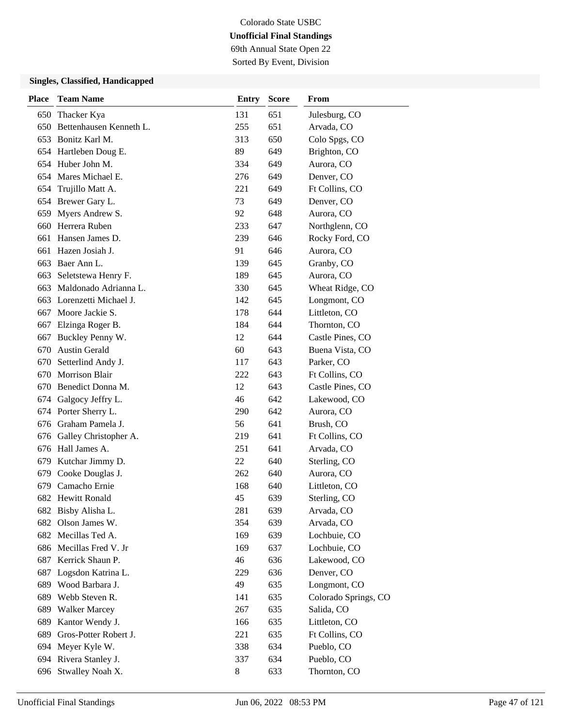69th Annual State Open 22 Sorted By Event, Division

| <b>Place</b> | <b>Team Name</b>          | <b>Entry</b> | <b>Score</b> | From                 |
|--------------|---------------------------|--------------|--------------|----------------------|
| 650          | Thacker Kya               | 131          | 651          | Julesburg, CO        |
| 650          | Bettenhausen Kenneth L.   | 255          | 651          | Arvada, CO           |
| 653          | Bonitz Karl M.            | 313          | 650          | Colo Spgs, CO        |
|              | 654 Hartleben Doug E.     | 89           | 649          | Brighton, CO         |
|              | 654 Huber John M.         | 334          | 649          | Aurora, CO           |
|              | 654 Mares Michael E.      | 276          | 649          | Denver, CO           |
|              | 654 Trujillo Matt A.      | 221          | 649          | Ft Collins, CO       |
|              | 654 Brewer Gary L.        | 73           | 649          | Denver, CO           |
| 659          | Myers Andrew S.           | 92           | 648          | Aurora, CO           |
| 660          | Herrera Ruben             | 233          | 647          | Northglenn, CO       |
| 661          | Hansen James D.           | 239          | 646          | Rocky Ford, CO       |
| 661          | Hazen Josiah J.           | 91           | 646          | Aurora, CO           |
| 663          | Baer Ann L.               | 139          | 645          | Granby, CO           |
| 663          | Seletstewa Henry F.       | 189          | 645          | Aurora, CO           |
| 663          | Maldonado Adrianna L.     | 330          | 645          | Wheat Ridge, CO      |
|              | 663 Lorenzetti Michael J. | 142          | 645          | Longmont, CO         |
| 667          | Moore Jackie S.           | 178          | 644          | Littleton, CO        |
| 667          | Elzinga Roger B.          | 184          | 644          | Thornton, CO         |
| 667          | Buckley Penny W.          | 12           | 644          | Castle Pines, CO     |
| 670          | <b>Austin Gerald</b>      | 60           | 643          | Buena Vista, CO      |
| 670          | Setterlind Andy J.        | 117          | 643          | Parker, CO           |
| 670          | <b>Morrison Blair</b>     | 222          | 643          | Ft Collins, CO       |
| 670          | Benedict Donna M.         | 12           | 643          | Castle Pines, CO     |
|              | 674 Galgocy Jeffry L.     | 46           | 642          | Lakewood, CO         |
|              | 674 Porter Sherry L.      | 290          | 642          | Aurora, CO           |
|              | 676 Graham Pamela J.      | 56           | 641          | Brush, CO            |
|              | 676 Galley Christopher A. | 219          | 641          | Ft Collins, CO       |
|              | 676 Hall James A.         | 251          | 641          | Arvada, CO           |
| 679          | Kutchar Jimmy D.          | 22           | 640          | Sterling, CO         |
| 679          | Cooke Douglas J.          | 262          | 640          | Aurora, CO           |
| 679          | Camacho Ernie             | 168          | 640          | Littleton, CO        |
| 682          | <b>Hewitt Ronald</b>      | 45           | 639          | Sterling, CO         |
| 682          | Bisby Alisha L.           | 281          | 639          | Arvada, CO           |
| 682          | Olson James W.            | 354          | 639          | Arvada, CO           |
|              | 682 Mecillas Ted A.       | 169          | 639          | Lochbuie, CO         |
|              | 686 Mecillas Fred V. Jr   | 169          | 637          | Lochbuie, CO         |
| 687          | Kerrick Shaun P.          | 46           | 636          | Lakewood, CO         |
| 687          | Logsdon Katrina L.        | 229          | 636          | Denver, CO           |
| 689          | Wood Barbara J.           | 49           | 635          | Longmont, CO         |
| 689          | Webb Steven R.            | 141          | 635          | Colorado Springs, CO |
| 689          | <b>Walker Marcey</b>      | 267          | 635          | Salida, CO           |
| 689          | Kantor Wendy J.           | 166          | 635          | Littleton, CO        |
| 689          | Gros-Potter Robert J.     | 221          | 635          | Ft Collins, CO       |
|              | 694 Meyer Kyle W.         | 338          | 634          | Pueblo, CO           |
|              | 694 Rivera Stanley J.     | 337          | 634          | Pueblo, CO           |
|              | 696 Stwalley Noah X.      | 8            | 633          | Thornton, CO         |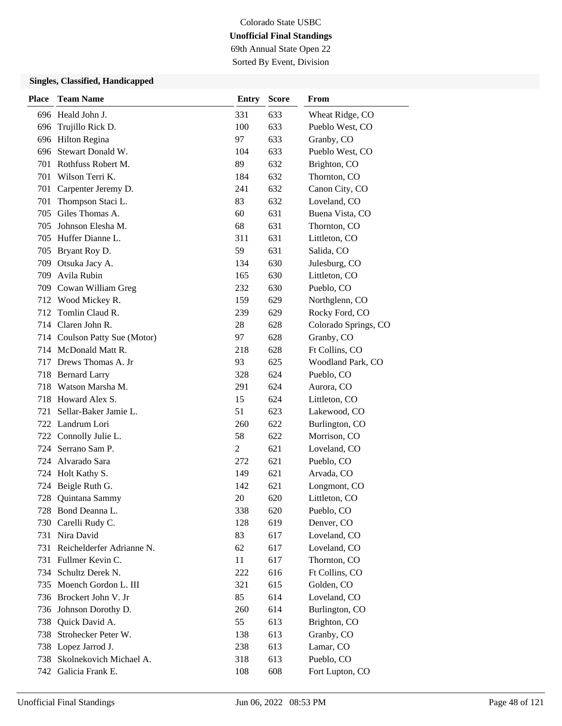69th Annual State Open 22 Sorted By Event, Division

| <b>Place</b> | <b>Team Name</b>              | <b>Entry</b>   | <b>Score</b> | From                 |
|--------------|-------------------------------|----------------|--------------|----------------------|
|              | 696 Heald John J.             | 331            | 633          | Wheat Ridge, CO      |
| 696          | Trujillo Rick D.              | 100            | 633          | Pueblo West, CO      |
|              | 696 Hilton Regina             | 97             | 633          | Granby, CO           |
|              | 696 Stewart Donald W.         | 104            | 633          | Pueblo West, CO      |
|              | 701 Rothfuss Robert M.        | 89             | 632          | Brighton, CO         |
|              | 701 Wilson Terri K.           | 184            | 632          | Thornton, CO         |
| 701          | Carpenter Jeremy D.           | 241            | 632          | Canon City, CO       |
| 701          | Thompson Staci L.             | 83             | 632          | Loveland, CO         |
| 705          | Giles Thomas A.               | 60             | 631          | Buena Vista, CO      |
| 705          | Johnson Elesha M.             | 68             | 631          | Thornton, CO         |
|              | 705 Huffer Dianne L.          | 311            | 631          | Littleton, CO        |
|              | 705 Bryant Roy D.             | 59             | 631          | Salida, CO           |
| 709          | Otsuka Jacy A.                | 134            | 630          | Julesburg, CO        |
| 709          | Avila Rubin                   | 165            | 630          | Littleton, CO        |
|              | 709 Cowan William Greg        | 232            | 630          | Pueblo, CO           |
|              | 712 Wood Mickey R.            | 159            | 629          | Northglenn, CO       |
|              | 712 Tomlin Claud R.           | 239            | 629          | Rocky Ford, CO       |
|              | 714 Claren John R.            | 28             | 628          | Colorado Springs, CO |
|              | 714 Coulson Patty Sue (Motor) | 97             | 628          | Granby, CO           |
|              | 714 McDonald Matt R.          | 218            | 628          | Ft Collins, CO       |
|              | 717 Drews Thomas A. Jr        | 93             | 625          | Woodland Park, CO    |
|              | 718 Bernard Larry             | 328            | 624          | Pueblo, CO           |
|              | 718 Watson Marsha M.          | 291            | 624          | Aurora, CO           |
|              | 718 Howard Alex S.            | 15             | 624          | Littleton, CO        |
| 721          | Sellar-Baker Jamie L.         | 51             | 623          | Lakewood, CO         |
|              | 722 Landrum Lori              | 260            | 622          | Burlington, CO       |
|              | 722 Connolly Julie L.         | 58             | 622          | Morrison, CO         |
|              | 724 Serrano Sam P.            | $\overline{2}$ | 621          | Loveland, CO         |
|              | 724 Alvarado Sara             | 272            | 621          | Pueblo, CO           |
|              | 724 Holt Kathy S.             | 149            | 621          | Arvada, CO           |
| 724          | Beigle Ruth G.                | 142            | 621          | Longmont, CO         |
| 728          | Quintana Sammy                | 20             | 620          | Littleton, CO        |
|              | 728 Bond Deanna L.            | 338            | 620          | Pueblo, CO           |
| 730          | Carelli Rudy C.               | 128            | 619          | Denver, CO           |
| 731          | Nira David                    | 83             | 617          | Loveland, CO         |
|              | 731 Reichelderfer Adrianne N. | 62             | 617          | Loveland, CO         |
| 731          | Fullmer Kevin C.              | 11             | 617          | Thornton, CO         |
| 734          | Schultz Derek N.              | 222            | 616          | Ft Collins, CO       |
| 735          | Moench Gordon L. III          | 321            | 615          | Golden, CO           |
|              | 736 Brockert John V. Jr       | 85             | 614          | Loveland, CO         |
|              | 736 Johnson Dorothy D.        | 260            | 614          | Burlington, CO       |
| 738          | Quick David A.                | 55             | 613          | Brighton, CO         |
| 738          | Strohecker Peter W.           | 138            | 613          | Granby, CO           |
|              | 738 Lopez Jarrod J.           | 238            | 613          | Lamar, CO            |
| 738          | Skolnekovich Michael A.       | 318            | 613          | Pueblo, CO           |
| 742          | Galicia Frank E.              | 108            | 608          | Fort Lupton, CO      |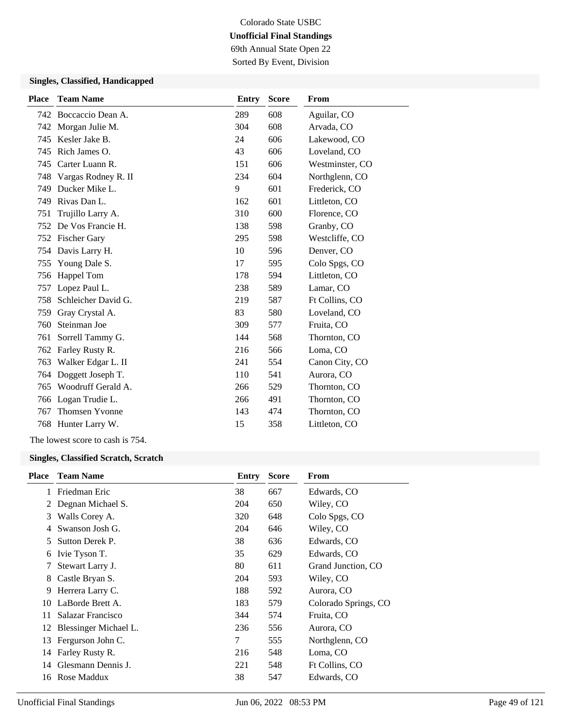69th Annual State Open 22 Sorted By Event, Division

### **Singles, Classified, Handicapped**

| <b>Place</b> | <b>Team Name</b>      | <b>Entry</b> | <b>Score</b> | From            |
|--------------|-----------------------|--------------|--------------|-----------------|
|              | 742 Boccaccio Dean A. | 289          | 608          | Aguilar, CO     |
|              | 742 Morgan Julie M.   | 304          | 608          | Arvada, CO      |
| 745          | Kesler Jake B.        | 24           | 606          | Lakewood, CO    |
| 745          | Rich James O.         | 43           | 606          | Loveland, CO    |
| 745          | Carter Luann R.       | 151          | 606          | Westminster, CO |
| 748          | Vargas Rodney R. II   | 234          | 604          | Northglenn, CO  |
| 749          | Ducker Mike L.        | 9            | 601          | Frederick, CO   |
| 749          | Rivas Dan L.          | 162          | 601          | Littleton, CO   |
| 751          | Trujillo Larry A.     | 310          | 600          | Florence, CO    |
|              | 752 De Vos Francie H. | 138          | 598          | Granby, CO      |
|              | 752 Fischer Gary      | 295          | 598          | Westcliffe, CO  |
|              | 754 Davis Larry H.    | 10           | 596          | Denver, CO      |
| 755          | Young Dale S.         | 17           | 595          | Colo Spgs, CO   |
| 756          | Happel Tom            | 178          | 594          | Littleton, CO   |
| 757          | Lopez Paul L.         | 238          | 589          | Lamar, CO       |
| 758          | Schleicher David G.   | 219          | 587          | Ft Collins, CO  |
| 759          | Gray Crystal A.       | 83           | 580          | Loveland, CO    |
| 760          | Steinman Joe          | 309          | 577          | Fruita, CO      |
| 761          | Sorrell Tammy G.      | 144          | 568          | Thornton, CO    |
| 762          | Farley Rusty R.       | 216          | 566          | Loma, CO        |
| 763          | Walker Edgar L. II    | 241          | 554          | Canon City, CO  |
| 764          | Doggett Joseph T.     | 110          | 541          | Aurora, CO      |
| 765          | Woodruff Gerald A.    | 266          | 529          | Thornton, CO    |
|              | 766 Logan Trudie L.   | 266          | 491          | Thornton, CO    |
| 767          | Thomsen Yvonne        | 143          | 474          | Thornton, CO    |
|              | 768 Hunter Larry W.   | 15           | 358          | Littleton, CO   |
|              |                       |              |              |                 |

The lowest score to cash is 754.

#### **Singles, Classified Scratch, Scratch**

| Place | <b>Team Name</b>      | Entry | <b>Score</b> | From                 |
|-------|-----------------------|-------|--------------|----------------------|
|       | Friedman Eric         | 38    | 667          | Edwards, CO          |
| 2     | Degnan Michael S.     | 204   | 650          | Wiley, CO            |
| 3     | Walls Corey A.        | 320   | 648          | Colo Spgs, CO        |
| 4     | Swanson Josh G.       | 204   | 646          | Wiley, CO            |
| 5.    | Sutton Derek P.       | 38    | 636          | Edwards, CO          |
| 6     | Ivie Tyson T.         | 35    | 629          | Edwards, CO          |
| 7     | Stewart Larry J.      | 80    | 611          | Grand Junction, CO   |
| 8     | Castle Bryan S.       | 204   | 593          | Wiley, CO            |
| 9     | Herrera Larry C.      | 188   | 592          | Aurora, CO           |
| 10    | LaBorde Brett A.      | 183   | 579          | Colorado Springs, CO |
| 11    | Salazar Francisco     | 344   | 574          | Fruita, CO           |
| 12    | Blessinger Michael L. | 236   | 556          | Aurora, CO           |
| 13    | Fergurson John C.     | 7     | 555          | Northglenn, CO       |
| 14    | Farley Rusty R.       | 216   | 548          | Loma, CO             |
| 14    | Glesmann Dennis J.    | 221   | 548          | Ft Collins, CO       |
| 16    | Rose Maddux           | 38    | 547          | Edwards, CO          |
|       |                       |       |              |                      |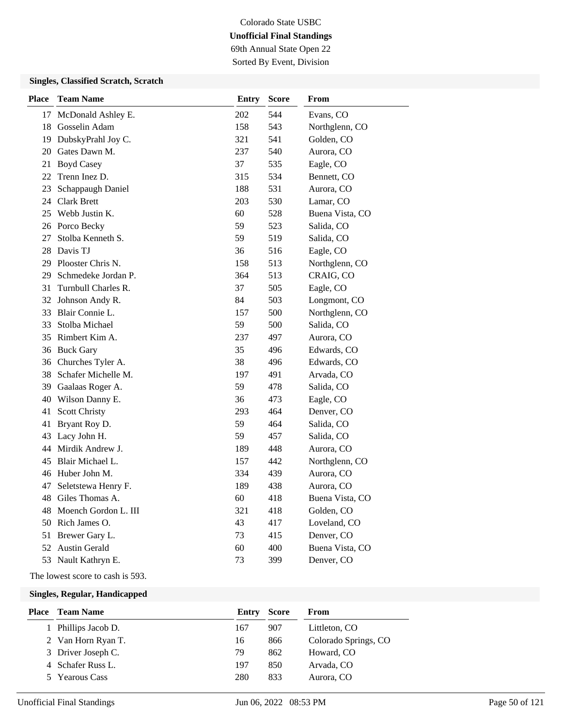69th Annual State Open 22

Sorted By Event, Division

### **Singles, Classified Scratch, Scratch**

| <b>Place</b> | <b>Team Name</b>        | <b>Entry</b> | <b>Score</b> | From            |
|--------------|-------------------------|--------------|--------------|-----------------|
| 17           | McDonald Ashley E.      | 202          | 544          | Evans, CO       |
| 18           | Gosselin Adam           | 158          | 543          | Northglenn, CO  |
| 19           | DubskyPrahl Joy C.      | 321          | 541          | Golden, CO      |
| 20           | Gates Dawn M.           | 237          | 540          | Aurora, CO      |
| 21           | <b>Boyd Casey</b>       | 37           | 535          | Eagle, CO       |
| 22           | Trenn Inez D.           | 315          | 534          | Bennett, CO     |
| 23           | Schappaugh Daniel       | 188          | 531          | Aurora, CO      |
| 24           | Clark Brett             | 203          | 530          | Lamar, CO       |
|              | 25 Webb Justin K.       | 60           | 528          | Buena Vista, CO |
|              | 26 Porco Becky          | 59           | 523          | Salida, CO      |
| 27           | Stolba Kenneth S.       | 59           | 519          | Salida, CO      |
|              | 28 Davis TJ             | 36           | 516          | Eagle, CO       |
|              | 29 Plooster Chris N.    | 158          | 513          | Northglenn, CO  |
| 29           | Schmedeke Jordan P.     | 364          | 513          | CRAIG, CO       |
| 31           | Turnbull Charles R.     | 37           | 505          | Eagle, CO       |
|              | 32 Johnson Andy R.      | 84           | 503          | Longmont, CO    |
|              | 33 Blair Connie L.      | 157          | 500          | Northglenn, CO  |
| 33           | Stolba Michael          | 59           | 500          | Salida, CO      |
|              | 35 Rimbert Kim A.       | 237          | 497          | Aurora, CO      |
|              | 36 Buck Gary            | 35           | 496          | Edwards, CO     |
|              | 36 Churches Tyler A.    | 38           | 496          | Edwards, CO     |
|              | 38 Schafer Michelle M.  | 197          | 491          | Arvada, CO      |
| 39           | Gaalaas Roger A.        | 59           | 478          | Salida, CO      |
|              | 40 Wilson Danny E.      | 36           | 473          | Eagle, CO       |
| 41           | <b>Scott Christy</b>    | 293          | 464          | Denver, CO      |
| 41           | Bryant Roy D.           | 59           | 464          | Salida, CO      |
| 43           | Lacy John H.            | 59           | 457          | Salida, CO      |
|              | 44 Mirdik Andrew J.     | 189          | 448          | Aurora, CO      |
| 45           | Blair Michael L.        | 157          | 442          | Northglenn, CO  |
|              | 46 Huber John M.        | 334          | 439          | Aurora, CO      |
| 47           | Seletstewa Henry F.     | 189          | 438          | Aurora, CO      |
|              | 48 Giles Thomas A.      | 60           | 418          | Buena Vista, CO |
|              | 48 Moench Gordon L. III | 321          | 418          | Golden, CO      |
|              | 50 Rich James O.        | 43           | 417          | Loveland, CO    |
| 51           | Brewer Gary L.          | 73           | 415          | Denver, CO      |
|              | 52 Austin Gerald        | 60           | 400          | Buena Vista, CO |
|              | 53 Nault Kathryn E.     | 73           | 399          | Denver, CO      |

The lowest score to cash is 593.

| <b>Place</b> | Team Name          | Entry | <b>Score</b> | From                 |
|--------------|--------------------|-------|--------------|----------------------|
|              | Phillips Jacob D.  | 167   | 907          | Littleton, CO        |
|              | 2 Van Horn Ryan T. | 16    | 866          | Colorado Springs, CO |
|              | 3 Driver Joseph C. | 79    | 862          | Howard, CO           |
|              | 4 Schafer Russ L.  | 197   | 850          | Arvada, CO           |
|              | 5 Yearous Cass     | 280   | 833          | Aurora, CO           |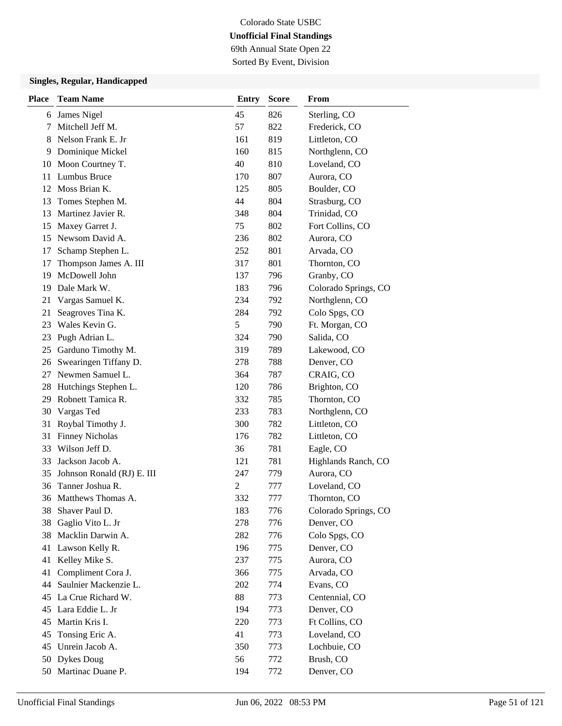69th Annual State Open 22 Sorted By Event, Division

| <b>Place</b> | <b>Team Name</b>           | <b>Entry</b>   | <b>Score</b> | From                 |
|--------------|----------------------------|----------------|--------------|----------------------|
| 6            | James Nigel                | 45             | 826          | Sterling, CO         |
| 7            | Mitchell Jeff M.           | 57             | 822          | Frederick, CO        |
| 8            | Nelson Frank E. Jr         | 161            | 819          | Littleton, CO        |
| 9            | Dominique Mickel           | 160            | 815          | Northglenn, CO       |
| 10           | Moon Courtney T.           | 40             | 810          | Loveland, CO         |
| 11           | Lumbus Bruce               | 170            | 807          | Aurora, CO           |
| 12           | Moss Brian K.              | 125            | 805          | Boulder, CO          |
| 13           | Tomes Stephen M.           | 44             | 804          | Strasburg, CO        |
| 13           | Martinez Javier R.         | 348            | 804          | Trinidad, CO         |
| 15           | Maxey Garret J.            | 75             | 802          | Fort Collins, CO     |
| 15           | Newsom David A.            | 236            | 802          | Aurora, CO           |
| 17           | Schamp Stephen L.          | 252            | 801          | Arvada, CO           |
| 17           | Thompson James A. III      | 317            | 801          | Thornton, CO         |
| 19           | McDowell John              | 137            | 796          | Granby, CO           |
| 19           | Dale Mark W.               | 183            | 796          | Colorado Springs, CO |
| 21           | Vargas Samuel K.           | 234            | 792          | Northglenn, CO       |
| 21           | Seagroves Tina K.          | 284            | 792          | Colo Spgs, CO        |
| 23           | Wales Kevin G.             | 5              | 790          | Ft. Morgan, CO       |
| 23           | Pugh Adrian L.             | 324            | 790          | Salida, CO           |
| 25           | Garduno Timothy M.         | 319            | 789          | Lakewood, CO         |
| 26           | Swearingen Tiffany D.      | 278            | 788          | Denver, CO           |
| 27           | Newmen Samuel L.           | 364            | 787          | CRAIG, CO            |
| 28           | Hutchings Stephen L.       | 120            | 786          | Brighton, CO         |
| 29           | Robnett Tamica R.          | 332            | 785          | Thornton, CO         |
| 30           | Vargas Ted                 | 233            | 783          | Northglenn, CO       |
| 31           | Roybal Timothy J.          | 300            | 782          | Littleton, CO        |
| 31           | <b>Finney Nicholas</b>     | 176            | 782          | Littleton, CO        |
| 33           | Wilson Jeff D.             | 36             | 781          | Eagle, CO            |
| 33           | Jackson Jacob A.           | 121            | 781          | Highlands Ranch, CO  |
| 35           | Johnson Ronald (RJ) E. III | 247            | 779          | Aurora, CO           |
| 36           | Tanner Joshua R.           | $\overline{c}$ | 777          | Loveland, CO         |
|              | 36 Matthews Thomas A.      | 332            | 777          | Thornton, CO         |
| 38           | Shaver Paul D.             | 183            | 776          | Colorado Springs, CO |
| 38           | Gaglio Vito L. Jr          | 278            | 776          | Denver, CO           |
| 38           | Macklin Darwin A.          | 282            | 776          | Colo Spgs, CO        |
| 41           | Lawson Kelly R.            | 196            | 775          | Denver, CO           |
| 41           | Kelley Mike S.             | 237            | 775          | Aurora, CO           |
| 41           | Compliment Cora J.         | 366            | 775          | Arvada, CO           |
| 44           | Saulnier Mackenzie L.      | 202            | 774          | Evans, CO            |
| 45           | La Crue Richard W.         | 88             | 773          | Centennial, CO       |
| 45           | Lara Eddie L. Jr           | 194            | 773          | Denver, CO           |
| 45           | Martin Kris I.             | 220            | 773          | Ft Collins, CO       |
| 45           | Tonsing Eric A.            | 41             | 773          | Loveland, CO         |
| 45           | Unrein Jacob A.            | 350            | 773          | Lochbuie, CO         |
|              | 50 Dykes Doug              | 56             | 772          | Brush, CO            |
|              | 50 Martinac Duane P.       | 194            | 772          | Denver, CO           |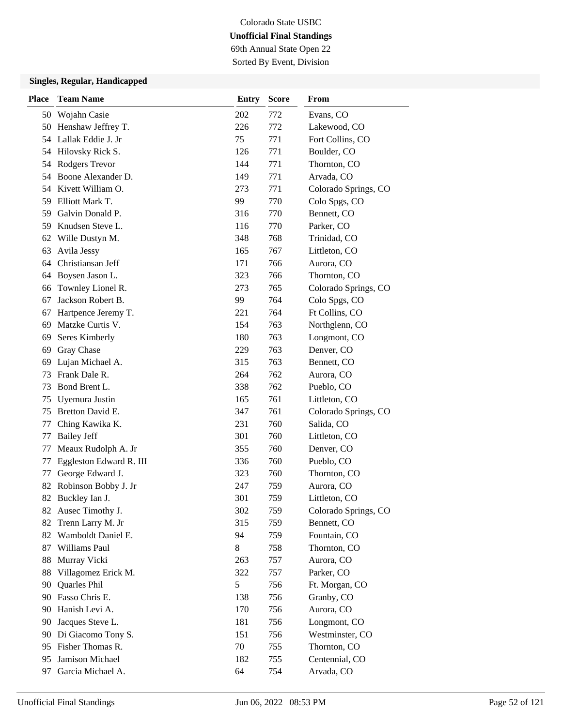69th Annual State Open 22 Sorted By Event, Division

| <b>Place</b> | <b>Team Name</b>        | <b>Entry</b> | <b>Score</b> | From                 |
|--------------|-------------------------|--------------|--------------|----------------------|
|              | 50 Wojahn Casie         | 202          | 772          | Evans, CO            |
|              | 50 Henshaw Jeffrey T.   | 226          | 772          | Lakewood, CO         |
|              | 54 Lallak Eddie J. Jr   | 75           | 771          | Fort Collins, CO     |
|              | 54 Hilovsky Rick S.     | 126          | 771          | Boulder, CO          |
| 54           | <b>Rodgers Trevor</b>   | 144          | 771          | Thornton, CO         |
| 54           | Boone Alexander D.      | 149          | 771          | Arvada, CO           |
| 54           | Kivett William O.       | 273          | 771          | Colorado Springs, CO |
| 59           | Elliott Mark T.         | 99           | 770          | Colo Spgs, CO        |
| 59           | Galvin Donald P.        | 316          | 770          | Bennett, CO          |
| 59           | Knudsen Steve L.        | 116          | 770          | Parker, CO           |
| 62           | Wille Dustyn M.         | 348          | 768          | Trinidad, CO         |
| 63           | Avila Jessy             | 165          | 767          | Littleton, CO        |
| 64           | Christiansan Jeff       | 171          | 766          | Aurora, CO           |
| 64           | Boysen Jason L.         | 323          | 766          | Thornton, CO         |
| 66           | Townley Lionel R.       | 273          | 765          | Colorado Springs, CO |
| 67           | Jackson Robert B.       | 99           | 764          | Colo Spgs, CO        |
| 67           | Hartpence Jeremy T.     | 221          | 764          | Ft Collins, CO       |
| 69           | Matzke Curtis V.        | 154          | 763          | Northglenn, CO       |
| 69           | Seres Kimberly          | 180          | 763          | Longmont, CO         |
| 69           | Gray Chase              | 229          | 763          | Denver, CO           |
| 69           | Lujan Michael A.        | 315          | 763          | Bennett, CO          |
| 73           | Frank Dale R.           | 264          | 762          | Aurora, CO           |
| 73           | Bond Brent L.           | 338          | 762          | Pueblo, CO           |
| 75           | Uyemura Justin          | 165          | 761          | Littleton, CO        |
| 75           | Bretton David E.        | 347          | 761          | Colorado Springs, CO |
| 77           | Ching Kawika K.         | 231          | 760          | Salida, CO           |
| 77           | <b>Bailey Jeff</b>      | 301          | 760          | Littleton, CO        |
| 77           | Meaux Rudolph A. Jr     | 355          | 760          | Denver, CO           |
| 77           | Eggleston Edward R. III | 336          | 760          | Pueblo, CO           |
| 77           | George Edward J.        | 323          | 760          | Thornton, CO         |
| 82           | Robinson Bobby J. Jr    | 247          | 759          | Aurora, CO           |
|              | 82 Buckley Ian J.       | 301          | 759          | Littleton, CO        |
|              | 82 Ausec Timothy J.     | 302          | 759          | Colorado Springs, CO |
| 82           | Trenn Larry M. Jr       | 315          | 759          | Bennett, CO          |
| 82           | Wamboldt Daniel E.      | 94           | 759          | Fountain, CO         |
| 87           | Williams Paul           | 8            | 758          | Thornton, CO         |
| 88           | Murray Vicki            | 263          | 757          | Aurora, CO           |
| 88           | Villagomez Erick M.     | 322          | 757          | Parker, CO           |
| 90           | Quarles Phil            | 5            | 756          | Ft. Morgan, CO       |
|              | 90 Fasso Chris E.       | 138          | 756          | Granby, CO           |
| 90           | Hanish Levi A.          | 170          | 756          | Aurora, CO           |
| 90           | Jacques Steve L.        | 181          | 756          | Longmont, CO         |
| 90           | Di Giacomo Tony S.      | 151          | 756          | Westminster, CO      |
| 95.          | Fisher Thomas R.        | 70           | 755          | Thornton, CO         |
| 95           | Jamison Michael         | 182          | 755          | Centennial, CO       |
| 97           | Garcia Michael A.       | 64           | 754          | Arvada, CO           |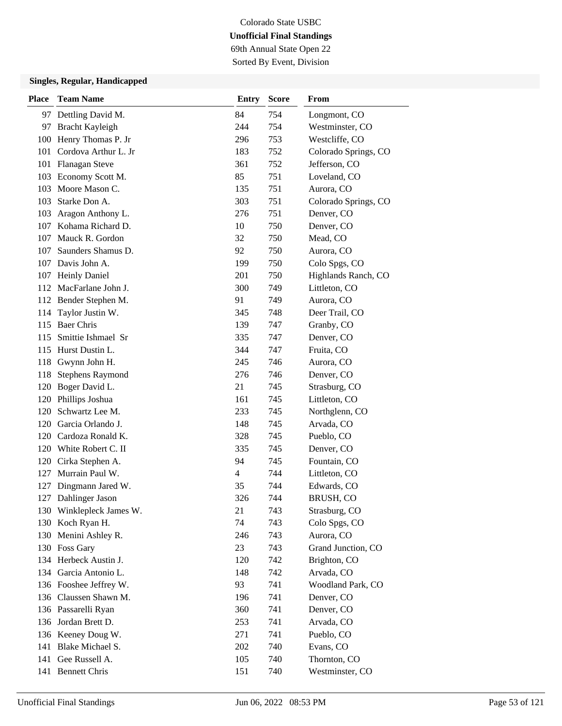# Colorado State USBC **Unofficial Final Standings** 69th Annual State Open 22

Sorted By Event, Division

| Place | <b>Team Name</b>         | <b>Entry</b>   | <b>Score</b> | From                 |
|-------|--------------------------|----------------|--------------|----------------------|
|       | 97 Dettling David M.     | 84             | 754          | Longmont, CO         |
| 97    | Bracht Kayleigh          | 244            | 754          | Westminster, CO      |
| 100   | Henry Thomas P. Jr       | 296            | 753          | Westcliffe, CO       |
| 101   | Cordova Arthur L. Jr     | 183            | 752          | Colorado Springs, CO |
|       | 101 Flanagan Steve       | 361            | 752          | Jefferson, CO        |
| 103   | Economy Scott M.         | 85             | 751          | Loveland, CO         |
| 103   | Moore Mason C.           | 135            | 751          | Aurora, CO           |
| 103   | Starke Don A.            | 303            | 751          | Colorado Springs, CO |
| 103   | Aragon Anthony L.        | 276            | 751          | Denver, CO           |
| 107   | Kohama Richard D.        | 10             | 750          | Denver, CO           |
| 107   | Mauck R. Gordon          | 32             | 750          | Mead, CO             |
| 107   | Saunders Shamus D.       | 92             | 750          | Aurora, CO           |
|       | 107 Davis John A.        | 199            | 750          | Colo Spgs, CO        |
| 107   | <b>Heinly Daniel</b>     | 201            | 750          | Highlands Ranch, CO  |
| 112   | MacFarlane John J.       | 300            | 749          | Littleton, CO        |
|       | 112 Bender Stephen M.    | 91             | 749          | Aurora, CO           |
| 114   | Taylor Justin W.         | 345            | 748          | Deer Trail, CO       |
| 115   | <b>Baer Chris</b>        | 139            | 747          | Granby, CO           |
| 115   | Smittie Ishmael Sr       | 335            | 747          | Denver, CO           |
| 115   | Hurst Dustin L.          | 344            | 747          | Fruita, CO           |
| 118   | Gwynn John H.            | 245            | 746          | Aurora, CO           |
| 118   | <b>Stephens Raymond</b>  | 276            | 746          | Denver, CO           |
| 120   | Boger David L.           | 21             | 745          | Strasburg, CO        |
| 120   | Phillips Joshua          | 161            | 745          | Littleton, CO        |
|       | 120 Schwartz Lee M.      | 233            | 745          | Northglenn, CO       |
| 120   | Garcia Orlando J.        | 148            | 745          | Arvada, CO           |
| 120   | Cardoza Ronald K.        | 328            | 745          | Pueblo, CO           |
|       | 120 White Robert C. II   | 335            | 745          | Denver, CO           |
|       | 120 Cirka Stephen A.     | 94             | 745          | Fountain, CO         |
| 127   | Murrain Paul W.          | $\overline{4}$ | 744          | Littleton, CO        |
| 127   | Dingmann Jared W.        | 35             | 744          | Edwards, CO          |
| 127   | Dahlinger Jason          | 326            | 744          | BRUSH, CO            |
|       | 130 Winklepleck James W. | 21             | 743          | Strasburg, CO        |
|       | 130 Koch Ryan H.         | 74             | 743          | Colo Spgs, CO        |
| 130   | Menini Ashley R.         | 246            | 743          | Aurora, CO           |
|       | 130 Foss Gary            | 23             | 743          | Grand Junction, CO   |
|       | 134 Herbeck Austin J.    | 120            | 742          | Brighton, CO         |
|       | 134 Garcia Antonio L.    | 148            | 742          | Arvada, CO           |
|       | 136 Fooshee Jeffrey W.   | 93             | 741          | Woodland Park, CO    |
|       | 136 Claussen Shawn M.    | 196            | 741          | Denver, CO           |
|       | 136 Passarelli Ryan      | 360            | 741          | Denver, CO           |
|       | 136 Jordan Brett D.      | 253            | 741          | Arvada, CO           |
|       | 136 Keeney Doug W.       | 271            | 741          | Pueblo, CO           |
| 141   | Blake Michael S.         | 202            | 740          | Evans, CO            |
|       | 141 Gee Russell A.       | 105            | 740          | Thornton, CO         |
| 141   | <b>Bennett Chris</b>     | 151            | 740          | Westminster, CO      |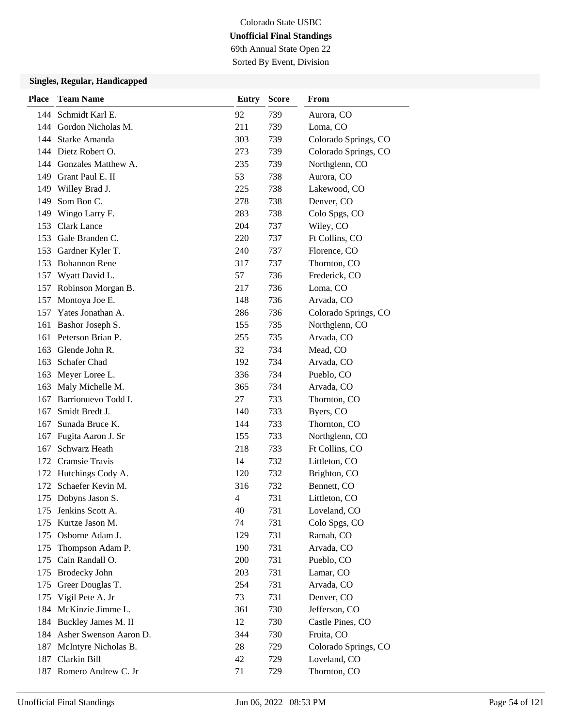69th Annual State Open 22 Sorted By Event, Division

| Place | <b>Team Name</b>           | <b>Entry</b> | <b>Score</b> | From                 |
|-------|----------------------------|--------------|--------------|----------------------|
|       | 144 Schmidt Karl E.        | 92           | 739          | Aurora, CO           |
| 144   | Gordon Nicholas M.         | 211          | 739          | Loma, CO             |
|       | 144 Starke Amanda          | 303          | 739          | Colorado Springs, CO |
|       | 144 Dietz Robert O.        | 273          | 739          | Colorado Springs, CO |
|       | 144 Gonzales Matthew A.    | 235          | 739          | Northglenn, CO       |
| 149   | Grant Paul E. II           | 53           | 738          | Aurora, CO           |
| 149   | Willey Brad J.             | 225          | 738          | Lakewood, CO         |
| 149   | Som Bon C.                 | 278          | 738          | Denver, CO           |
| 149   | Wingo Larry F.             | 283          | 738          | Colo Spgs, CO        |
|       | 153 Clark Lance            | 204          | 737          | Wiley, CO            |
| 153   | Gale Branden C.            | 220          | 737          | Ft Collins, CO       |
| 153   | Gardner Kyler T.           | 240          | 737          | Florence, CO         |
|       | 153 Bohannon Rene          | 317          | 737          | Thornton, CO         |
|       | 157 Wyatt David L.         | 57           | 736          | Frederick, CO        |
|       | 157 Robinson Morgan B.     | 217          | 736          | Loma, CO             |
|       | 157 Montoya Joe E.         | 148          | 736          | Arvada, CO           |
| 157   | Yates Jonathan A.          | 286          | 736          | Colorado Springs, CO |
| 161   | Bashor Joseph S.           | 155          | 735          | Northglenn, CO       |
|       | 161 Peterson Brian P.      | 255          | 735          | Arvada, CO           |
| 163   | Glende John R.             | 32           | 734          | Mead, CO             |
|       | 163 Schafer Chad           | 192          | 734          | Arvada, CO           |
|       | 163 Meyer Loree L.         | 336          | 734          | Pueblo, CO           |
| 163   | Maly Michelle M.           | 365          | 734          | Arvada, CO           |
| 167   | Barrionuevo Todd I.        | 27           | 733          | Thornton, CO         |
| 167   | Smidt Bredt J.             | 140          | 733          | Byers, CO            |
| 167   | Sunada Bruce K.            | 144          | 733          | Thornton, CO         |
| 167   | Fugita Aaron J. Sr         | 155          | 733          | Northglenn, CO       |
| 167   | Schwarz Heath              | 218          | 733          | Ft Collins, CO       |
|       | 172 Cramsie Travis         | 14           | 732          | Littleton, CO        |
|       | 172 Hutchings Cody A.      | 120          | 732          | Brighton, CO         |
|       | 172 Schaefer Kevin M.      | 316          | 732          | Bennett, CO          |
|       | 175 Dobyns Jason S.        | 4            | 731          | Littleton, CO        |
|       | 175 Jenkins Scott A.       | 40           | 731          | Loveland, CO         |
| 175   | Kurtze Jason M.            | 74           | 731          | Colo Spgs, CO        |
| 175   | Osborne Adam J.            | 129          | 731          | Ramah, CO            |
| 175   | Thompson Adam P.           | 190          | 731          | Arvada, CO           |
|       | 175 Cain Randall O.        | 200          | 731          | Pueblo, CO           |
|       | 175 Brodecky John          | 203          | 731          | Lamar, CO            |
| 175   | Greer Douglas T.           | 254          | 731          | Arvada, CO           |
| 175   | Vigil Pete A. Jr           | 73           | 731          | Denver, CO           |
|       | 184 McKinzie Jimme L.      | 361          | 730          | Jefferson, CO        |
|       | 184 Buckley James M. II    | 12           | 730          | Castle Pines, CO     |
|       | 184 Asher Swenson Aaron D. | 344          | 730          | Fruita, CO           |
|       | 187 McIntyre Nicholas B.   | 28           | 729          | Colorado Springs, CO |
|       | 187 Clarkin Bill           | 42           | 729          | Loveland, CO         |
|       | 187 Romero Andrew C. Jr    | 71           | 729          | Thornton, CO         |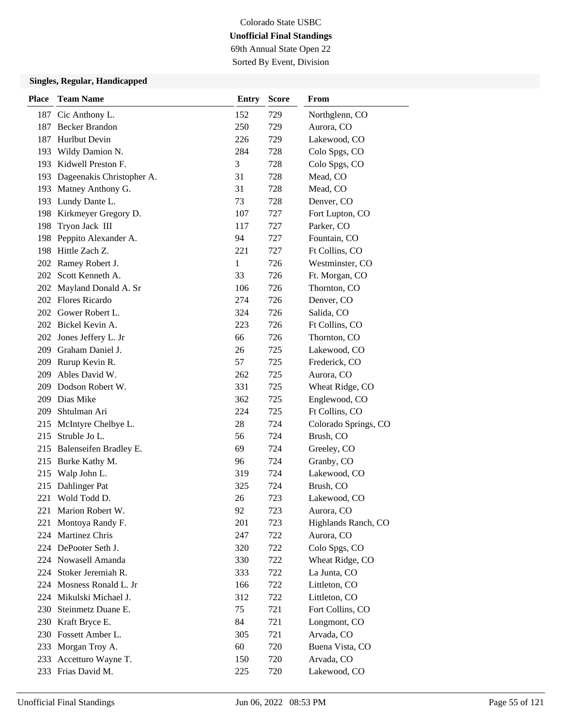69th Annual State Open 22 Sorted By Event, Division

| <b>Place</b> | <b>Team Name</b>              | <b>Entry</b> | <b>Score</b> | From                 |
|--------------|-------------------------------|--------------|--------------|----------------------|
|              | 187 Cic Anthony L.            | 152          | 729          | Northglenn, CO       |
| 187          | <b>Becker Brandon</b>         | 250          | 729          | Aurora, CO           |
| 187          | Hurlbut Devin                 | 226          | 729          | Lakewood, CO         |
| 193          | Wildy Damion N.               | 284          | 728          | Colo Spgs, CO        |
|              | 193 Kidwell Preston F.        | 3            | 728          | Colo Spgs, CO        |
|              | 193 Dageenakis Christopher A. | 31           | 728          | Mead, CO             |
| 193          | Matney Anthony G.             | 31           | 728          | Mead, CO             |
|              | 193 Lundy Dante L.            | 73           | 728          | Denver, CO           |
|              | 198 Kirkmeyer Gregory D.      | 107          | 727          | Fort Lupton, CO      |
| 198          | Tryon Jack III                | 117          | 727          | Parker, CO           |
| 198          | Peppito Alexander A.          | 94           | 727          | Fountain, CO         |
|              | 198 Hittle Zach Z.            | 221          | 727          | Ft Collins, CO       |
|              | 202 Ramey Robert J.           | 1            | 726          | Westminster, CO      |
| 202          | Scott Kenneth A.              | 33           | 726          | Ft. Morgan, CO       |
| 202          | Mayland Donald A. Sr          | 106          | 726          | Thornton, CO         |
|              | 202 Flores Ricardo            | 274          | 726          | Denver, CO           |
|              | 202 Gower Robert L.           | 324          | 726          | Salida, CO           |
|              | 202 Bickel Kevin A.           | 223          | 726          | Ft Collins, CO       |
| 202          | Jones Jeffery L. Jr           | 66           | 726          | Thornton, CO         |
|              | 209 Graham Daniel J.          | 26           | 725          | Lakewood, CO         |
|              | 209 Rurup Kevin R.            | 57           | 725          | Frederick, CO        |
| 209          | Ables David W.                | 262          | 725          | Aurora, CO           |
| 209          | Dodson Robert W.              | 331          | 725          | Wheat Ridge, CO      |
|              | 209 Dias Mike                 | 362          | 725          | Englewood, CO        |
| 209          | Shtulman Ari                  | 224          | 725          | Ft Collins, CO       |
| 215          | McIntyre Chelbye L.           | 28           | 724          | Colorado Springs, CO |
| 215          | Struble Jo L.                 | 56           | 724          | Brush, CO            |
| 215          | Balenseifen Bradley E.        | 69           | 724          | Greeley, CO          |
| 215          | Burke Kathy M.                | 96           | 724          | Granby, CO           |
| 215          | Walp John L.                  | 319          | 724          | Lakewood, CO         |
| 215          | Dahlinger Pat                 | 325          | 724          | Brush, CO            |
| 221          | Wold Todd D.                  | 26           | 723          | Lakewood, CO         |
|              | 221 Marion Robert W.          | 92           | 723          | Aurora, CO           |
| 221          | Montoya Randy F.              | 201          | 723          | Highlands Ranch, CO  |
| 224          | Martinez Chris                | 247          | 722          | Aurora, CO           |
|              | 224 DePooter Seth J.          | 320          | 722          | Colo Spgs, CO        |
|              | 224 Nowasell Amanda           | 330          | 722          | Wheat Ridge, CO      |
| 224          | Stoker Jeremiah R.            | 333          | 722          | La Junta, CO         |
| 224          | Mosness Ronald L. Jr          | 166          | 722          | Littleton, CO        |
| 224          | Mikulski Michael J.           | 312          | 722          | Littleton, CO        |
| 230          | Steinmetz Duane E.            | 75           | 721          | Fort Collins, CO     |
|              | 230 Kraft Bryce E.            | 84           | 721          | Longmont, CO         |
|              | 230 Fossett Amber L.          | 305          | 721          | Arvada, CO           |
| 233          | Morgan Troy A.                | 60           | 720          | Buena Vista, CO      |
| 233          | Accetturo Wayne T.            | 150          | 720          | Arvada, CO           |
|              | 233 Frias David M.            | 225          | 720          | Lakewood, CO         |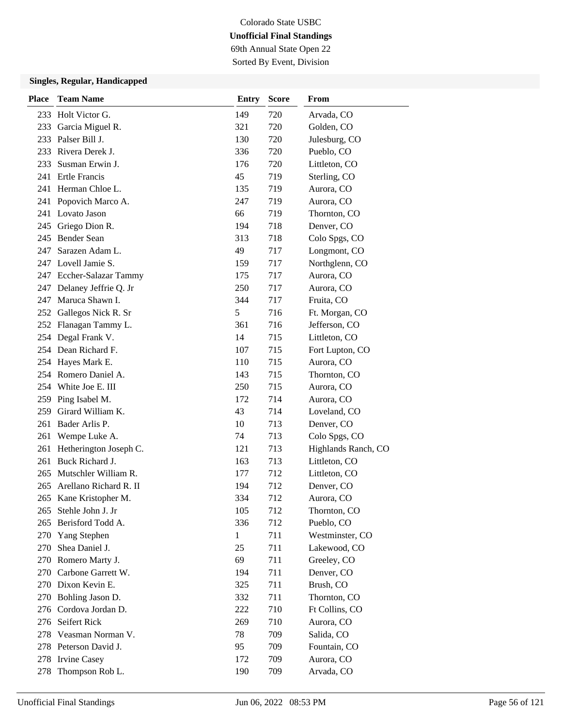69th Annual State Open 22 Sorted By Event, Division

| <b>Place</b> | <b>Team Name</b>          | <b>Entry</b> | <b>Score</b> | From                |
|--------------|---------------------------|--------------|--------------|---------------------|
|              | 233 Holt Victor G.        | 149          | 720          | Arvada, CO          |
| 233          | Garcia Miguel R.          | 321          | 720          | Golden, CO          |
| 233          | Palser Bill J.            | 130          | 720          | Julesburg, CO       |
|              | 233 Rivera Derek J.       | 336          | 720          | Pueblo, CO          |
| 233          | Susman Erwin J.           | 176          | 720          | Littleton, CO       |
|              | 241 Ertle Francis         | 45           | 719          | Sterling, CO        |
|              | 241 Herman Chloe L.       | 135          | 719          | Aurora, CO          |
|              | 241 Popovich Marco A.     | 247          | 719          | Aurora, CO          |
|              | 241 Lovato Jason          | 66           | 719          | Thornton, CO        |
|              | 245 Griego Dion R.        | 194          | 718          | Denver, CO          |
| 245          | Bender Sean               | 313          | 718          | Colo Spgs, CO       |
| 247          | Sarazen Adam L.           | 49           | 717          | Longmont, CO        |
|              | 247 Lovell Jamie S.       | 159          | 717          | Northglenn, CO      |
|              | 247 Eccher-Salazar Tammy  | 175          | 717          | Aurora, CO          |
|              | 247 Delaney Jeffrie Q. Jr | 250          | 717          | Aurora, CO          |
|              | 247 Maruca Shawn I.       | 344          | 717          | Fruita, CO          |
|              | 252 Gallegos Nick R. Sr   | 5            | 716          | Ft. Morgan, CO      |
|              | 252 Flanagan Tammy L.     | 361          | 716          | Jefferson, CO       |
|              | 254 Degal Frank V.        | 14           | 715          | Littleton, CO       |
|              | 254 Dean Richard F.       | 107          | 715          | Fort Lupton, CO     |
|              | 254 Hayes Mark E.         | 110          | 715          | Aurora, CO          |
|              | 254 Romero Daniel A.      | 143          | 715          | Thornton, CO        |
|              | 254 White Joe E. III      | 250          | 715          | Aurora, CO          |
|              | 259 Ping Isabel M.        | 172          | 714          | Aurora, CO          |
| 259          | Girard William K.         | 43           | 714          | Loveland, CO        |
| 261          | Bader Arlis P.            | 10           | 713          | Denver, CO          |
| 261          | Wempe Luke A.             | 74           | 713          | Colo Spgs, CO       |
| 261          | Hetherington Joseph C.    | 121          | 713          | Highlands Ranch, CO |
| 261          | Buck Richard J.           | 163          | 713          | Littleton, CO       |
| 265          | Mutschler William R.      | 177          | 712          | Littleton, CO       |
| 265          | Arellano Richard R. II    | 194          | 712          | Denver, CO          |
|              | 265 Kane Kristopher M.    | 334          | 712          | Aurora, CO          |
| 265          | Stehle John J. Jr         | 105          | 712          | Thornton, CO        |
| 265          | Berisford Todd A.         | 336          | 712          | Pueblo, CO          |
| 270          | Yang Stephen              | 1            | 711          | Westminster, CO     |
| 270          | Shea Daniel J.            | 25           | 711          | Lakewood, CO        |
|              | 270 Romero Marty J.       | 69           | 711          | Greeley, CO         |
|              | 270 Carbone Garrett W.    | 194          | 711          | Denver, CO          |
|              | 270 Dixon Kevin E.        | 325          | 711          | Brush, CO           |
| 270          | Bohling Jason D.          | 332          | 711          | Thornton, CO        |
|              | 276 Cordova Jordan D.     | 222          | 710          | Ft Collins, CO      |
|              | 276 Seifert Rick          | 269          | 710          | Aurora, CO          |
|              | 278 Veasman Norman V.     | 78           | 709          | Salida, CO          |
|              | 278 Peterson David J.     | 95           | 709          | Fountain, CO        |
|              | 278 Irvine Casey          | 172          | 709          | Aurora, CO          |
| 278          | Thompson Rob L.           | 190          | 709          | Arvada, CO          |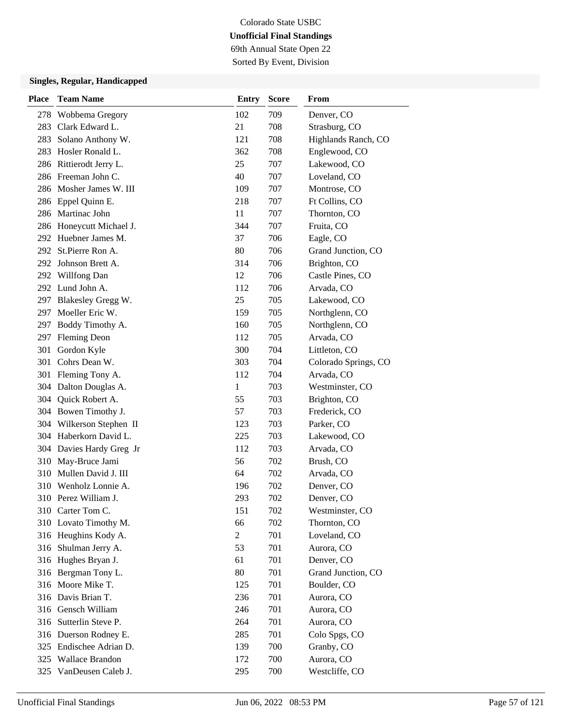69th Annual State Open 22 Sorted By Event, Division

| <b>Place</b> | <b>Team Name</b>         | <b>Entry</b>   | <b>Score</b> | From                 |
|--------------|--------------------------|----------------|--------------|----------------------|
| 278          | Wobbema Gregory          | 102            | 709          | Denver, CO           |
| 283          | Clark Edward L.          | 21             | 708          | Strasburg, CO        |
| 283          | Solano Anthony W.        | 121            | 708          | Highlands Ranch, CO  |
|              | 283 Hosler Ronald L.     | 362            | 708          | Englewood, CO        |
|              | 286 Rittierodt Jerry L.  | 25             | 707          | Lakewood, CO         |
|              | 286 Freeman John C.      | 40             | 707          | Loveland, CO         |
|              | 286 Mosher James W. III  | 109            | 707          | Montrose, CO         |
|              | 286 Eppel Quinn E.       | 218            | 707          | Ft Collins, CO       |
|              | 286 Martinac John        | 11             | 707          | Thornton, CO         |
|              | 286 Honeycutt Michael J. | 344            | 707          | Fruita, CO           |
|              | 292 Huebner James M.     | 37             | 706          | Eagle, CO            |
| 292          | St.Pierre Ron A.         | 80             | 706          | Grand Junction, CO   |
|              | 292 Johnson Brett A.     | 314            | 706          | Brighton, CO         |
|              | 292 Willfong Dan         | 12             | 706          | Castle Pines, CO     |
|              | 292 Lund John A.         | 112            | 706          | Arvada, CO           |
|              | 297 Blakesley Gregg W.   | 25             | 705          | Lakewood, CO         |
|              | 297 Moeller Eric W.      | 159            | 705          | Northglenn, CO       |
| 297          | Boddy Timothy A.         | 160            | 705          | Northglenn, CO       |
| 297          | <b>Fleming Deon</b>      | 112            | 705          | Arvada, CO           |
| 301          | Gordon Kyle              | 300            | 704          | Littleton, CO        |
|              | 301 Cohrs Dean W.        | 303            | 704          | Colorado Springs, CO |
|              | 301 Fleming Tony A.      | 112            | 704          | Arvada, CO           |
|              | 304 Dalton Douglas A.    | 1              | 703          | Westminster, CO      |
|              | 304 Quick Robert A.      | 55             | 703          | Brighton, CO         |
|              | 304 Bowen Timothy J.     | 57             | 703          | Frederick, CO        |
|              | 304 Wilkerson Stephen II | 123            | 703          | Parker, CO           |
|              | 304 Haberkorn David L.   | 225            | 703          | Lakewood, CO         |
|              | 304 Davies Hardy Greg Jr | 112            | 703          | Arvada, CO           |
| 310          | May-Bruce Jami           | 56             | 702          | Brush, CO            |
| 310          | Mullen David J. III      | 64             | 702          | Arvada, CO           |
| 310          | Wenholz Lonnie A.        | 196            | 702          | Denver, CO           |
|              | 310 Perez William J.     | 293            | 702          | Denver, CO           |
|              | 310 Carter Tom C.        | 151            | 702          | Westminster, CO      |
|              | 310 Lovato Timothy M.    | 66             | 702          | Thornton, CO         |
|              | 316 Heughins Kody A.     | $\overline{2}$ | 701          | Loveland, CO         |
|              | 316 Shulman Jerry A.     | 53             | 701          | Aurora, CO           |
|              | 316 Hughes Bryan J.      | 61             | 701          | Denver, CO           |
|              | 316 Bergman Tony L.      | 80             | 701          | Grand Junction, CO   |
|              | 316 Moore Mike T.        | 125            | 701          | Boulder, CO          |
|              | 316 Davis Brian T.       | 236            | 701          | Aurora, CO           |
|              | 316 Gensch William       | 246            | 701          | Aurora, CO           |
|              | 316 Sutterlin Steve P.   | 264            | 701          | Aurora, CO           |
|              | 316 Duerson Rodney E.    | 285            | 701          | Colo Spgs, CO        |
|              | 325 Endischee Adrian D.  | 139            | 700          | Granby, CO           |
|              | 325 Wallace Brandon      | 172            | 700          | Aurora, CO           |
|              | 325 VanDeusen Caleb J.   | 295            | 700          | Westcliffe, CO       |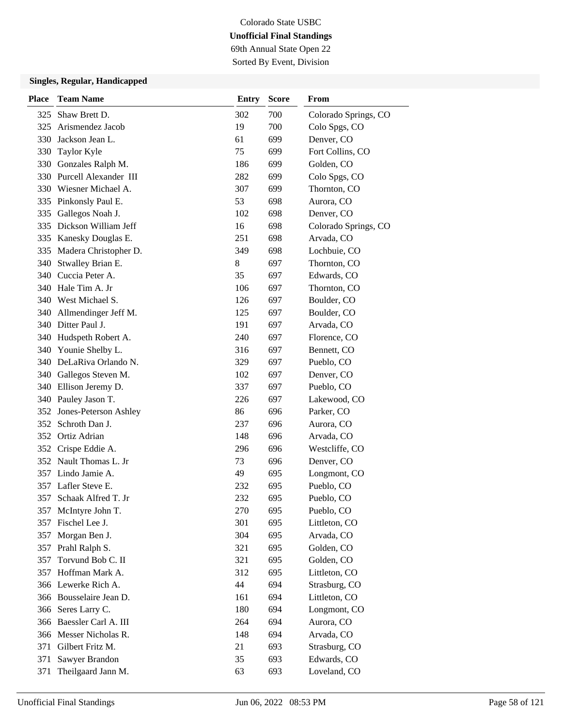69th Annual State Open 22 Sorted By Event, Division

| <b>Place</b> | <b>Team Name</b>          | <b>Entry</b> | <b>Score</b> | From                 |
|--------------|---------------------------|--------------|--------------|----------------------|
| 325          | Shaw Brett D.             | 302          | 700          | Colorado Springs, CO |
| 325          | Arismendez Jacob          | 19           | 700          | Colo Spgs, CO        |
| 330          | Jackson Jean L.           | 61           | 699          | Denver, CO           |
| 330          | Taylor Kyle               | 75           | 699          | Fort Collins, CO     |
| 330          | Gonzales Ralph M.         | 186          | 699          | Golden, CO           |
|              | 330 Purcell Alexander III | 282          | 699          | Colo Spgs, CO        |
|              | 330 Wiesner Michael A.    | 307          | 699          | Thornton, CO         |
|              | 335 Pinkonsly Paul E.     | 53           | 698          | Aurora, CO           |
| 335          | Gallegos Noah J.          | 102          | 698          | Denver, CO           |
|              | 335 Dickson William Jeff  | 16           | 698          | Colorado Springs, CO |
| 335          | Kanesky Douglas E.        | 251          | 698          | Arvada, CO           |
|              | 335 Madera Christopher D. | 349          | 698          | Lochbuie, CO         |
| 340          | Stwalley Brian E.         | 8            | 697          | Thornton, CO         |
|              | 340 Cuccia Peter A.       | 35           | 697          | Edwards, CO          |
|              | 340 Hale Tim A. Jr        | 106          | 697          | Thornton, CO         |
|              | 340 West Michael S.       | 126          | 697          | Boulder, CO          |
| 340          | Allmendinger Jeff M.      | 125          | 697          | Boulder, CO          |
|              | 340 Ditter Paul J.        | 191          | 697          | Arvada, CO           |
| 340          | Hudspeth Robert A.        | 240          | 697          | Florence, CO         |
| 340          | Younie Shelby L.          | 316          | 697          | Bennett, CO          |
|              | 340 DeLaRiva Orlando N.   | 329          | 697          | Pueblo, CO           |
|              | 340 Gallegos Steven M.    | 102          | 697          | Denver, CO           |
|              | 340 Ellison Jeremy D.     | 337          | 697          | Pueblo, CO           |
|              | 340 Pauley Jason T.       | 226          | 697          | Lakewood, CO         |
|              | 352 Jones-Peterson Ashley | 86           | 696          | Parker, CO           |
| 352          | Schroth Dan J.            | 237          | 696          | Aurora, CO           |
| 352          | Ortiz Adrian              | 148          | 696          | Arvada, CO           |
|              | 352 Crispe Eddie A.       | 296          | 696          | Westcliffe, CO       |
|              | 352 Nault Thomas L. Jr    | 73           | 696          | Denver, CO           |
|              | 357 Lindo Jamie A.        | 49           | 695          | Longmont, CO         |
| 357          | Lafler Steve E.           | 232          | 695          | Pueblo, CO           |
| 357          | Schaak Alfred T. Jr       | 232          | 695          | Pueblo, CO           |
| 357          | McIntyre John T.          | 270          | 695          | Pueblo, CO           |
| 357          | Fischel Lee J.            | 301          | 695          | Littleton, CO        |
| 357          | Morgan Ben J.             | 304          | 695          | Arvada, CO           |
| 357          | Prahl Ralph S.            | 321          | 695          | Golden, CO           |
| 357          | Torvund Bob C. II         | 321          | 695          | Golden, CO           |
| 357          | Hoffman Mark A.           | 312          | 695          | Littleton, CO        |
|              | 366 Lewerke Rich A.       | 44           | 694          | Strasburg, CO        |
|              | 366 Bousselaire Jean D.   | 161          | 694          | Littleton, CO        |
|              | 366 Seres Larry C.        | 180          | 694          | Longmont, CO         |
|              | 366 Baessler Carl A. III  | 264          | 694          | Aurora, CO           |
|              | 366 Messer Nicholas R.    | 148          | 694          | Arvada, CO           |
|              | 371 Gilbert Fritz M.      | 21           | 693          | Strasburg, CO        |
| 371          | Sawyer Brandon            | 35           | 693          | Edwards, CO          |
| 371          | Theilgaard Jann M.        | 63           | 693          | Loveland, CO         |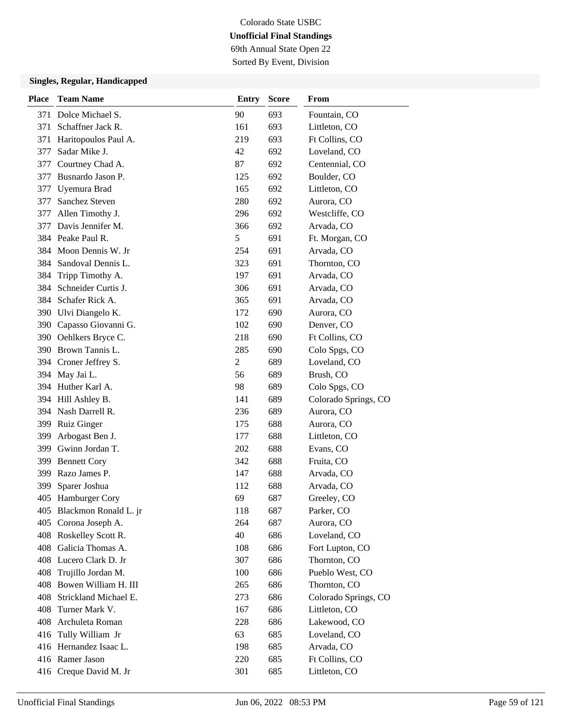# Colorado State USBC **Unofficial Final Standings** 69th Annual State Open 22

Sorted By Event, Division

| <b>Place</b> | <b>Team Name</b>          | <b>Entry</b>   | <b>Score</b> | From                 |
|--------------|---------------------------|----------------|--------------|----------------------|
| 371          | Dolce Michael S.          | 90             | 693          | Fountain, CO         |
| 371          | Schaffner Jack R.         | 161            | 693          | Littleton, CO        |
| 371          | Haritopoulos Paul A.      | 219            | 693          | Ft Collins, CO       |
| 377          | Sadar Mike J.             | 42             | 692          | Loveland, CO         |
| 377          | Courtney Chad A.          | 87             | 692          | Centennial, CO       |
| 377          | Busnardo Jason P.         | 125            | 692          | Boulder, CO          |
| 377          | Uyemura Brad              | 165            | 692          | Littleton, CO        |
| 377          | Sanchez Steven            | 280            | 692          | Aurora, CO           |
| 377          | Allen Timothy J.          | 296            | 692          | Westcliffe, CO       |
| 377          | Davis Jennifer M.         | 366            | 692          | Arvada, CO           |
|              | 384 Peake Paul R.         | 5              | 691          | Ft. Morgan, CO       |
|              | 384 Moon Dennis W. Jr     | 254            | 691          | Arvada, CO           |
|              | 384 Sandoval Dennis L.    | 323            | 691          | Thornton, CO         |
| 384          | Tripp Timothy A.          | 197            | 691          | Arvada, CO           |
| 384          | Schneider Curtis J.       | 306            | 691          | Arvada, CO           |
|              | 384 Schafer Rick A.       | 365            | 691          | Arvada, CO           |
|              | 390 Ulvi Diangelo K.      | 172            | 690          | Aurora, CO           |
|              | 390 Capasso Giovanni G.   | 102            | 690          | Denver, CO           |
|              | 390 Oehlkers Bryce C.     | 218            | 690          | Ft Collins, CO       |
|              | 390 Brown Tannis L.       | 285            | 690          | Colo Spgs, CO        |
|              | 394 Croner Jeffrey S.     | $\overline{2}$ | 689          | Loveland, CO         |
| 394          | May Jai L.                | 56             | 689          | Brush, CO            |
|              | 394 Huther Karl A.        | 98             | 689          | Colo Spgs, CO        |
|              | 394 Hill Ashley B.        | 141            | 689          | Colorado Springs, CO |
|              | 394 Nash Darrell R.       | 236            | 689          | Aurora, CO           |
| 399          | <b>Ruiz Ginger</b>        | 175            | 688          | Aurora, CO           |
| 399          | Arbogast Ben J.           | 177            | 688          | Littleton, CO        |
|              | 399 Gwinn Jordan T.       | 202            | 688          | Evans, CO            |
| 399          | <b>Bennett Cory</b>       | 342            | 688          | Fruita, CO           |
| 399          | Razo James P.             | 147            | 688          | Arvada, CO           |
| 399          | Sparer Joshua             | 112            | 688          | Arvada, CO           |
|              | 405 Hamburger Cory        | 69             | 687          | Greeley, CO          |
|              | 405 Blackmon Ronald L. jr | 118            | 687          | Parker, CO           |
|              | 405 Corona Joseph A.      | 264            | 687          | Aurora, CO           |
|              | 408 Roskelley Scott R.    | 40             | 686          | Loveland, CO         |
|              | 408 Galicia Thomas A.     | 108            | 686          | Fort Lupton, CO      |
|              | 408 Lucero Clark D. Jr    | 307            | 686          | Thornton, CO         |
| 408          | Trujillo Jordan M.        | 100            | 686          | Pueblo West, CO      |
| 408          | Bowen William H. III      | 265            | 686          | Thornton, CO         |
| 408          | Strickland Michael E.     | 273            | 686          | Colorado Springs, CO |
| 408          | Turner Mark V.            | 167            | 686          | Littleton, CO        |
|              | 408 Archuleta Roman       | 228            | 686          | Lakewood, CO         |
|              | 416 Tully William Jr      | 63             | 685          | Loveland, CO         |
|              | 416 Hernandez Isaac L.    | 198            | 685          | Arvada, CO           |
|              | 416 Ramer Jason           | 220            | 685          | Ft Collins, CO       |
|              | 416 Creque David M. Jr    | 301            | 685          | Littleton, CO        |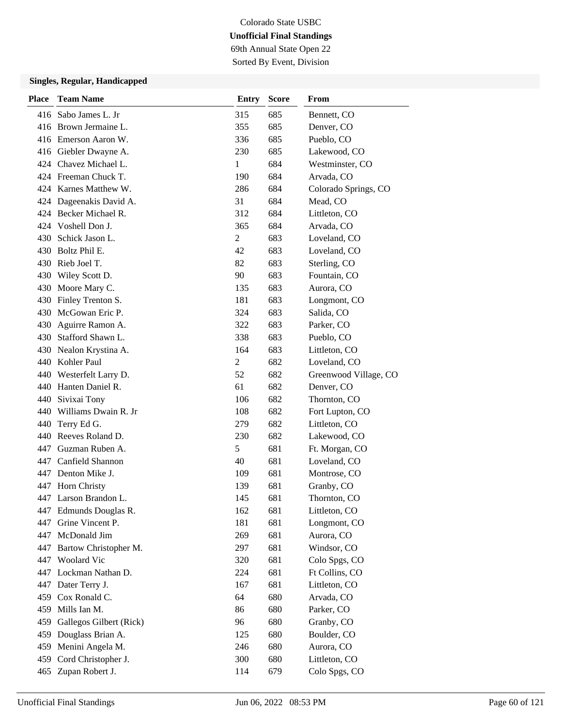69th Annual State Open 22 Sorted By Event, Division

| <b>Place</b> | <b>Team Name</b>          | <b>Entry</b>   | <b>Score</b> | From                  |
|--------------|---------------------------|----------------|--------------|-----------------------|
|              | 416 Sabo James L. Jr      | 315            | 685          | Bennett, CO           |
|              | 416 Brown Jermaine L.     | 355            | 685          | Denver, CO            |
|              | 416 Emerson Aaron W.      | 336            | 685          | Pueblo, CO            |
|              | 416 Giebler Dwayne A.     | 230            | 685          | Lakewood, CO          |
|              | 424 Chavez Michael L.     | 1              | 684          | Westminster, CO       |
|              | 424 Freeman Chuck T.      | 190            | 684          | Arvada, CO            |
|              | 424 Karnes Matthew W.     | 286            | 684          | Colorado Springs, CO  |
|              | 424 Dageenakis David A.   | 31             | 684          | Mead, CO              |
|              | 424 Becker Michael R.     | 312            | 684          | Littleton, CO         |
|              | 424 Voshell Don J.        | 365            | 684          | Arvada, CO            |
| 430          | Schick Jason L.           | $\overline{2}$ | 683          | Loveland, CO          |
|              | 430 Boltz Phil E.         | 42             | 683          | Loveland, CO          |
|              | 430 Rieb Joel T.          | 82             | 683          | Sterling, CO          |
|              | 430 Wiley Scott D.        | 90             | 683          | Fountain, CO          |
|              | 430 Moore Mary C.         | 135            | 683          | Aurora, CO            |
|              | 430 Finley Trenton S.     | 181            | 683          | Longmont, CO          |
|              | 430 McGowan Eric P.       | 324            | 683          | Salida, CO            |
| 430          | Aguirre Ramon A.          | 322            | 683          | Parker, CO            |
| 430          | Stafford Shawn L.         | 338            | 683          | Pueblo, CO            |
|              | 430 Nealon Krystina A.    | 164            | 683          | Littleton, CO         |
|              | 440 Kohler Paul           | $\overline{2}$ | 682          | Loveland, CO          |
|              | 440 Westerfelt Larry D.   | 52             | 682          | Greenwood Village, CO |
|              | 440 Hanten Daniel R.      | 61             | 682          | Denver, CO            |
|              | 440 Sivixai Tony          | 106            | 682          | Thornton, CO          |
|              | 440 Williams Dwain R. Jr  | 108            | 682          | Fort Lupton, CO       |
| 440          | Terry Ed G.               | 279            | 682          | Littleton, CO         |
|              | 440 Reeves Roland D.      | 230            | 682          | Lakewood, CO          |
|              | 447 Guzman Ruben A.       | 5              | 681          | Ft. Morgan, CO        |
|              | 447 Canfield Shannon      | 40             | 681          | Loveland, CO          |
|              | 447 Denton Mike J.        | 109            | 681          | Montrose, CO          |
|              | 447 Horn Christy          | 139            | 681          | Granby, CO            |
|              | 447 Larson Brandon L.     | 145            | 681          | Thornton, CO          |
|              | 447 Edmunds Douglas R.    | 162            | 681          | Littleton, CO         |
| 447          | Grine Vincent P.          | 181            | 681          | Longmont, CO          |
|              | 447 McDonald Jim          | 269            | 681          | Aurora, CO            |
|              | 447 Bartow Christopher M. | 297            | 681          | Windsor, CO           |
|              | 447 Woolard Vic           | 320            | 681          | Colo Spgs, CO         |
|              | 447 Lockman Nathan D.     | 224            | 681          | Ft Collins, CO        |
|              | 447 Dater Terry J.        | 167            | 681          | Littleton, CO         |
|              | 459 Cox Ronald C.         | 64             | 680          | Arvada, CO            |
|              | 459 Mills Ian M.          | 86             | 680          | Parker, CO            |
| 459          | Gallegos Gilbert (Rick)   | 96             | 680          | Granby, CO            |
| 459          | Douglass Brian A.         | 125            | 680          | Boulder, CO           |
|              | 459 Menini Angela M.      | 246            | 680          | Aurora, CO            |
|              | 459 Cord Christopher J.   | 300            | 680          | Littleton, CO         |
|              | 465 Zupan Robert J.       | 114            | 679          | Colo Spgs, CO         |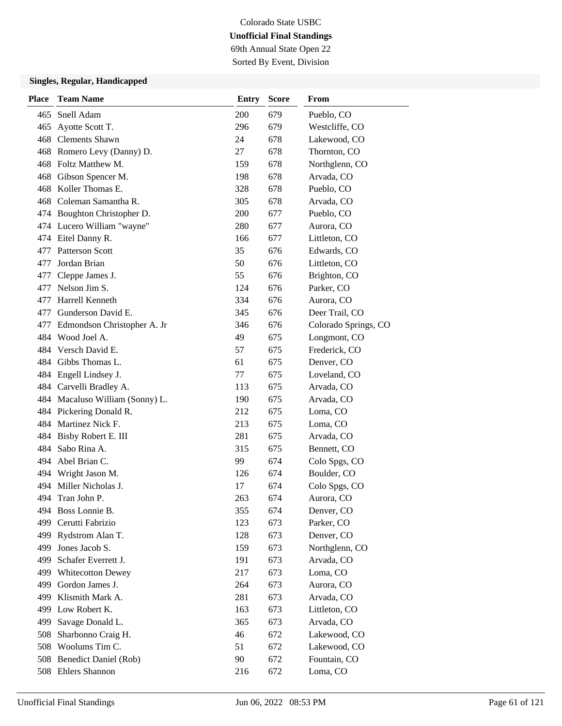69th Annual State Open 22 Sorted By Event, Division

| <b>Place</b> | <b>Team Name</b>                | <b>Entry</b> | <b>Score</b> | <b>From</b>          |
|--------------|---------------------------------|--------------|--------------|----------------------|
| 465          | Snell Adam                      | 200          | 679          | Pueblo, CO           |
| 465          | Ayotte Scott T.                 | 296          | 679          | Westcliffe, CO       |
|              | 468 Clements Shawn              | 24           | 678          | Lakewood, CO         |
|              | 468 Romero Levy (Danny) D.      | 27           | 678          | Thornton, CO         |
|              | 468 Foltz Matthew M.            | 159          | 678          | Northglenn, CO       |
|              | 468 Gibson Spencer M.           | 198          | 678          | Arvada, CO           |
|              | 468 Koller Thomas E.            | 328          | 678          | Pueblo, CO           |
|              | 468 Coleman Samantha R.         | 305          | 678          | Arvada, CO           |
|              | 474 Boughton Christopher D.     | 200          | 677          | Pueblo, CO           |
|              | 474 Lucero William "wayne"      | 280          | 677          | Aurora, CO           |
|              | 474 Eitel Danny R.              | 166          | 677          | Littleton, CO        |
|              | 477 Patterson Scott             | 35           | 676          | Edwards, CO          |
| 477          | Jordan Brian                    | 50           | 676          | Littleton, CO        |
| 477          | Cleppe James J.                 | 55           | 676          | Brighton, CO         |
| 477          | Nelson Jim S.                   | 124          | 676          | Parker, CO           |
|              | 477 Harrell Kenneth             | 334          | 676          | Aurora, CO           |
|              | 477 Gunderson David E.          | 345          | 676          | Deer Trail, CO       |
| 477          | Edmondson Christopher A. Jr     | 346          | 676          | Colorado Springs, CO |
|              | 484 Wood Joel A.                | 49           | 675          | Longmont, CO         |
|              | 484 Versch David E.             | 57           | 675          | Frederick, CO        |
|              | 484 Gibbs Thomas L.             | 61           | 675          | Denver, CO           |
|              | 484 Engell Lindsey J.           | 77           | 675          | Loveland, CO         |
|              | 484 Carvelli Bradley A.         | 113          | 675          | Arvada, CO           |
|              | 484 Macaluso William (Sonny) L. | 190          | 675          | Arvada, CO           |
|              | 484 Pickering Donald R.         | 212          | 675          | Loma, CO             |
|              | 484 Martinez Nick F.            | 213          | 675          | Loma, CO             |
| 484          | Bisby Robert E. III             | 281          | 675          | Arvada, CO           |
|              | 484 Sabo Rina A.                | 315          | 675          | Bennett, CO          |
|              | 494 Abel Brian C.               | 99           | 674          | Colo Spgs, CO        |
|              | 494 Wright Jason M.             | 126          | 674          | Boulder, CO          |
|              | 494 Miller Nicholas J.          | 17           | 674          | Colo Spgs, CO        |
|              | 494 Tran John P.                | 263          | 674          | Aurora, CO           |
|              | 494 Boss Lonnie B.              | 355          | 674          | Denver, CO           |
| 499          | Cerutti Fabrizio                | 123          | 673          | Parker, CO           |
| 499          | Rydstrom Alan T.                | 128          | 673          | Denver, CO           |
| 499          | Jones Jacob S.                  | 159          | 673          | Northglenn, CO       |
| 499          | Schafer Everrett J.             | 191          | 673          | Arvada, CO           |
| 499          | <b>Whitecotton Dewey</b>        | 217          | 673          | Loma, CO             |
| 499          | Gordon James J.                 | 264          | 673          | Aurora, CO           |
| 499          | Klismith Mark A.                | 281          | 673          | Arvada, CO           |
| 499          | Low Robert K.                   | 163          | 673          | Littleton, CO        |
| 499          | Savage Donald L.                | 365          | 673          | Arvada, CO           |
| 508          | Sharbonno Craig H.              | 46           | 672          | Lakewood, CO         |
|              | 508 Woolums Tim C.              | 51           | 672          | Lakewood, CO         |
| 508          | <b>Benedict Daniel (Rob)</b>    | 90           | 672          | Fountain, CO         |
|              | 508 Ehlers Shannon              | 216          | 672          | Loma, CO             |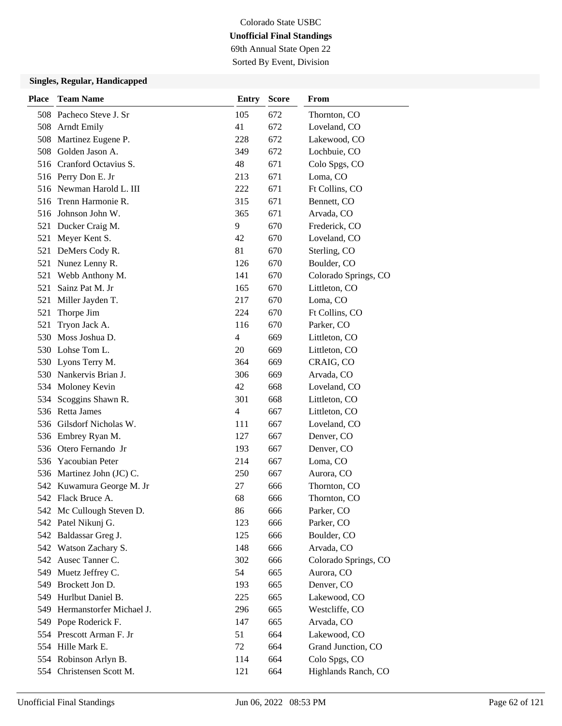69th Annual State Open 22 Sorted By Event, Division

| <b>Place</b> | <b>Team Name</b>          | <b>Entry</b>   | <b>Score</b> | <b>From</b>          |
|--------------|---------------------------|----------------|--------------|----------------------|
|              | 508 Pacheco Steve J. Sr   | 105            | 672          | Thornton, CO         |
|              | 508 Arndt Emily           | 41             | 672          | Loveland, CO         |
|              | 508 Martinez Eugene P.    | 228            | 672          | Lakewood, CO         |
| 508          | Golden Jason A.           | 349            | 672          | Lochbuie, CO         |
|              | 516 Cranford Octavius S.  | 48             | 671          | Colo Spgs, CO        |
|              | 516 Perry Don E. Jr       | 213            | 671          | Loma, CO             |
|              | 516 Newman Harold L. III  | 222            | 671          | Ft Collins, CO       |
| 516          | Trenn Harmonie R.         | 315            | 671          | Bennett, CO          |
| 516          | Johnson John W.           | 365            | 671          | Arvada, CO           |
|              | 521 Ducker Craig M.       | 9              | 670          | Frederick, CO        |
| 521          | Meyer Kent S.             | 42             | 670          | Loveland, CO         |
| 521          | DeMers Cody R.            | 81             | 670          | Sterling, CO         |
| 521          | Nunez Lenny R.            | 126            | 670          | Boulder, CO          |
| 521          | Webb Anthony M.           | 141            | 670          | Colorado Springs, CO |
| 521          | Sainz Pat M. Jr           | 165            | 670          | Littleton, CO        |
| 521          | Miller Jayden T.          | 217            | 670          | Loma, CO             |
| 521          | Thorpe Jim                | 224            | 670          | Ft Collins, CO       |
| 521          | Tryon Jack A.             | 116            | 670          | Parker, CO           |
| 530          | Moss Joshua D.            | 4              | 669          | Littleton, CO        |
|              | 530 Lohse Tom L.          | 20             | 669          | Littleton, CO        |
|              | 530 Lyons Terry M.        | 364            | 669          | CRAIG, CO            |
|              | 530 Nankervis Brian J.    | 306            | 669          | Arvada, CO           |
|              | 534 Moloney Kevin         | 42             | 668          | Loveland, CO         |
|              | 534 Scoggins Shawn R.     | 301            | 668          | Littleton, CO        |
|              | 536 Retta James           | $\overline{4}$ | 667          | Littleton, CO        |
|              | 536 Gilsdorf Nicholas W.  | 111            | 667          | Loveland, CO         |
|              | 536 Embrey Ryan M.        | 127            | 667          | Denver, CO           |
|              | 536 Otero Fernando Jr     | 193            | 667          | Denver, CO           |
| 536          | <b>Yacoubian Peter</b>    | 214            | 667          | Loma, CO             |
|              | 536 Martinez John (JC) C. | 250            | 667          | Aurora, CO           |
|              | 542 Kuwamura George M. Jr | 27             | 666          | Thornton, CO         |
|              | 542 Flack Bruce A.        | 68             | 666          | Thornton, CO         |
|              | 542 Mc Cullough Steven D. | 86             | 666          | Parker, CO           |
|              | 542 Patel Nikunj G.       | 123            | 666          | Parker, CO           |
|              | 542 Baldassar Greg J.     | 125            | 666          | Boulder, CO          |
|              | 542 Watson Zachary S.     | 148            | 666          | Arvada, CO           |
|              | 542 Ausec Tanner C.       | 302            | 666          | Colorado Springs, CO |
|              | 549 Muetz Jeffrey C.      | 54             | 665          | Aurora, CO           |
| 549          | Brockett Jon D.           | 193            | 665          | Denver, CO           |
| 549          | Hurlbut Daniel B.         | 225            | 665          | Lakewood, CO         |
| 549          | Hermanstorfer Michael J.  | 296            | 665          | Westcliffe, CO       |
|              | 549 Pope Roderick F.      | 147            | 665          | Arvada, CO           |
|              | 554 Prescott Arman F. Jr  | 51             | 664          | Lakewood, CO         |
|              | 554 Hille Mark E.         | 72             | 664          | Grand Junction, CO   |
|              | 554 Robinson Arlyn B.     | 114            | 664          | Colo Spgs, CO        |
|              | 554 Christensen Scott M.  | 121            | 664          | Highlands Ranch, CO  |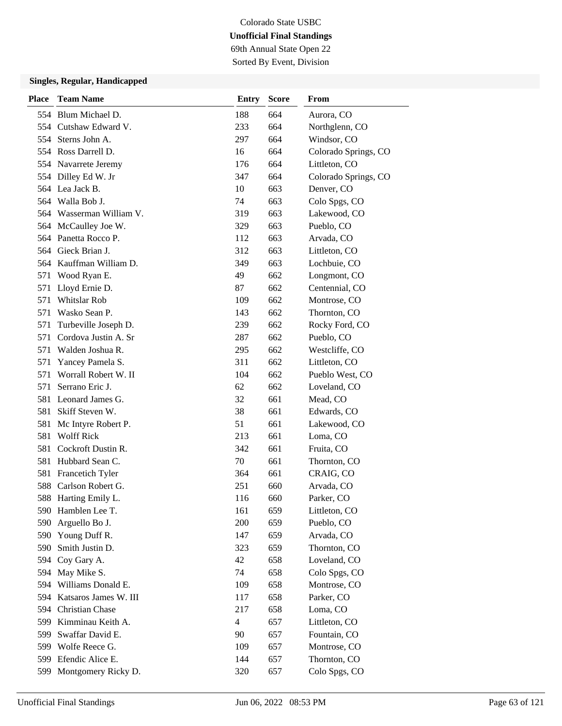69th Annual State Open 22

Sorted By Event, Division

| <b>Place</b> | <b>Team Name</b>         | Entry          | <b>Score</b> | From                 |
|--------------|--------------------------|----------------|--------------|----------------------|
|              | 554 Blum Michael D.      | 188            | 664          | Aurora, CO           |
|              | 554 Cutshaw Edward V.    | 233            | 664          | Northglenn, CO       |
|              | 554 Sterns John A.       | 297            | 664          | Windsor, CO          |
|              | 554 Ross Darrell D.      | 16             | 664          | Colorado Springs, CO |
|              | 554 Navarrete Jeremy     | 176            | 664          | Littleton, CO        |
|              | 554 Dilley Ed W. Jr      | 347            | 664          | Colorado Springs, CO |
|              | 564 Lea Jack B.          | 10             | 663          | Denver, CO           |
|              | 564 Walla Bob J.         | 74             | 663          | Colo Spgs, CO        |
|              | 564 Wasserman William V. | 319            | 663          | Lakewood, CO         |
|              | 564 McCaulley Joe W.     | 329            | 663          | Pueblo, CO           |
|              | 564 Panetta Rocco P.     | 112            | 663          | Arvada, CO           |
|              | 564 Gieck Brian J.       | 312            | 663          | Littleton, CO        |
|              | 564 Kauffman William D.  | 349            | 663          | Lochbuie, CO         |
|              | 571 Wood Ryan E.         | 49             | 662          | Longmont, CO         |
| 571          | Lloyd Ernie D.           | 87             | 662          | Centennial, CO       |
| 571          | <b>Whitslar Rob</b>      | 109            | 662          | Montrose, CO         |
| 571          | Wasko Sean P.            | 143            | 662          | Thornton, CO         |
| 571          | Turbeville Joseph D.     | 239            | 662          | Rocky Ford, CO       |
| 571          | Cordova Justin A. Sr     | 287            | 662          | Pueblo, CO           |
|              | 571 Walden Joshua R.     | 295            | 662          | Westcliffe, CO       |
| 571          | Yancey Pamela S.         | 311            | 662          | Littleton, CO        |
| 571          | Worrall Robert W. II     | 104            | 662          | Pueblo West, CO      |
|              | 571 Serrano Eric J.      | 62             | 662          | Loveland, CO         |
|              | 581 Leonard James G.     | 32             | 661          | Mead, CO             |
|              | 581 Skiff Steven W.      | 38             | 661          | Edwards, CO          |
| 581          | Mc Intyre Robert P.      | 51             | 661          | Lakewood, CO         |
| 581          | <b>Wolff Rick</b>        | 213            | 661          | Loma, CO             |
|              | 581 Cockroft Dustin R.   | 342            | 661          | Fruita, CO           |
|              | 581 Hubbard Sean C.      | 70             | 661          | Thornton, CO         |
|              | 581 Francetich Tyler     | 364            | 661          | CRAIG, CO            |
|              | 588 Carlson Robert G.    | 251            | 660          | Arvada, CO           |
|              | 588 Harting Emily L.     | 116            | 660          | Parker, CO           |
|              | 590 Hamblen Lee T.       | 161            | 659          | Littleton, CO        |
| 590          | Arguello Bo J.           | 200            | 659          | Pueblo, CO           |
| 590          | Young Duff R.            | 147            | 659          | Arvada, CO           |
| 590          | Smith Justin D.          | 323            | 659          | Thornton, CO         |
| 594          | Coy Gary A.              | 42             | 658          | Loveland, CO         |
| 594          | May Mike S.              | 74             | 658          | Colo Spgs, CO        |
| 594          | Williams Donald E.       | 109            | 658          | Montrose, CO         |
| 594          | Katsaros James W. III    | 117            | 658          | Parker, CO           |
|              | 594 Christian Chase      | 217            | 658          | Loma, CO             |
| 599          | Kimminau Keith A.        | $\overline{4}$ | 657          | Littleton, CO        |
| 599          | Swaffar David E.         | 90             | 657          | Fountain, CO         |
|              | 599 Wolfe Reece G.       | 109            | 657          | Montrose, CO         |
| 599          | Efendic Alice E.         | 144            | 657          | Thornton, CO         |
| 599          | Montgomery Ricky D.      | 320            | 657          | Colo Spgs, CO        |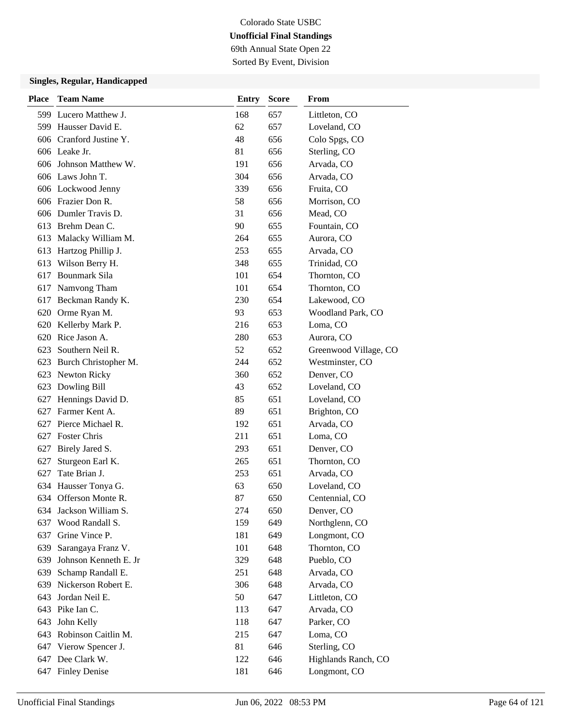# Colorado State USBC **Unofficial Final Standings** 69th Annual State Open 22

Sorted By Event, Division

| <b>Place</b> | <b>Team Name</b>        | <b>Entry</b> | <b>Score</b> | From                  |
|--------------|-------------------------|--------------|--------------|-----------------------|
|              | 599 Lucero Matthew J.   | 168          | 657          | Littleton, CO         |
|              | 599 Hausser David E.    | 62           | 657          | Loveland, CO          |
|              | 606 Cranford Justine Y. | 48           | 656          | Colo Spgs, CO         |
|              | 606 Leake Jr.           | 81           | 656          | Sterling, CO          |
| 606          | Johnson Matthew W.      | 191          | 656          | Arvada, CO            |
|              | 606 Laws John T.        | 304          | 656          | Arvada, CO            |
|              | 606 Lockwood Jenny      | 339          | 656          | Fruita, CO            |
|              | 606 Frazier Don R.      | 58           | 656          | Morrison, CO          |
|              | 606 Dumler Travis D.    | 31           | 656          | Mead, CO              |
|              | 613 Brehm Dean C.       | 90           | 655          | Fountain, CO          |
|              | 613 Malacky William M.  | 264          | 655          | Aurora, CO            |
|              | 613 Hartzog Phillip J.  | 253          | 655          | Arvada, CO            |
| 613          | Wilson Berry H.         | 348          | 655          | Trinidad, CO          |
| 617          | <b>Bounmark Sila</b>    | 101          | 654          | Thornton, CO          |
|              | 617 Namvong Tham        | 101          | 654          | Thornton, CO          |
|              | 617 Beckman Randy K.    | 230          | 654          | Lakewood, CO          |
|              | 620 Orme Ryan M.        | 93           | 653          | Woodland Park, CO     |
| 620          | Kellerby Mark P.        | 216          | 653          | Loma, CO              |
| 620          | Rice Jason A.           | 280          | 653          | Aurora, CO            |
|              | 623 Southern Neil R.    | 52           | 652          | Greenwood Village, CO |
| 623          | Burch Christopher M.    | 244          | 652          | Westminster, CO       |
|              | 623 Newton Ricky        | 360          | 652          | Denver, CO            |
| 623          | Dowling Bill            | 43           | 652          | Loveland, CO          |
| 627          | Hennings David D.       | 85           | 651          | Loveland, CO          |
| 627          | Farmer Kent A.          | 89           | 651          | Brighton, CO          |
| 627          | Pierce Michael R.       | 192          | 651          | Arvada, CO            |
|              | 627 Foster Chris        | 211          | 651          | Loma, CO              |
| 627          | Birely Jared S.         | 293          | 651          | Denver, CO            |
| 627          | Sturgeon Earl K.        | 265          | 651          | Thornton, CO          |
| 627          | Tate Brian J.           | 253          | 651          | Arvada, CO            |
| 634          | Hausser Tonya G.        | 63           | 650          | Loveland, CO          |
|              | 634 Offerson Monte R.   | 87           | 650          | Centennial, CO        |
|              | 634 Jackson William S.  | 274          | 650          | Denver, CO            |
| 637          | Wood Randall S.         | 159          | 649          | Northglenn, CO        |
| 637          | Grine Vince P.          | 181          | 649          | Longmont, CO          |
|              | 639 Sarangaya Franz V.  | 101          | 648          | Thornton, CO          |
| 639          | Johnson Kenneth E. Jr   | 329          | 648          | Pueblo, CO            |
| 639          | Schamp Randall E.       | 251          | 648          | Arvada, CO            |
| 639          | Nickerson Robert E.     | 306          | 648          | Arvada, CO            |
| 643          | Jordan Neil E.          | 50           | 647          | Littleton, CO         |
|              | 643 Pike Ian C.         | 113          | 647          | Arvada, CO            |
| 643          | John Kelly              | 118          | 647          | Parker, CO            |
|              | 643 Robinson Caitlin M. | 215          | 647          | Loma, CO              |
|              | 647 Vierow Spencer J.   | 81           | 646          | Sterling, CO          |
|              | 647 Dee Clark W.        | 122          | 646          | Highlands Ranch, CO   |
|              | 647 Finley Denise       | 181          | 646          | Longmont, CO          |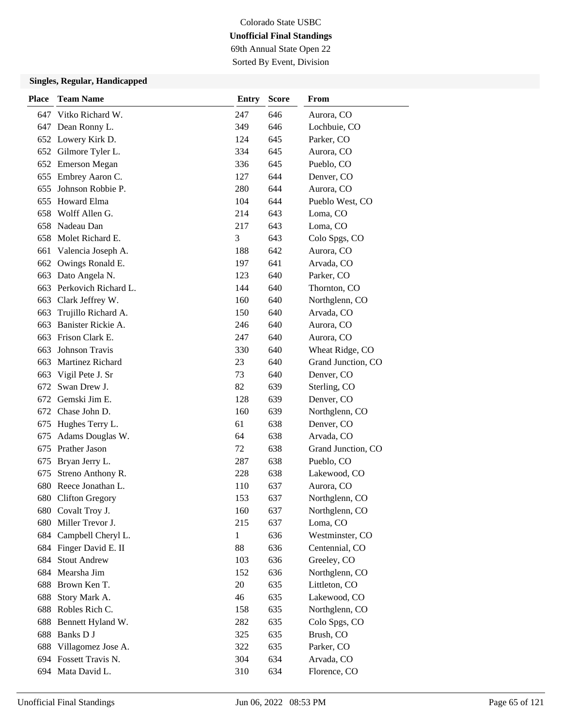69th Annual State Open 22 Sorted By Event, Division

| <b>Place</b> | <b>Team Name</b>        | <b>Entry</b> | <b>Score</b> | From               |
|--------------|-------------------------|--------------|--------------|--------------------|
|              | 647 Vitko Richard W.    | 247          | 646          | Aurora, CO         |
|              | 647 Dean Ronny L.       | 349          | 646          | Lochbuie, CO       |
|              | 652 Lowery Kirk D.      | 124          | 645          | Parker, CO         |
|              | 652 Gilmore Tyler L.    | 334          | 645          | Aurora, CO         |
|              | 652 Emerson Megan       | 336          | 645          | Pueblo, CO         |
| 655          | Embrey Aaron C.         | 127          | 644          | Denver, CO         |
| 655          | Johnson Robbie P.       | 280          | 644          | Aurora, CO         |
| 655          | Howard Elma             | 104          | 644          | Pueblo West, CO    |
| 658          | Wolff Allen G.          | 214          | 643          | Loma, CO           |
| 658          | Nadeau Dan              | 217          | 643          | Loma, CO           |
| 658          | Molet Richard E.        | 3            | 643          | Colo Spgs, CO      |
| 661          | Valencia Joseph A.      | 188          | 642          | Aurora, CO         |
|              | 662 Owings Ronald E.    | 197          | 641          | Arvada, CO         |
| 663          | Dato Angela N.          | 123          | 640          | Parker, CO         |
| 663          | Perkovich Richard L.    | 144          | 640          | Thornton, CO       |
|              | 663 Clark Jeffrey W.    | 160          | 640          | Northglenn, CO     |
| 663          | Trujillo Richard A.     | 150          | 640          | Arvada, CO         |
| 663          | Banister Rickie A.      | 246          | 640          | Aurora, CO         |
| 663          | Frison Clark E.         | 247          | 640          | Aurora, CO         |
| 663          | Johnson Travis          | 330          | 640          | Wheat Ridge, CO    |
| 663          | <b>Martinez Richard</b> | 23           | 640          | Grand Junction, CO |
| 663          | Vigil Pete J. Sr        | 73           | 640          | Denver, CO         |
|              | 672 Swan Drew J.        | 82           | 639          | Sterling, CO       |
|              | 672 Gemski Jim E.       | 128          | 639          | Denver, CO         |
|              | 672 Chase John D.       | 160          | 639          | Northglenn, CO     |
| 675          | Hughes Terry L.         | 61           | 638          | Denver, CO         |
| 675          | Adams Douglas W.        | 64           | 638          | Arvada, CO         |
| 675          | Prather Jason           | 72           | 638          | Grand Junction, CO |
| 675          | Bryan Jerry L.          | 287          | 638          | Pueblo, CO         |
| 675          | Streno Anthony R.       | 228          | 638          | Lakewood, CO       |
| 680          | Reece Jonathan L.       | 110          | 637          | Aurora, CO         |
|              | 680 Clifton Gregory     | 153          | 637          | Northglenn, CO     |
|              | 680 Covalt Troy J.      | 160          | 637          | Northglenn, CO     |
| 680          | Miller Trevor J.        | 215          | 637          | Loma, CO           |
| 684          | Campbell Cheryl L.      | $\mathbf{1}$ | 636          | Westminster, CO    |
|              | 684 Finger David E. II  | 88           | 636          | Centennial, CO     |
|              | 684 Stout Andrew        | 103          | 636          | Greeley, CO        |
| 684          | Mearsha Jim             | 152          | 636          | Northglenn, CO     |
| 688          | Brown Ken T.            | 20           | 635          | Littleton, CO      |
| 688          | Story Mark A.           | 46           | 635          | Lakewood, CO       |
| 688          | Robles Rich C.          | 158          | 635          | Northglenn, CO     |
| 688          | Bennett Hyland W.       | 282          | 635          | Colo Spgs, CO      |
| 688          | Banks D J               | 325          | 635          | Brush, CO          |
|              | 688 Villagomez Jose A.  | 322          | 635          | Parker, CO         |
|              | 694 Fossett Travis N.   | 304          | 634          | Arvada, CO         |
|              | 694 Mata David L.       | 310          | 634          | Florence, CO       |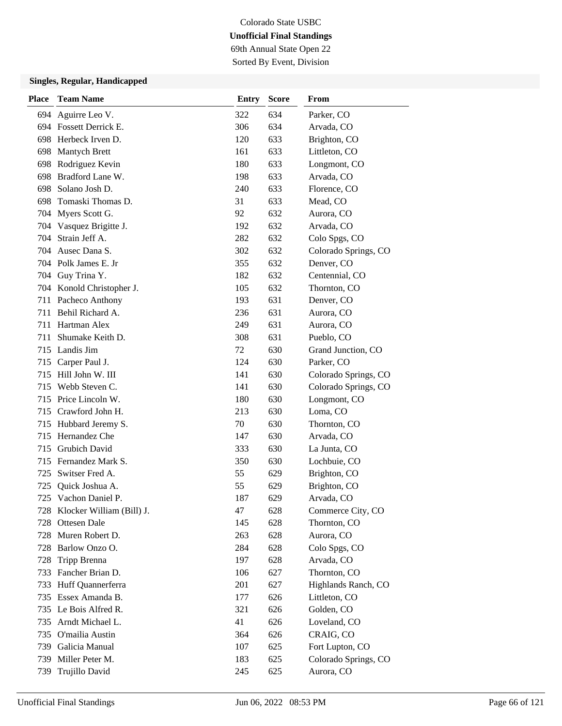# Colorado State USBC **Unofficial Final Standings** 69th Annual State Open 22

Sorted By Event, Division

| <b>Place</b> | <b>Team Name</b>              | <b>Entry</b> | <b>Score</b> | From                 |
|--------------|-------------------------------|--------------|--------------|----------------------|
| 694          | Aguirre Leo V.                | 322          | 634          | Parker, CO           |
|              | 694 Fossett Derrick E.        | 306          | 634          | Arvada, CO           |
|              | 698 Herbeck Irven D.          | 120          | 633          | Brighton, CO         |
|              | 698 Mantych Brett             | 161          | 633          | Littleton, CO        |
| 698          | Rodriguez Kevin               | 180          | 633          | Longmont, CO         |
| 698          | Bradford Lane W.              | 198          | 633          | Arvada, CO           |
|              | 698 Solano Josh D.            | 240          | 633          | Florence, CO         |
| 698          | Tomaski Thomas D.             | 31           | 633          | Mead, CO             |
|              | 704 Myers Scott G.            | 92           | 632          | Aurora, CO           |
| 704          | Vasquez Brigitte J.           | 192          | 632          | Arvada, CO           |
| 704          | Strain Jeff A.                | 282          | 632          | Colo Spgs, CO        |
|              | 704 Ausec Dana S.             | 302          | 632          | Colorado Springs, CO |
|              | 704 Polk James E. Jr          | 355          | 632          | Denver, CO           |
|              | 704 Guy Trina Y.              | 182          | 632          | Centennial, CO       |
|              | 704 Konold Christopher J.     | 105          | 632          | Thornton, CO         |
|              | 711 Pacheco Anthony           | 193          | 631          | Denver, CO           |
|              | 711 Behil Richard A.          | 236          | 631          | Aurora, CO           |
|              | 711 Hartman Alex              | 249          | 631          | Aurora, CO           |
| 711          | Shumake Keith D.              | 308          | 631          | Pueblo, CO           |
|              | 715 Landis Jim                | 72           | 630          | Grand Junction, CO   |
|              | 715 Carper Paul J.            | 124          | 630          | Parker, CO           |
|              | 715 Hill John W. III          | 141          | 630          | Colorado Springs, CO |
|              | 715 Webb Steven C.            | 141          | 630          | Colorado Springs, CO |
|              | 715 Price Lincoln W.          | 180          | 630          | Longmont, CO         |
|              | 715 Crawford John H.          | 213          | 630          | Loma, CO             |
|              | 715 Hubbard Jeremy S.         | 70           | 630          | Thornton, CO         |
|              | 715 Hernandez Che             | 147          | 630          | Arvada, CO           |
|              | 715 Grubich David             | 333          | 630          | La Junta, CO         |
|              | 715 Fernandez Mark S.         | 350          | 630          | Lochbuie, CO         |
| 725          | Switser Fred A.               | 55           | 629          | Brighton, CO         |
| 725          | Quick Joshua A.               | 55           | 629          | Brighton, CO         |
| 725          | Vachon Daniel P.              | 187          | 629          | Arvada, CO           |
|              | 728 Klocker William (Bill) J. | 47           | 628          | Commerce City, CO    |
|              | 728 Ottesen Dale              | 145          | 628          | Thornton, CO         |
|              | 728 Muren Robert D.           | 263          | 628          | Aurora, CO           |
|              | 728 Barlow Onzo O.            | 284          | 628          | Colo Spgs, CO        |
| 728          | Tripp Brenna                  | 197          | 628          | Arvada, CO           |
|              | 733 Fancher Brian D.          | 106          | 627          | Thornton, CO         |
|              | 733 Huff Quannerferra         | 201          | 627          | Highlands Ranch, CO  |
|              | 735 Essex Amanda B.           | 177          | 626          | Littleton, CO        |
|              | 735 Le Bois Alfred R.         | 321          | 626          | Golden, CO           |
|              | 735 Arndt Michael L.          | 41           | 626          | Loveland, CO         |
|              | 735 O'mailia Austin           | 364          | 626          | CRAIG, CO            |
|              | 739 Galicia Manual            | 107          | 625          | Fort Lupton, CO      |
|              | 739 Miller Peter M.           | 183          | 625          | Colorado Springs, CO |
| 739          | Trujillo David                | 245          | 625          | Aurora, CO           |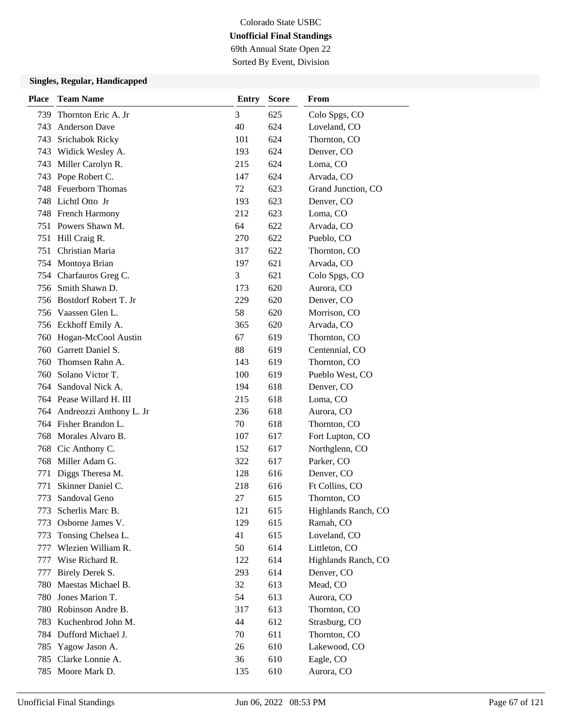# Colorado State USBC **Unofficial Final Standings** 69th Annual State Open 22

Sorted By Event, Division

| Place | <b>Team Name</b>            | <b>Entry</b> | <b>Score</b> | From                |
|-------|-----------------------------|--------------|--------------|---------------------|
| 739   | Thornton Eric A. Jr         | 3            | 625          | Colo Spgs, CO       |
| 743   | <b>Anderson Dave</b>        | 40           | 624          | Loveland, CO        |
| 743   | Srichabok Ricky             | 101          | 624          | Thornton, CO        |
| 743   | Widick Wesley A.            | 193          | 624          | Denver, CO          |
| 743   | Miller Carolyn R.           | 215          | 624          | Loma, CO            |
| 743   | Pope Robert C.              | 147          | 624          | Arvada, CO          |
|       | 748 Feuerborn Thomas        | 72           | 623          | Grand Junction, CO  |
|       | 748 Lichtl Otto Jr          | 193          | 623          | Denver, CO          |
|       | 748 French Harmony          | 212          | 623          | Loma, CO            |
|       | 751 Powers Shawn M.         | 64           | 622          | Arvada, CO          |
|       | 751 Hill Craig R.           | 270          | 622          | Pueblo, CO          |
| 751   | Christian Maria             | 317          | 622          | Thornton, CO        |
|       | 754 Montoya Brian           | 197          | 621          | Arvada, CO          |
| 754   | Charfauros Greg C.          | 3            | 621          | Colo Spgs, CO       |
| 756   | Smith Shawn D.              | 173          | 620          | Aurora, CO          |
| 756   | Bostdorf Robert T. Jr       | 229          | 620          | Denver, CO          |
|       | 756 Vaassen Glen L.         | 58           | 620          | Morrison, CO        |
|       | 756 Eckhoff Emily A.        | 365          | 620          | Arvada, CO          |
| 760   | Hogan-McCool Austin         | 67           | 619          | Thornton, CO        |
| 760   | Garrett Daniel S.           | 88           | 619          | Centennial, CO      |
| 760   | Thomsen Rahn A.             | 143          | 619          | Thornton, CO        |
| 760   | Solano Victor T.            | 100          | 619          | Pueblo West, CO     |
| 764   | Sandoval Nick A.            | 194          | 618          | Denver, CO          |
|       | 764 Pease Willard H. III    | 215          | 618          | Loma, CO            |
|       | 764 Andreozzi Anthony L. Jr | 236          | 618          | Aurora, CO          |
|       | 764 Fisher Brandon L.       | 70           | 618          | Thornton, CO        |
| 768   | Morales Alvaro B.           | 107          | 617          | Fort Lupton, CO     |
| 768   | Cic Anthony C.              | 152          | 617          | Northglenn, CO      |
| 768   | Miller Adam G.              | 322          | 617          | Parker, CO          |
| 771   | Diggs Theresa M.            | 128          | 616          | Denver, CO          |
| 771   | Skinner Daniel C.           | 218          | 616          | Ft Collins, CO      |
| 773   | Sandoval Geno               | 27           | 615          | Thornton, CO        |
| 773   | Scherlis Marc B.            | 121          | 615          | Highlands Ranch, CO |
| 773   | Osborne James V.            | 129          | 615          | Ramah, CO           |
| 773   | Tonsing Chelsea L.          | 41           | 615          | Loveland, CO        |
| 777   | Wlezien William R.          | 50           | 614          | Littleton, CO       |
| 777   | Wise Richard R.             | 122          | 614          | Highlands Ranch, CO |
| 777   | Birely Derek S.             | 293          | 614          | Denver, CO          |
| 780   | Maestas Michael B.          | 32           | 613          | Mead, CO            |
| 780   | Jones Marion T.             | 54           | 613          | Aurora, CO          |
| 780   | Robinson Andre B.           | 317          | 613          | Thornton, CO        |
| 783   | Kuchenbrod John M.          | 44           | 612          | Strasburg, CO       |
| 784   | Dufford Michael J.          | 70           | 611          | Thornton, CO        |
| 785   | Yagow Jason A.              | 26           | 610          | Lakewood, CO        |
| 785   | Clarke Lonnie A.            | 36           | 610          | Eagle, CO           |
| 785   | Moore Mark D.               | 135          | 610          | Aurora, CO          |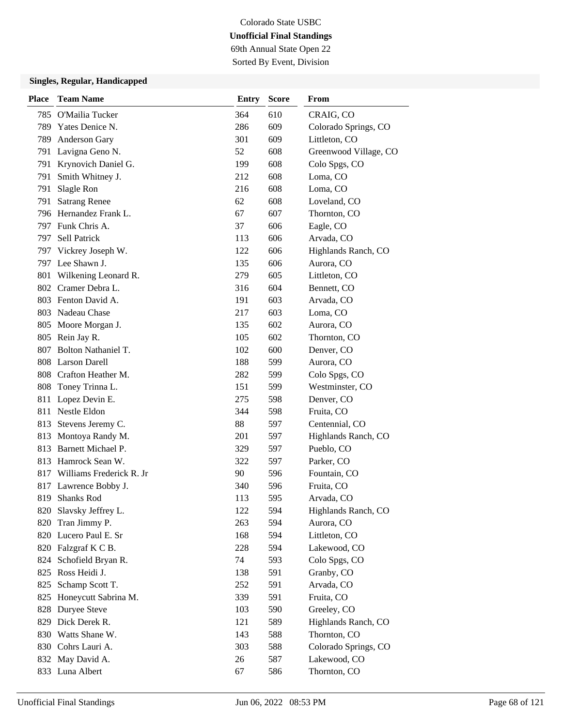69th Annual State Open 22 Sorted By Event, Division

| <b>Place</b> | <b>Team Name</b>             | <b>Entry</b> | <b>Score</b> | From                  |
|--------------|------------------------------|--------------|--------------|-----------------------|
|              | 785 O'Mailia Tucker          | 364          | 610          | CRAIG, CO             |
|              | 789 Yates Denice N.          | 286          | 609          | Colorado Springs, CO  |
|              | 789 Anderson Gary            | 301          | 609          | Littleton, CO         |
|              | 791 Lavigna Geno N.          | 52           | 608          | Greenwood Village, CO |
|              | 791 Krynovich Daniel G.      | 199          | 608          | Colo Spgs, CO         |
| 791          | Smith Whitney J.             | 212          | 608          | Loma, CO              |
| 791          | Slagle Ron                   | 216          | 608          | Loma, CO              |
| 791          | <b>Satrang Renee</b>         | 62           | 608          | Loveland, CO          |
|              | 796 Hernandez Frank L.       | 67           | 607          | Thornton, CO          |
|              | 797 Funk Chris A.            | 37           | 606          | Eagle, CO             |
| 797          | Sell Patrick                 | 113          | 606          | Arvada, CO            |
|              | 797 Vickrey Joseph W.        | 122          | 606          | Highlands Ranch, CO   |
|              | 797 Lee Shawn J.             | 135          | 606          | Aurora, CO            |
|              | 801 Wilkening Leonard R.     | 279          | 605          | Littleton, CO         |
|              | 802 Cramer Debra L.          | 316          | 604          | Bennett, CO           |
|              | 803 Fenton David A.          | 191          | 603          | Arvada, CO            |
|              | 803 Nadeau Chase             | 217          | 603          | Loma, CO              |
|              | 805 Moore Morgan J.          | 135          | 602          | Aurora, CO            |
|              | 805 Rein Jay R.              | 105          | 602          | Thornton, CO          |
|              | 807 Bolton Nathaniel T.      | 102          | 600          | Denver, CO            |
|              | 808 Larson Darell            | 188          | 599          | Aurora, CO            |
|              | 808 Crafton Heather M.       | 282          | 599          | Colo Spgs, CO         |
|              | 808 Toney Trinna L.          | 151          | 599          | Westminster, CO       |
|              | 811 Lopez Devin E.           | 275          | 598          | Denver, CO            |
|              | 811 Nestle Eldon             | 344          | 598          | Fruita, CO            |
|              | 813 Stevens Jeremy C.        | 88           | 597          | Centennial, CO        |
| 813          | Montoya Randy M.             | 201          | 597          | Highlands Ranch, CO   |
|              | 813 Barnett Michael P.       | 329          | 597          | Pueblo, CO            |
|              | 813 Hamrock Sean W.          | 322          | 597          | Parker, CO            |
|              | 817 Williams Frederick R. Jr | 90           | 596          | Fountain, CO          |
|              | 817 Lawrence Bobby J.        | 340          | 596          | Fruita, CO            |
| 819          | <b>Shanks Rod</b>            | 113          | 595          | Arvada, CO            |
|              | 820 Slavsky Jeffrey L.       | 122          | 594          | Highlands Ranch, CO   |
| 820          | Tran Jimmy P.                | 263          | 594          | Aurora, CO            |
|              | 820 Lucero Paul E. Sr        | 168          | 594          | Littleton, CO         |
|              | 820 Falzgraf K C B.          | 228          | 594          | Lakewood, CO          |
|              | 824 Schofield Bryan R.       | 74           | 593          | Colo Spgs, CO         |
|              | 825 Ross Heidi J.            | 138          | 591          | Granby, CO            |
| 825          | Schamp Scott T.              | 252          | 591          | Arvada, CO            |
|              | 825 Honeycutt Sabrina M.     | 339          | 591          | Fruita, CO            |
|              | 828 Duryee Steve             | 103          | 590          | Greeley, CO           |
|              | 829 Dick Derek R.            | 121          | 589          | Highlands Ranch, CO   |
|              | 830 Watts Shane W.           | 143          | 588          | Thornton, CO          |
|              | 830 Cohrs Lauri A.           | 303          | 588          | Colorado Springs, CO  |
|              | 832 May David A.             | 26           | 587          | Lakewood, CO          |
|              | 833 Luna Albert              | 67           | 586          | Thornton, CO          |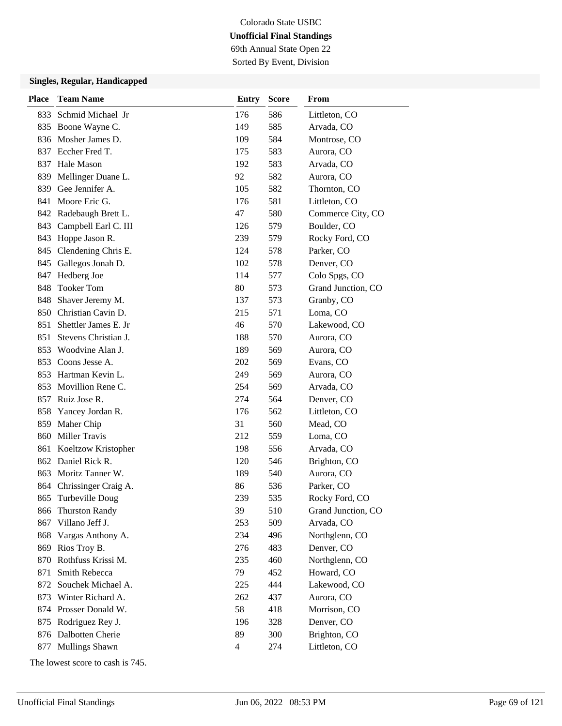# Colorado State USBC **Unofficial Final Standings** 69th Annual State Open 22

Sorted By Event, Division

### **Singles, Regular, Handicapped**

| <b>Place</b> | <b>Team Name</b>       | <b>Entry</b>   | <b>Score</b> | From               |
|--------------|------------------------|----------------|--------------|--------------------|
| 833          | Schmid Michael Jr      | 176            | 586          | Littleton, CO      |
|              | 835 Boone Wayne C.     | 149            | 585          | Arvada, CO         |
| 836          | Mosher James D.        | 109            | 584          | Montrose, CO       |
|              | 837 Eccher Fred T.     | 175            | 583          | Aurora, CO         |
|              | 837 Hale Mason         | 192            | 583          | Arvada, CO         |
| 839          | Mellinger Duane L.     | 92             | 582          | Aurora, CO         |
| 839          | Gee Jennifer A.        | 105            | 582          | Thornton, CO       |
|              | 841 Moore Eric G.      | 176            | 581          | Littleton, CO      |
|              | 842 Radebaugh Brett L. | 47             | 580          | Commerce City, CO  |
| 843          | Campbell Earl C. III   | 126            | 579          | Boulder, CO        |
| 843          | Hoppe Jason R.         | 239            | 579          | Rocky Ford, CO     |
| 845          | Clendening Chris E.    | 124            | 578          | Parker, CO         |
| 845          | Gallegos Jonah D.      | 102            | 578          | Denver, CO         |
| 847          | Hedberg Joe            | 114            | 577          | Colo Spgs, CO      |
| 848          | <b>Tooker Tom</b>      | 80             | 573          | Grand Junction, CO |
| 848          | Shaver Jeremy M.       | 137            | 573          | Granby, CO         |
|              | 850 Christian Cavin D. | 215            | 571          | Loma, CO           |
| 851          | Shettler James E. Jr   | 46             | 570          | Lakewood, CO       |
| 851          | Stevens Christian J.   | 188            | 570          | Aurora, CO         |
| 853          | Woodvine Alan J.       | 189            | 569          | Aurora, CO         |
|              | 853 Coons Jesse A.     | 202            | 569          | Evans, CO          |
| 853          | Hartman Kevin L.       | 249            | 569          | Aurora, CO         |
| 853          | Movillion Rene C.      | 254            | 569          | Arvada, CO         |
|              | 857 Ruiz Jose R.       | 274            | 564          | Denver, CO         |
| 858          | Yancey Jordan R.       | 176            | 562          | Littleton, CO      |
| 859          | Maher Chip             | 31             | 560          | Mead, CO           |
| 860          | <b>Miller Travis</b>   | 212            | 559          | Loma, CO           |
| 861          | Koeltzow Kristopher    | 198            | 556          | Arvada, CO         |
|              | 862 Daniel Rick R.     | 120            | 546          | Brighton, CO       |
| 863          | Moritz Tanner W.       | 189            | 540          | Aurora, CO         |
| 864          | Chrissinger Craig A.   | 86             | 536          | Parker, CO         |
| 865          | Turbeville Doug        | 239            | 535          | Rocky Ford, CO     |
| 866          | <b>Thurston Randy</b>  | 39             | 510          | Grand Junction, CO |
| 867          | Villano Jeff J.        | 253            | 509          | Arvada, CO         |
| 868          | Vargas Anthony A.      | 234            | 496          | Northglenn, CO     |
|              | 869 Rios Troy B.       | 276            | 483          | Denver, CO         |
|              | 870 Rothfuss Krissi M. | 235            | 460          | Northglenn, CO     |
| 871          | Smith Rebecca          | 79             | 452          | Howard, CO         |
| 872          | Souchek Michael A.     | 225            | 444          | Lakewood, CO       |
| 873          | Winter Richard A.      | 262            | 437          | Aurora, CO         |
|              | 874 Prosser Donald W.  | 58             | 418          | Morrison, CO       |
| 875          | Rodriguez Rey J.       | 196            | 328          | Denver, CO         |
|              | 876 Dalbotten Cherie   | 89             | 300          | Brighton, CO       |
| 877          | Mullings Shawn         | $\overline{4}$ | 274          | Littleton, CO      |

The lowest score to cash is 745.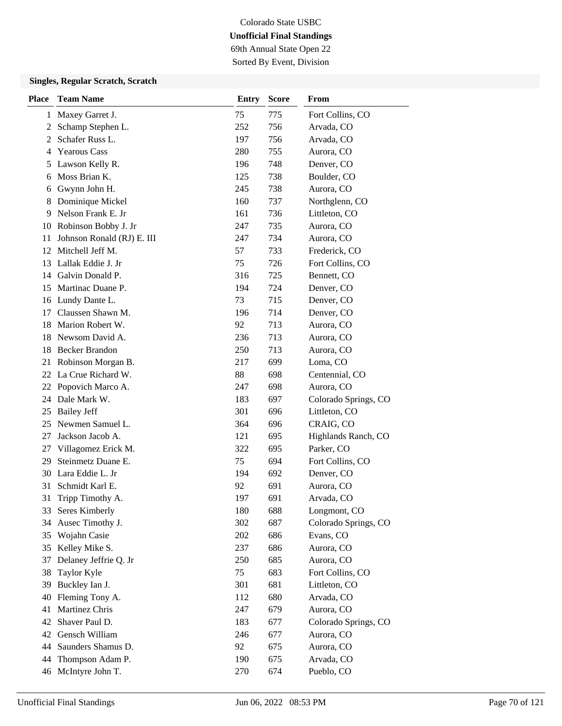69th Annual State Open 22 Sorted By Event, Division

### **Singles, Regular Scratch, Scratch**

| <b>Place</b> | <b>Team Name</b>           | <b>Entry</b> | <b>Score</b> | <b>From</b>          |
|--------------|----------------------------|--------------|--------------|----------------------|
| 1            | Maxey Garret J.            | 75           | 775          | Fort Collins, CO     |
| 2            | Schamp Stephen L.          | 252          | 756          | Arvada, CO           |
| 2            | Schafer Russ L.            | 197          | 756          | Arvada, CO           |
| 4            | <b>Yearous Cass</b>        | 280          | 755          | Aurora, CO           |
| 5            | Lawson Kelly R.            | 196          | 748          | Denver, CO           |
| 6            | Moss Brian K.              | 125          | 738          | Boulder, CO          |
| 6            | Gwynn John H.              | 245          | 738          | Aurora, CO           |
| 8            | Dominique Mickel           | 160          | 737          | Northglenn, CO       |
| 9            | Nelson Frank E. Jr         | 161          | 736          | Littleton, CO        |
| 10           | Robinson Bobby J. Jr       | 247          | 735          | Aurora, CO           |
| 11           | Johnson Ronald (RJ) E. III | 247          | 734          | Aurora, CO           |
| 12           | Mitchell Jeff M.           | 57           | 733          | Frederick, CO        |
| 13           | Lallak Eddie J. Jr         | 75           | 726          | Fort Collins, CO     |
| 14           | Galvin Donald P.           | 316          | 725          | Bennett, CO          |
| 15           | Martinac Duane P.          | 194          | 724          | Denver, CO           |
|              | 16 Lundy Dante L.          | 73           | 715          | Denver, CO           |
| 17           | Claussen Shawn M.          | 196          | 714          | Denver, CO           |
| 18           | Marion Robert W.           | 92           | 713          | Aurora, CO           |
| 18           | Newsom David A.            | 236          | 713          | Aurora, CO           |
| 18           | <b>Becker Brandon</b>      | 250          | 713          | Aurora, CO           |
| 21           | Robinson Morgan B.         | 217          | 699          | Loma, CO             |
| 22           | La Crue Richard W.         | 88           | 698          | Centennial, CO       |
| 22           | Popovich Marco A.          | 247          | 698          | Aurora, CO           |
| 24           | Dale Mark W.               | 183          | 697          | Colorado Springs, CO |
| 25           | <b>Bailey Jeff</b>         | 301          | 696          | Littleton, CO        |
| 25           | Newmen Samuel L.           | 364          | 696          | CRAIG, CO            |
| 27           | Jackson Jacob A.           | 121          | 695          | Highlands Ranch, CO  |
| 27           | Villagomez Erick M.        | 322          | 695          | Parker, CO           |
| 29           | Steinmetz Duane E.         | 75           | 694          | Fort Collins, CO     |
| 30           | Lara Eddie L. Jr           | 194          | 692          | Denver, CO           |
| 31           | Schmidt Karl E.            | 92           | 691          | Aurora, CO           |
| 31           | Tripp Timothy A.           | 197          | 691          | Arvada, CO           |
| 33           | Seres Kimberly             | 180          | 688          | Longmont, CO         |
| 34           | Ausec Timothy J.           | 302          | 687          | Colorado Springs, CO |
| 35           | Wojahn Casie               | 202          | 686          | Evans, CO            |
| 35           | Kelley Mike S.             | 237          | 686          | Aurora, CO           |
| 37           | Delaney Jeffrie Q. Jr      | 250          | 685          | Aurora, CO           |
| 38           | Taylor Kyle                | 75           | 683          | Fort Collins, CO     |
| 39           | Buckley Ian J.             | 301          | 681          | Littleton, CO        |
| 40           | Fleming Tony A.            | 112          | 680          | Arvada, CO           |
| 41           | Martinez Chris             | 247          | 679          | Aurora, CO           |
| 42           | Shaver Paul D.             | 183          | 677          | Colorado Springs, CO |
| 42           | Gensch William             | 246          | 677          | Aurora, CO           |
| 44           | Saunders Shamus D.         | 92           | 675          | Aurora, CO           |
| 44           | Thompson Adam P.           | 190          | 675          | Arvada, CO           |
| 46           | McIntyre John T.           | 270          | 674          | Pueblo, CO           |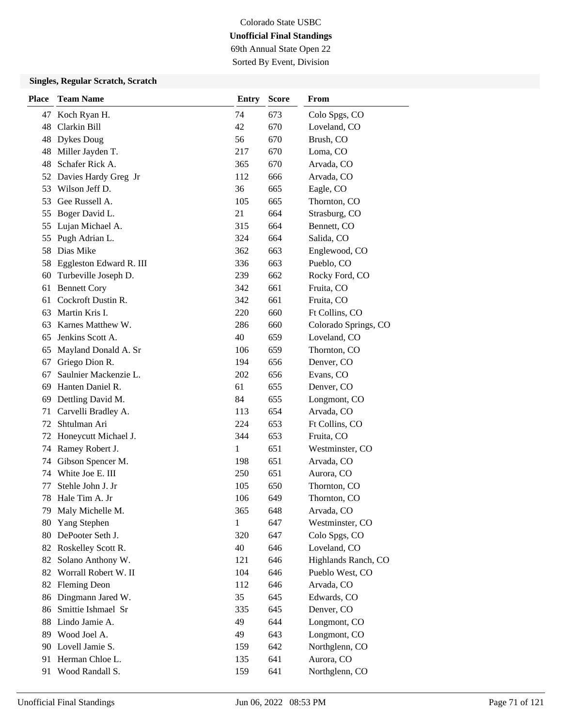69th Annual State Open 22 Sorted By Event, Division

### **Singles, Regular Scratch, Scratch**

| Place | <b>Team Name</b>        | <b>Entry</b> | <b>Score</b> | From                 |
|-------|-------------------------|--------------|--------------|----------------------|
| 47    | Koch Ryan H.            | 74           | 673          | Colo Spgs, CO        |
| 48    | Clarkin Bill            | 42           | 670          | Loveland, CO         |
| 48    | <b>Dykes Doug</b>       | 56           | 670          | Brush, CO            |
| 48    | Miller Jayden T.        | 217          | 670          | Loma, CO             |
| 48    | Schafer Rick A.         | 365          | 670          | Arvada, CO           |
| 52    | Davies Hardy Greg Jr    | 112          | 666          | Arvada, CO           |
| 53    | Wilson Jeff D.          | 36           | 665          | Eagle, CO            |
| 53    | Gee Russell A.          | 105          | 665          | Thornton, CO         |
| 55    | Boger David L.          | 21           | 664          | Strasburg, CO        |
| 55    | Lujan Michael A.        | 315          | 664          | Bennett, CO          |
| 55    | Pugh Adrian L.          | 324          | 664          | Salida, CO           |
| 58    | Dias Mike               | 362          | 663          | Englewood, CO        |
| 58    | Eggleston Edward R. III | 336          | 663          | Pueblo, CO           |
| 60    | Turbeville Joseph D.    | 239          | 662          | Rocky Ford, CO       |
| 61    | <b>Bennett Cory</b>     | 342          | 661          | Fruita, CO           |
| 61    | Cockroft Dustin R.      | 342          | 661          | Fruita, CO           |
| 63    | Martin Kris I.          | 220          | 660          | Ft Collins, CO       |
| 63    | Karnes Matthew W.       | 286          | 660          | Colorado Springs, CO |
| 65    | Jenkins Scott A.        | 40           | 659          | Loveland, CO         |
| 65    | Mayland Donald A. Sr    | 106          | 659          | Thornton, CO         |
| 67    | Griego Dion R.          | 194          | 656          | Denver, CO           |
| 67    | Saulnier Mackenzie L.   | 202          | 656          | Evans, CO            |
| 69    | Hanten Daniel R.        | 61           | 655          | Denver, CO           |
| 69    | Dettling David M.       | 84           | 655          | Longmont, CO         |
| 71    | Carvelli Bradley A.     | 113          | 654          | Arvada, CO           |
| 72    | Shtulman Ari            | 224          | 653          | Ft Collins, CO       |
| 72    | Honeycutt Michael J.    | 344          | 653          | Fruita, CO           |
| 74    | Ramey Robert J.         | 1            | 651          | Westminster, CO      |
| 74    | Gibson Spencer M.       | 198          | 651          | Arvada, CO           |
| 74    | White Joe E. III        | 250          | 651          | Aurora, CO           |
| 77    | Stehle John J. Jr       | 105          | 650          | Thornton, CO         |
| 78    | Hale Tim A. Jr          | 106          | 649          | Thornton, CO         |
| 79    | Maly Michelle M.        | 365          | 648          | Arvada, CO           |
| 80    | Yang Stephen            | 1            | 647          | Westminster, CO      |
| 80    | DePooter Seth J.        | 320          | 647          | Colo Spgs, CO        |
|       | 82 Roskelley Scott R.   | 40           | 646          | Loveland, CO         |
| 82    | Solano Anthony W.       | 121          | 646          | Highlands Ranch, CO  |
| 82    | Worrall Robert W. II    | 104          | 646          | Pueblo West, CO      |
| 82    | <b>Fleming Deon</b>     | 112          | 646          | Arvada, CO           |
| 86    | Dingmann Jared W.       | 35           | 645          | Edwards, CO          |
| 86    | Smittie Ishmael Sr      | 335          | 645          | Denver, CO           |
| 88    | Lindo Jamie A.          | 49           | 644          | Longmont, CO         |
| 89    | Wood Joel A.            | 49           | 643          | Longmont, CO         |
|       | 90 Lovell Jamie S.      | 159          | 642          | Northglenn, CO       |
| 91    | Herman Chloe L.         | 135          | 641          | Aurora, CO           |
| 91    | Wood Randall S.         | 159          | 641          | Northglenn, CO       |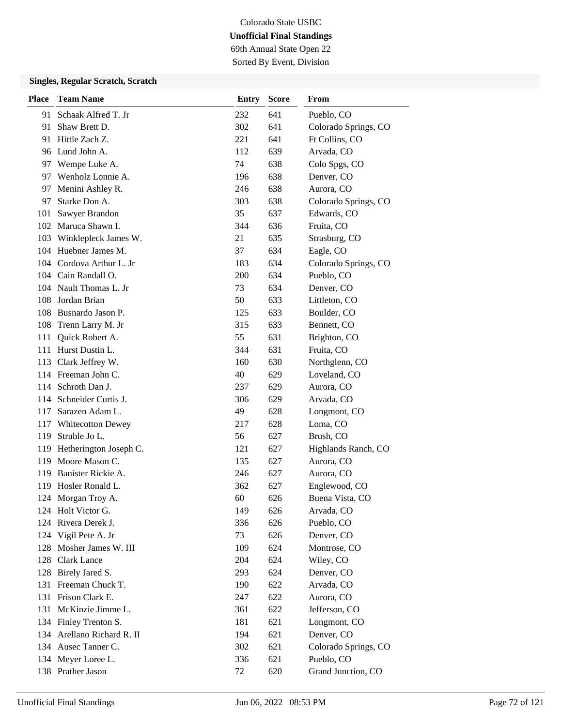69th Annual State Open 22 Sorted By Event, Division

### **Singles, Regular Scratch, Scratch**

| <b>Place</b> | <b>Team Name</b>           | <b>Entry</b> | <b>Score</b> | From                 |
|--------------|----------------------------|--------------|--------------|----------------------|
|              | 91 Schaak Alfred T. Jr     | 232          | 641          | Pueblo, CO           |
| 91           | Shaw Brett D.              | 302          | 641          | Colorado Springs, CO |
| 91           | Hittle Zach Z.             | 221          | 641          | Ft Collins, CO       |
|              | 96 Lund John A.            | 112          | 639          | Arvada, CO           |
|              | 97 Wempe Luke A.           | 74           | 638          | Colo Spgs, CO        |
| 97           | Wenholz Lonnie A.          | 196          | 638          | Denver, CO           |
| 97           | Menini Ashley R.           | 246          | 638          | Aurora, CO           |
| 97           | Starke Don A.              | 303          | 638          | Colorado Springs, CO |
| 101          | Sawyer Brandon             | 35           | 637          | Edwards, CO          |
|              | 102 Maruca Shawn I.        | 344          | 636          | Fruita, CO           |
| 103          | Winklepleck James W.       | 21           | 635          | Strasburg, CO        |
|              | 104 Huebner James M.       | 37           | 634          | Eagle, CO            |
|              | 104 Cordova Arthur L. Jr   | 183          | 634          | Colorado Springs, CO |
|              | 104 Cain Randall O.        | 200          | 634          | Pueblo, CO           |
|              | 104 Nault Thomas L. Jr     | 73           | 634          | Denver, CO           |
| 108          | Jordan Brian               | 50           | 633          | Littleton, CO        |
|              | 108 Busnardo Jason P.      | 125          | 633          | Boulder, CO          |
| 108          | Trenn Larry M. Jr          | 315          | 633          | Bennett, CO          |
| 111          | Quick Robert A.            | 55           | 631          | Brighton, CO         |
|              | 111 Hurst Dustin L.        | 344          | 631          | Fruita, CO           |
|              | 113 Clark Jeffrey W.       | 160          | 630          | Northglenn, CO       |
|              | 114 Freeman John C.        | 40           | 629          | Loveland, CO         |
|              | 114 Schroth Dan J.         | 237          | 629          | Aurora, CO           |
|              | 114 Schneider Curtis J.    | 306          | 629          | Arvada, CO           |
| 117          | Sarazen Adam L.            | 49           | 628          | Longmont, CO         |
| 117          | <b>Whitecotton Dewey</b>   | 217          | 628          | Loma, CO             |
| 119          | Struble Jo L.              | 56           | 627          | Brush, CO            |
|              | 119 Hetherington Joseph C. | 121          | 627          | Highlands Ranch, CO  |
|              | 119 Moore Mason C.         | 135          | 627          | Aurora, CO           |
| 119          | Banister Rickie A.         | 246          | 627          | Aurora, CO           |
|              | 119 Hosler Ronald L.       | 362          | 627          | Englewood, CO        |
|              | 124 Morgan Troy A.         | 60           | 626          | Buena Vista, CO      |
|              | 124 Holt Victor G.         | 149          | 626          | Arvada, CO           |
|              | 124 Rivera Derek J.        | 336          | 626          | Pueblo, CO           |
|              | 124 Vigil Pete A. Jr       | 73           | 626          | Denver, CO           |
|              | 128 Mosher James W. III    | 109          | 624          | Montrose, CO         |
|              | 128 Clark Lance            | 204          | 624          | Wiley, CO            |
|              | 128 Birely Jared S.        | 293          | 624          | Denver, CO           |
|              | 131 Freeman Chuck T.       | 190          | 622          | Arvada, CO           |
|              | 131 Frison Clark E.        | 247          | 622          | Aurora, CO           |
|              | 131 McKinzie Jimme L.      | 361          | 622          | Jefferson, CO        |
|              | 134 Finley Trenton S.      | 181          | 621          | Longmont, CO         |
|              | 134 Arellano Richard R. II | 194          | 621          | Denver, CO           |
|              | 134 Ausec Tanner C.        | 302          | 621          | Colorado Springs, CO |
|              | 134 Meyer Loree L.         | 336          | 621          | Pueblo, CO           |
|              | 138 Prather Jason          | 72           | 620          | Grand Junction, CO   |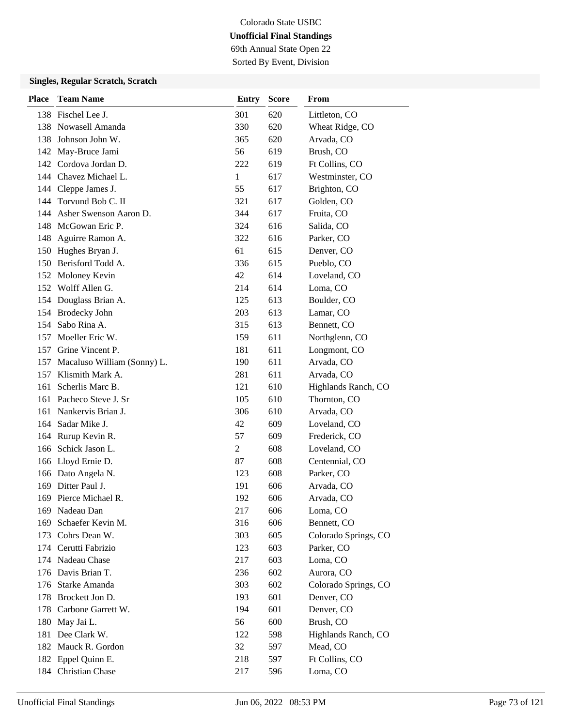69th Annual State Open 22 Sorted By Event, Division

| Place | <b>Team Name</b>            | <b>Entry</b>   | <b>Score</b> | From                 |
|-------|-----------------------------|----------------|--------------|----------------------|
|       | 138 Fischel Lee J.          | 301            | 620          | Littleton, CO        |
|       | 138 Nowasell Amanda         | 330            | 620          | Wheat Ridge, CO      |
| 138   | Johnson John W.             | 365            | 620          | Arvada, CO           |
| 142   | May-Bruce Jami              | 56             | 619          | Brush, CO            |
| 142   | Cordova Jordan D.           | 222            | 619          | Ft Collins, CO       |
|       | 144 Chavez Michael L.       | $\mathbf{1}$   | 617          | Westminster, CO      |
|       | 144 Cleppe James J.         | 55             | 617          | Brighton, CO         |
| 144   | Torvund Bob C. II           | 321            | 617          | Golden, CO           |
| 144   | Asher Swenson Aaron D.      | 344            | 617          | Fruita, CO           |
| 148   | McGowan Eric P.             | 324            | 616          | Salida, CO           |
| 148   | Aguirre Ramon A.            | 322            | 616          | Parker, CO           |
| 150   | Hughes Bryan J.             | 61             | 615          | Denver, CO           |
| 150   | Berisford Todd A.           | 336            | 615          | Pueblo, CO           |
| 152   | Moloney Kevin               | 42             | 614          | Loveland, CO         |
|       | 152 Wolff Allen G.          | 214            | 614          | Loma, CO             |
|       | 154 Douglass Brian A.       | 125            | 613          | Boulder, CO          |
|       | 154 Brodecky John           | 203            | 613          | Lamar, CO            |
| 154   | Sabo Rina A.                | 315            | 613          | Bennett, CO          |
| 157   | Moeller Eric W.             | 159            | 611          | Northglenn, CO       |
|       | 157 Grine Vincent P.        | 181            | 611          | Longmont, CO         |
| 157   | Macaluso William (Sonny) L. | 190            | 611          | Arvada, CO           |
| 157   | Klismith Mark A.            | 281            | 611          | Arvada, CO           |
| 161   | Scherlis Marc B.            | 121            | 610          | Highlands Ranch, CO  |
|       | 161 Pacheco Steve J. Sr     | 105            | 610          | Thornton, CO         |
| 161   | Nankervis Brian J.          | 306            | 610          | Arvada, CO           |
| 164   | Sadar Mike J.               | 42             | 609          | Loveland, CO         |
|       | 164 Rurup Kevin R.          | 57             | 609          | Frederick, CO        |
|       | 166 Schick Jason L.         | $\overline{2}$ | 608          | Loveland, CO         |
|       | 166 Lloyd Ernie D.          | 87             | 608          | Centennial, CO       |
|       | 166 Dato Angela N.          | 123            | 608          | Parker, CO           |
| 169   | Ditter Paul J.              | 191            | 606          | Arvada, CO           |
| 169   | Pierce Michael R.           | 192            | 606          | Arvada, CO           |
|       | 169 Nadeau Dan              | 217            | 606          | Loma, CO             |
| 169   | Schaefer Kevin M.           | 316            | 606          | Bennett, CO          |
|       | 173 Cohrs Dean W.           | 303            | 605          | Colorado Springs, CO |
|       | 174 Cerutti Fabrizio        | 123            | 603          | Parker, CO           |
|       | 174 Nadeau Chase            | 217            | 603          | Loma, CO             |
|       | 176 Davis Brian T.          | 236            | 602          | Aurora, CO           |
|       | 176 Starke Amanda           | 303            | 602          | Colorado Springs, CO |
|       | 178 Brockett Jon D.         | 193            | 601          | Denver, CO           |
| 178   | Carbone Garrett W.          | 194            | 601          | Denver, CO           |
| 180   | May Jai L.                  | 56             | 600          | Brush, CO            |
| 181   | Dee Clark W.                | 122            | 598          | Highlands Ranch, CO  |
|       | 182 Mauck R. Gordon         | 32             | 597          | Mead, CO             |
|       | 182 Eppel Quinn E.          | 218            | 597          | Ft Collins, CO       |
|       | 184 Christian Chase         | 217            | 596          | Loma, CO             |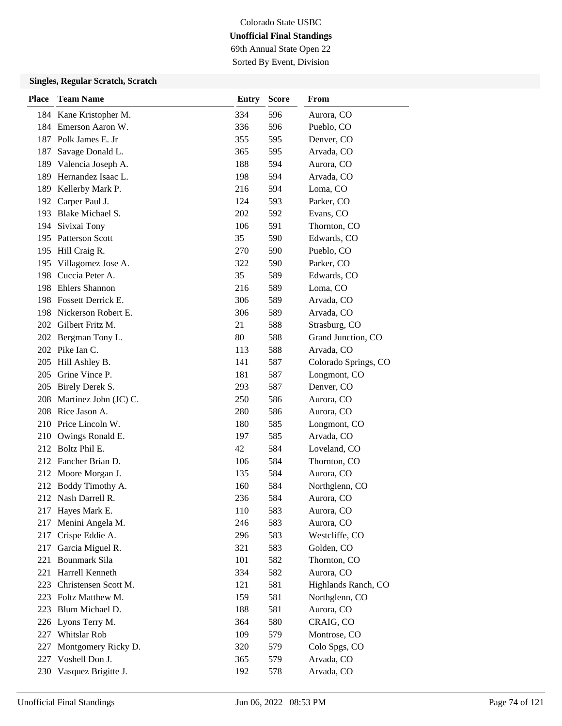69th Annual State Open 22 Sorted By Event, Division

| Place | <b>Team Name</b>          | <b>Entry</b> | <b>Score</b> | From                 |
|-------|---------------------------|--------------|--------------|----------------------|
|       | 184 Kane Kristopher M.    | 334          | 596          | Aurora, CO           |
|       | 184 Emerson Aaron W.      | 336          | 596          | Pueblo, CO           |
|       | 187 Polk James E. Jr      | 355          | 595          | Denver, CO           |
| 187   | Savage Donald L.          | 365          | 595          | Arvada, CO           |
| 189   | Valencia Joseph A.        | 188          | 594          | Aurora, CO           |
| 189   | Hernandez Isaac L.        | 198          | 594          | Arvada, CO           |
| 189   | Kellerby Mark P.          | 216          | 594          | Loma, CO             |
|       | 192 Carper Paul J.        | 124          | 593          | Parker, CO           |
|       | 193 Blake Michael S.      | 202          | 592          | Evans, CO            |
|       | 194 Sivixai Tony          | 106          | 591          | Thornton, CO         |
|       | 195 Patterson Scott       | 35           | 590          | Edwards, CO          |
|       | 195 Hill Craig R.         | 270          | 590          | Pueblo, CO           |
| 195   | Villagomez Jose A.        | 322          | 590          | Parker, CO           |
| 198   | Cuccia Peter A.           | 35           | 589          | Edwards, CO          |
|       | 198 Ehlers Shannon        | 216          | 589          | Loma, CO             |
|       | 198 Fossett Derrick E.    | 306          | 589          | Arvada, CO           |
|       | 198 Nickerson Robert E.   | 306          | 589          | Arvada, CO           |
|       | 202 Gilbert Fritz M.      | 21           | 588          | Strasburg, CO        |
|       | 202 Bergman Tony L.       | 80           | 588          | Grand Junction, CO   |
|       | 202 Pike Ian C.           | 113          | 588          | Arvada, CO           |
|       | 205 Hill Ashley B.        | 141          | 587          | Colorado Springs, CO |
| 205   | Grine Vince P.            | 181          | 587          | Longmont, CO         |
|       | 205 Birely Derek S.       | 293          | 587          | Denver, CO           |
|       | 208 Martinez John (JC) C. | 250          | 586          | Aurora, CO           |
|       | 208 Rice Jason A.         | 280          | 586          | Aurora, CO           |
|       | 210 Price Lincoln W.      | 180          | 585          | Longmont, CO         |
| 210   | Owings Ronald E.          | 197          | 585          | Arvada, CO           |
| 212   | Boltz Phil E.             | 42           | 584          | Loveland, CO         |
|       | 212 Fancher Brian D.      | 106          | 584          | Thornton, CO         |
|       | 212 Moore Morgan J.       | 135          | 584          | Aurora, CO           |
| 212   | Boddy Timothy A.          | 160          | 584          | Northglenn, CO       |
|       | 212 Nash Darrell R.       | 236          | 584          | Aurora, CO           |
|       | 217 Hayes Mark E.         | 110          | 583          | Aurora, CO           |
| 217   | Menini Angela M.          | 246          | 583          | Aurora, CO           |
| 217   | Crispe Eddie A.           | 296          | 583          | Westcliffe, CO       |
| 217   | Garcia Miguel R.          | 321          | 583          | Golden, CO           |
|       | 221 Bounmark Sila         | 101          | 582          | Thornton, CO         |
|       | 221 Harrell Kenneth       | 334          | 582          | Aurora, CO           |
| 223   | Christensen Scott M.      | 121          | 581          | Highlands Ranch, CO  |
|       | 223 Foltz Matthew M.      | 159          | 581          | Northglenn, CO       |
| 223   | Blum Michael D.           | 188          | 581          | Aurora, CO           |
|       | 226 Lyons Terry M.        | 364          | 580          | CRAIG, CO            |
|       | 227 Whitslar Rob          | 109          | 579          | Montrose, CO         |
| 227   | Montgomery Ricky D.       | 320          | 579          | Colo Spgs, CO        |
|       | 227 Voshell Don J.        | 365          | 579          | Arvada, CO           |
|       | 230 Vasquez Brigitte J.   | 192          | 578          | Arvada, CO           |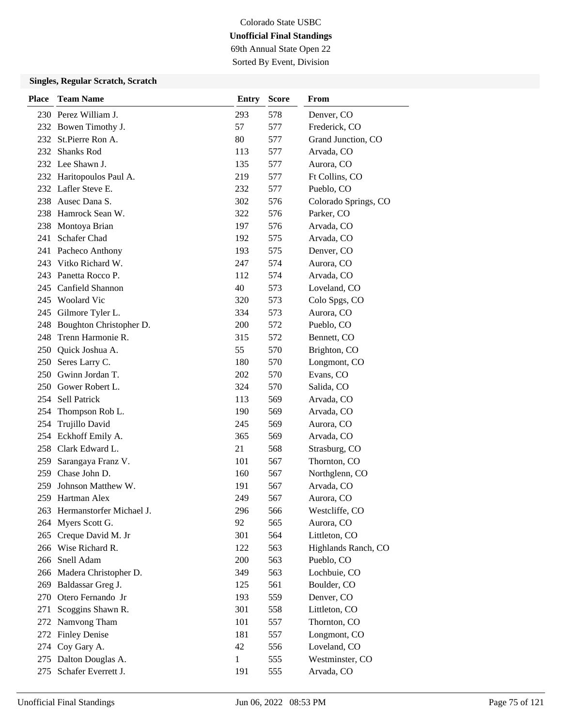69th Annual State Open 22 Sorted By Event, Division

| <b>Place</b> | <b>Team Name</b>             | Entry | <b>Score</b> | From                 |
|--------------|------------------------------|-------|--------------|----------------------|
|              | 230 Perez William J.         | 293   | 578          | Denver, CO           |
|              | 232 Bowen Timothy J.         | 57    | 577          | Frederick, CO        |
| 232          | St.Pierre Ron A.             | 80    | 577          | Grand Junction, CO   |
| 232          | <b>Shanks Rod</b>            | 113   | 577          | Arvada, CO           |
|              | 232 Lee Shawn J.             | 135   | 577          | Aurora, CO           |
|              | 232 Haritopoulos Paul A.     | 219   | 577          | Ft Collins, CO       |
|              | 232 Lafler Steve E.          | 232   | 577          | Pueblo, CO           |
|              | 238 Ausec Dana S.            | 302   | 576          | Colorado Springs, CO |
|              | 238 Hamrock Sean W.          | 322   | 576          | Parker, CO           |
| 238          | Montoya Brian                | 197   | 576          | Arvada, CO           |
| 241          | Schafer Chad                 | 192   | 575          | Arvada, CO           |
|              | 241 Pacheco Anthony          | 193   | 575          | Denver, CO           |
|              | 243 Vitko Richard W.         | 247   | 574          | Aurora, CO           |
|              | 243 Panetta Rocco P.         | 112   | 574          | Arvada, CO           |
|              | 245 Canfield Shannon         | 40    | 573          | Loveland, CO         |
|              | 245 Woolard Vic              | 320   | 573          | Colo Spgs, CO        |
|              | 245 Gilmore Tyler L.         | 334   | 573          | Aurora, CO           |
| 248          | Boughton Christopher D.      | 200   | 572          | Pueblo, CO           |
| 248          | Trenn Harmonie R.            | 315   | 572          | Bennett, CO          |
|              | 250 Quick Joshua A.          | 55    | 570          | Brighton, CO         |
| 250          | Seres Larry C.               | 180   | 570          | Longmont, CO         |
|              | 250 Gwinn Jordan T.          | 202   | 570          | Evans, CO            |
|              | 250 Gower Robert L.          | 324   | 570          | Salida, CO           |
|              | 254 Sell Patrick             | 113   | 569          | Arvada, CO           |
| 254          | Thompson Rob L.              | 190   | 569          | Arvada, CO           |
| 254          | Trujillo David               | 245   | 569          | Aurora, CO           |
| 254          | Eckhoff Emily A.             | 365   | 569          | Arvada, CO           |
|              | 258 Clark Edward L.          | 21    | 568          | Strasburg, CO        |
| 259          | Sarangaya Franz V.           | 101   | 567          | Thornton, CO         |
| 259          | Chase John D.                | 160   | 567          | Northglenn, CO       |
| 259          | Johnson Matthew W.           | 191   | 567          | Arvada, CO           |
| 259          | Hartman Alex                 | 249   | 567          | Aurora, CO           |
|              | 263 Hermanstorfer Michael J. | 296   | 566          | Westcliffe, CO       |
| 264          | Myers Scott G.               | 92    | 565          | Aurora, CO           |
|              | 265 Creque David M. Jr       | 301   | 564          | Littleton, CO        |
|              | 266 Wise Richard R.          | 122   | 563          | Highlands Ranch, CO  |
|              | 266 Snell Adam               | 200   | 563          | Pueblo, CO           |
|              | 266 Madera Christopher D.    | 349   | 563          | Lochbuie, CO         |
| 269          | Baldassar Greg J.            | 125   | 561          | Boulder, CO          |
|              | 270 Otero Fernando Jr        | 193   | 559          | Denver, CO           |
| 271          | Scoggins Shawn R.            | 301   | 558          | Littleton, CO        |
| 272          | Namvong Tham                 | 101   | 557          | Thornton, CO         |
| 272          | <b>Finley Denise</b>         | 181   | 557          | Longmont, CO         |
|              | 274 Coy Gary A.              | 42    | 556          | Loveland, CO         |
| 275          | Dalton Douglas A.            | $\,1$ | 555          | Westminster, CO      |
|              | 275 Schafer Everrett J.      | 191   | 555          | Arvada, CO           |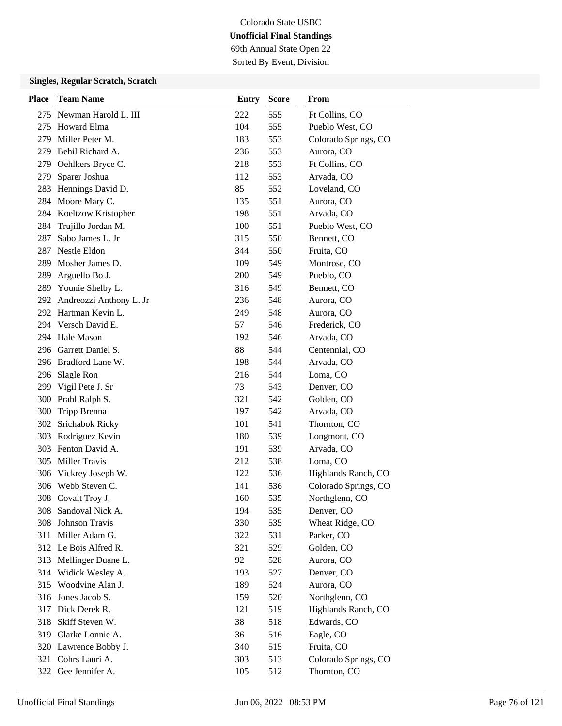69th Annual State Open 22 Sorted By Event, Division

| <b>Place</b> | <b>Team Name</b>            | <b>Entry</b> | <b>Score</b> | From                 |
|--------------|-----------------------------|--------------|--------------|----------------------|
|              | 275 Newman Harold L. III    | 222          | 555          | Ft Collins, CO       |
| 275          | <b>Howard Elma</b>          | 104          | 555          | Pueblo West, CO      |
| 279          | Miller Peter M.             | 183          | 553          | Colorado Springs, CO |
|              | 279 Behil Richard A.        | 236          | 553          | Aurora, CO           |
|              | 279 Oehlkers Bryce C.       | 218          | 553          | Ft Collins, CO       |
| 279          | Sparer Joshua               | 112          | 553          | Arvada, CO           |
| 283          | Hennings David D.           | 85           | 552          | Loveland, CO         |
| 284          | Moore Mary C.               | 135          | 551          | Aurora, CO           |
|              | 284 Koeltzow Kristopher     | 198          | 551          | Arvada, CO           |
| 284          | Trujillo Jordan M.          | 100          | 551          | Pueblo West, CO      |
| 287          | Sabo James L. Jr            | 315          | 550          | Bennett, CO          |
| 287          | Nestle Eldon                | 344          | 550          | Fruita, CO           |
| 289          | Mosher James D.             | 109          | 549          | Montrose, CO         |
| 289          | Arguello Bo J.              | 200          | 549          | Pueblo, CO           |
|              | 289 Younie Shelby L.        | 316          | 549          | Bennett, CO          |
|              | 292 Andreozzi Anthony L. Jr | 236          | 548          | Aurora, CO           |
|              | 292 Hartman Kevin L.        | 249          | 548          | Aurora, CO           |
|              | 294 Versch David E.         | 57           | 546          | Frederick, CO        |
|              | 294 Hale Mason              | 192          | 546          | Arvada, CO           |
|              | 296 Garrett Daniel S.       | 88           | 544          | Centennial, CO       |
|              | 296 Bradford Lane W.        | 198          | 544          | Arvada, CO           |
| 296          | Slagle Ron                  | 216          | 544          | Loma, CO             |
|              | 299 Vigil Pete J. Sr        | 73           | 543          | Denver, CO           |
|              | 300 Prahl Ralph S.          | 321          | 542          | Golden, CO           |
|              | 300 Tripp Brenna            | 197          | 542          | Arvada, CO           |
|              | 302 Srichabok Ricky         | 101          | 541          | Thornton, CO         |
|              | 303 Rodriguez Kevin         | 180          | 539          | Longmont, CO         |
|              | 303 Fenton David A.         | 191          | 539          | Arvada, CO           |
|              | 305 Miller Travis           | 212          | 538          | Loma, CO             |
|              | 306 Vickrey Joseph W.       | 122          | 536          | Highlands Ranch, CO  |
|              | 306 Webb Steven C.          | 141          | 536          | Colorado Springs, CO |
|              | 308 Covalt Troy J.          | 160          | 535          | Northglenn, CO       |
|              | 308 Sandoval Nick A.        | 194          | 535          | Denver, CO           |
| 308          | Johnson Travis              | 330          | 535          | Wheat Ridge, CO      |
|              | 311 Miller Adam G.          | 322          | 531          | Parker, CO           |
|              | 312 Le Bois Alfred R.       | 321          | 529          | Golden, CO           |
|              | 313 Mellinger Duane L.      | 92           | 528          | Aurora, CO           |
|              | 314 Widick Wesley A.        | 193          | 527          | Denver, CO           |
|              | 315 Woodvine Alan J.        | 189          | 524          | Aurora, CO           |
|              | 316 Jones Jacob S.          | 159          | 520          | Northglenn, CO       |
|              | 317 Dick Derek R.           | 121          | 519          | Highlands Ranch, CO  |
| 318          | Skiff Steven W.             | 38           | 518          | Edwards, CO          |
|              | 319 Clarke Lonnie A.        | 36           | 516          | Eagle, CO            |
|              | 320 Lawrence Bobby J.       | 340          | 515          | Fruita, CO           |
|              | 321 Cohrs Lauri A.          | 303          | 513          | Colorado Springs, CO |
|              | 322 Gee Jennifer A.         | 105          | 512          | Thornton, CO         |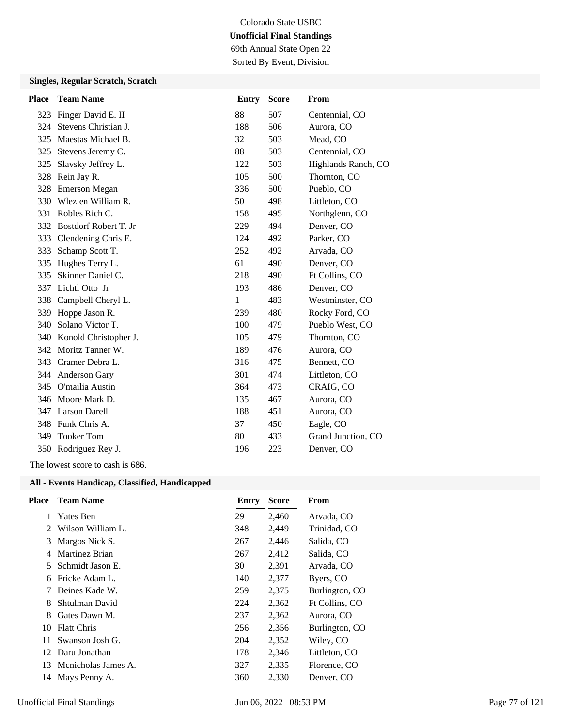69th Annual State Open 22 Sorted By Event, Division

#### **Singles, Regular Scratch, Scratch**

| <b>Place</b> | <b>Team Name</b>          | <b>Entry</b> | <b>Score</b> | From                |
|--------------|---------------------------|--------------|--------------|---------------------|
| 323          | Finger David E. II        | 88           | 507          | Centennial, CO      |
| 324          | Stevens Christian J.      | 188          | 506          | Aurora, CO          |
| 325          | Maestas Michael B.        | 32           | 503          | Mead, CO            |
| 325          | Stevens Jeremy C.         | 88           | 503          | Centennial, CO      |
| 325          | Slavsky Jeffrey L.        | 122          | 503          | Highlands Ranch, CO |
| 328          | Rein Jay R.               | 105          | 500          | Thornton, CO        |
| 328          | <b>Emerson Megan</b>      | 336          | 500          | Pueblo, CO          |
|              | 330 Wlezien William R.    | 50           | 498          | Littleton, CO       |
| 331          | Robles Rich C.            | 158          | 495          | Northglenn, CO      |
|              | 332 Bostdorf Robert T. Jr | 229          | 494          | Denver, CO          |
| 333          | Clendening Chris E.       | 124          | 492          | Parker, CO          |
| 333          | Schamp Scott T.           | 252          | 492          | Arvada, CO          |
| 335          | Hughes Terry L.           | 61           | 490          | Denver, CO          |
| 335          | Skinner Daniel C.         | 218          | 490          | Ft Collins, CO      |
| 337          | Lichtl Otto Jr            | 193          | 486          | Denver, CO          |
| 338          | Campbell Cheryl L.        | 1            | 483          | Westminster, CO     |
| 339          | Hoppe Jason R.            | 239          | 480          | Rocky Ford, CO      |
| 340          | Solano Victor T.          | 100          | 479          | Pueblo West, CO     |
| 340          | Konold Christopher J.     | 105          | 479          | Thornton, CO        |
|              | 342 Moritz Tanner W.      | 189          | 476          | Aurora, CO          |
| 343          | Cramer Debra L.           | 316          | 475          | Bennett, CO         |
| 344          | Anderson Gary             | 301          | 474          | Littleton, CO       |
| 345          | O'mailia Austin           | 364          | 473          | CRAIG, CO           |
|              | 346 Moore Mark D.         | 135          | 467          | Aurora, CO          |
|              | 347 Larson Darell         | 188          | 451          | Aurora, CO          |
| 348          | Funk Chris A.             | 37           | 450          | Eagle, CO           |
| 349          | <b>Tooker Tom</b>         | 80           | 433          | Grand Junction, CO  |
|              | 350 Rodriguez Rey J.      | 196          | 223          | Denver, CO          |

The lowest score to cash is 686.

| <b>Place</b>  | <b>Team Name</b>    | Entry | <b>Score</b> | From           |
|---------------|---------------------|-------|--------------|----------------|
| 1             | Yates Ben           | 29    | 2,460        | Arvada, CO     |
| $\mathcal{L}$ | Wilson William L.   | 348   | 2,449        | Trinidad, CO   |
| 3             | Margos Nick S.      | 267   | 2,446        | Salida, CO     |
| 4             | Martinez Brian      | 267   | 2,412        | Salida, CO     |
| 5             | Schmidt Jason E.    | 30    | 2,391        | Arvada, CO     |
| 6             | Fricke Adam L.      | 140   | 2,377        | Byers, CO      |
|               | Deines Kade W.      | 259   | 2,375        | Burlington, CO |
| 8             | Shtulman David      | 224   | 2,362        | Ft Collins, CO |
| 8             | Gates Dawn M.       | 237   | 2,362        | Aurora, CO     |
| 10            | <b>Flatt Chris</b>  | 256   | 2,356        | Burlington, CO |
| 11            | Swanson Josh G.     | 204   | 2,352        | Wiley, CO      |
| 12            | Daru Jonathan       | 178   | 2,346        | Littleton, CO  |
| 13            | Menicholas James A. | 327   | 2,335        | Florence, CO   |
| 14            | Mays Penny A.       | 360   | 2,330        | Denver, CO     |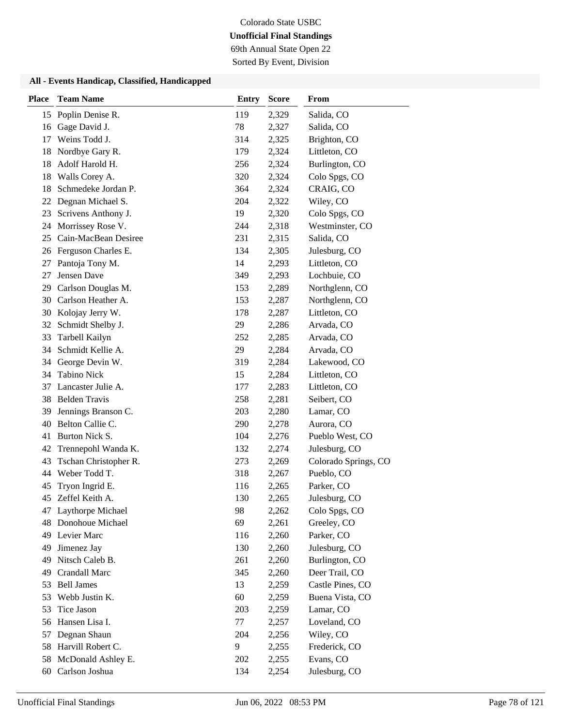69th Annual State Open 22

Sorted By Event, Division

| <b>Place</b> | <b>Team Name</b>        | <b>Entry</b> | <b>Score</b> | From                 |
|--------------|-------------------------|--------------|--------------|----------------------|
|              | 15 Poplin Denise R.     | 119          | 2,329        | Salida, CO           |
| 16           | Gage David J.           | 78           | 2,327        | Salida, CO           |
| 17           | Weins Todd J.           | 314          | 2,325        | Brighton, CO         |
| 18           | Nordbye Gary R.         | 179          | 2,324        | Littleton, CO        |
| 18           | Adolf Harold H.         | 256          | 2,324        | Burlington, CO       |
| 18           | Walls Corey A.          | 320          | 2,324        | Colo Spgs, CO        |
| 18           | Schmedeke Jordan P.     | 364          | 2,324        | CRAIG, CO            |
|              | 22 Degnan Michael S.    | 204          | 2,322        | Wiley, CO            |
| 23           | Scrivens Anthony J.     | 19           | 2,320        | Colo Spgs, CO        |
| 24           | Morrissey Rose V.       | 244          | 2,318        | Westminster, CO      |
|              | 25 Cain-MacBean Desiree | 231          | 2,315        | Salida, CO           |
|              | 26 Ferguson Charles E.  | 134          | 2,305        | Julesburg, CO        |
| 27           | Pantoja Tony M.         | 14           | 2,293        | Littleton, CO        |
| 27           | Jensen Dave             | 349          | 2,293        | Lochbuie, CO         |
| 29           | Carlson Douglas M.      | 153          | 2,289        | Northglenn, CO       |
| 30           | Carlson Heather A.      | 153          | 2,287        | Northglenn, CO       |
| 30           | Kolojay Jerry W.        | 178          | 2,287        | Littleton, CO        |
| 32           | Schmidt Shelby J.       | 29           | 2,286        | Arvada, CO           |
| 33           | Tarbell Kailyn          | 252          | 2,285        | Arvada, CO           |
| 34           | Schmidt Kellie A.       | 29           | 2,284        | Arvada, CO           |
| 34           | George Devin W.         | 319          | 2,284        | Lakewood, CO         |
| 34           | <b>Tabino Nick</b>      | 15           | 2,284        | Littleton, CO        |
| 37           | Lancaster Julie A.      | 177          | 2,283        | Littleton, CO        |
|              | 38 Belden Travis        | 258          | 2,281        | Seibert, CO          |
| 39           | Jennings Branson C.     | 203          | 2,280        | Lamar, CO            |
| 40           | Belton Callie C.        | 290          | 2,278        | Aurora, CO           |
| 41           | Burton Nick S.          | 104          | 2,276        | Pueblo West, CO      |
| 42           | Trennepohl Wanda K.     | 132          | 2,274        | Julesburg, CO        |
| 43           | Tschan Christopher R.   | 273          | 2,269        | Colorado Springs, CO |
| 44           | Weber Todd T.           | 318          | 2,267        | Pueblo, CO           |
| 45           | Tryon Ingrid E.         | 116          | 2,265        | Parker, CO           |
| 45           | Zeffel Keith A.         | 130          | 2,265        | Julesburg, CO        |
|              | 47 Laythorpe Michael    | 98           | 2,262        | Colo Spgs, CO        |
|              | 48 Donohoue Michael     | 69           | 2,261        | Greeley, CO          |
|              | 49 Levier Marc          | 116          | 2,260        | Parker, CO           |
| 49           | Jimenez Jay             | 130          | 2,260        | Julesburg, CO        |
| 49           | Nitsch Caleb B.         | 261          | 2,260        | Burlington, CO       |
| 49           | Crandall Marc           | 345          | 2,260        | Deer Trail, CO       |
| 53           | <b>Bell James</b>       | 13           | 2,259        | Castle Pines, CO     |
| 53           | Webb Justin K.          | 60           | 2,259        | Buena Vista, CO      |
| 53           | Tice Jason              | 203          | 2,259        | Lamar, CO            |
|              | 56 Hansen Lisa I.       | 77           | 2,257        | Loveland, CO         |
| 57           | Degnan Shaun            | 204          | 2,256        | Wiley, CO            |
| 58           | Harvill Robert C.       | 9            | 2,255        | Frederick, CO        |
| 58           | McDonald Ashley E.      | 202          | 2,255        | Evans, CO            |
| 60           | Carlson Joshua          | 134          | 2,254        | Julesburg, CO        |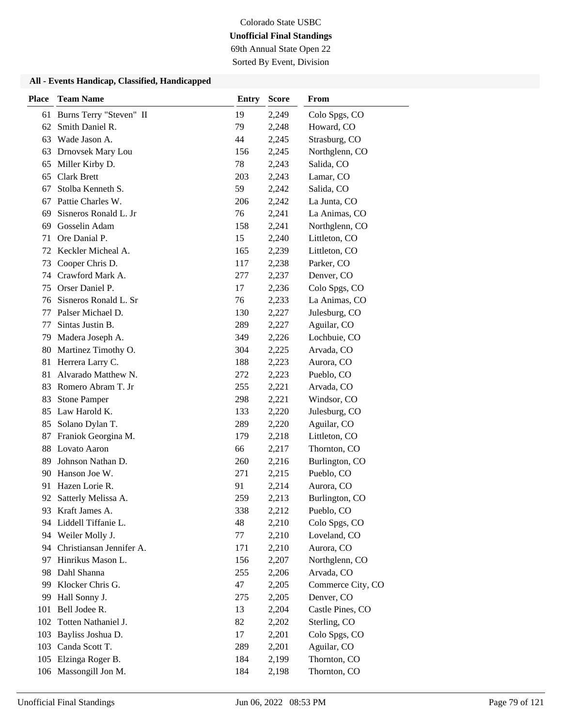69th Annual State Open 22

Sorted By Event, Division

| <b>Place</b> | <b>Team Name</b>            | <b>Entry</b> | <b>Score</b> | From              |
|--------------|-----------------------------|--------------|--------------|-------------------|
| 61           | Burns Terry "Steven" II     | 19           | 2,249        | Colo Spgs, CO     |
| 62           | Smith Daniel R.             | 79           | 2,248        | Howard, CO        |
| 63           | Wade Jason A.               | 44           | 2,245        | Strasburg, CO     |
| 63           | Drnovsek Mary Lou           | 156          | 2,245        | Northglenn, CO    |
| 65           | Miller Kirby D.             | 78           | 2,243        | Salida, CO        |
| 65           | <b>Clark Brett</b>          | 203          | 2,243        | Lamar, CO         |
| 67           | Stolba Kenneth S.           | 59           | 2,242        | Salida, CO        |
| 67           | Pattie Charles W.           | 206          | 2,242        | La Junta, CO      |
| 69           | Sisneros Ronald L. Jr       | 76           | 2,241        | La Animas, CO     |
| 69           | Gosselin Adam               | 158          | 2,241        | Northglenn, CO    |
| 71           | Ore Danial P.               | 15           | 2,240        | Littleton, CO     |
| 72           | Keckler Micheal A.          | 165          | 2,239        | Littleton, CO     |
| 73           | Cooper Chris D.             | 117          | 2,238        | Parker, CO        |
| 74           | Crawford Mark A.            | 277          | 2,237        | Denver, CO        |
| 75           | Orser Daniel P.             | 17           | 2,236        | Colo Spgs, CO     |
| 76           | Sisneros Ronald L. Sr       | 76           | 2,233        | La Animas, CO     |
| 77           | Palser Michael D.           | 130          | 2,227        | Julesburg, CO     |
| 77           | Sintas Justin B.            | 289          | 2,227        | Aguilar, CO       |
| 79           | Madera Joseph A.            | 349          | 2,226        | Lochbuie, CO      |
| 80           | Martinez Timothy O.         | 304          | 2,225        | Arvada, CO        |
| 81           | Herrera Larry C.            | 188          | 2,223        | Aurora, CO        |
| 81           | Alvarado Matthew N.         | 272          | 2,223        | Pueblo, CO        |
| 83           | Romero Abram T. Jr          | 255          | 2,221        | Arvada, CO        |
| 83           | <b>Stone Pamper</b>         | 298          | 2,221        | Windsor, CO       |
| 85           | Law Harold K.               | 133          | 2,220        | Julesburg, CO     |
| 85           | Solano Dylan T.             | 289          | 2,220        | Aguilar, CO       |
| 87           | Franiok Georgina M.         | 179          | 2,218        | Littleton, CO     |
| 88           | Lovato Aaron                | 66           | 2,217        | Thornton, CO      |
| 89           | Johnson Nathan D.           | 260          | 2,216        | Burlington, CO    |
| 90           | Hanson Joe W.               | 271          | 2,215        | Pueblo, CO        |
| 91           | Hazen Lorie R.              | 91           | 2,214        | Aurora, CO        |
|              | 92 Satterly Melissa A.      | 259          | 2,213        | Burlington, CO    |
| 93           | Kraft James A.              | 338          | 2,212        | Pueblo, CO        |
| 94           | Liddell Tiffanie L.         | 48           | 2,210        | Colo Spgs, CO     |
| 94           | Weiler Molly J.             | 77           | 2,210        | Loveland, CO      |
|              | 94 Christiansan Jennifer A. | 171          | 2,210        | Aurora, CO        |
| 97           | Hinrikus Mason L.           | 156          | 2,207        | Northglenn, CO    |
| 98           | Dahl Shanna                 | 255          | 2,206        | Arvada, CO        |
| 99           | Klocker Chris G.            | 47           | 2,205        | Commerce City, CO |
| 99           | Hall Sonny J.               | 275          | 2,205        | Denver, CO        |
| 101          | Bell Jodee R.               | 13           | 2,204        | Castle Pines, CO  |
| 102          | Totten Nathaniel J.         | 82           | 2,202        | Sterling, CO      |
| 103          | Bayliss Joshua D.           | 17           | 2,201        | Colo Spgs, CO     |
| 103          | Canda Scott T.              | 289          | 2,201        | Aguilar, CO       |
| 105          | Elzinga Roger B.            | 184          | 2,199        | Thornton, CO      |
|              | 106 Massongill Jon M.       | 184          | 2,198        | Thornton, CO      |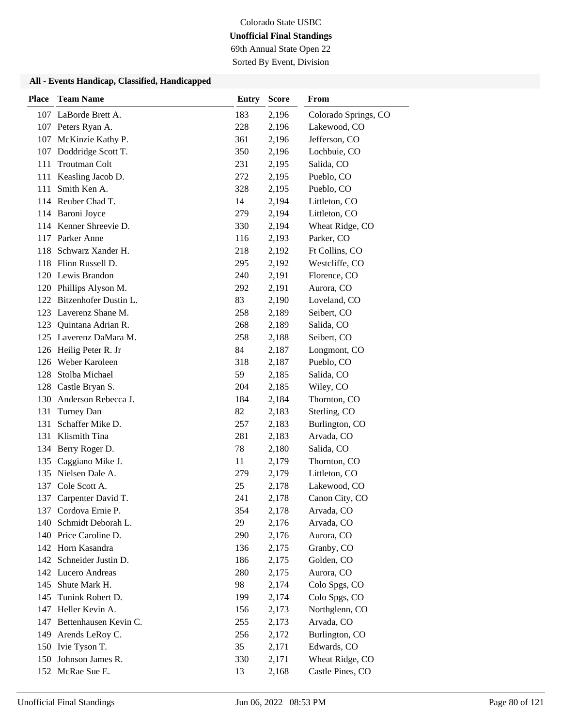69th Annual State Open 22

Sorted By Event, Division

| <b>Place</b> | <b>Team Name</b>          | <b>Entry</b> | <b>Score</b> | From                 |
|--------------|---------------------------|--------------|--------------|----------------------|
|              | 107 LaBorde Brett A.      | 183          | 2,196        | Colorado Springs, CO |
|              | 107 Peters Ryan A.        | 228          | 2,196        | Lakewood, CO         |
| 107          | McKinzie Kathy P.         | 361          | 2,196        | Jefferson, CO        |
|              | 107 Doddridge Scott T.    | 350          | 2,196        | Lochbuie, CO         |
| 111          | <b>Troutman Colt</b>      | 231          | 2,195        | Salida, CO           |
| 111          | Keasling Jacob D.         | 272          | 2,195        | Pueblo, CO           |
| 111          | Smith Ken A.              | 328          | 2,195        | Pueblo, CO           |
|              | 114 Reuber Chad T.        | 14           | 2,194        | Littleton, CO        |
|              | 114 Baroni Joyce          | 279          | 2,194        | Littleton, CO        |
|              | 114 Kenner Shreevie D.    | 330          | 2,194        | Wheat Ridge, CO      |
| 117          | Parker Anne               | 116          | 2,193        | Parker, CO           |
| 118          | Schwarz Xander H.         | 218          | 2,192        | Ft Collins, CO       |
|              | 118 Flinn Russell D.      | 295          | 2,192        | Westcliffe, CO       |
|              | 120 Lewis Brandon         | 240          | 2,191        | Florence, CO         |
|              | 120 Phillips Alyson M.    | 292          | 2,191        | Aurora, CO           |
|              | 122 Bitzenhofer Dustin L. | 83           | 2,190        | Loveland, CO         |
|              | 123 Laverenz Shane M.     | 258          | 2,189        | Seibert, CO          |
| 123          | Quintana Adrian R.        | 268          | 2,189        | Salida, CO           |
|              | 125 Laverenz DaMara M.    | 258          | 2,188        | Seibert, CO          |
|              | 126 Heilig Peter R. Jr    | 84           | 2,187        | Longmont, CO         |
|              | 126 Weber Karoleen        | 318          | 2,187        | Pueblo, CO           |
| 128          | Stolba Michael            | 59           | 2,185        | Salida, CO           |
| 128          | Castle Bryan S.           | 204          | 2,185        | Wiley, CO            |
|              | 130 Anderson Rebecca J.   | 184          | 2,184        | Thornton, CO         |
| 131          | Turney Dan                | 82           | 2,183        | Sterling, CO         |
| 131          | Schaffer Mike D.          | 257          | 2,183        | Burlington, CO       |
| 131          | Klismith Tina             | 281          | 2,183        | Arvada, CO           |
|              | 134 Berry Roger D.        | 78           | 2,180        | Salida, CO           |
| 135          | Caggiano Mike J.          | 11           | 2,179        | Thornton, CO         |
|              | 135 Nielsen Dale A.       | 279          | 2,179        | Littleton, CO        |
| 137          | Cole Scott A.             | 25           | 2,178        | Lakewood, CO         |
| 137          | Carpenter David T.        | 241          | 2,178        | Canon City, CO       |
|              | 137 Cordova Ernie P.      | 354          | 2,178        | Arvada, CO           |
| 140          | Schmidt Deborah L.        | 29           | 2,176        | Arvada, CO           |
|              | 140 Price Caroline D.     | 290          | 2,176        | Aurora, CO           |
|              | 142 Horn Kasandra         | 136          | 2,175        | Granby, CO           |
|              | 142 Schneider Justin D.   | 186          | 2,175        | Golden, CO           |
|              | 142 Lucero Andreas        | 280          | 2,175        | Aurora, CO           |
| 145          | Shute Mark H.             | 98           | 2,174        | Colo Spgs, CO        |
| 145          | Tunink Robert D.          | 199          | 2,174        | Colo Spgs, CO        |
| 147          | Heller Kevin A.           | 156          | 2,173        | Northglenn, CO       |
| 147          | Bettenhausen Kevin C.     | 255          | 2,173        | Arvada, CO           |
| 149          | Arends LeRoy C.           | 256          | 2,172        | Burlington, CO       |
|              | 150 Ivie Tyson T.         | 35           | 2,171        | Edwards, CO          |
|              | 150 Johnson James R.      | 330          | 2,171        | Wheat Ridge, CO      |
|              | 152 McRae Sue E.          | 13           | 2,168        | Castle Pines, CO     |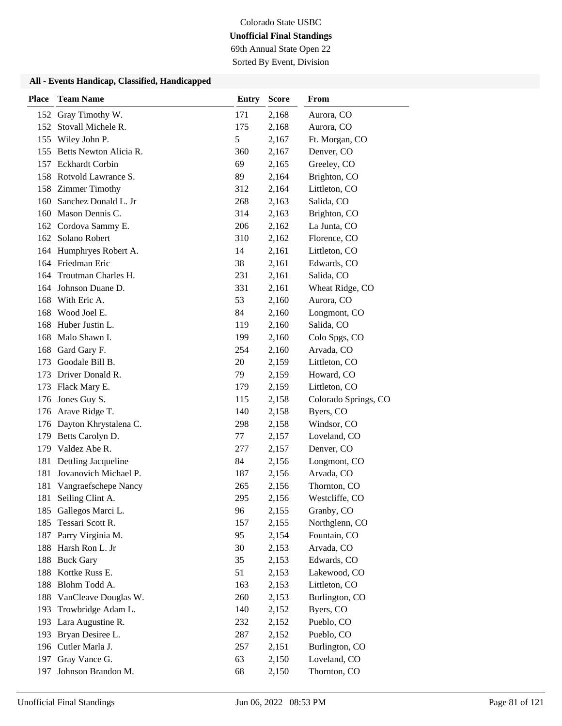69th Annual State Open 22

Sorted By Event, Division

| <b>Place</b> | <b>Team Name</b>           | <b>Entry</b> | <b>Score</b> | From                 |
|--------------|----------------------------|--------------|--------------|----------------------|
| 152          | Gray Timothy W.            | 171          | 2,168        | Aurora, CO           |
|              | 152 Stovall Michele R.     | 175          | 2,168        | Aurora, CO           |
|              | 155 Wiley John P.          | 5            | 2,167        | Ft. Morgan, CO       |
|              | 155 Betts Newton Alicia R. | 360          | 2,167        | Denver, CO           |
|              | 157 Eckhardt Corbin        | 69           | 2,165        | Greeley, CO          |
|              | 158 Rotvold Lawrance S.    | 89           | 2,164        | Brighton, CO         |
|              | 158 Zimmer Timothy         | 312          | 2,164        | Littleton, CO        |
|              | 160 Sanchez Donald L. Jr   | 268          | 2,163        | Salida, CO           |
| 160          | Mason Dennis C.            | 314          | 2,163        | Brighton, CO         |
|              | 162 Cordova Sammy E.       | 206          | 2,162        | La Junta, CO         |
|              | 162 Solano Robert          | 310          | 2,162        | Florence, CO         |
|              | 164 Humphryes Robert A.    | 14           | 2,161        | Littleton, CO        |
|              | 164 Friedman Eric          | 38           | 2,161        | Edwards, CO          |
| 164          | Troutman Charles H.        | 231          | 2,161        | Salida, CO           |
|              | 164 Johnson Duane D.       | 331          | 2,161        | Wheat Ridge, CO      |
| 168          | With Eric A.               | 53           | 2,160        | Aurora, CO           |
| 168          | Wood Joel E.               | 84           | 2,160        | Longmont, CO         |
| 168          | Huber Justin L.            | 119          | 2,160        | Salida, CO           |
| 168          | Malo Shawn I.              | 199          | 2,160        | Colo Spgs, CO        |
| 168          | Gard Gary F.               | 254          | 2,160        | Arvada, CO           |
| 173          | Goodale Bill B.            | 20           | 2,159        | Littleton, CO        |
| 173          | Driver Donald R.           | 79           | 2,159        | Howard, CO           |
| 173          | Flack Mary E.              | 179          | 2,159        | Littleton, CO        |
|              | 176 Jones Guy S.           | 115          | 2,158        | Colorado Springs, CO |
|              | 176 Arave Ridge T.         | 140          | 2,158        | Byers, CO            |
|              | 176 Dayton Khrystalena C.  | 298          | 2,158        | Windsor, CO          |
| 179          | Betts Carolyn D.           | 77           | 2,157        | Loveland, CO         |
| 179          | Valdez Abe R.              | 277          | 2,157        | Denver, CO           |
| 181          | Dettling Jacqueline        | 84           | 2,156        | Longmont, CO         |
| 181          | Jovanovich Michael P.      | 187          | 2,156        | Arvada, CO           |
| 181          | Vangraefschepe Nancy       | 265          | 2,156        | Thornton, CO         |
| 181          | Seiling Clint A.           | 295          | 2,156        | Westcliffe, CO       |
| 185          | Gallegos Marci L.          | 96           | 2,155        | Granby, CO           |
| 185          | Tessari Scott R.           | 157          | 2,155        | Northglenn, CO       |
| 187          | Parry Virginia M.          | 95           | 2,154        | Fountain, CO         |
| 188          | Harsh Ron L. Jr            | 30           | 2,153        | Arvada, CO           |
| 188          | <b>Buck Gary</b>           | 35           | 2,153        | Edwards, CO          |
| 188          | Kottke Russ E.             | 51           | 2,153        | Lakewood, CO         |
| 188          | Blohm Todd A.              | 163          | 2,153        | Littleton, CO        |
| 188          | VanCleave Douglas W.       | 260          | 2,153        | Burlington, CO       |
| 193          | Trowbridge Adam L.         | 140          | 2,152        | Byers, CO            |
| 193          | Lara Augustine R.          | 232          | 2,152        | Pueblo, CO           |
| 193          | Bryan Desiree L.           | 287          | 2,152        | Pueblo, CO           |
|              | 196 Cutler Marla J.        | 257          | 2,151        | Burlington, CO       |
| 197          | Gray Vance G.              | 63           | 2,150        | Loveland, CO         |
| 197          | Johnson Brandon M.         | 68           | 2,150        | Thornton, CO         |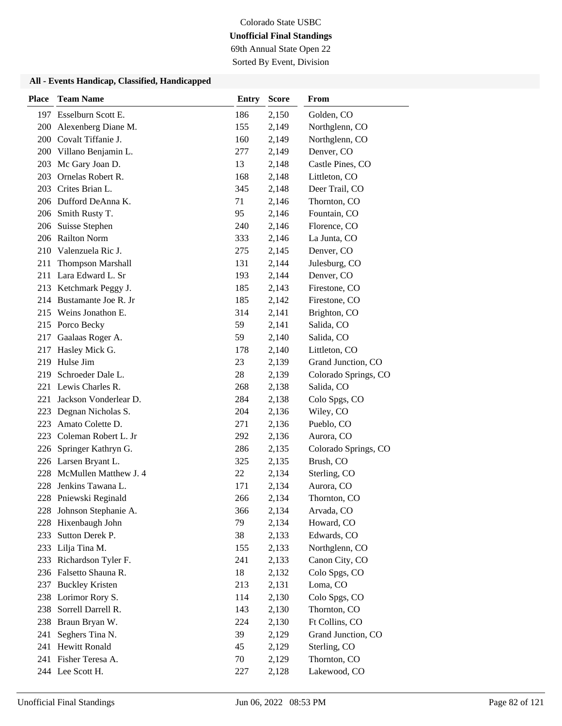69th Annual State Open 22

Sorted By Event, Division

| <b>Place</b> | <b>Team Name</b>         | <b>Entry</b> | <b>Score</b> | From                 |
|--------------|--------------------------|--------------|--------------|----------------------|
|              | 197 Esselburn Scott E.   | 186          | 2,150        | Golden, CO           |
| 200          | Alexenberg Diane M.      | 155          | 2,149        | Northglenn, CO       |
|              | 200 Covalt Tiffanie J.   | 160          | 2,149        | Northglenn, CO       |
|              | 200 Villano Benjamin L.  | 277          | 2,149        | Denver, CO           |
| 203          | Mc Gary Joan D.          | 13           | 2,148        | Castle Pines, CO     |
| 203          | Ornelas Robert R.        | 168          | 2,148        | Littleton, CO        |
| 203          | Crites Brian L.          | 345          | 2,148        | Deer Trail, CO       |
|              | 206 Dufford DeAnna K.    | 71           | 2,146        | Thornton, CO         |
|              | 206 Smith Rusty T.       | 95           | 2,146        | Fountain, CO         |
| 206          | Suisse Stephen           | 240          | 2,146        | Florence, CO         |
|              | 206 Railton Norm         | 333          | 2,146        | La Junta, CO         |
| 210          | Valenzuela Ric J.        | 275          | 2,145        | Denver, CO           |
| 211          | <b>Thompson Marshall</b> | 131          | 2,144        | Julesburg, CO        |
| 211          | Lara Edward L. Sr        | 193          | 2,144        | Denver, CO           |
|              | 213 Ketchmark Peggy J.   | 185          | 2,143        | Firestone, CO        |
|              | 214 Bustamante Joe R. Jr | 185          | 2,142        | Firestone, CO        |
|              | 215 Weins Jonathon E.    | 314          | 2,141        | Brighton, CO         |
|              | 215 Porco Becky          | 59           | 2,141        | Salida, CO           |
| 217          | Gaalaas Roger A.         | 59           | 2,140        | Salida, CO           |
| 217          | Hasley Mick G.           | 178          | 2,140        | Littleton, CO        |
| 219          | Hulse Jim                | 23           | 2,139        | Grand Junction, CO   |
| 219          | Schroeder Dale L.        | 28           | 2,139        | Colorado Springs, CO |
| 221          | Lewis Charles R.         | 268          | 2,138        | Salida, CO           |
| 221          | Jackson Vonderlear D.    | 284          | 2,138        | Colo Spgs, CO        |
| 223          | Degnan Nicholas S.       | 204          | 2,136        | Wiley, CO            |
| 223          | Amato Colette D.         | 271          | 2,136        | Pueblo, CO           |
| 223          | Coleman Robert L. Jr     | 292          | 2,136        | Aurora, CO           |
| 226          | Springer Kathryn G.      | 286          | 2,135        | Colorado Springs, CO |
|              | 226 Larsen Bryant L.     | 325          | 2,135        | Brush, CO            |
| 228          | McMullen Matthew J. 4    | 22           | 2,134        | Sterling, CO         |
| 228          | Jenkins Tawana L.        | 171          | 2,134        | Aurora, CO           |
|              | 228 Pniewski Reginald    | 266          | 2,134        | Thornton, CO         |
|              | 228 Johnson Stephanie A. | 366          | 2,134        | Arvada, CO           |
| 228          | Hixenbaugh John          | 79           | 2,134        | Howard, CO           |
| 233          | Sutton Derek P.          | 38           | 2,133        | Edwards, CO          |
|              | 233 Lilja Tina M.        | 155          | 2,133        | Northglenn, CO       |
|              | 233 Richardson Tyler F.  | 241          | 2,133        | Canon City, CO       |
|              | 236 Falsetto Shauna R.   | 18           | 2,132        | Colo Spgs, CO        |
| 237          | <b>Buckley Kristen</b>   | 213          | 2,131        | Loma, CO             |
|              | 238 Lorimor Rory S.      | 114          | 2,130        | Colo Spgs, CO        |
| 238          | Sorrell Darrell R.       | 143          | 2,130        | Thornton, CO         |
| 238          | Braun Bryan W.           | 224          | 2,130        | Ft Collins, CO       |
| 241          | Seghers Tina N.          | 39           | 2,129        | Grand Junction, CO   |
| 241          | <b>Hewitt Ronald</b>     | 45           | 2,129        | Sterling, CO         |
|              | 241 Fisher Teresa A.     | 70           | 2,129        | Thornton, CO         |
|              | 244 Lee Scott H.         | 227          | 2,128        | Lakewood, CO         |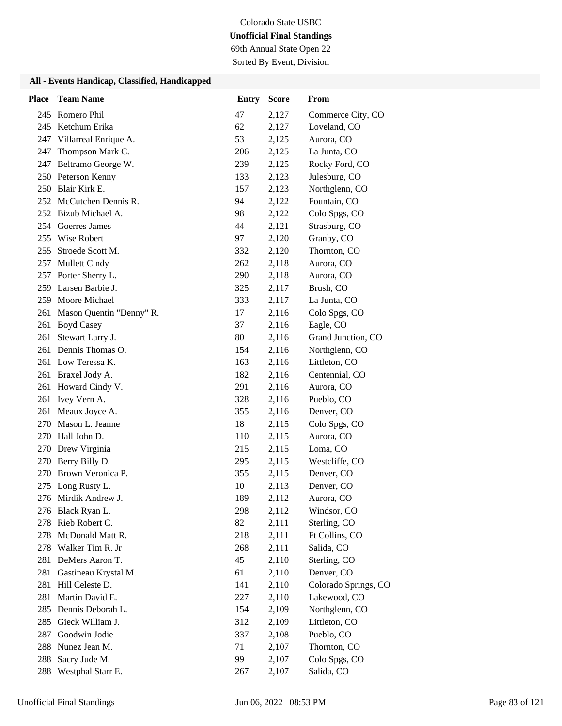69th Annual State Open 22

Sorted By Event, Division

| <b>Place</b> | <b>Team Name</b>         | <b>Entry</b> | <b>Score</b> | From                 |
|--------------|--------------------------|--------------|--------------|----------------------|
|              | 245 Romero Phil          | 47           | 2,127        | Commerce City, CO    |
|              | 245 Ketchum Erika        | 62           | 2,127        | Loveland, CO         |
| 247          | Villarreal Enrique A.    | 53           | 2,125        | Aurora, CO           |
| 247          | Thompson Mark C.         | 206          | 2,125        | La Junta, CO         |
| 247          | Beltramo George W.       | 239          | 2,125        | Rocky Ford, CO       |
|              | 250 Peterson Kenny       | 133          | 2,123        | Julesburg, CO        |
|              | 250 Blair Kirk E.        | 157          | 2,123        | Northglenn, CO       |
|              | 252 McCutchen Dennis R.  | 94           | 2,122        | Fountain, CO         |
|              | 252 Bizub Michael A.     | 98           | 2,122        | Colo Spgs, CO        |
| 254          | Goerres James            | 44           | 2,121        | Strasburg, CO        |
| 255          | Wise Robert              | 97           | 2,120        | Granby, CO           |
| 255          | Stroede Scott M.         | 332          | 2,120        | Thornton, CO         |
| 257          | <b>Mullett Cindy</b>     | 262          | 2,118        | Aurora, CO           |
| 257          | Porter Sherry L.         | 290          | 2,118        | Aurora, CO           |
|              | 259 Larsen Barbie J.     | 325          | 2,117        | Brush, CO            |
|              | 259 Moore Michael        | 333          | 2,117        | La Junta, CO         |
| 261          | Mason Quentin "Denny" R. | 17           | 2,116        | Colo Spgs, CO        |
| 261          | <b>Boyd Casey</b>        | 37           | 2,116        | Eagle, CO            |
| 261          | Stewart Larry J.         | 80           | 2,116        | Grand Junction, CO   |
| 261          | Dennis Thomas O.         | 154          | 2,116        | Northglenn, CO       |
| 261          | Low Teressa K.           | 163          | 2,116        | Littleton, CO        |
| 261          | Braxel Jody A.           | 182          | 2,116        | Centennial, CO       |
| 261          | Howard Cindy V.          | 291          | 2,116        | Aurora, CO           |
| 261          | Ivey Vern A.             | 328          | 2,116        | Pueblo, CO           |
| 261          | Meaux Joyce A.           | 355          | 2,116        | Denver, CO           |
| 270          | Mason L. Jeanne          | 18           | 2,115        | Colo Spgs, CO        |
| 270          | Hall John D.             | 110          | 2,115        | Aurora, CO           |
|              | 270 Drew Virginia        | 215          | 2,115        | Loma, CO             |
| 270          | Berry Billy D.           | 295          | 2,115        | Westcliffe, CO       |
| 270          | Brown Veronica P.        | 355          | 2,115        | Denver, CO           |
| 275          | Long Rusty L.            | 10           | 2,113        | Denver, CO           |
|              | 276 Mirdik Andrew J.     | 189          | 2,112        | Aurora, CO           |
|              | 276 Black Ryan L.        | 298          | 2,112        | Windsor, CO          |
| 278          | Rieb Robert C.           | 82           | 2,111        | Sterling, CO         |
| 278          | McDonald Matt R.         | 218          | 2,111        | Ft Collins, CO       |
| 278          | Walker Tim R. Jr         | 268          | 2,111        | Salida, CO           |
| 281          | DeMers Aaron T.          | 45           | 2,110        | Sterling, CO         |
| 281          | Gastineau Krystal M.     | 61           | 2,110        | Denver, CO           |
| 281          | Hill Celeste D.          | 141          | 2,110        | Colorado Springs, CO |
| 281          | Martin David E.          | 227          | 2,110        | Lakewood, CO         |
| 285          | Dennis Deborah L.        | 154          | 2,109        | Northglenn, CO       |
| 285          | Gieck William J.         | 312          | 2,109        | Littleton, CO        |
| 287          | Goodwin Jodie            | 337          | 2,108        | Pueblo, CO           |
| 288          | Nunez Jean M.            | 71           | 2,107        | Thornton, CO         |
| 288          | Sacry Jude M.            | 99           | 2,107        | Colo Spgs, CO        |
| 288          | Westphal Starr E.        | 267          | 2,107        | Salida, CO           |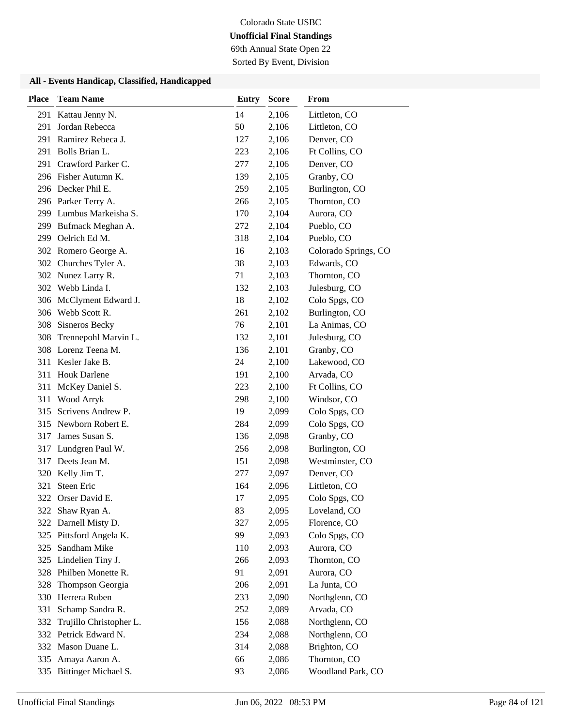69th Annual State Open 22

Sorted By Event, Division

| <b>Place</b> | <b>Team Name</b>        | <b>Entry</b> | <b>Score</b> | From                 |
|--------------|-------------------------|--------------|--------------|----------------------|
| 291          | Kattau Jenny N.         | 14           | 2,106        | Littleton, CO        |
| 291          | Jordan Rebecca          | 50           | 2,106        | Littleton, CO        |
| 291          | Ramirez Rebeca J.       | 127          | 2,106        | Denver, CO           |
| 291          | Bolls Brian L.          | 223          | 2,106        | Ft Collins, CO       |
| 291          | Crawford Parker C.      | 277          | 2,106        | Denver, CO           |
|              | 296 Fisher Autumn K.    | 139          | 2,105        | Granby, CO           |
|              | 296 Decker Phil E.      | 259          | 2,105        | Burlington, CO       |
|              | 296 Parker Terry A.     | 266          | 2,105        | Thornton, CO         |
|              | 299 Lumbus Markeisha S. | 170          | 2,104        | Aurora, CO           |
| 299          | Bufmack Meghan A.       | 272          | 2,104        | Pueblo, CO           |
| 299          | Oelrich Ed M.           | 318          | 2,104        | Pueblo, CO           |
|              | 302 Romero George A.    | 16           | 2,103        | Colorado Springs, CO |
|              | 302 Churches Tyler A.   | 38           | 2,103        | Edwards, CO          |
|              | 302 Nunez Larry R.      | 71           | 2,103        | Thornton, CO         |
|              | 302 Webb Linda I.       | 132          | 2,103        | Julesburg, CO        |
|              | 306 McClyment Edward J. | 18           | 2,102        | Colo Spgs, CO        |
|              | 306 Webb Scott R.       | 261          | 2,102        | Burlington, CO       |
| 308          | Sisneros Becky          | 76           | 2,101        | La Animas, CO        |
| 308          | Trennepohl Marvin L.    | 132          | 2,101        | Julesburg, CO        |
| 308          | Lorenz Teena M.         | 136          | 2,101        | Granby, CO           |
| 311          | Kesler Jake B.          | 24           | 2,100        | Lakewood, CO         |
| 311          | <b>Houk Darlene</b>     | 191          | 2,100        | Arvada, CO           |
| 311          | McKey Daniel S.         | 223          | 2,100        | Ft Collins, CO       |
| 311          | Wood Arryk              | 298          | 2,100        | Windsor, CO          |
| 315          | Scrivens Andrew P.      | 19           | 2,099        | Colo Spgs, CO        |
| 315          | Newborn Robert E.       | 284          | 2,099        | Colo Spgs, CO        |
| 317          | James Susan S.          | 136          | 2,098        | Granby, CO           |
| 317          | Lundgren Paul W.        | 256          | 2,098        | Burlington, CO       |
| 317          | Deets Jean M.           | 151          | 2,098        | Westminster, CO      |
| 320          | Kelly Jim T.            | 277          | 2,097        | Denver, CO           |
| 321          | <b>Steen Eric</b>       | 164          | 2,096        | Littleton, CO        |
| 322          | Orser David E.          | 17           | 2,095        | Colo Spgs, CO        |
|              | 322 Shaw Ryan A.        | 83           | 2,095        | Loveland, CO         |
| 322          | Darnell Misty D.        | 327          | 2,095        | Florence, CO         |
|              | 325 Pittsford Angela K. | 99           | 2,093        | Colo Spgs, CO        |
| 325          | Sandham Mike            | 110          | 2,093        | Aurora, CO           |
| 325          | Lindelien Tiny J.       | 266          | 2,093        | Thornton, CO         |
| 328          | Philben Monette R.      | 91           | 2,091        | Aurora, CO           |
| 328          | Thompson Georgia        | 206          | 2,091        | La Junta, CO         |
| 330          | Herrera Ruben           | 233          | 2,090        | Northglenn, CO       |
| 331          | Schamp Sandra R.        | 252          | 2,089        | Arvada, CO           |
| 332          | Trujillo Christopher L. | 156          | 2,088        | Northglenn, CO       |
|              | 332 Petrick Edward N.   | 234          | 2,088        | Northglenn, CO       |
|              | 332 Mason Duane L.      | 314          | 2,088        | Brighton, CO         |
| 335          | Amaya Aaron A.          | 66           | 2,086        | Thornton, CO         |
| 335          | Bittinger Michael S.    | 93           | 2,086        | Woodland Park, CO    |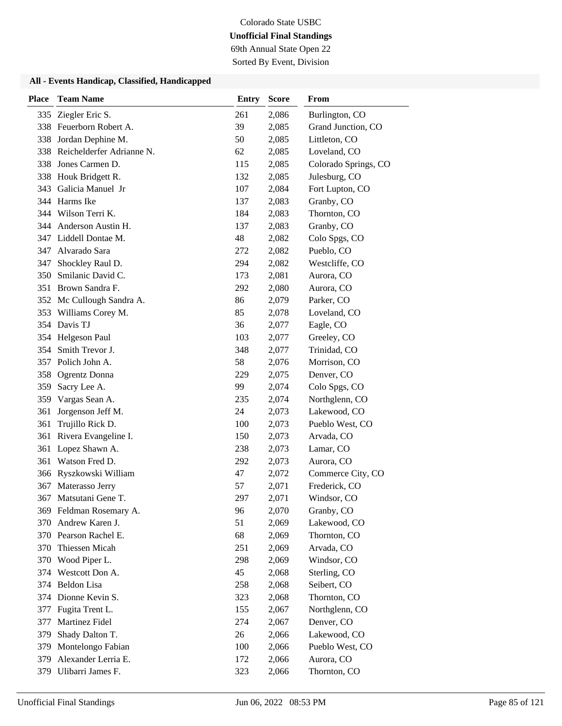69th Annual State Open 22

Sorted By Event, Division

| <b>Place</b> | <b>Team Name</b>                     | <b>Entry</b> | <b>Score</b>   | <b>From</b>                        |
|--------------|--------------------------------------|--------------|----------------|------------------------------------|
| 335          | Ziegler Eric S.                      | 261          | 2,086          | Burlington, CO                     |
|              | 338 Feuerborn Robert A.              | 39           | 2,085          | Grand Junction, CO                 |
|              | 338 Jordan Dephine M.                | 50           | 2,085          | Littleton, CO                      |
| 338          | Reichelderfer Adrianne N.            | 62           | 2,085          | Loveland, CO                       |
|              | 338 Jones Carmen D.                  | 115          | 2,085          | Colorado Springs, CO               |
|              | 338 Houk Bridgett R.                 | 132          | 2,085          | Julesburg, CO                      |
|              | 343 Galicia Manuel Jr                | 107          | 2,084          | Fort Lupton, CO                    |
|              | 344 Harms Ike                        | 137          | 2,083          | Granby, CO                         |
|              | 344 Wilson Terri K.                  | 184          | 2,083          | Thornton, CO                       |
|              | 344 Anderson Austin H.               | 137          | 2,083          | Granby, CO                         |
|              | 347 Liddell Dontae M.                | 48           | 2,082          | Colo Spgs, CO                      |
| 347          | Alvarado Sara                        | 272          | 2,082          | Pueblo, CO                         |
| 347          | Shockley Raul D.                     | 294          | 2,082          | Westcliffe, CO                     |
| 350          | Smilanic David C.                    | 173          | 2,081          | Aurora, CO                         |
|              | 351 Brown Sandra F.                  | 292          | 2,080          | Aurora, CO                         |
|              | 352 Mc Cullough Sandra A.            | 86           | 2,079          | Parker, CO                         |
|              | 353 Williams Corey M.                | 85           | 2,078          | Loveland, CO                       |
|              | 354 Davis TJ                         | 36           | 2,077          | Eagle, CO                          |
|              | 354 Helgeson Paul                    | 103          | 2,077          | Greeley, CO                        |
| 354          | Smith Trevor J.                      | 348          | 2,077          | Trinidad, CO                       |
|              | 357 Polich John A.                   | 58           | 2,076          | Morrison, CO                       |
| 358          | Ogrentz Donna                        | 229          | 2,075          | Denver, CO                         |
| 359          | Sacry Lee A.                         | 99           | 2,074          | Colo Spgs, CO                      |
| 359          | Vargas Sean A.                       | 235          | 2,074          | Northglenn, CO                     |
| 361          | Jorgenson Jeff M.                    | 24           | 2,073          | Lakewood, CO                       |
| 361          | Trujillo Rick D.                     | 100          | 2,073          | Pueblo West, CO                    |
| 361          | Rivera Evangeline I.                 | 150          | 2,073          | Arvada, CO                         |
| 361          | Lopez Shawn A.                       | 238          | 2,073          | Lamar, CO                          |
| 361          | Watson Fred D.                       | 292          | 2,073          | Aurora, CO                         |
|              | 366 Ryszkowski William               | 47           | 2,072          | Commerce City, CO<br>Frederick, CO |
| 367<br>367   | Materasso Jerry<br>Matsutani Gene T. | 57<br>297    | 2,071<br>2,071 | Windsor, CO                        |
|              | 369 Feldman Rosemary A.              | 96           | 2,070          | Granby, CO                         |
|              | 370 Andrew Karen J.                  | 51           | 2,069          | Lakewood, CO                       |
|              | 370 Pearson Rachel E.                | 68           | 2,069          | Thornton, CO                       |
|              | 370 Thiessen Micah                   | 251          | 2,069          | Arvada, CO                         |
|              | 370 Wood Piper L.                    | 298          | 2,069          | Windsor, CO                        |
| 374          | Westcott Don A.                      | 45           | 2,068          | Sterling, CO                       |
| 374          | Beldon Lisa                          | 258          | 2,068          | Seibert, CO                        |
| 374          | Dionne Kevin S.                      | 323          | 2,068          | Thornton, CO                       |
| 377          | Fugita Trent L.                      | 155          | 2,067          | Northglenn, CO                     |
| 377          | Martinez Fidel                       | 274          | 2,067          | Denver, CO                         |
| 379          | Shady Dalton T.                      | 26           | 2,066          | Lakewood, CO                       |
| 379          | Montelongo Fabian                    | 100          | 2,066          | Pueblo West, CO                    |
| 379          | Alexander Lerria E.                  | 172          | 2,066          | Aurora, CO                         |
| 379          | Ulibarri James F.                    | 323          | 2,066          | Thornton, CO                       |
|              |                                      |              |                |                                    |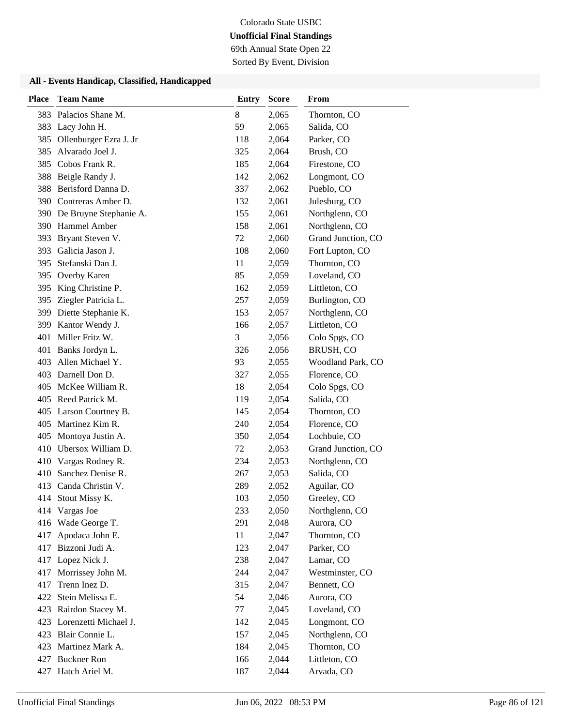69th Annual State Open 22

Sorted By Event, Division

| <b>Place</b> | <b>Team Name</b>           | <b>Entry</b> | <b>Score</b> | From               |
|--------------|----------------------------|--------------|--------------|--------------------|
| 383          | Palacios Shane M.          | 8            | 2,065        | Thornton, CO       |
| 383          | Lacy John H.               | 59           | 2,065        | Salida, CO         |
| 385          | Ollenburger Ezra J. Jr     | 118          | 2,064        | Parker, CO         |
| 385          | Alvarado Joel J.           | 325          | 2,064        | Brush, CO          |
| 385          | Cobos Frank R.             | 185          | 2,064        | Firestone, CO      |
| 388          | Beigle Randy J.            | 142          | 2,062        | Longmont, CO       |
| 388          | Berisford Danna D.         | 337          | 2,062        | Pueblo, CO         |
|              | 390 Contreras Amber D.     | 132          | 2,061        | Julesburg, CO      |
|              | 390 De Bruyne Stephanie A. | 155          | 2,061        | Northglenn, CO     |
|              | 390 Hammel Amber           | 158          | 2,061        | Northglenn, CO     |
| 393          | Bryant Steven V.           | 72           | 2,060        | Grand Junction, CO |
| 393          | Galicia Jason J.           | 108          | 2,060        | Fort Lupton, CO    |
| 395          | Stefanski Dan J.           | 11           | 2,059        | Thornton, CO       |
| 395          | Overby Karen               | 85           | 2,059        | Loveland, CO       |
|              | 395 King Christine P.      | 162          | 2,059        | Littleton, CO      |
| 395          | Ziegler Patricia L.        | 257          | 2,059        | Burlington, CO     |
| 399          | Diette Stephanie K.        | 153          | 2,057        | Northglenn, CO     |
| 399          | Kantor Wendy J.            | 166          | 2,057        | Littleton, CO      |
| 401          | Miller Fritz W.            | 3            | 2,056        | Colo Spgs, CO      |
| 401          | Banks Jordyn L.            | 326          | 2,056        | BRUSH, CO          |
| 403          | Allen Michael Y.           | 93           | 2,055        | Woodland Park, CO  |
|              | 403 Darnell Don D.         | 327          | 2,055        | Florence, CO       |
|              | 405 McKee William R.       | 18           | 2,054        | Colo Spgs, CO      |
|              | 405 Reed Patrick M.        | 119          | 2,054        | Salida, CO         |
|              | 405 Larson Courtney B.     | 145          | 2,054        | Thornton, CO       |
|              | 405 Martinez Kim R.        | 240          | 2,054        | Florence, CO       |
|              | 405 Montoya Justin A.      | 350          | 2,054        | Lochbuie, CO       |
| 410          | Ubersox William D.         | 72           | 2,053        | Grand Junction, CO |
| 410          | Vargas Rodney R.           | 234          | 2,053        | Northglenn, CO     |
| 410          | Sanchez Denise R.          | 267          | 2,053        | Salida, CO         |
| 413          | Canda Christin V.          | 289          | 2,052        | Aguilar, CO        |
|              | 414 Stout Missy K.         | 103          | 2,050        | Greeley, CO        |
|              | 414 Vargas Joe             | 233          | 2,050        | Northglenn, CO     |
| 416          | Wade George T.             | 291          | 2,048        | Aurora, CO         |
| 417          | Apodaca John E.            | 11           | 2,047        | Thornton, CO       |
| 417          | Bizzoni Judi A.            | 123          | 2,047        | Parker, CO         |
| 417          | Lopez Nick J.              | 238          | 2,047        | Lamar, CO          |
| 417          | Morrissey John M.          | 244          | 2,047        | Westminster, CO    |
| 417          | Trenn Inez D.              | 315          | 2,047        | Bennett, CO        |
|              | 422 Stein Melissa E.       | 54           | 2,046        | Aurora, CO         |
| 423          | Rairdon Stacey M.          | 77           | 2,045        | Loveland, CO       |
| 423          | Lorenzetti Michael J.      | 142          | 2,045        | Longmont, CO       |
|              | 423 Blair Connie L.        | 157          | 2,045        | Northglenn, CO     |
|              | 423 Martinez Mark A.       | 184          | 2,045        | Thornton, CO       |
|              | 427 Buckner Ron            | 166          | 2,044        | Littleton, CO      |
|              | 427 Hatch Ariel M.         | 187          | 2,044        | Arvada, CO         |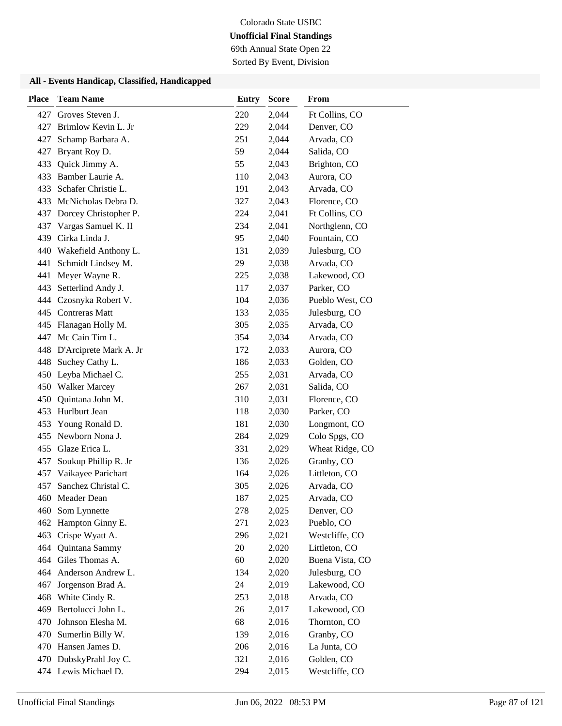69th Annual State Open 22

Sorted By Event, Division

| <b>Place</b> | <b>Team Name</b>           | <b>Entry</b> | <b>Score</b> | From            |
|--------------|----------------------------|--------------|--------------|-----------------|
| 427          | Groves Steven J.           | 220          | 2,044        | Ft Collins, CO  |
| 427          | Brimlow Kevin L. Jr        | 229          | 2,044        | Denver, CO      |
| 427          | Schamp Barbara A.          | 251          | 2,044        | Arvada, CO      |
| 427          | Bryant Roy D.              | 59           | 2,044        | Salida, CO      |
| 433          | Quick Jimmy A.             | 55           | 2,043        | Brighton, CO    |
| 433          | Bamber Laurie A.           | 110          | 2,043        | Aurora, CO      |
| 433          | Schafer Christie L.        | 191          | 2,043        | Arvada, CO      |
|              | 433 McNicholas Debra D.    | 327          | 2,043        | Florence, CO    |
| 437          | Dorcey Christopher P.      | 224          | 2,041        | Ft Collins, CO  |
| 437          | Vargas Samuel K. II        | 234          | 2,041        | Northglenn, CO  |
| 439          | Cirka Linda J.             | 95           | 2,040        | Fountain, CO    |
| 440          | Wakefield Anthony L.       | 131          | 2,039        | Julesburg, CO   |
| 441          | Schmidt Lindsey M.         | 29           | 2,038        | Arvada, CO      |
| 441          | Meyer Wayne R.             | 225          | 2,038        | Lakewood, CO    |
| 443          | Setterlind Andy J.         | 117          | 2,037        | Parker, CO      |
|              | 444 Czosnyka Robert V.     | 104          | 2,036        | Pueblo West, CO |
|              | 445 Contreras Matt         | 133          | 2,035        | Julesburg, CO   |
|              | 445 Flanagan Holly M.      | 305          | 2,035        | Arvada, CO      |
| 447          | Mc Cain Tim L.             | 354          | 2,034        | Arvada, CO      |
|              | 448 D'Arciprete Mark A. Jr | 172          | 2,033        | Aurora, CO      |
| 448          | Suchey Cathy L.            | 186          | 2,033        | Golden, CO      |
|              | 450 Leyba Michael C.       | 255          | 2,031        | Arvada, CO      |
|              | 450 Walker Marcey          | 267          | 2,031        | Salida, CO      |
| 450          | Quintana John M.           | 310          | 2,031        | Florence, CO    |
| 453          | Hurlburt Jean              | 118          | 2,030        | Parker, CO      |
| 453          | Young Ronald D.            | 181          | 2,030        | Longmont, CO    |
| 455          | Newborn Nona J.            | 284          | 2,029        | Colo Spgs, CO   |
|              | 455 Glaze Erica L.         | 331          | 2,029        | Wheat Ridge, CO |
| 457          | Soukup Phillip R. Jr       | 136          | 2,026        | Granby, CO      |
| 457          | Vaikayee Parichart         | 164          | 2,026        | Littleton, CO   |
| 457          | Sanchez Christal C.        | 305          | 2,026        | Arvada, CO      |
| 460          | Meader Dean                | 187          | 2,025        | Arvada, CO      |
| 460          | Som Lynnette               | 278          | 2,025        | Denver, CO      |
| 462          | Hampton Ginny E.           | 271          | 2,023        | Pueblo, CO      |
| 463          | Crispe Wyatt A.            | 296          | 2,021        | Westcliffe, CO  |
|              | 464 Quintana Sammy         | 20           | 2,020        | Littleton, CO   |
|              | 464 Giles Thomas A.        | 60           | 2,020        | Buena Vista, CO |
| 464          | Anderson Andrew L.         | 134          | 2,020        | Julesburg, CO   |
| 467          | Jorgenson Brad A.          | 24           | 2,019        | Lakewood, CO    |
| 468          | White Cindy R.             | 253          | 2,018        | Arvada, CO      |
| 469          | Bertolucci John L.         | 26           | 2,017        | Lakewood, CO    |
| 470          | Johnson Elesha M.          | 68           | 2,016        | Thornton, CO    |
| 470          | Sumerlin Billy W.          | 139          | 2,016        | Granby, CO      |
|              | 470 Hansen James D.        | 206          | 2,016        | La Junta, CO    |
| 470          | DubskyPrahl Joy C.         | 321          | 2,016        | Golden, CO      |
|              | 474 Lewis Michael D.       | 294          | 2,015        | Westcliffe, CO  |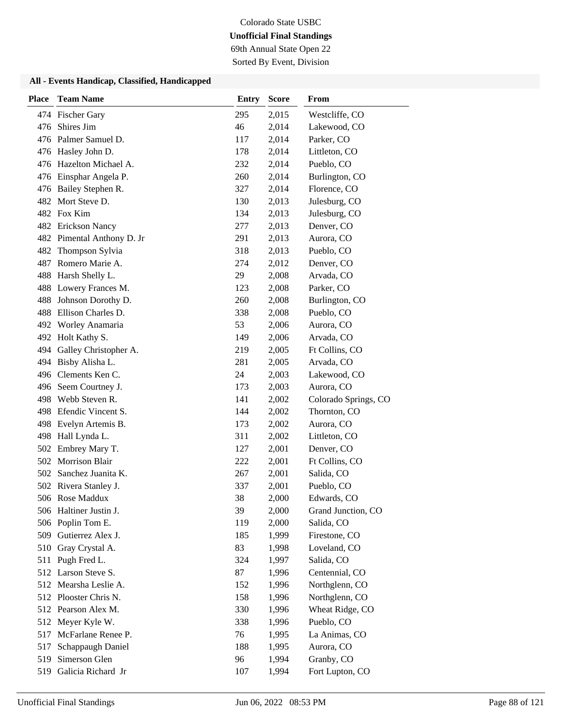69th Annual State Open 22

Sorted By Event, Division

| <b>Place</b> | <b>Team Name</b>           | <b>Entry</b> | <b>Score</b> | From                 |
|--------------|----------------------------|--------------|--------------|----------------------|
|              | 474 Fischer Gary           | 295          | 2,015        | Westcliffe, CO       |
| 476          | Shires Jim                 | 46           | 2,014        | Lakewood, CO         |
|              | 476 Palmer Samuel D.       | 117          | 2,014        | Parker, CO           |
|              | 476 Hasley John D.         | 178          | 2,014        | Littleton, CO        |
| 476          | Hazelton Michael A.        | 232          | 2,014        | Pueblo, CO           |
| 476          | Einsphar Angela P.         | 260          | 2,014        | Burlington, CO       |
|              | 476 Bailey Stephen R.      | 327          | 2,014        | Florence, CO         |
|              | 482 Mort Steve D.          | 130          | 2,013        | Julesburg, CO        |
|              | 482 Fox Kim                | 134          | 2,013        | Julesburg, CO        |
|              | 482 Erickson Nancy         | 277          | 2,013        | Denver, CO           |
|              | 482 Pimental Anthony D. Jr | 291          | 2,013        | Aurora, CO           |
| 482          | Thompson Sylvia            | 318          | 2,013        | Pueblo, CO           |
| 487          | Romero Marie A.            | 274          | 2,012        | Denver, CO           |
| 488          | Harsh Shelly L.            | 29           | 2,008        | Arvada, CO           |
| 488          | Lowery Frances M.          | 123          | 2,008        | Parker, CO           |
| 488          | Johnson Dorothy D.         | 260          | 2,008        | Burlington, CO       |
| 488          | Ellison Charles D.         | 338          | 2,008        | Pueblo, CO           |
| 492          | Worley Anamaria            | 53           | 2,006        | Aurora, CO           |
|              | 492 Holt Kathy S.          | 149          | 2,006        | Arvada, CO           |
| 494          | Galley Christopher A.      | 219          | 2,005        | Ft Collins, CO       |
| 494          | Bisby Alisha L.            | 281          | 2,005        | Arvada, CO           |
| 496          | Clements Ken C.            | 24           | 2,003        | Lakewood, CO         |
|              | 496 Seem Courtney J.       | 173          | 2,003        | Aurora, CO           |
| 498          | Webb Steven R.             | 141          | 2,002        | Colorado Springs, CO |
| 498          | Efendic Vincent S.         | 144          | 2,002        | Thornton, CO         |
| 498          | Evelyn Artemis B.          | 173          | 2,002        | Aurora, CO           |
| 498          | Hall Lynda L.              | 311          | 2,002        | Littleton, CO        |
|              | 502 Embrey Mary T.         | 127          | 2,001        | Denver, CO           |
| 502          | <b>Morrison Blair</b>      | 222          | 2,001        | Ft Collins, CO       |
| 502          | Sanchez Juanita K.         | 267          | 2,001        | Salida, CO           |
|              | 502 Rivera Stanley J.      | 337          | 2,001        | Pueblo, CO           |
|              | 506 Rose Maddux            | 38           | 2,000        | Edwards, CO          |
|              | 506 Haltiner Justin J.     | 39           | 2,000        | Grand Junction, CO   |
|              | 506 Poplin Tom E.          | 119          | 2,000        | Salida, CO           |
| 509          | Gutierrez Alex J.          | 185          | 1,999        | Firestone, CO        |
| 510          | Gray Crystal A.            | 83           | 1,998        | Loveland, CO         |
| 511          | Pugh Fred L.               | 324          | 1,997        | Salida, CO           |
|              | 512 Larson Steve S.        | 87           | 1,996        | Centennial, CO       |
|              | 512 Mearsha Leslie A.      | 152          | 1,996        | Northglenn, CO       |
|              | 512 Plooster Chris N.      | 158          | 1,996        | Northglenn, CO       |
|              | 512 Pearson Alex M.        | 330          | 1,996        | Wheat Ridge, CO      |
| 512          | Meyer Kyle W.              | 338          | 1,996        | Pueblo, CO           |
| 517          | McFarlane Renee P.         | 76           | 1,995        | La Animas, CO        |
| 517          | Schappaugh Daniel          | 188          | 1,995        | Aurora, CO           |
| 519          | Simerson Glen              | 96           | 1,994        | Granby, CO           |
| 519          | Galicia Richard Jr         | 107          | 1,994        | Fort Lupton, CO      |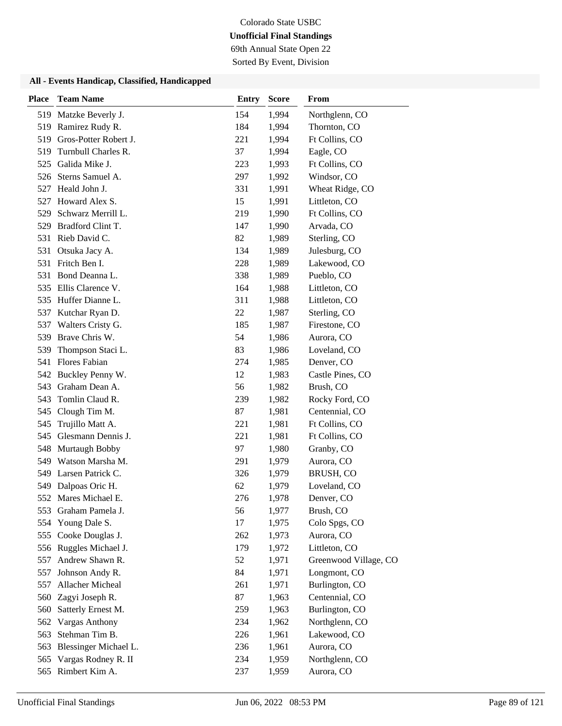69th Annual State Open 22

Sorted By Event, Division

| <b>Place</b> | <b>Team Name</b>        | <b>Entry</b> | <b>Score</b> | From                  |
|--------------|-------------------------|--------------|--------------|-----------------------|
|              | 519 Matzke Beverly J.   | 154          | 1,994        | Northglenn, CO        |
| 519          | Ramirez Rudy R.         | 184          | 1,994        | Thornton, CO          |
| 519          | Gros-Potter Robert J.   | 221          | 1,994        | Ft Collins, CO        |
| 519          | Turnbull Charles R.     | 37           | 1,994        | Eagle, CO             |
| 525          | Galida Mike J.          | 223          | 1,993        | Ft Collins, CO        |
| 526          | Sterns Samuel A.        | 297          | 1,992        | Windsor, CO           |
| 527          | Heald John J.           | 331          | 1,991        | Wheat Ridge, CO       |
| 527          | Howard Alex S.          | 15           | 1,991        | Littleton, CO         |
| 529          | Schwarz Merrill L.      | 219          | 1,990        | Ft Collins, CO        |
| 529          | Bradford Clint T.       | 147          | 1,990        | Arvada, CO            |
| 531          | Rieb David C.           | 82           | 1,989        | Sterling, CO          |
| 531          | Otsuka Jacy A.          | 134          | 1,989        | Julesburg, CO         |
| 531          | Fritch Ben I.           | 228          | 1,989        | Lakewood, CO          |
| 531          | Bond Deanna L.          | 338          | 1,989        | Pueblo, CO            |
|              | 535 Ellis Clarence V.   | 164          | 1,988        | Littleton, CO         |
|              | 535 Huffer Dianne L.    | 311          | 1,988        | Littleton, CO         |
| 537          | Kutchar Ryan D.         | 22           | 1,987        | Sterling, CO          |
| 537          | Walters Cristy G.       | 185          | 1,987        | Firestone, CO         |
| 539          | Brave Chris W.          | 54           | 1,986        | Aurora, CO            |
| 539          | Thompson Staci L.       | 83           | 1,986        | Loveland, CO          |
| 541          | <b>Flores Fabian</b>    | 274          | 1,985        | Denver, CO            |
| 542          | Buckley Penny W.        | 12           | 1,983        | Castle Pines, CO      |
|              | 543 Graham Dean A.      | 56           | 1,982        | Brush, CO             |
| 543          | Tomlin Claud R.         | 239          | 1,982        | Rocky Ford, CO        |
| 545          | Clough Tim M.           | 87           | 1,981        | Centennial, CO        |
| 545          | Trujillo Matt A.        | 221          | 1,981        | Ft Collins, CO        |
| 545          | Glesmann Dennis J.      | 221          | 1,981        | Ft Collins, CO        |
| 548          | <b>Murtaugh Bobby</b>   | 97           | 1,980        | Granby, CO            |
| 549          | Watson Marsha M.        | 291          | 1,979        | Aurora, CO            |
| 549          | Larsen Patrick C.       | 326          | 1,979        | BRUSH, CO             |
| 549          | Dalpoas Oric H.         | 62           | 1,979        | Loveland, CO          |
|              | 552 Mares Michael E.    | 276          | 1,978        | Denver, CO            |
| 553          | Graham Pamela J.        | 56           | 1,977        | Brush, CO             |
| 554          | Young Dale S.           | 17           | 1,975        | Colo Spgs, CO         |
| 555          | Cooke Douglas J.        | 262          | 1,973        | Aurora, CO            |
|              | 556 Ruggles Michael J.  | 179          | 1,972        | Littleton, CO         |
| 557          | Andrew Shawn R.         | 52           | 1,971        | Greenwood Village, CO |
| 557          | Johnson Andy R.         | 84           | 1,971        | Longmont, CO          |
| 557          | Allacher Micheal        | 261          | 1,971        | Burlington, CO        |
| 560          | Zagyi Joseph R.         | 87           | 1,963        | Centennial, CO        |
| 560          | Satterly Ernest M.      | 259          | 1,963        | Burlington, CO        |
| 562          | <b>Vargas Anthony</b>   | 234          | 1,962        | Northglenn, CO        |
| 563          | Stehman Tim B.          | 226          | 1,961        | Lakewood, CO          |
| 563          | Blessinger Michael L.   | 236          | 1,961        | Aurora, CO            |
|              | 565 Vargas Rodney R. II | 234          | 1,959        | Northglenn, CO        |
|              | 565 Rimbert Kim A.      | 237          | 1,959        | Aurora, CO            |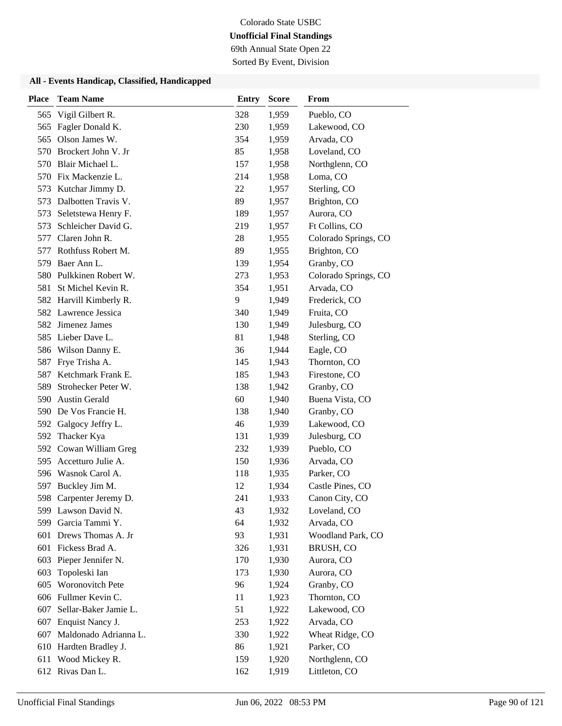69th Annual State Open 22

Sorted By Event, Division

| <b>Place</b> | <b>Team Name</b>        | Entry | <b>Score</b> | From                 |
|--------------|-------------------------|-------|--------------|----------------------|
| 565          | Vigil Gilbert R.        | 328   | 1,959        | Pueblo, CO           |
| 565          | Fagler Donald K.        | 230   | 1,959        | Lakewood, CO         |
| 565          | Olson James W.          | 354   | 1,959        | Arvada, CO           |
| 570          | Brockert John V. Jr     | 85    | 1,958        | Loveland, CO         |
| 570          | Blair Michael L.        | 157   | 1,958        | Northglenn, CO       |
| 570          | Fix Mackenzie L.        | 214   | 1,958        | Loma, CO             |
| 573          | Kutchar Jimmy D.        | 22    | 1,957        | Sterling, CO         |
| 573          | Dalbotten Travis V.     | 89    | 1,957        | Brighton, CO         |
| 573          | Seletstewa Henry F.     | 189   | 1,957        | Aurora, CO           |
| 573          | Schleicher David G.     | 219   | 1,957        | Ft Collins, CO       |
| 577          | Claren John R.          | 28    | 1,955        | Colorado Springs, CO |
| 577          | Rothfuss Robert M.      | 89    | 1,955        | Brighton, CO         |
| 579          | Baer Ann L.             | 139   | 1,954        | Granby, CO           |
| 580          | Pulkkinen Robert W.     | 273   | 1,953        | Colorado Springs, CO |
| 581          | St Michel Kevin R.      | 354   | 1,951        | Arvada, CO           |
|              | 582 Harvill Kimberly R. | 9     | 1,949        | Frederick, CO        |
|              | 582 Lawrence Jessica    | 340   | 1,949        | Fruita, CO           |
|              | 582 Jimenez James       | 130   | 1,949        | Julesburg, CO        |
|              | 585 Lieber Dave L.      | 81    | 1,948        | Sterling, CO         |
|              | 586 Wilson Danny E.     | 36    | 1,944        | Eagle, CO            |
| 587          | Frye Trisha A.          | 145   | 1,943        | Thornton, CO         |
| 587          | Ketchmark Frank E.      | 185   | 1,943        | Firestone, CO        |
| 589          | Strohecker Peter W.     | 138   | 1,942        | Granby, CO           |
| 590          | <b>Austin Gerald</b>    | 60    | 1,940        | Buena Vista, CO      |
| 590          | De Vos Francie H.       | 138   | 1,940        | Granby, CO           |
| 592          | Galgocy Jeffry L.       | 46    | 1,939        | Lakewood, CO         |
| 592          | Thacker Kya             | 131   | 1,939        | Julesburg, CO        |
| 592          | Cowan William Greg      | 232   | 1,939        | Pueblo, CO           |
| 595          | Accetturo Julie A.      | 150   | 1,936        | Arvada, CO           |
| 596          | Wasnok Carol A.         | 118   | 1,935        | Parker, CO           |
| 597          | Buckley Jim M.          | 12    | 1,934        | Castle Pines, CO     |
| 598          | Carpenter Jeremy D.     | 241   | 1,933        | Canon City, CO       |
|              | 599 Lawson David N.     | 43    | 1,932        | Loveland, CO         |
| 599          | Garcia Tammi Y.         | 64    | 1,932        | Arvada, CO           |
| 601          | Drews Thomas A. Jr      | 93    | 1,931        | Woodland Park, CO    |
|              | 601 Fickess Brad A.     | 326   | 1,931        | BRUSH, CO            |
| 603          | Pieper Jennifer N.      | 170   | 1,930        | Aurora, CO           |
| 603          | Topoleski Ian           | 173   | 1,930        | Aurora, CO           |
| 605          | Woronovitch Pete        | 96    | 1,924        | Granby, CO           |
|              | 606 Fullmer Kevin C.    | 11    | 1,923        | Thornton, CO         |
| 607          | Sellar-Baker Jamie L.   | 51    | 1,922        | Lakewood, CO         |
| 607          | Enquist Nancy J.        | 253   | 1,922        | Arvada, CO           |
| 607          | Maldonado Adrianna L.   | 330   | 1,922        | Wheat Ridge, CO      |
|              | 610 Hardten Bradley J.  | 86    | 1,921        | Parker, CO           |
| 611          | Wood Mickey R.          | 159   | 1,920        | Northglenn, CO       |
|              | 612 Rivas Dan L.        | 162   | 1,919        | Littleton, CO        |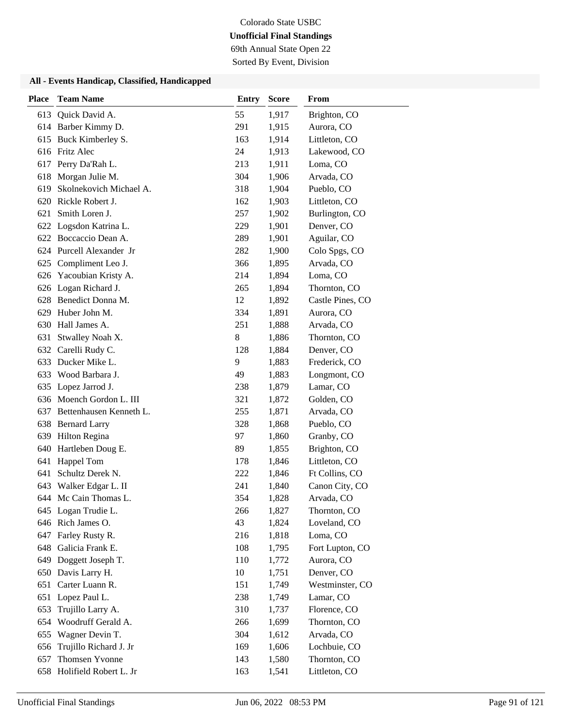69th Annual State Open 22

Sorted By Event, Division

| <b>Place</b> | <b>Team Name</b>            | <b>Entry</b> | <b>Score</b> | From             |
|--------------|-----------------------------|--------------|--------------|------------------|
| 613          | Quick David A.              | 55           | 1,917        | Brighton, CO     |
|              | 614 Barber Kimmy D.         | 291          | 1,915        | Aurora, CO       |
|              | 615 Buck Kimberley S.       | 163          | 1,914        | Littleton, CO    |
|              | 616 Fritz Alec              | 24           | 1,913        | Lakewood, CO     |
|              | 617 Perry Da'Rah L.         | 213          | 1,911        | Loma, CO         |
| 618          | Morgan Julie M.             | 304          | 1,906        | Arvada, CO       |
|              | 619 Skolnekovich Michael A. | 318          | 1,904        | Pueblo, CO       |
|              | 620 Rickle Robert J.        | 162          | 1,903        | Littleton, CO    |
| 621          | Smith Loren J.              | 257          | 1,902        | Burlington, CO   |
| 622          | Logsdon Katrina L.          | 229          | 1,901        | Denver, CO       |
|              | 622 Boccaccio Dean A.       | 289          | 1,901        | Aguilar, CO      |
|              | 624 Purcell Alexander Jr    | 282          | 1,900        | Colo Spgs, CO    |
| 625          | Compliment Leo J.           | 366          | 1,895        | Arvada, CO       |
|              | 626 Yacoubian Kristy A.     | 214          | 1,894        | Loma, CO         |
|              | 626 Logan Richard J.        | 265          | 1,894        | Thornton, CO     |
|              | 628 Benedict Donna M.       | 12           | 1,892        | Castle Pines, CO |
| 629          | Huber John M.               | 334          | 1,891        | Aurora, CO       |
| 630          | Hall James A.               | 251          | 1,888        | Arvada, CO       |
| 631          | Stwalley Noah X.            | 8            | 1,886        | Thornton, CO     |
|              | 632 Carelli Rudy C.         | 128          | 1,884        | Denver, CO       |
| 633          | Ducker Mike L.              | 9            | 1,883        | Frederick, CO    |
| 633          | Wood Barbara J.             | 49           | 1,883        | Longmont, CO     |
| 635          | Lopez Jarrod J.             | 238          | 1,879        | Lamar, CO        |
|              | 636 Moench Gordon L. III    | 321          | 1,872        | Golden, CO       |
| 637          | Bettenhausen Kenneth L.     | 255          | 1,871        | Arvada, CO       |
| 638          | <b>Bernard Larry</b>        | 328          | 1,868        | Pueblo, CO       |
|              | 639 Hilton Regina           | 97           | 1,860        | Granby, CO       |
| 640          | Hartleben Doug E.           | 89           | 1,855        | Brighton, CO     |
| 641          | Happel Tom                  | 178          | 1,846        | Littleton, CO    |
| 641          | Schultz Derek N.            | 222          | 1,846        | Ft Collins, CO   |
| 643          | Walker Edgar L. II          | 241          | 1,840        | Canon City, CO   |
|              | 644 Mc Cain Thomas L.       | 354          | 1,828        | Arvada, CO       |
|              | 645 Logan Trudie L.         | 266          | 1,827        | Thornton, CO     |
|              | 646 Rich James O.           | 43           | 1,824        | Loveland, CO     |
|              | 647 Farley Rusty R.         | 216          | 1,818        | Loma, CO         |
|              | 648 Galicia Frank E.        | 108          | 1,795        | Fort Lupton, CO  |
| 649          | Doggett Joseph T.           | 110          | 1,772        | Aurora, CO       |
| 650          | Davis Larry H.              | 10           | 1,751        | Denver, CO       |
| 651          | Carter Luann R.             | 151          | 1,749        | Westminster, CO  |
| 651          | Lopez Paul L.               | 238          | 1,749        | Lamar, CO        |
| 653          | Trujillo Larry A.           | 310          | 1,737        | Florence, CO     |
| 654          | Woodruff Gerald A.          | 266          | 1,699        | Thornton, CO     |
| 655          | Wagner Devin T.             | 304          | 1,612        | Arvada, CO       |
| 656          | Trujillo Richard J. Jr      | 169          | 1,606        | Lochbuie, CO     |
| 657          | Thomsen Yvonne              | 143          | 1,580        | Thornton, CO     |
|              | 658 Holifield Robert L. Jr  | 163          | 1,541        | Littleton, CO    |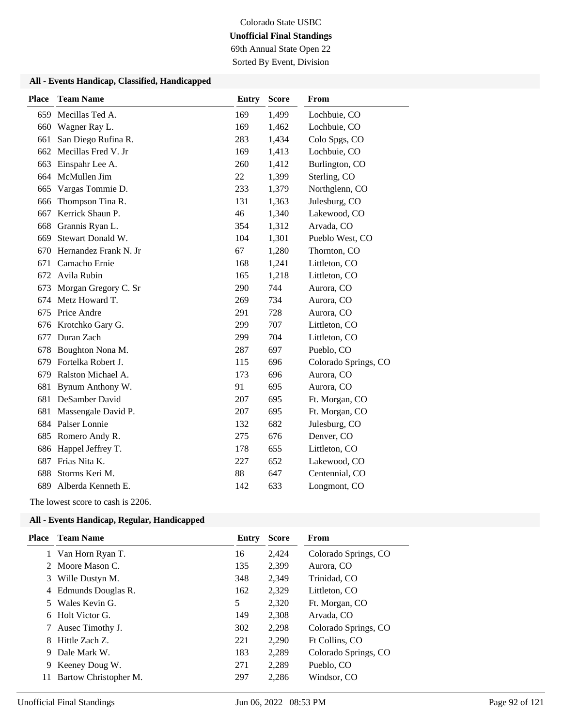69th Annual State Open 22

Sorted By Event, Division

#### **All - Events Handicap, Classified, Handicapped**

| <b>Place</b> | <b>Team Name</b>      | <b>Entry</b> | <b>Score</b> | From                 |
|--------------|-----------------------|--------------|--------------|----------------------|
| 659          | Mecillas Ted A.       | 169          | 1,499        | Lochbuie, CO         |
| 660          | Wagner Ray L.         | 169          | 1,462        | Lochbuie, CO         |
| 661          | San Diego Rufina R.   | 283          | 1,434        | Colo Spgs, CO        |
| 662          | Mecillas Fred V. Jr   | 169          | 1,413        | Lochbuie, CO         |
| 663          | Einspahr Lee A.       | 260          | 1,412        | Burlington, CO       |
| 664          | McMullen Jim          | 22           | 1,399        | Sterling, CO         |
| 665          | Vargas Tommie D.      | 233          | 1,379        | Northglenn, CO       |
| 666          | Thompson Tina R.      | 131          | 1,363        | Julesburg, CO        |
| 667          | Kerrick Shaun P.      | 46           | 1,340        | Lakewood, CO         |
| 668          | Grannis Ryan L.       | 354          | 1,312        | Arvada, CO           |
| 669          | Stewart Donald W.     | 104          | 1,301        | Pueblo West, CO      |
| 670          | Hernandez Frank N. Jr | 67           | 1,280        | Thornton, CO         |
| 671          | Camacho Ernie         | 168          | 1,241        | Littleton, CO        |
| 672          | Avila Rubin           | 165          | 1,218        | Littleton, CO        |
| 673          | Morgan Gregory C. Sr  | 290          | 744          | Aurora, CO           |
| 674          | Metz Howard T.        | 269          | 734          | Aurora, CO           |
| 675          | Price Andre           | 291          | 728          | Aurora, CO           |
| 676          | Krotchko Gary G.      | 299          | 707          | Littleton, CO        |
| 677          | Duran Zach            | 299          | 704          | Littleton, CO        |
| 678          | Boughton Nona M.      | 287          | 697          | Pueblo, CO           |
| 679          | Fortelka Robert J.    | 115          | 696          | Colorado Springs, CO |
| 679          | Ralston Michael A.    | 173          | 696          | Aurora, CO           |
| 681          | Bynum Anthony W.      | 91           | 695          | Aurora, CO           |
| 681          | DeSamber David        | 207          | 695          | Ft. Morgan, CO       |
| 681          | Massengale David P.   | 207          | 695          | Ft. Morgan, CO       |
| 684          | Palser Lonnie         | 132          | 682          | Julesburg, CO        |
| 685          | Romero Andy R.        | 275          | 676          | Denver, CO           |
| 686          | Happel Jeffrey T.     | 178          | 655          | Littleton, CO        |
| 687          | Frias Nita K.         | 227          | 652          | Lakewood, CO         |
| 688          | Storms Keri M.        | 88           | 647          | Centennial, CO       |
| 689          | Alberda Kenneth E.    | 142          | 633          | Longmont, CO         |
|              |                       |              |              |                      |

The lowest score to cash is 2206.

| Place | <b>Team Name</b>      | Entry | <b>Score</b> | <b>From</b>          |
|-------|-----------------------|-------|--------------|----------------------|
|       | 1 Van Horn Ryan T.    | 16    | 2,424        | Colorado Springs, CO |
|       | 2 Moore Mason C.      | 135   | 2,399        | Aurora, CO           |
| 3     | Wille Dustyn M.       | 348   | 2,349        | Trinidad, CO         |
| 4     | Edmunds Douglas R.    | 162   | 2,329        | Littleton, CO        |
| 5.    | Wales Kevin G.        | 5     | 2,320        | Ft. Morgan, CO       |
| 6     | Holt Victor G.        | 149   | 2,308        | Arvada, CO           |
| 7     | Ausec Timothy J.      | 302   | 2,298        | Colorado Springs, CO |
| 8     | Hittle Zach Z.        | 221   | 2,290        | Ft Collins, CO       |
| 9     | Dale Mark W.          | 183   | 2,289        | Colorado Springs, CO |
| 9     | Keeney Doug W.        | 271   | 2,289        | Pueblo, CO           |
| 11    | Bartow Christopher M. | 297   | 2,286        | Windsor, CO          |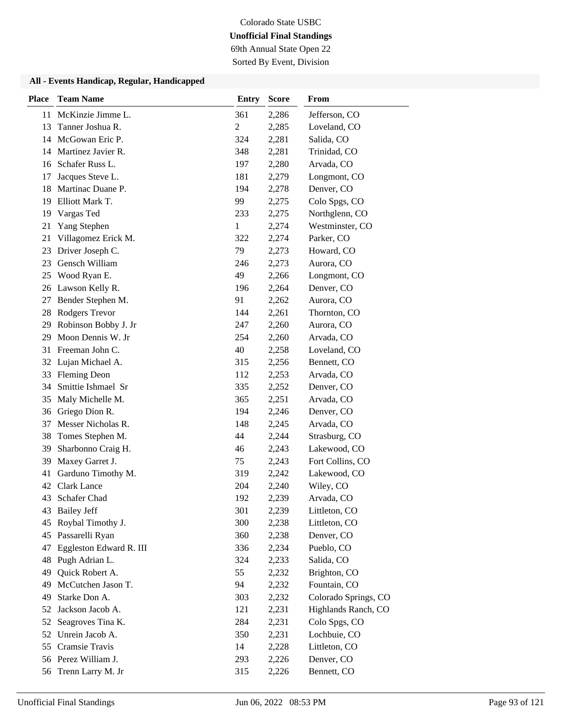69th Annual State Open 22

Sorted By Event, Division

| <b>Place</b> | <b>Team Name</b>        | <b>Entry</b>   | <b>Score</b> | From                 |
|--------------|-------------------------|----------------|--------------|----------------------|
| 11           | McKinzie Jimme L.       | 361            | 2,286        | Jefferson, CO        |
| 13           | Tanner Joshua R.        | $\overline{c}$ | 2,285        | Loveland, CO         |
| 14           | McGowan Eric P.         | 324            | 2,281        | Salida, CO           |
|              | 14 Martinez Javier R.   | 348            | 2,281        | Trinidad, CO         |
| 16           | Schafer Russ L.         | 197            | 2,280        | Arvada, CO           |
| 17           | Jacques Steve L.        | 181            | 2,279        | Longmont, CO         |
| 18           | Martinac Duane P.       | 194            | 2,278        | Denver, CO           |
| 19           | Elliott Mark T.         | 99             | 2,275        | Colo Spgs, CO        |
| 19           | Vargas Ted              | 233            | 2,275        | Northglenn, CO       |
| 21           | Yang Stephen            | 1              | 2,274        | Westminster, CO      |
| 21           | Villagomez Erick M.     | 322            | 2,274        | Parker, CO           |
| 23           | Driver Joseph C.        | 79             | 2,273        | Howard, CO           |
| 23           | Gensch William          | 246            | 2,273        | Aurora, CO           |
| 25           | Wood Ryan E.            | 49             | 2,266        | Longmont, CO         |
| 26           | Lawson Kelly R.         | 196            | 2,264        | Denver, CO           |
| 27           | Bender Stephen M.       | 91             | 2,262        | Aurora, CO           |
| 28           | Rodgers Trevor          | 144            | 2,261        | Thornton, CO         |
| 29           | Robinson Bobby J. Jr    | 247            | 2,260        | Aurora, CO           |
| 29           | Moon Dennis W. Jr       | 254            | 2,260        | Arvada, CO           |
| 31           | Freeman John C.         | 40             | 2,258        | Loveland, CO         |
| 32           | Lujan Michael A.        | 315            | 2,256        | Bennett, CO          |
| 33           | <b>Fleming Deon</b>     | 112            | 2,253        | Arvada, CO           |
| 34           | Smittie Ishmael Sr      | 335            | 2,252        | Denver, CO           |
| 35           | Maly Michelle M.        | 365            | 2,251        | Arvada, CO           |
| 36           | Griego Dion R.          | 194            | 2,246        | Denver, CO           |
| 37           | Messer Nicholas R.      | 148            | 2,245        | Arvada, CO           |
| 38           | Tomes Stephen M.        | 44             | 2,244        | Strasburg, CO        |
| 39           | Sharbonno Craig H.      | 46             | 2,243        | Lakewood, CO         |
| 39           | Maxey Garret J.         | 75             | 2,243        | Fort Collins, CO     |
| 41           | Garduno Timothy M.      | 319            | 2,242        | Lakewood, CO         |
| 42           | <b>Clark Lance</b>      | 204            | 2,240        | Wiley, CO            |
| 43           | Schafer Chad            | 192            | 2,239        | Arvada, CO           |
| 43           | <b>Bailey Jeff</b>      | 301            | 2,239        | Littleton, CO        |
| 45           | Roybal Timothy J.       | 300            | 2,238        | Littleton, CO        |
| 45           | Passarelli Ryan         | 360            | 2,238        | Denver, CO           |
| 47           | Eggleston Edward R. III | 336            | 2,234        | Pueblo, CO           |
| 48           | Pugh Adrian L.          | 324            | 2,233        | Salida, CO           |
| 49           | Quick Robert A.         | 55             | 2,232        | Brighton, CO         |
| 49           | McCutchen Jason T.      | 94             | 2,232        | Fountain, CO         |
| 49           | Starke Don A.           | 303            | 2,232        | Colorado Springs, CO |
| 52           | Jackson Jacob A.        | 121            | 2,231        | Highlands Ranch, CO  |
| 52           | Seagroves Tina K.       | 284            | 2,231        | Colo Spgs, CO        |
| 52           | Unrein Jacob A.         | 350            | 2,231        | Lochbuie, CO         |
| 55           | Cramsie Travis          | 14             | 2,228        | Littleton, CO        |
|              | 56 Perez William J.     | 293            | 2,226        | Denver, CO           |
| 56           | Trenn Larry M. Jr       | 315            | 2,226        | Bennett, CO          |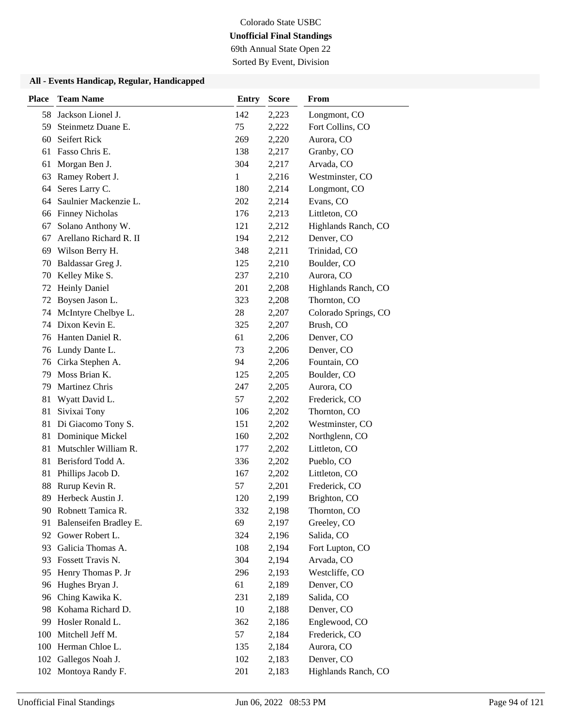69th Annual State Open 22

Sorted By Event, Division

| <b>Place</b> | <b>Team Name</b>       | <b>Entry</b> | <b>Score</b> | From                 |
|--------------|------------------------|--------------|--------------|----------------------|
| 58           | Jackson Lionel J.      | 142          | 2,223        | Longmont, CO         |
| 59           | Steinmetz Duane E.     | 75           | 2,222        | Fort Collins, CO     |
| 60           | Seifert Rick           | 269          | 2,220        | Aurora, CO           |
| 61           | Fasso Chris E.         | 138          | 2,217        | Granby, CO           |
| 61           | Morgan Ben J.          | 304          | 2,217        | Arvada, CO           |
| 63           | Ramey Robert J.        | 1            | 2,216        | Westminster, CO      |
| 64           | Seres Larry C.         | 180          | 2,214        | Longmont, CO         |
| 64           | Saulnier Mackenzie L.  | 202          | 2,214        | Evans, CO            |
| 66           | <b>Finney Nicholas</b> | 176          | 2,213        | Littleton, CO        |
| 67           | Solano Anthony W.      | 121          | 2,212        | Highlands Ranch, CO  |
| 67           | Arellano Richard R. II | 194          | 2,212        | Denver, CO           |
| 69           | Wilson Berry H.        | 348          | 2,211        | Trinidad, CO         |
| 70           | Baldassar Greg J.      | 125          | 2,210        | Boulder, CO          |
| 70           | Kelley Mike S.         | 237          | 2,210        | Aurora, CO           |
| 72           | <b>Heinly Daniel</b>   | 201          | 2,208        | Highlands Ranch, CO  |
| 72           | Boysen Jason L.        | 323          | 2,208        | Thornton, CO         |
| 74           | McIntyre Chelbye L.    | 28           | 2,207        | Colorado Springs, CO |
| 74           | Dixon Kevin E.         | 325          | 2,207        | Brush, CO            |
| 76           | Hanten Daniel R.       | 61           | 2,206        | Denver, CO           |
|              | 76 Lundy Dante L.      | 73           | 2,206        | Denver, CO           |
| 76           | Cirka Stephen A.       | 94           | 2,206        | Fountain, CO         |
| 79           | Moss Brian K.          | 125          | 2,205        | Boulder, CO          |
| 79           | Martinez Chris         | 247          | 2,205        | Aurora, CO           |
| 81           | Wyatt David L.         | 57           | 2,202        | Frederick, CO        |
| 81           | Sivixai Tony           | 106          | 2,202        | Thornton, CO         |
| 81           | Di Giacomo Tony S.     | 151          | 2,202        | Westminster, CO      |
| 81           | Dominique Mickel       | 160          | 2,202        | Northglenn, CO       |
| 81           | Mutschler William R.   | 177          | 2,202        | Littleton, CO        |
| 81           | Berisford Todd A.      | 336          | 2,202        | Pueblo, CO           |
| 81           | Phillips Jacob D.      | 167          | 2,202        | Littleton, CO        |
| 88           | Rurup Kevin R.         | 57           | 2,201        | Frederick, CO        |
| 89           | Herbeck Austin J.      | 120          | 2,199        | Brighton, CO         |
|              | 90 Robnett Tamica R.   | 332          | 2,198        | Thornton, CO         |
| 91           | Balenseifen Bradley E. | 69           | 2,197        | Greeley, CO          |
| 92           | Gower Robert L.        | 324          | 2,196        | Salida, CO           |
| 93           | Galicia Thomas A.      | 108          | 2,194        | Fort Lupton, CO      |
| 93           | Fossett Travis N.      | 304          | 2,194        | Arvada, CO           |
| 95           | Henry Thomas P. Jr     | 296          | 2,193        | Westcliffe, CO       |
| 96           | Hughes Bryan J.        | 61           | 2,189        | Denver, CO           |
| 96           | Ching Kawika K.        | 231          | 2,189        | Salida, CO           |
| 98           | Kohama Richard D.      | 10           | 2,188        | Denver, CO           |
| 99           | Hosler Ronald L.       | 362          | 2,186        | Englewood, CO        |
| 100          | Mitchell Jeff M.       | 57           | 2,184        | Frederick, CO        |
| 100          | Herman Chloe L.        | 135          | 2,184        | Aurora, CO           |
| 102          | Gallegos Noah J.       | 102          | 2,183        | Denver, CO           |
|              | 102 Montoya Randy F.   | 201          | 2,183        | Highlands Ranch, CO  |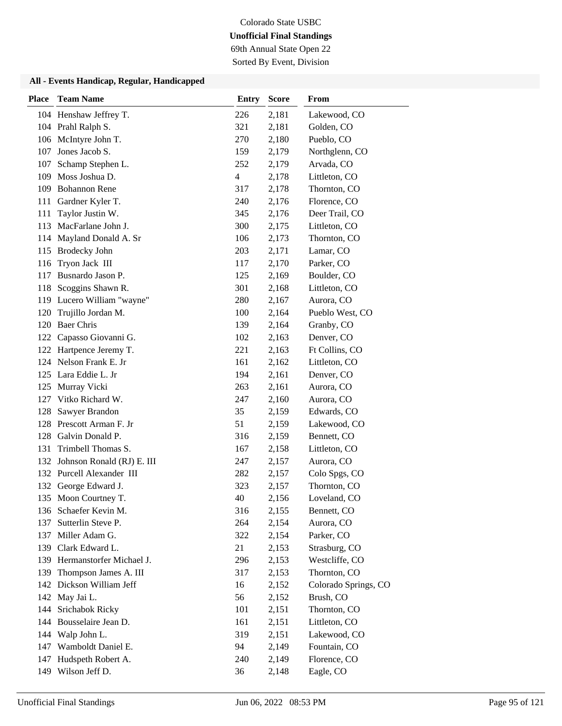69th Annual State Open 22

Sorted By Event, Division

| <b>Place</b> | <b>Team Name</b>             | <b>Entry</b> | <b>Score</b> | From                 |
|--------------|------------------------------|--------------|--------------|----------------------|
|              | 104 Henshaw Jeffrey T.       | 226          | 2,181        | Lakewood, CO         |
|              | 104 Prahl Ralph S.           | 321          | 2,181        | Golden, CO           |
|              | 106 McIntyre John T.         | 270          | 2,180        | Pueblo, CO           |
| 107          | Jones Jacob S.               | 159          | 2,179        | Northglenn, CO       |
| 107          | Schamp Stephen L.            | 252          | 2,179        | Arvada, CO           |
| 109          | Moss Joshua D.               | 4            | 2,178        | Littleton, CO        |
| 109          | <b>Bohannon Rene</b>         | 317          | 2,178        | Thornton, CO         |
| 111          | Gardner Kyler T.             | 240          | 2,176        | Florence, CO         |
| 111          | Taylor Justin W.             | 345          | 2,176        | Deer Trail, CO       |
| 113          | MacFarlane John J.           | 300          | 2,175        | Littleton, CO        |
| 114          | Mayland Donald A. Sr         | 106          | 2,173        | Thornton, CO         |
| 115          | <b>Brodecky John</b>         | 203          | 2,171        | Lamar, CO            |
| 116          | Tryon Jack III               | 117          | 2,170        | Parker, CO           |
| 117          | Busnardo Jason P.            | 125          | 2,169        | Boulder, CO          |
| 118          | Scoggins Shawn R.            | 301          | 2,168        | Littleton, CO        |
|              | 119 Lucero William "wayne"   | 280          | 2,167        | Aurora, CO           |
| 120          | Trujillo Jordan M.           | 100          | 2,164        | Pueblo West, CO      |
| 120          | <b>Baer Chris</b>            | 139          | 2,164        | Granby, CO           |
| 122          | Capasso Giovanni G.          | 102          | 2,163        | Denver, CO           |
|              | 122 Hartpence Jeremy T.      | 221          | 2,163        | Ft Collins, CO       |
|              | 124 Nelson Frank E. Jr       | 161          | 2,162        | Littleton, CO        |
| 125          | Lara Eddie L. Jr             | 194          | 2,161        | Denver, CO           |
| 125          | Murray Vicki                 | 263          | 2,161        | Aurora, CO           |
| 127          | Vitko Richard W.             | 247          | 2,160        | Aurora, CO           |
| 128          | Sawyer Brandon               | 35           | 2,159        | Edwards, CO          |
| 128          | Prescott Arman F. Jr         | 51           | 2,159        | Lakewood, CO         |
| 128          | Galvin Donald P.             | 316          | 2,159        | Bennett, CO          |
| 131          | Trimbell Thomas S.           | 167          | 2,158        | Littleton, CO        |
| 132          | Johnson Ronald (RJ) E. III   | 247          | 2,157        | Aurora, CO           |
|              | 132 Purcell Alexander III    | 282          | 2,157        | Colo Spgs, CO        |
|              | 132 George Edward J.         | 323          | 2,157        | Thornton, CO         |
|              | 135 Moon Courtney T.         | 40           | 2,156        | Loveland, CO         |
|              | 136 Schaefer Kevin M.        | 316          | 2,155        | Bennett, CO          |
| 137          | Sutterlin Steve P.           | 264          | 2,154        | Aurora, CO           |
|              | 137 Miller Adam G.           | 322          | 2,154        | Parker, CO           |
|              | 139 Clark Edward L.          | 21           | 2,153        | Strasburg, CO        |
|              | 139 Hermanstorfer Michael J. | 296          | 2,153        | Westcliffe, CO       |
| 139          | Thompson James A. III        | 317          | 2,153        | Thornton, CO         |
|              | 142 Dickson William Jeff     | 16           | 2,152        | Colorado Springs, CO |
|              | 142 May Jai L.               | 56           | 2,152        | Brush, CO            |
| 144          | Srichabok Ricky              | 101          | 2,151        | Thornton, CO         |
| 144          | Bousselaire Jean D.          | 161          | 2,151        | Littleton, CO        |
|              | 144 Walp John L.             | 319          | 2,151        | Lakewood, CO         |
| 147          | Wamboldt Daniel E.           | 94           | 2,149        | Fountain, CO         |
| 147          | Hudspeth Robert A.           | 240          | 2,149        | Florence, CO         |
|              | 149 Wilson Jeff D.           | 36           | 2,148        | Eagle, CO            |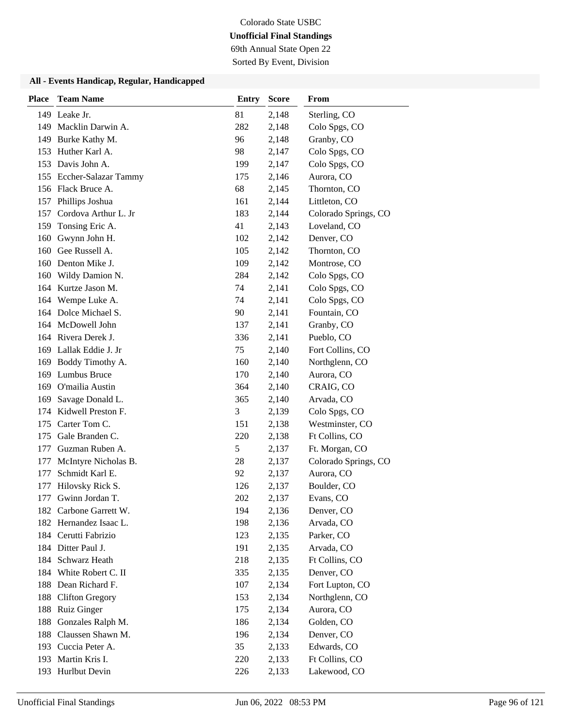69th Annual State Open 22

Sorted By Event, Division

| <b>Place</b> | <b>Team Name</b>         | <b>Entry</b> | <b>Score</b> | From                 |
|--------------|--------------------------|--------------|--------------|----------------------|
|              | 149 Leake Jr.            | 81           | 2,148        | Sterling, CO         |
|              | 149 Macklin Darwin A.    | 282          | 2,148        | Colo Spgs, CO        |
|              | 149 Burke Kathy M.       | 96           | 2,148        | Granby, CO           |
| 153          | Huther Karl A.           | 98           | 2,147        | Colo Spgs, CO        |
|              | 153 Davis John A.        | 199          | 2,147        | Colo Spgs, CO        |
|              | 155 Eccher-Salazar Tammy | 175          | 2,146        | Aurora, CO           |
|              | 156 Flack Bruce A.       | 68           | 2,145        | Thornton, CO         |
|              | 157 Phillips Joshua      | 161          | 2,144        | Littleton, CO        |
| 157          | Cordova Arthur L. Jr     | 183          | 2,144        | Colorado Springs, CO |
| 159          | Tonsing Eric A.          | 41           | 2,143        | Loveland, CO         |
| 160          | Gwynn John H.            | 102          | 2,142        | Denver, CO           |
| 160          | Gee Russell A.           | 105          | 2,142        | Thornton, CO         |
|              | 160 Denton Mike J.       | 109          | 2,142        | Montrose, CO         |
| 160          | Wildy Damion N.          | 284          | 2,142        | Colo Spgs, CO        |
|              | 164 Kurtze Jason M.      | 74           | 2,141        | Colo Spgs, CO        |
|              | 164 Wempe Luke A.        | 74           | 2,141        | Colo Spgs, CO        |
|              | 164 Dolce Michael S.     | 90           | 2,141        | Fountain, CO         |
|              | 164 McDowell John        | 137          | 2,141        | Granby, CO           |
|              | 164 Rivera Derek J.      | 336          | 2,141        | Pueblo, CO           |
|              | 169 Lallak Eddie J. Jr   | 75           | 2,140        | Fort Collins, CO     |
| 169          | Boddy Timothy A.         | 160          | 2,140        | Northglenn, CO       |
| 169          | <b>Lumbus Bruce</b>      | 170          | 2,140        | Aurora, CO           |
|              | 169 O'mailia Austin      | 364          | 2,140        | CRAIG, CO            |
| 169          | Savage Donald L.         | 365          | 2,140        | Arvada, CO           |
| 174          | Kidwell Preston F.       | 3            | 2,139        | Colo Spgs, CO        |
| 175          | Carter Tom C.            | 151          | 2,138        | Westminster, CO      |
| 175          | Gale Branden C.          | 220          | 2,138        | Ft Collins, CO       |
| 177          | Guzman Ruben A.          | 5            | 2,137        | Ft. Morgan, CO       |
| 177          | McIntyre Nicholas B.     | 28           | 2,137        | Colorado Springs, CO |
| 177          | Schmidt Karl E.          | 92           | 2,137        | Aurora, CO           |
| 177          | Hilovsky Rick S.         | 126          | 2,137        | Boulder, CO          |
| 177          | Gwinn Jordan T.          | 202          | 2,137        | Evans, CO            |
|              | 182 Carbone Garrett W.   | 194          | 2,136        | Denver, CO           |
|              | 182 Hernandez Isaac L.   | 198          | 2,136        | Arvada, CO           |
|              | 184 Cerutti Fabrizio     | 123          | 2,135        | Parker, CO           |
|              | 184 Ditter Paul J.       | 191          | 2,135        | Arvada, CO           |
| 184          | Schwarz Heath            | 218          | 2,135        | Ft Collins, CO       |
| 184          | White Robert C. II       | 335          | 2,135        | Denver, CO           |
|              | 188 Dean Richard F.      | 107          | 2,134        | Fort Lupton, CO      |
| 188          | <b>Clifton Gregory</b>   | 153          | 2,134        | Northglenn, CO       |
| 188          | Ruiz Ginger              | 175          | 2,134        | Aurora, CO           |
| 188          | Gonzales Ralph M.        | 186          | 2,134        | Golden, CO           |
| 188          | Claussen Shawn M.        | 196          | 2,134        | Denver, CO           |
|              | 193 Cuccia Peter A.      | 35           | 2,133        | Edwards, CO          |
| 193          | Martin Kris I.           | 220          | 2,133        | Ft Collins, CO       |
|              | 193 Hurlbut Devin        | 226          | 2,133        | Lakewood, CO         |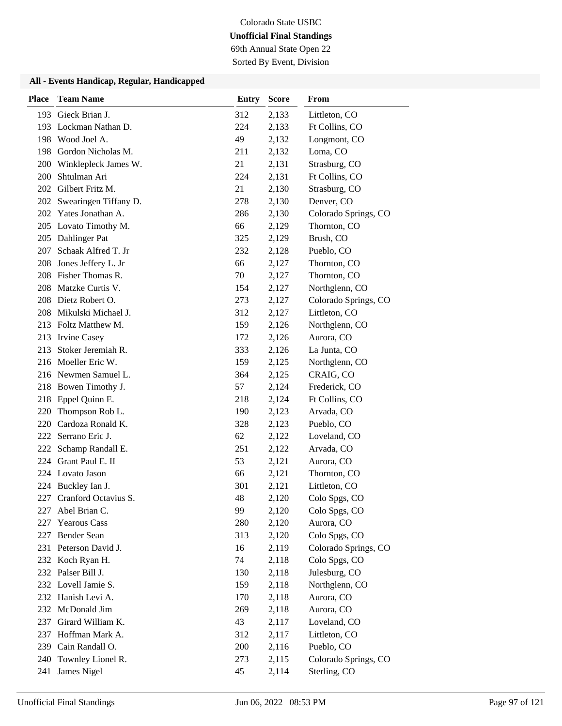69th Annual State Open 22

Sorted By Event, Division

| <b>Place</b> | <b>Team Name</b>          | <b>Entry</b> | <b>Score</b> | From                 |
|--------------|---------------------------|--------------|--------------|----------------------|
| 193          | Gieck Brian J.            | 312          | 2,133        | Littleton, CO        |
| 193          | Lockman Nathan D.         | 224          | 2,133        | Ft Collins, CO       |
|              | 198 Wood Joel A.          | 49           | 2,132        | Longmont, CO         |
| 198          | Gordon Nicholas M.        | 211          | 2,132        | Loma, CO             |
| 200          | Winklepleck James W.      | 21           | 2,131        | Strasburg, CO        |
| 200          | Shtulman Ari              | 224          | 2,131        | Ft Collins, CO       |
| 202          | Gilbert Fritz M.          | 21           | 2,130        | Strasburg, CO        |
|              | 202 Swearingen Tiffany D. | 278          | 2,130        | Denver, CO           |
|              | 202 Yates Jonathan A.     | 286          | 2,130        | Colorado Springs, CO |
|              | 205 Lovato Timothy M.     | 66           | 2,129        | Thornton, CO         |
|              | 205 Dahlinger Pat         | 325          | 2,129        | Brush, CO            |
| 207          | Schaak Alfred T. Jr       | 232          | 2,128        | Pueblo, CO           |
| 208          | Jones Jeffery L. Jr       | 66           | 2,127        | Thornton, CO         |
| 208          | Fisher Thomas R.          | 70           | 2,127        | Thornton, CO         |
| 208          | Matzke Curtis V.          | 154          | 2,127        | Northglenn, CO       |
|              | 208 Dietz Robert O.       | 273          | 2,127        | Colorado Springs, CO |
| 208          | Mikulski Michael J.       | 312          | 2,127        | Littleton, CO        |
|              | 213 Foltz Matthew M.      | 159          | 2,126        | Northglenn, CO       |
|              | 213 Irvine Casey          | 172          | 2,126        | Aurora, CO           |
| 213          | Stoker Jeremiah R.        | 333          | 2,126        | La Junta, CO         |
|              | 216 Moeller Eric W.       | 159          | 2,125        | Northglenn, CO       |
|              | 216 Newmen Samuel L.      | 364          | 2,125        | CRAIG, CO            |
|              | 218 Bowen Timothy J.      | 57           | 2,124        | Frederick, CO        |
| 218          | Eppel Quinn E.            | 218          | 2,124        | Ft Collins, CO       |
| 220          | Thompson Rob L.           | 190          | 2,123        | Arvada, CO           |
| 220          | Cardoza Ronald K.         | 328          | 2,123        | Pueblo, CO           |
| 222          | Serrano Eric J.           | 62           | 2,122        | Loveland, CO         |
| 222          | Schamp Randall E.         | 251          | 2,122        | Arvada, CO           |
| 224          | Grant Paul E. II          | 53           | 2,121        | Aurora, CO           |
|              | 224 Lovato Jason          | 66           | 2,121        | Thornton, CO         |
| 224          | Buckley Ian J.            | 301          | 2,121        | Littleton, CO        |
| 227          | Cranford Octavius S.      | 48           | 2,120        | Colo Spgs, CO        |
| 227          | Abel Brian C.             | 99           | 2,120        | Colo Spgs, CO        |
| 227          | <b>Yearous Cass</b>       | 280          | 2,120        | Aurora, CO           |
| 227          | <b>Bender Sean</b>        | 313          | 2,120        | Colo Spgs, CO        |
|              | 231 Peterson David J.     | 16           | 2,119        | Colorado Springs, CO |
|              | 232 Koch Ryan H.          | 74           | 2,118        | Colo Spgs, CO        |
|              | 232 Palser Bill J.        | 130          | 2,118        | Julesburg, CO        |
|              | 232 Lovell Jamie S.       | 159          | 2,118        | Northglenn, CO       |
|              | 232 Hanish Levi A.        | 170          | 2,118        | Aurora, CO           |
|              | 232 McDonald Jim          | 269          | 2,118        | Aurora, CO           |
| 237          | Girard William K.         | 43           | 2,117        | Loveland, CO         |
| 237          | Hoffman Mark A.           | 312          | 2,117        | Littleton, CO        |
|              | 239 Cain Randall O.       | 200          | 2,116        | Pueblo, CO           |
| 240          | Townley Lionel R.         | 273          | 2,115        | Colorado Springs, CO |
| 241          | James Nigel               | 45           | 2,114        | Sterling, CO         |
|              |                           |              |              |                      |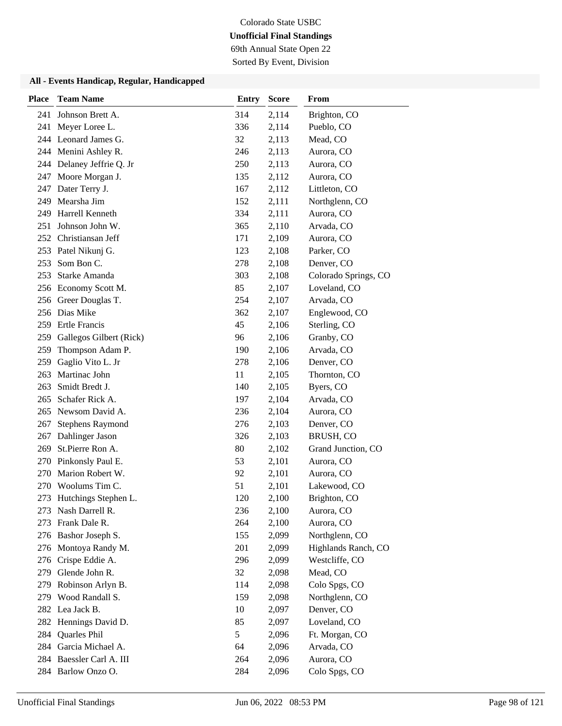69th Annual State Open 22

Sorted By Event, Division

| <b>Place</b> | <b>Team Name</b>          | <b>Entry</b> | <b>Score</b> | From                 |
|--------------|---------------------------|--------------|--------------|----------------------|
| 241          | Johnson Brett A.          | 314          | 2,114        | Brighton, CO         |
| 241          | Meyer Loree L.            | 336          | 2,114        | Pueblo, CO           |
|              | 244 Leonard James G.      | 32           | 2,113        | Mead, CO             |
|              | 244 Menini Ashley R.      | 246          | 2,113        | Aurora, CO           |
|              | 244 Delaney Jeffrie Q. Jr | 250          | 2,113        | Aurora, CO           |
| 247          | Moore Morgan J.           | 135          | 2,112        | Aurora, CO           |
| 247          | Dater Terry J.            | 167          | 2,112        | Littleton, CO        |
| 249          | Mearsha Jim               | 152          | 2,111        | Northglenn, CO       |
| 249          | Harrell Kenneth           | 334          | 2,111        | Aurora, CO           |
| 251          | Johnson John W.           | 365          | 2,110        | Arvada, CO           |
| 252          | Christiansan Jeff         | 171          | 2,109        | Aurora, CO           |
|              | 253 Patel Nikunj G.       | 123          | 2,108        | Parker, CO           |
| 253          | Som Bon C.                | 278          | 2,108        | Denver, CO           |
| 253          | Starke Amanda             | 303          | 2,108        | Colorado Springs, CO |
|              | 256 Economy Scott M.      | 85           | 2,107        | Loveland, CO         |
|              | 256 Greer Douglas T.      | 254          | 2,107        | Arvada, CO           |
|              | 256 Dias Mike             | 362          | 2,107        | Englewood, CO        |
| 259          | <b>Ertle Francis</b>      | 45           | 2,106        | Sterling, CO         |
| 259          | Gallegos Gilbert (Rick)   | 96           | 2,106        | Granby, CO           |
| 259          | Thompson Adam P.          | 190          | 2,106        | Arvada, CO           |
| 259          | Gaglio Vito L. Jr         | 278          | 2,106        | Denver, CO           |
| 263          | Martinac John             | 11           | 2,105        | Thornton, CO         |
| 263          | Smidt Bredt J.            | 140          | 2,105        | Byers, CO            |
| 265          | Schafer Rick A.           | 197          | 2,104        | Arvada, CO           |
| 265          | Newsom David A.           | 236          | 2,104        | Aurora, CO           |
| 267          | <b>Stephens Raymond</b>   | 276          | 2,103        | Denver, CO           |
| 267          | Dahlinger Jason           | 326          | 2,103        | BRUSH, CO            |
| 269          | St.Pierre Ron A.          | 80           | 2,102        | Grand Junction, CO   |
| 270          | Pinkonsly Paul E.         | 53           | 2,101        | Aurora, CO           |
| 270          | Marion Robert W.          | 92           | 2,101        | Aurora, CO           |
| 270          | Woolums Tim C.            | 51           | 2,101        | Lakewood, CO         |
| 273          | Hutchings Stephen L.      | 120          | 2,100        | Brighton, CO         |
| 273          | Nash Darrell R.           | 236          | 2,100        | Aurora, CO           |
| 273          | Frank Dale R.             | 264          | 2,100        | Aurora, CO           |
| 276          | Bashor Joseph S.          | 155          | 2,099        | Northglenn, CO       |
|              | 276 Montoya Randy M.      | 201          | 2,099        | Highlands Ranch, CO  |
| 276          | Crispe Eddie A.           | 296          | 2,099        | Westcliffe, CO       |
| 279          | Glende John R.            | 32           | 2,098        | Mead, CO             |
| 279          | Robinson Arlyn B.         | 114          | 2,098        | Colo Spgs, CO        |
| 279          | Wood Randall S.           | 159          | 2,098        | Northglenn, CO       |
|              | 282 Lea Jack B.           | 10           | 2,097        | Denver, CO           |
|              | 282 Hennings David D.     | 85           | 2,097        | Loveland, CO         |
| 284          | Quarles Phil              | 5            | 2,096        | Ft. Morgan, CO       |
| 284          | Garcia Michael A.         | 64           | 2,096        | Arvada, CO           |
|              | 284 Baessler Carl A. III  | 264          | 2,096        | Aurora, CO           |
|              | 284 Barlow Onzo O.        | 284          | 2,096        | Colo Spgs, CO        |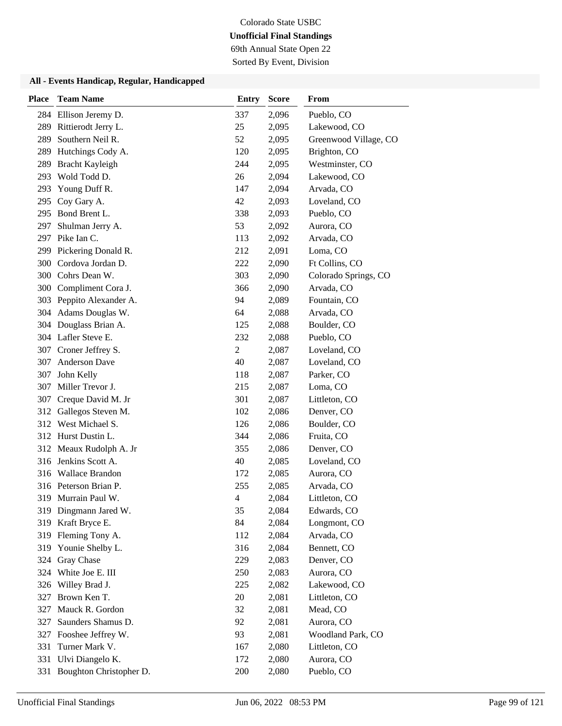69th Annual State Open 22

Sorted By Event, Division

| <b>Place</b> | <b>Team Name</b>         | Entry          | <b>Score</b> | <b>From</b>           |
|--------------|--------------------------|----------------|--------------|-----------------------|
|              | 284 Ellison Jeremy D.    | 337            | 2,096        | Pueblo, CO            |
| 289          | Rittierodt Jerry L.      | 25             | 2,095        | Lakewood, CO          |
| 289          | Southern Neil R.         | 52             | 2,095        | Greenwood Village, CO |
| 289          | Hutchings Cody A.        | 120            | 2,095        | Brighton, CO          |
| 289          | Bracht Kayleigh          | 244            | 2,095        | Westminster, CO       |
| 293          | Wold Todd D.             | 26             | 2,094        | Lakewood, CO          |
| 293          | Young Duff R.            | 147            | 2,094        | Arvada, CO            |
| 295          | Coy Gary A.              | 42             | 2,093        | Loveland, CO          |
| 295          | Bond Brent L.            | 338            | 2,093        | Pueblo, CO            |
| 297          | Shulman Jerry A.         | 53             | 2,092        | Aurora, CO            |
| 297          | Pike Ian C.              | 113            | 2,092        | Arvada, CO            |
| 299          | Pickering Donald R.      | 212            | 2,091        | Loma, CO              |
| 300          | Cordova Jordan D.        | 222            | 2,090        | Ft Collins, CO        |
| 300          | Cohrs Dean W.            | 303            | 2,090        | Colorado Springs, CO  |
|              | 300 Compliment Cora J.   | 366            | 2,090        | Arvada, CO            |
|              | 303 Peppito Alexander A. | 94             | 2,089        | Fountain, CO          |
| 304          | Adams Douglas W.         | 64             | 2,088        | Arvada, CO            |
| 304          | Douglass Brian A.        | 125            | 2,088        | Boulder, CO           |
|              | 304 Lafler Steve E.      | 232            | 2,088        | Pueblo, CO            |
| 307          | Croner Jeffrey S.        | $\overline{2}$ | 2,087        | Loveland, CO          |
| 307          | Anderson Dave            | 40             | 2,087        | Loveland, CO          |
| 307          | John Kelly               | 118            | 2,087        | Parker, CO            |
| 307          | Miller Trevor J.         | 215            | 2,087        | Loma, CO              |
| 307          | Creque David M. Jr       | 301            | 2,087        | Littleton, CO         |
| 312          | Gallegos Steven M.       | 102            | 2,086        | Denver, CO            |
| 312          | West Michael S.          | 126            | 2,086        | Boulder, CO           |
|              | 312 Hurst Dustin L.      | 344            | 2,086        | Fruita, CO            |
|              | 312 Meaux Rudolph A. Jr  | 355            | 2,086        | Denver, CO            |
| 316          | Jenkins Scott A.         | 40             | 2,085        | Loveland, CO          |
|              | 316 Wallace Brandon      | 172            | 2,085        | Aurora, CO            |
|              | 316 Peterson Brian P.    | 255            | 2,085        | Arvada, CO            |
|              | 319 Murrain Paul W.      | 4              | 2,084        | Littleton, CO         |
|              | 319 Dingmann Jared W.    | 35             | 2,084        | Edwards, CO           |
| 319          | Kraft Bryce E.           | 84             | 2,084        | Longmont, CO          |
| 319          | Fleming Tony A.          | 112            | 2,084        | Arvada, CO            |
| 319          | Younie Shelby L.         | 316            | 2,084        | Bennett, CO           |
| 324          | Gray Chase               | 229            | 2,083        | Denver, CO            |
| 324          | White Joe E. III         | 250            | 2,083        | Aurora, CO            |
| 326          | Willey Brad J.           | 225            | 2,082        | Lakewood, CO          |
| 327          | Brown Ken T.             | 20             | 2,081        | Littleton, CO         |
| 327          | Mauck R. Gordon          | 32             | 2,081        | Mead, CO              |
| 327          | Saunders Shamus D.       | 92             | 2,081        | Aurora, CO            |
| 327          | Fooshee Jeffrey W.       | 93             | 2,081        | Woodland Park, CO     |
| 331          | Turner Mark V.           | 167            | 2,080        | Littleton, CO         |
| 331          | Ulvi Diangelo K.         | 172            | 2,080        | Aurora, CO            |
| 331          | Boughton Christopher D.  | 200            | 2,080        | Pueblo, CO            |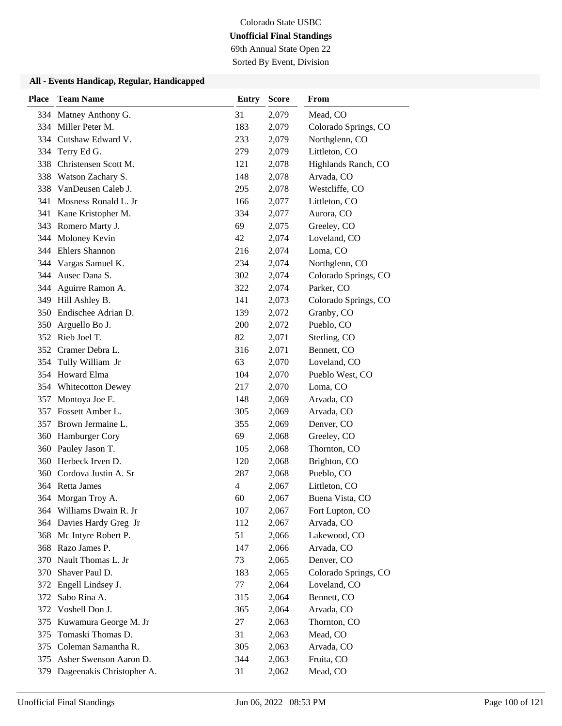69th Annual State Open 22

Sorted By Event, Division

| <b>Place</b> | <b>Team Name</b>          | <b>Entry</b> | <b>Score</b> | From                 |
|--------------|---------------------------|--------------|--------------|----------------------|
| 334          | Matney Anthony G.         | 31           | 2,079        | Mead, CO             |
| 334          | Miller Peter M.           | 183          | 2,079        | Colorado Springs, CO |
|              | 334 Cutshaw Edward V.     | 233          | 2,079        | Northglenn, CO       |
| 334          | Terry Ed G.               | 279          | 2,079        | Littleton, CO        |
| 338          | Christensen Scott M.      | 121          | 2,078        | Highlands Ranch, CO  |
| 338          | Watson Zachary S.         | 148          | 2,078        | Arvada, CO           |
| 338          | VanDeusen Caleb J.        | 295          | 2,078        | Westcliffe, CO       |
| 341          | Mosness Ronald L. Jr      | 166          | 2,077        | Littleton, CO        |
| 341          | Kane Kristopher M.        | 334          | 2,077        | Aurora, CO           |
|              | 343 Romero Marty J.       | 69           | 2,075        | Greeley, CO          |
|              | 344 Moloney Kevin         | 42           | 2,074        | Loveland, CO         |
|              | 344 Ehlers Shannon        | 216          | 2,074        | Loma, CO             |
|              | 344 Vargas Samuel K.      | 234          | 2,074        | Northglenn, CO       |
| 344          | Ausec Dana S.             | 302          | 2,074        | Colorado Springs, CO |
|              | 344 Aguirre Ramon A.      | 322          | 2,074        | Parker, CO           |
|              | 349 Hill Ashley B.        | 141          | 2,073        | Colorado Springs, CO |
|              | 350 Endischee Adrian D.   | 139          | 2,072        | Granby, CO           |
| 350          | Arguello Bo J.            | 200          | 2,072        | Pueblo, CO           |
|              | 352 Rieb Joel T.          | 82           | 2,071        | Sterling, CO         |
|              | 352 Cramer Debra L.       | 316          | 2,071        | Bennett, CO          |
| 354          | Tully William Jr          | 63           | 2,070        | Loveland, CO         |
| 354          | Howard Elma               | 104          | 2,070        | Pueblo West, CO      |
| 354          | <b>Whitecotton Dewey</b>  | 217          | 2,070        | Loma, CO             |
| 357          | Montoya Joe E.            | 148          | 2,069        | Arvada, CO           |
| 357          | Fossett Amber L.          | 305          | 2,069        | Arvada, CO           |
| 357          | Brown Jermaine L.         | 355          | 2,069        | Denver, CO           |
|              | 360 Hamburger Cory        | 69           | 2,068        | Greeley, CO          |
|              | 360 Pauley Jason T.       | 105          | 2,068        | Thornton, CO         |
| 360          | Herbeck Irven D.          | 120          | 2,068        | Brighton, CO         |
| 360          | Cordova Justin A. Sr      | 287          | 2,068        | Pueblo, CO           |
|              | 364 Retta James           | 4            | 2,067        | Littleton, CO        |
|              | 364 Morgan Troy A.        | 60           | 2,067        | Buena Vista, CO      |
|              | 364 Williams Dwain R. Jr  | 107          | 2,067        | Fort Lupton, CO      |
|              | 364 Davies Hardy Greg Jr  | 112          | 2,067        | Arvada, CO           |
|              | 368 Mc Intyre Robert P.   | 51           | 2,066        | Lakewood, CO         |
|              | 368 Razo James P.         | 147          | 2,066        | Arvada, CO           |
| 370          | Nault Thomas L. Jr        | 73           | 2,065        | Denver, CO           |
| 370          | Shaver Paul D.            | 183          | 2,065        | Colorado Springs, CO |
| 372          | Engell Lindsey J.         | 77           | 2,064        | Loveland, CO         |
| 372          | Sabo Rina A.              | 315          | 2,064        | Bennett, CO          |
| 372          | Voshell Don J.            | 365          | 2,064        | Arvada, CO           |
| 375          | Kuwamura George M. Jr     | 27           | 2,063        | Thornton, CO         |
| 375          | Tomaski Thomas D.         | 31           | 2,063        | Mead, CO             |
|              | 375 Coleman Samantha R.   | 305          | 2,063        | Arvada, CO           |
| 375          | Asher Swenson Aaron D.    | 344          | 2,063        | Fruita, CO           |
| 379          | Dageenakis Christopher A. | 31           | 2,062        | Mead, CO             |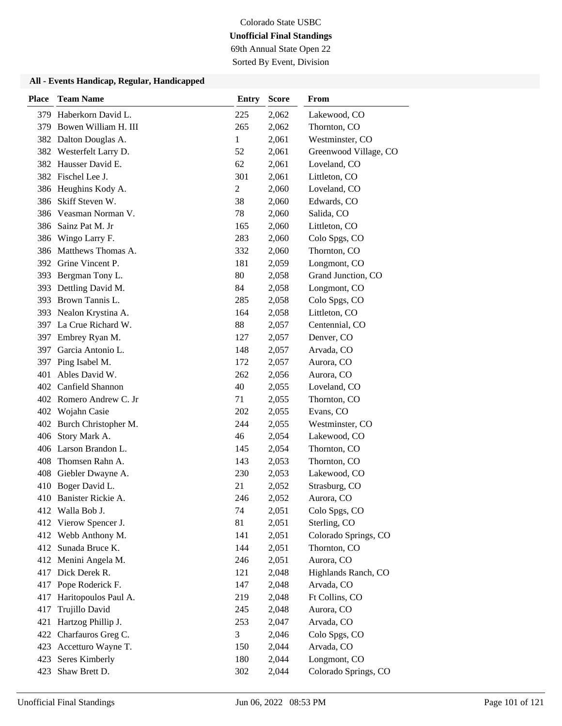69th Annual State Open 22

Sorted By Event, Division

| <b>Place</b> | <b>Team Name</b>        | <b>Entry</b>   | <b>Score</b> | From                  |
|--------------|-------------------------|----------------|--------------|-----------------------|
| 379          | Haberkorn David L.      | 225            | 2,062        | Lakewood, CO          |
| 379          | Bowen William H. III    | 265            | 2,062        | Thornton, CO          |
|              | 382 Dalton Douglas A.   | 1              | 2,061        | Westminster, CO       |
| 382          | Westerfelt Larry D.     | 52             | 2,061        | Greenwood Village, CO |
| 382          | Hausser David E.        | 62             | 2,061        | Loveland, CO          |
| 382          | Fischel Lee J.          | 301            | 2,061        | Littleton, CO         |
|              | 386 Heughins Kody A.    | $\overline{c}$ | 2,060        | Loveland, CO          |
| 386          | Skiff Steven W.         | 38             | 2,060        | Edwards, CO           |
| 386          | Veasman Norman V.       | 78             | 2,060        | Salida, CO            |
| 386          | Sainz Pat M. Jr         | 165            | 2,060        | Littleton, CO         |
| 386          | Wingo Larry F.          | 283            | 2,060        | Colo Spgs, CO         |
| 386          | Matthews Thomas A.      | 332            | 2,060        | Thornton, CO          |
| 392          | Grine Vincent P.        | 181            | 2,059        | Longmont, CO          |
| 393          | Bergman Tony L.         | 80             | 2,058        | Grand Junction, CO    |
| 393          | Dettling David M.       | 84             | 2,058        | Longmont, CO          |
| 393          | Brown Tannis L.         | 285            | 2,058        | Colo Spgs, CO         |
| 393          | Nealon Krystina A.      | 164            | 2,058        | Littleton, CO         |
| 397          | La Crue Richard W.      | 88             | 2,057        | Centennial, CO        |
| 397          | Embrey Ryan M.          | 127            | 2,057        | Denver, CO            |
| 397          | Garcia Antonio L.       | 148            | 2,057        | Arvada, CO            |
| 397          | Ping Isabel M.          | 172            | 2,057        | Aurora, CO            |
| 401          | Ables David W.          | 262            | 2,056        | Aurora, CO            |
|              | 402 Canfield Shannon    | 40             | 2,055        | Loveland, CO          |
|              | 402 Romero Andrew C. Jr | 71             | 2,055        | Thornton, CO          |
|              | 402 Wojahn Casie        | 202            | 2,055        | Evans, CO             |
| 402          | Burch Christopher M.    | 244            | 2,055        | Westminster, CO       |
| 406          | Story Mark A.           | 46             | 2,054        | Lakewood, CO          |
|              | 406 Larson Brandon L.   | 145            | 2,054        | Thornton, CO          |
| 408          | Thomsen Rahn A.         | 143            | 2,053        | Thornton, CO          |
| 408          | Giebler Dwayne A.       | 230            | 2,053        | Lakewood, CO          |
| 410          | Boger David L.          | 21             | 2,052        | Strasburg, CO         |
|              | 410 Banister Rickie A.  | 246            | 2,052        | Aurora, CO            |
|              | 412 Walla Bob J.        | 74             | 2,051        | Colo Spgs, CO         |
| 412          | Vierow Spencer J.       | 81             | 2,051        | Sterling, CO          |
| 412          | Webb Anthony M.         | 141            | 2,051        | Colorado Springs, CO  |
| 412          | Sunada Bruce K.         | 144            | 2,051        | Thornton, CO          |
| 412          | Menini Angela M.        | 246            | 2,051        | Aurora, CO            |
|              | 417 Dick Derek R.       | 121            | 2,048        | Highlands Ranch, CO   |
| 417          | Pope Roderick F.        | 147            | 2,048        | Arvada, CO            |
| 417          | Haritopoulos Paul A.    | 219            | 2,048        | Ft Collins, CO        |
| 417          | Trujillo David          | 245            | 2,048        | Aurora, CO            |
| 421          | Hartzog Phillip J.      | 253            | 2,047        | Arvada, CO            |
| 422          | Charfauros Greg C.      | 3              | 2,046        | Colo Spgs, CO         |
| 423          | Accetturo Wayne T.      | 150            | 2,044        | Arvada, CO            |
| 423          | Seres Kimberly          | 180            | 2,044        | Longmont, CO          |
| 423          | Shaw Brett D.           | 302            | 2,044        | Colorado Springs, CO  |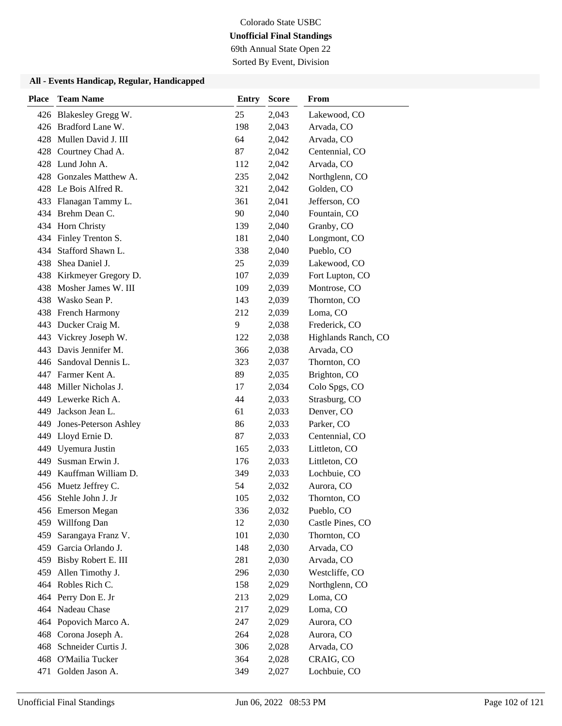69th Annual State Open 22

Sorted By Event, Division

| <b>Place</b> | <b>Team Name</b>        | <b>Entry</b> | <b>Score</b> | From                |
|--------------|-------------------------|--------------|--------------|---------------------|
|              | 426 Blakesley Gregg W.  | 25           | 2,043        | Lakewood, CO        |
|              | 426 Bradford Lane W.    | 198          | 2,043        | Arvada, CO          |
|              | 428 Mullen David J. III | 64           | 2,042        | Arvada, CO          |
|              | 428 Courtney Chad A.    | 87           | 2,042        | Centennial, CO      |
|              | 428 Lund John A.        | 112          | 2,042        | Arvada, CO          |
| 428          | Gonzales Matthew A.     | 235          | 2,042        | Northglenn, CO      |
|              | 428 Le Bois Alfred R.   | 321          | 2,042        | Golden, CO          |
|              | 433 Flanagan Tammy L.   | 361          | 2,041        | Jefferson, CO       |
|              | 434 Brehm Dean C.       | 90           | 2,040        | Fountain, CO        |
|              | 434 Horn Christy        | 139          | 2,040        | Granby, CO          |
|              | 434 Finley Trenton S.   | 181          | 2,040        | Longmont, CO        |
| 434          | Stafford Shawn L.       | 338          | 2,040        | Pueblo, CO          |
| 438          | Shea Daniel J.          | 25           | 2,039        | Lakewood, CO        |
| 438          | Kirkmeyer Gregory D.    | 107          | 2,039        | Fort Lupton, CO     |
| 438.         | Mosher James W. III     | 109          | 2,039        | Montrose, CO        |
|              | 438 Wasko Sean P.       | 143          | 2,039        | Thornton, CO        |
|              | 438 French Harmony      | 212          | 2,039        | Loma, CO            |
| 443          | Ducker Craig M.         | 9            | 2,038        | Frederick, CO       |
| 443          | Vickrey Joseph W.       | 122          | 2,038        | Highlands Ranch, CO |
| 443          | Davis Jennifer M.       | 366          | 2,038        | Arvada, CO          |
| 446          | Sandoval Dennis L.      | 323          | 2,037        | Thornton, CO        |
|              | 447 Farmer Kent A.      | 89           | 2,035        | Brighton, CO        |
|              | 448 Miller Nicholas J.  | 17           | 2,034        | Colo Spgs, CO       |
|              | 449 Lewerke Rich A.     | 44           | 2,033        | Strasburg, CO       |
| 449          | Jackson Jean L.         | 61           | 2,033        | Denver, CO          |
| 449          | Jones-Peterson Ashley   | 86           | 2,033        | Parker, CO          |
|              | 449 Lloyd Ernie D.      | 87           | 2,033        | Centennial, CO      |
|              | 449 Uyemura Justin      | 165          | 2,033        | Littleton, CO       |
| 449          | Susman Erwin J.         | 176          | 2,033        | Littleton, CO       |
| 449.         | Kauffman William D.     | 349          | 2,033        | Lochbuie, CO        |
|              | 456 Muetz Jeffrey C.    | 54           | 2,032        | Aurora, CO          |
|              | 456 Stehle John J. Jr   | 105          | 2,032        | Thornton, CO        |
|              | 456 Emerson Megan       | 336          | 2,032        | Pueblo, CO          |
| 459          | Willfong Dan            | 12           | 2,030        | Castle Pines, CO    |
| 459          | Sarangaya Franz V.      | 101          | 2,030        | Thornton, CO        |
| 459          | Garcia Orlando J.       | 148          | 2,030        | Arvada, CO          |
| 459          | Bisby Robert E. III     | 281          | 2,030        | Arvada, CO          |
| 459          | Allen Timothy J.        | 296          | 2,030        | Westcliffe, CO      |
| 464          | Robles Rich C.          | 158          | 2,029        | Northglenn, CO      |
|              | 464 Perry Don E. Jr     | 213          | 2,029        | Loma, CO            |
| 464          | Nadeau Chase            | 217          | 2,029        | Loma, CO            |
|              | 464 Popovich Marco A.   | 247          | 2,029        | Aurora, CO          |
| 468          | Corona Joseph A.        | 264          | 2,028        | Aurora, CO          |
| 468          | Schneider Curtis J.     | 306          | 2,028        | Arvada, CO          |
| 468          | O'Mailia Tucker         | 364          | 2,028        | CRAIG, CO           |
| 471          | Golden Jason A.         | 349          | 2,027        | Lochbuie, CO        |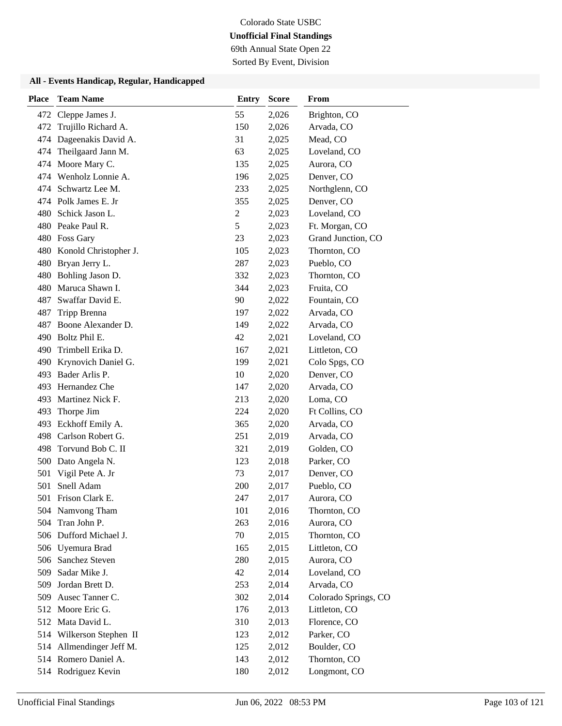# Colorado State USBC

## **Unofficial Final Standings** 69th Annual State Open 22

Sorted By Event, Division

| <b>Place</b> | <b>Team Name</b>          | <b>Entry</b>   | <b>Score</b> | From                 |
|--------------|---------------------------|----------------|--------------|----------------------|
| 472          | Cleppe James J.           | 55             | 2,026        | Brighton, CO         |
| 472          | Trujillo Richard A.       | 150            | 2,026        | Arvada, CO           |
| 474          | Dageenakis David A.       | 31             | 2,025        | Mead, CO             |
| 474          | Theilgaard Jann M.        | 63             | 2,025        | Loveland, CO         |
| 474          | Moore Mary C.             | 135            | 2,025        | Aurora, CO           |
| 474          | Wenholz Lonnie A.         | 196            | 2,025        | Denver, CO           |
| 474          | Schwartz Lee M.           | 233            | 2,025        | Northglenn, CO       |
|              | 474 Polk James E. Jr      | 355            | 2,025        | Denver, CO           |
| 480          | Schick Jason L.           | $\overline{c}$ | 2,023        | Loveland, CO         |
| 480          | Peake Paul R.             | 5              | 2,023        | Ft. Morgan, CO       |
|              | 480 Foss Gary             | 23             | 2,023        | Grand Junction, CO   |
|              | 480 Konold Christopher J. | 105            | 2,023        | Thornton, CO         |
| 480          | Bryan Jerry L.            | 287            | 2,023        | Pueblo, CO           |
| 480          | Bohling Jason D.          | 332            | 2,023        | Thornton, CO         |
| 480          | Maruca Shawn I.           | 344            | 2,023        | Fruita, CO           |
| 487          | Swaffar David E.          | 90             | 2,022        | Fountain, CO         |
| 487          | Tripp Brenna              | 197            | 2,022        | Arvada, CO           |
| 487          | Boone Alexander D.        | 149            | 2,022        | Arvada, CO           |
| 490          | Boltz Phil E.             | 42             | 2,021        | Loveland, CO         |
| 490          | Trimbell Erika D.         | 167            | 2,021        | Littleton, CO        |
| 490          | Krynovich Daniel G.       | 199            | 2,021        | Colo Spgs, CO        |
| 493          | Bader Arlis P.            | 10             | 2,020        | Denver, CO           |
| 493          | Hernandez Che             | 147            | 2,020        | Arvada, CO           |
| 493          | Martinez Nick F.          | 213            | 2,020        | Loma, CO             |
| 493          | Thorpe Jim                | 224            | 2,020        | Ft Collins, CO       |
| 493          | Eckhoff Emily A.          | 365            | 2,020        | Arvada, CO           |
| 498          | Carlson Robert G.         | 251            | 2,019        | Arvada, CO           |
| 498          | Torvund Bob C. II         | 321            | 2,019        | Golden, CO           |
| 500          | Dato Angela N.            | 123            | 2,018        | Parker, CO           |
| 501          | Vigil Pete A. Jr          | 73             | 2,017        | Denver, CO           |
| 501          | Snell Adam                | 200            | 2,017        | Pueblo, CO           |
| 501          | Frison Clark E.           | 247            | 2,017        | Aurora, CO           |
|              | 504 Namvong Tham          | 101            | 2,016        | Thornton, CO         |
| 504          | Tran John P.              | 263            | 2,016        | Aurora, CO           |
|              | 506 Dufford Michael J.    | 70             | 2,015        | Thornton, CO         |
|              | 506 Uyemura Brad          | 165            | 2,015        | Littleton, CO        |
| 506          | Sanchez Steven            | 280            | 2,015        | Aurora, CO           |
| 509          | Sadar Mike J.             | 42             | 2,014        | Loveland, CO         |
| 509          | Jordan Brett D.           | 253            | 2,014        | Arvada, CO           |
| 509          | Ausec Tanner C.           | 302            | 2,014        | Colorado Springs, CO |
|              | 512 Moore Eric G.         | 176            | 2,013        | Littleton, CO        |
|              | 512 Mata David L.         | 310            | 2,013        | Florence, CO         |
|              | 514 Wilkerson Stephen II  | 123            | 2,012        | Parker, CO           |
| 514          | Allmendinger Jeff M.      | 125            | 2,012        | Boulder, CO          |
|              | 514 Romero Daniel A.      | 143            | 2,012        | Thornton, CO         |
|              | 514 Rodriguez Kevin       | 180            | 2,012        | Longmont, CO         |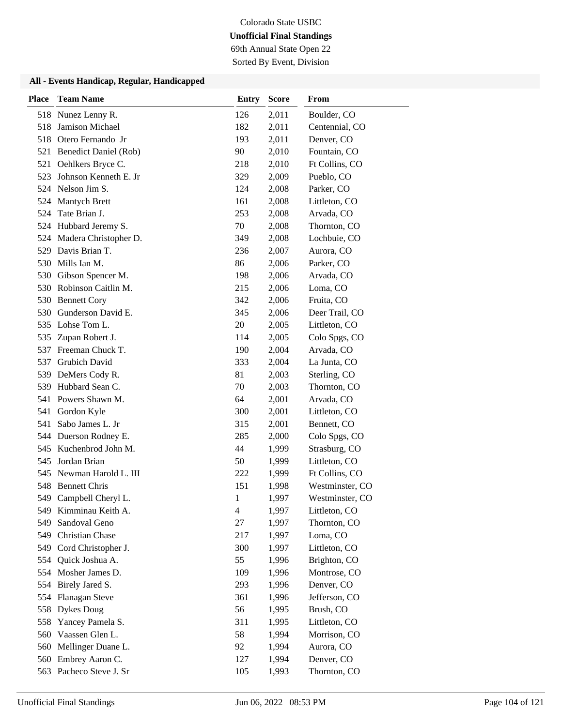69th Annual State Open 22

Sorted By Event, Division

| Place | <b>Team Name</b>          | <b>Entry</b>   | <b>Score</b> | From            |
|-------|---------------------------|----------------|--------------|-----------------|
|       | 518 Nunez Lenny R.        | 126            | 2,011        | Boulder, CO     |
| 518   | <b>Jamison Michael</b>    | 182            | 2,011        | Centennial, CO  |
| 518   | Otero Fernando Jr         | 193            | 2,011        | Denver, CO      |
|       | 521 Benedict Daniel (Rob) | 90             | 2,010        | Fountain, CO    |
| 521   | Oehlkers Bryce C.         | 218            | 2,010        | Ft Collins, CO  |
| 523   | Johnson Kenneth E. Jr     | 329            | 2,009        | Pueblo, CO      |
|       | 524 Nelson Jim S.         | 124            | 2,008        | Parker, CO      |
|       | 524 Mantych Brett         | 161            | 2,008        | Littleton, CO   |
| 524   | Tate Brian J.             | 253            | 2,008        | Arvada, CO      |
|       | 524 Hubbard Jeremy S.     | 70             | 2,008        | Thornton, CO    |
|       | 524 Madera Christopher D. | 349            | 2,008        | Lochbuie, CO    |
|       | 529 Davis Brian T.        | 236            | 2,007        | Aurora, CO      |
| 530   | Mills Ian M.              | 86             | 2,006        | Parker, CO      |
| 530   | Gibson Spencer M.         | 198            | 2,006        | Arvada, CO      |
|       | 530 Robinson Caitlin M.   | 215            | 2,006        | Loma, CO        |
|       | 530 Bennett Cory          | 342            | 2,006        | Fruita, CO      |
| 530   | Gunderson David E.        | 345            | 2,006        | Deer Trail, CO  |
|       | 535 Lohse Tom L.          | 20             | 2,005        | Littleton, CO   |
| 535   | Zupan Robert J.           | 114            | 2,005        | Colo Spgs, CO   |
|       | 537 Freeman Chuck T.      | 190            | 2,004        | Arvada, CO      |
| 537   | <b>Grubich David</b>      | 333            | 2,004        | La Junta, CO    |
| 539   | DeMers Cody R.            | 81             | 2,003        | Sterling, CO    |
| 539   | Hubbard Sean C.           | 70             | 2,003        | Thornton, CO    |
|       | 541 Powers Shawn M.       | 64             | 2,001        | Arvada, CO      |
| 541   | Gordon Kyle               | 300            | 2,001        | Littleton, CO   |
| 541   | Sabo James L. Jr          | 315            | 2,001        | Bennett, CO     |
|       | 544 Duerson Rodney E.     | 285            | 2,000        | Colo Spgs, CO   |
|       | 545 Kuchenbrod John M.    | 44             | 1,999        | Strasburg, CO   |
| 545   | Jordan Brian              | 50             | 1,999        | Littleton, CO   |
|       | 545 Newman Harold L. III  | 222            | 1,999        | Ft Collins, CO  |
|       | 548 Bennett Chris         | 151            | 1,998        | Westminster, CO |
|       | 549 Campbell Cheryl L.    | 1              | 1,997        | Westminster, CO |
| 549   | Kimminau Keith A.         | $\overline{4}$ | 1,997        | Littleton, CO   |
| 549   | Sandoval Geno             | 27             | 1,997        | Thornton, CO    |
| 549   | Christian Chase           | 217            | 1,997        | Loma, CO        |
|       | 549 Cord Christopher J.   | 300            | 1,997        | Littleton, CO   |
|       | 554 Quick Joshua A.       | 55             | 1,996        | Brighton, CO    |
|       | 554 Mosher James D.       | 109            | 1,996        | Montrose, CO    |
|       | 554 Birely Jared S.       | 293            | 1,996        | Denver, CO      |
| 554   | <b>Flanagan Steve</b>     | 361            | 1,996        | Jefferson, CO   |
| 558   | <b>Dykes Doug</b>         | 56             | 1,995        | Brush, CO       |
| 558   | Yancey Pamela S.          | 311            | 1,995        | Littleton, CO   |
| 560   | Vaassen Glen L.           | 58             | 1,994        | Morrison, CO    |
| 560   | Mellinger Duane L.        | 92             | 1,994        | Aurora, CO      |
| 560   | Embrey Aaron C.           | 127            | 1,994        | Denver, CO      |
|       | 563 Pacheco Steve J. Sr   | 105            | 1,993        | Thornton, CO    |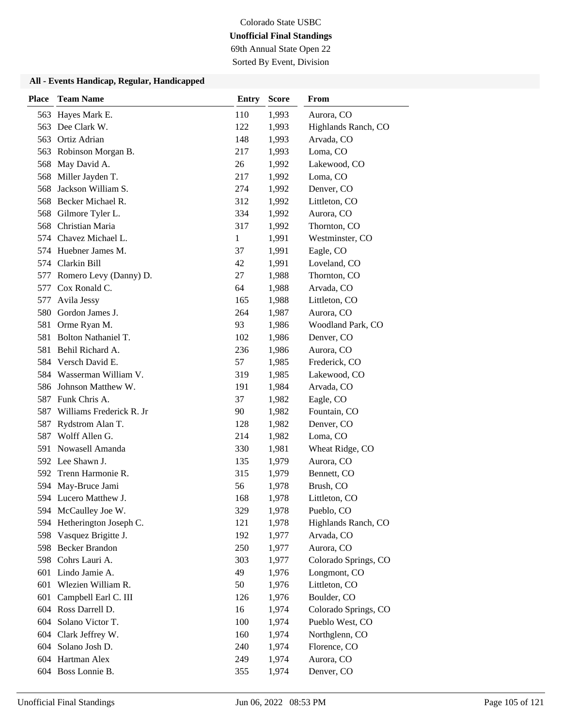69th Annual State Open 22

Sorted By Event, Division

| <b>Place</b> | <b>Team Name</b>           | <b>Entry</b> | <b>Score</b> | From                 |
|--------------|----------------------------|--------------|--------------|----------------------|
| 563          | Hayes Mark E.              | 110          | 1,993        | Aurora, CO           |
| 563          | Dee Clark W.               | 122          | 1,993        | Highlands Ranch, CO  |
|              | 563 Ortiz Adrian           | 148          | 1,993        | Arvada, CO           |
| 563          | Robinson Morgan B.         | 217          | 1,993        | Loma, CO             |
| 568          | May David A.               | 26           | 1,992        | Lakewood, CO         |
| 568          | Miller Jayden T.           | 217          | 1,992        | Loma, CO             |
| 568          | Jackson William S.         | 274          | 1,992        | Denver, CO           |
|              | 568 Becker Michael R.      | 312          | 1,992        | Littleton, CO        |
|              | 568 Gilmore Tyler L.       | 334          | 1,992        | Aurora, CO           |
| 568          | Christian Maria            | 317          | 1,992        | Thornton, CO         |
|              | 574 Chavez Michael L.      | $\mathbf{1}$ | 1,991        | Westminster, CO      |
|              | 574 Huebner James M.       | 37           | 1,991        | Eagle, CO            |
|              | 574 Clarkin Bill           | 42           | 1,991        | Loveland, CO         |
| 577          | Romero Levy (Danny) D.     | 27           | 1,988        | Thornton, CO         |
| 577          | Cox Ronald C.              | 64           | 1,988        | Arvada, CO           |
| 577          | Avila Jessy                | 165          | 1,988        | Littleton, CO        |
| 580          | Gordon James J.            | 264          | 1,987        | Aurora, CO           |
| 581          | Orme Ryan M.               | 93           | 1,986        | Woodland Park, CO    |
| 581          | <b>Bolton Nathaniel T.</b> | 102          | 1,986        | Denver, CO           |
|              | 581 Behil Richard A.       | 236          | 1,986        | Aurora, CO           |
|              | 584 Versch David E.        | 57           | 1,985        | Frederick, CO        |
|              | 584 Wasserman William V.   | 319          | 1,985        | Lakewood, CO         |
| 586          | Johnson Matthew W.         | 191          | 1,984        | Arvada, CO           |
|              | 587 Funk Chris A.          | 37           | 1,982        | Eagle, CO            |
| 587          | Williams Frederick R. Jr   | 90           | 1,982        | Fountain, CO         |
| 587          | Rydstrom Alan T.           | 128          | 1,982        | Denver, CO           |
| 587          | Wolff Allen G.             | 214          | 1,982        | Loma, CO             |
|              | 591 Nowasell Amanda        | 330          | 1,981        | Wheat Ridge, CO      |
|              | 592 Lee Shawn J.           | 135          | 1,979        | Aurora, CO           |
| 592          | Trenn Harmonie R.          | 315          | 1,979        | Bennett, CO          |
| 594          | May-Bruce Jami             | 56           | 1,978        | Brush, CO            |
|              | 594 Lucero Matthew J.      | 168          | 1,978        | Littleton, CO        |
|              | 594 McCaulley Joe W.       | 329          | 1,978        | Pueblo, CO           |
|              | 594 Hetherington Joseph C. | 121          | 1,978        | Highlands Ranch, CO  |
| 598          | Vasquez Brigitte J.        | 192          | 1,977        | Arvada, CO           |
|              | 598 Becker Brandon         | 250          | 1,977        | Aurora, CO           |
|              | 598 Cohrs Lauri A.         | 303          | 1,977        | Colorado Springs, CO |
| 601          | Lindo Jamie A.             | 49           | 1,976        | Longmont, CO         |
| 601          | Wlezien William R.         | 50           | 1,976        | Littleton, CO        |
| 601          | Campbell Earl C. III       | 126          | 1,976        | Boulder, CO          |
| 604          | Ross Darrell D.            | 16           | 1,974        | Colorado Springs, CO |
| 604          | Solano Victor T.           | 100          | 1,974        | Pueblo West, CO      |
|              | 604 Clark Jeffrey W.       | 160          | 1,974        | Northglenn, CO       |
|              | 604 Solano Josh D.         | 240          | 1,974        | Florence, CO         |
|              | 604 Hartman Alex           | 249          | 1,974        | Aurora, CO           |
|              | 604 Boss Lonnie B.         | 355          | 1,974        | Denver, CO           |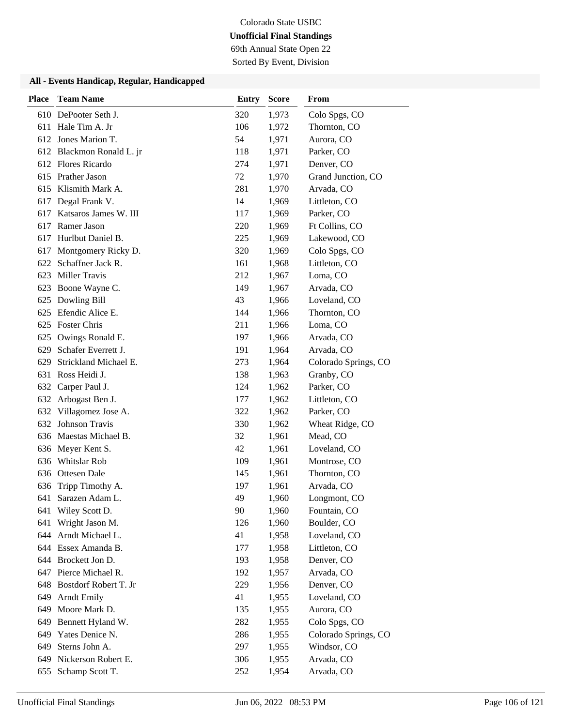69th Annual State Open 22

Sorted By Event, Division

| <b>Place</b> | <b>Team Name</b>          | <b>Entry</b> | <b>Score</b> | From                 |
|--------------|---------------------------|--------------|--------------|----------------------|
|              | 610 DePooter Seth J.      | 320          | 1,973        | Colo Spgs, CO        |
|              | 611 Hale Tim A. Jr        | 106          | 1,972        | Thornton, CO         |
|              | 612 Jones Marion T.       | 54           | 1,971        | Aurora, CO           |
|              | 612 Blackmon Ronald L. jr | 118          | 1,971        | Parker, CO           |
|              | 612 Flores Ricardo        | 274          | 1,971        | Denver, CO           |
|              | 615 Prather Jason         | 72           | 1,970        | Grand Junction, CO   |
|              | 615 Klismith Mark A.      | 281          | 1,970        | Arvada, CO           |
|              | 617 Degal Frank V.        | 14           | 1,969        | Littleton, CO        |
| 617          | Katsaros James W. III     | 117          | 1,969        | Parker, CO           |
| 617          | Ramer Jason               | 220          | 1,969        | Ft Collins, CO       |
| 617          | Hurlbut Daniel B.         | 225          | 1,969        | Lakewood, CO         |
|              | 617 Montgomery Ricky D.   | 320          | 1,969        | Colo Spgs, CO        |
| 622          | Schaffner Jack R.         | 161          | 1,968        | Littleton, CO        |
| 623          | <b>Miller Travis</b>      | 212          | 1,967        | Loma, CO             |
| 623          | Boone Wayne C.            | 149          | 1,967        | Arvada, CO           |
|              | 625 Dowling Bill          | 43           | 1,966        | Loveland, CO         |
| 625          | Efendic Alice E.          | 144          | 1,966        | Thornton, CO         |
|              | 625 Foster Chris          | 211          | 1,966        | Loma, CO             |
| 625          | Owings Ronald E.          | 197          | 1,966        | Arvada, CO           |
| 629          | Schafer Everrett J.       | 191          | 1,964        | Arvada, CO           |
| 629          | Strickland Michael E.     | 273          | 1,964        | Colorado Springs, CO |
| 631          | Ross Heidi J.             | 138          | 1,963        | Granby, CO           |
|              | 632 Carper Paul J.        | 124          | 1,962        | Parker, CO           |
|              | 632 Arbogast Ben J.       | 177          | 1,962        | Littleton, CO        |
|              | 632 Villagomez Jose A.    | 322          | 1,962        | Parker, CO           |
| 632          | Johnson Travis            | 330          | 1,962        | Wheat Ridge, CO      |
|              | 636 Maestas Michael B.    | 32           | 1,961        | Mead, CO             |
|              | 636 Meyer Kent S.         | 42           | 1,961        | Loveland, CO         |
| 636          | <b>Whitslar Rob</b>       | 109          | 1,961        | Montrose, CO         |
| 636          | Ottesen Dale              | 145          | 1,961        | Thornton, CO         |
| 636          | Tripp Timothy A.          | 197          | 1,961        | Arvada, CO           |
| 641          | Sarazen Adam L.           | 49           | 1,960        | Longmont, CO         |
| 641          | Wiley Scott D.            | 90           | 1,960        | Fountain, CO         |
| 641          | Wright Jason M.           | 126          | 1,960        | Boulder, CO          |
|              | 644 Arndt Michael L.      | 41           | 1,958        | Loveland, CO         |
|              | 644 Essex Amanda B.       | 177          | 1,958        | Littleton, CO        |
|              | 644 Brockett Jon D.       | 193          | 1,958        | Denver, CO           |
| 647          | Pierce Michael R.         | 192          | 1,957        | Arvada, CO           |
| 648          | Bostdorf Robert T. Jr     | 229          | 1,956        | Denver, CO           |
| 649          | <b>Arndt Emily</b>        | 41           | 1,955        | Loveland, CO         |
| 649          | Moore Mark D.             | 135          | 1,955        | Aurora, CO           |
| 649          | Bennett Hyland W.         | 282          | 1,955        | Colo Spgs, CO        |
|              | 649 Yates Denice N.       | 286          | 1,955        | Colorado Springs, CO |
| 649          | Sterns John A.            | 297          | 1,955        | Windsor, CO          |
| 649          | Nickerson Robert E.       | 306          | 1,955        | Arvada, CO           |
| 655          | Schamp Scott T.           | 252          | 1,954        | Arvada, CO           |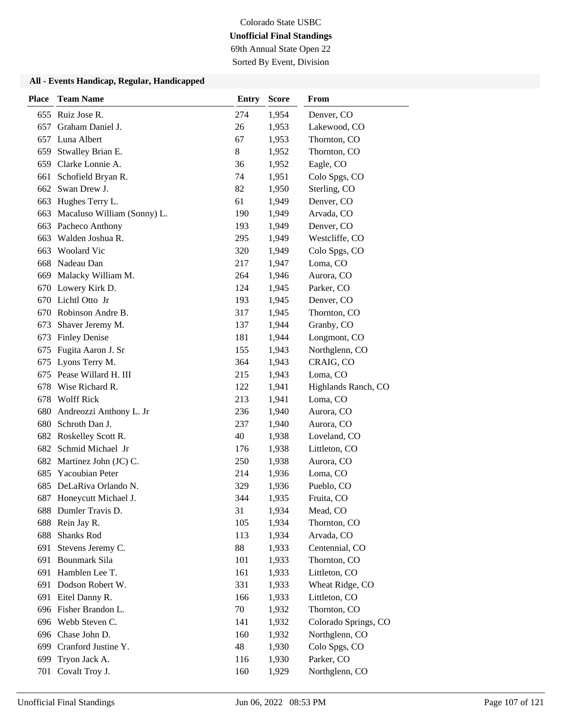69th Annual State Open 22

Sorted By Event, Division

| <b>Place</b> | <b>Team Name</b>            | <b>Entry</b> | <b>Score</b> | From                 |
|--------------|-----------------------------|--------------|--------------|----------------------|
|              | 655 Ruiz Jose R.            | 274          | 1,954        | Denver, CO           |
| 657          | Graham Daniel J.            | 26           | 1,953        | Lakewood, CO         |
| 657          | Luna Albert                 | 67           | 1,953        | Thornton, CO         |
| 659          | Stwalley Brian E.           | 8            | 1,952        | Thornton, CO         |
| 659          | Clarke Lonnie A.            | 36           | 1,952        | Eagle, CO            |
| 661          | Schofield Bryan R.          | 74           | 1,951        | Colo Spgs, CO        |
| 662          | Swan Drew J.                | 82           | 1,950        | Sterling, CO         |
|              | 663 Hughes Terry L.         | 61           | 1,949        | Denver, CO           |
| 663          | Macaluso William (Sonny) L. | 190          | 1,949        | Arvada, CO           |
| 663          | Pacheco Anthony             | 193          | 1,949        | Denver, CO           |
| 663          | Walden Joshua R.            | 295          | 1,949        | Westcliffe, CO       |
| 663          | <b>Woolard Vic</b>          | 320          | 1,949        | Colo Spgs, CO        |
| 668          | Nadeau Dan                  | 217          | 1,947        | Loma, CO             |
| 669          | Malacky William M.          | 264          | 1,946        | Aurora, CO           |
|              | 670 Lowery Kirk D.          | 124          | 1,945        | Parker, CO           |
|              | 670 Lichtl Otto Jr          | 193          | 1,945        | Denver, CO           |
| 670          | Robinson Andre B.           | 317          | 1,945        | Thornton, CO         |
| 673          | Shaver Jeremy M.            | 137          | 1,944        | Granby, CO           |
| 673          | <b>Finley Denise</b>        | 181          | 1,944        | Longmont, CO         |
| 675          | Fugita Aaron J. Sr          | 155          | 1,943        | Northglenn, CO       |
| 675          | Lyons Terry M.              | 364          | 1,943        | CRAIG, CO            |
| 675          | Pease Willard H. III        | 215          | 1,943        | Loma, CO             |
| 678          | Wise Richard R.             | 122          | 1,941        | Highlands Ranch, CO  |
| 678          | <b>Wolff Rick</b>           | 213          | 1,941        | Loma, CO             |
| 680          | Andreozzi Anthony L. Jr     | 236          | 1,940        | Aurora, CO           |
| 680          | Schroth Dan J.              | 237          | 1,940        | Aurora, CO           |
|              | 682 Roskelley Scott R.      | 40           | 1,938        | Loveland, CO         |
| 682          | Schmid Michael Jr           | 176          | 1,938        | Littleton, CO        |
| 682          | Martinez John (JC) C.       | 250          | 1,938        | Aurora, CO           |
| 685          | Yacoubian Peter             | 214          | 1,936        | Loma, CO             |
| 685          | DeLaRiva Orlando N.         | 329          | 1,936        | Pueblo, CO           |
| 687          | Honeycutt Michael J.        | 344          | 1,935        | Fruita, CO           |
|              | 688 Dumler Travis D.        | 31           | 1,934        | Mead, CO             |
| 688          | Rein Jay R.                 | 105          | 1,934        | Thornton, CO         |
| 688          | Shanks Rod                  | 113          | 1,934        | Arvada, CO           |
| 691          | Stevens Jeremy C.           | 88           | 1,933        | Centennial, CO       |
| 691          | Bounmark Sila               | 101          | 1,933        | Thornton, CO         |
| 691          | Hamblen Lee T.              | 161          | 1,933        | Littleton, CO        |
| 691          | Dodson Robert W.            | 331          | 1,933        | Wheat Ridge, CO      |
| 691          | Eitel Danny R.              | 166          | 1,933        | Littleton, CO        |
| 696          | Fisher Brandon L.           | 70           | 1,932        | Thornton, CO         |
|              | 696 Webb Steven C.          | 141          | 1,932        | Colorado Springs, CO |
| 696          | Chase John D.               | 160          | 1,932        | Northglenn, CO       |
| 699          | Cranford Justine Y.         | 48           | 1,930        | Colo Spgs, CO        |
| 699          | Tryon Jack A.               | 116          | 1,930        | Parker, CO           |
| 701          | Covalt Troy J.              | 160          | 1,929        | Northglenn, CO       |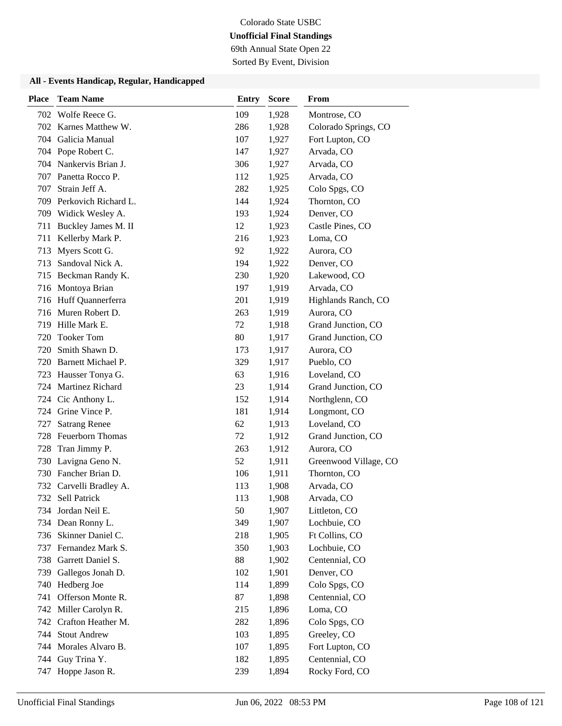69th Annual State Open 22 Sorted By Event, Division

| <b>Place</b> | <b>Team Name</b>        | <b>Entry</b> | <b>Score</b> | From                  |
|--------------|-------------------------|--------------|--------------|-----------------------|
|              | 702 Wolfe Reece G.      | 109          | 1,928        | Montrose, CO          |
|              | 702 Karnes Matthew W.   | 286          | 1,928        | Colorado Springs, CO  |
|              | 704 Galicia Manual      | 107          | 1,927        | Fort Lupton, CO       |
|              | 704 Pope Robert C.      | 147          | 1,927        | Arvada, CO            |
|              | 704 Nankervis Brian J.  | 306          | 1,927        | Arvada, CO            |
|              | 707 Panetta Rocco P.    | 112          | 1,925        | Arvada, CO            |
| 707          | Strain Jeff A.          | 282          | 1,925        | Colo Spgs, CO         |
| 709          | Perkovich Richard L.    | 144          | 1,924        | Thornton, CO          |
|              | 709 Widick Wesley A.    | 193          | 1,924        | Denver, CO            |
| 711          | Buckley James M. II     | 12           | 1,923        | Castle Pines, CO      |
| 711          | Kellerby Mark P.        | 216          | 1,923        | Loma, CO              |
| 713          | Myers Scott G.          | 92           | 1,922        | Aurora, CO            |
| 713          | Sandoval Nick A.        | 194          | 1,922        | Denver, CO            |
| 715          | Beckman Randy K.        | 230          | 1,920        | Lakewood, CO          |
|              | 716 Montoya Brian       | 197          | 1,919        | Arvada, CO            |
|              | 716 Huff Quannerferra   | 201          | 1,919        | Highlands Ranch, CO   |
|              | 716 Muren Robert D.     | 263          | 1,919        | Aurora, CO            |
| 719          | Hille Mark E.           | 72           | 1,918        | Grand Junction, CO    |
| 720          | <b>Tooker Tom</b>       | 80           | 1,917        | Grand Junction, CO    |
| 720          | Smith Shawn D.          | 173          | 1,917        | Aurora, CO            |
|              | 720 Barnett Michael P.  | 329          | 1,917        | Pueblo, CO            |
| 723          | Hausser Tonya G.        | 63           | 1,916        | Loveland, CO          |
|              | 724 Martinez Richard    | 23           | 1,914        | Grand Junction, CO    |
| 724          | Cic Anthony L.          | 152          | 1,914        | Northglenn, CO        |
| 724          | Grine Vince P.          | 181          | 1,914        | Longmont, CO          |
| 727          | <b>Satrang Renee</b>    | 62           | 1,913        | Loveland, CO          |
| 728          | Feuerborn Thomas        | 72           | 1,912        | Grand Junction, CO    |
| 728          | Tran Jimmy P.           | 263          | 1,912        | Aurora, CO            |
| 730          | Lavigna Geno N.         | 52           | 1,911        | Greenwood Village, CO |
|              | 730 Fancher Brian D.    | 106          | 1,911        | Thornton, CO          |
|              | 732 Carvelli Bradley A. | 113          | 1,908        | Arvada, CO            |
| 732          | Sell Patrick            | 113          | 1,908        | Arvada, CO            |
|              | 734 Jordan Neil E.      | 50           | 1,907        | Littleton, CO         |
|              | 734 Dean Ronny L.       | 349          | 1,907        | Lochbuie, CO          |
| 736          | Skinner Daniel C.       | 218          | 1,905        | Ft Collins, CO        |
| 737          | Fernandez Mark S.       | 350          | 1,903        | Lochbuie, CO          |
| 738          | Garrett Daniel S.       | 88           | 1,902        | Centennial, CO        |
| 739          | Gallegos Jonah D.       | 102          | 1,901        | Denver, CO            |
| 740          | Hedberg Joe             | 114          | 1,899        | Colo Spgs, CO         |
| 741          | Offerson Monte R.       | 87           | 1,898        | Centennial, CO        |
|              | 742 Miller Carolyn R.   | 215          | 1,896        | Loma, CO              |
| 742          | Crafton Heather M.      | 282          | 1,896        | Colo Spgs, CO         |
| 744          | <b>Stout Andrew</b>     | 103          | 1,895        | Greeley, CO           |
| 744          | Morales Alvaro B.       | 107          | 1,895        | Fort Lupton, CO       |
| 744          | Guy Trina Y.            | 182          | 1,895        | Centennial, CO        |
| 747          | Hoppe Jason R.          | 239          | 1,894        | Rocky Ford, CO        |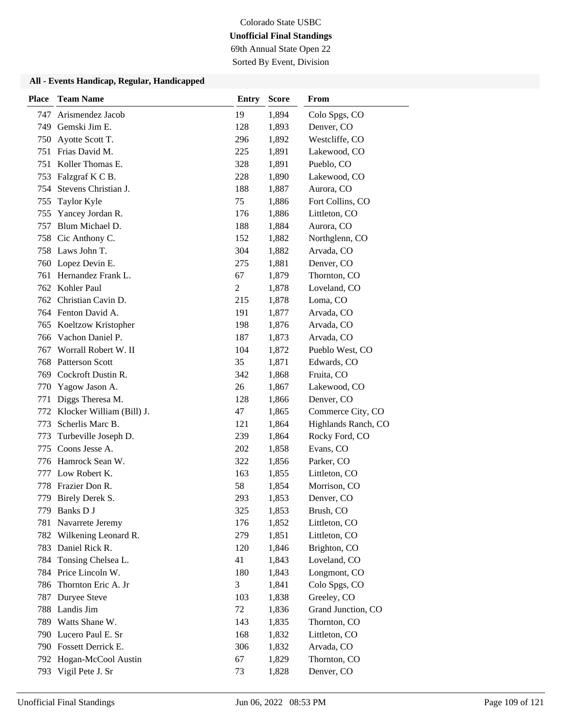69th Annual State Open 22

Sorted By Event, Division

#### **All - Events Handicap, Regular, Handicapped**

| <b>Place</b> | <b>Team Name</b>          | <b>Entry</b>   | <b>Score</b> | From                |
|--------------|---------------------------|----------------|--------------|---------------------|
| 747          | Arismendez Jacob          | 19             | 1,894        | Colo Spgs, CO       |
| 749          | Gemski Jim E.             | 128            | 1,893        | Denver, CO          |
| 750          | Ayotte Scott T.           | 296            | 1,892        | Westcliffe, CO      |
| 751          | Frias David M.            | 225            | 1,891        | Lakewood, CO        |
| 751          | Koller Thomas E.          | 328            | 1,891        | Pueblo, CO          |
| 753          | Falzgraf K C B.           | 228            | 1,890        | Lakewood, CO        |
| 754          | Stevens Christian J.      | 188            | 1,887        | Aurora, CO          |
| 755          | Taylor Kyle               | 75             | 1,886        | Fort Collins, CO    |
| 755          | Yancey Jordan R.          | 176            | 1,886        | Littleton, CO       |
| 757          | Blum Michael D.           | 188            | 1,884        | Aurora, CO          |
| 758          | Cic Anthony C.            | 152            | 1,882        | Northglenn, CO      |
|              | 758 Laws John T.          | 304            | 1,882        | Arvada, CO          |
| 760          | Lopez Devin E.            | 275            | 1,881        | Denver, CO          |
| 761          | Hernandez Frank L.        | 67             | 1,879        | Thornton, CO        |
|              | 762 Kohler Paul           | $\overline{c}$ | 1,878        | Loveland, CO        |
|              | 762 Christian Cavin D.    | 215            | 1,878        | Loma, CO            |
|              | 764 Fenton David A.       | 191            | 1,877        | Arvada, CO          |
| 765          | Koeltzow Kristopher       | 198            | 1,876        | Arvada, CO          |
| 766          | Vachon Daniel P.          | 187            | 1,873        | Arvada, CO          |
| 767          | Worrall Robert W. II      | 104            | 1,872        | Pueblo West, CO     |
| 768          | <b>Patterson Scott</b>    | 35             | 1,871        | Edwards, CO         |
| 769          | Cockroft Dustin R.        | 342            | 1,868        | Fruita, CO          |
| 770          | Yagow Jason A.            | 26             | 1,867        | Lakewood, CO        |
| 771          | Diggs Theresa M.          | 128            | 1,866        | Denver, CO          |
| 772          | Klocker William (Bill) J. | 47             | 1,865        | Commerce City, CO   |
| 773          | Scherlis Marc B.          | 121            | 1,864        | Highlands Ranch, CO |
| 773          | Turbeville Joseph D.      | 239            | 1,864        | Rocky Ford, CO      |
| 775          | Coons Jesse A.            | 202            | 1,858        | Evans, CO           |
| 776          | Hamrock Sean W.           | 322            | 1,856        | Parker, CO          |
| 777          | Low Robert K.             | 163            | 1,855        | Littleton, CO       |
| 778          | Frazier Don R.            | 58             | 1,854        | Morrison, CO        |
| 779          | Birely Derek S.           | 293            | 1,853        | Denver, CO          |
| 779          | Banks D J                 | 325            | 1,853        | Brush, CO           |
| 781          | Navarrete Jeremy          | 176            | 1,852        | Littleton, CO       |
| 782          | Wilkening Leonard R.      | 279            | 1,851        | Littleton, CO       |
| 783          | Daniel Rick R.            | 120            | 1,846        | Brighton, CO        |
| 784          | Tonsing Chelsea L.        | 41             | 1,843        | Loveland, CO        |
|              | 784 Price Lincoln W.      | 180            | 1,843        | Longmont, CO        |
| 786          | Thornton Eric A. Jr       | 3              | 1,841        | Colo Spgs, CO       |
| 787          | Duryee Steve              | 103            | 1,838        | Greeley, CO         |
| 788          | Landis Jim                | 72             | 1,836        | Grand Junction, CO  |
|              | 789 Watts Shane W.        | 143            | 1,835        | Thornton, CO        |
| 790          | Lucero Paul E. Sr         | 168            | 1,832        | Littleton, CO       |
|              | 790 Fossett Derrick E.    | 306            | 1,832        | Arvada, CO          |
|              | 792 Hogan-McCool Austin   | 67             | 1,829        | Thornton, CO        |
| 793          | Vigil Pete J. Sr          | 73             | 1,828        | Denver, CO          |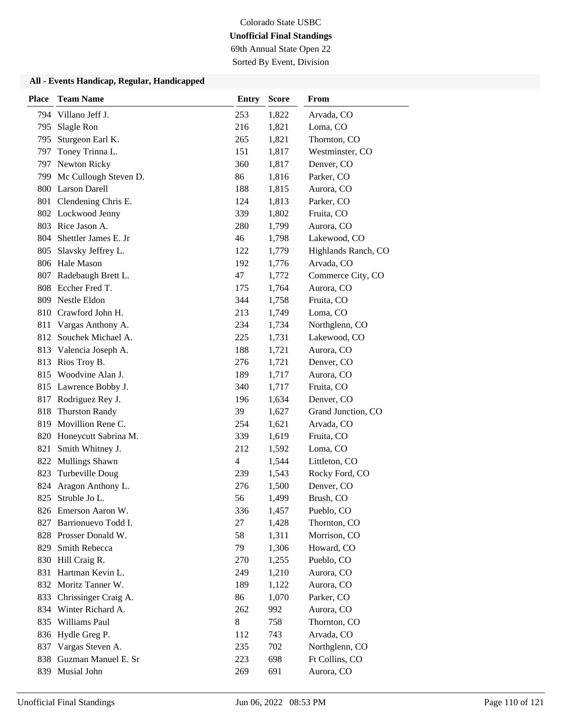69th Annual State Open 22

Sorted By Event, Division

#### **All - Events Handicap, Regular, Handicapped**

| <b>Place</b> | <b>Team Name</b>        | <b>Entry</b> | <b>Score</b> | From                |
|--------------|-------------------------|--------------|--------------|---------------------|
| 794          | Villano Jeff J.         | 253          | 1,822        | Arvada, CO          |
| 795          | Slagle Ron              | 216          | 1,821        | Loma, CO            |
| 795          | Sturgeon Earl K.        | 265          | 1,821        | Thornton, CO        |
| 797          | Toney Trinna L.         | 151          | 1,817        | Westminster, CO     |
|              | 797 Newton Ricky        | 360          | 1,817        | Denver, CO          |
| 799          | Mc Cullough Steven D.   | 86           | 1,816        | Parker, CO          |
| 800          | <b>Larson Darell</b>    | 188          | 1,815        | Aurora, CO          |
|              | 801 Clendening Chris E. | 124          | 1,813        | Parker, CO          |
|              | 802 Lockwood Jenny      | 339          | 1,802        | Fruita, CO          |
|              | 803 Rice Jason A.       | 280          | 1,799        | Aurora, CO          |
| 804          | Shettler James E. Jr    | 46           | 1,798        | Lakewood, CO        |
| 805          | Slavsky Jeffrey L.      | 122          | 1,779        | Highlands Ranch, CO |
| 806          | Hale Mason              | 192          | 1,776        | Arvada, CO          |
| 807          | Radebaugh Brett L.      | 47           | 1,772        | Commerce City, CO   |
| 808          | Eccher Fred T.          | 175          | 1,764        | Aurora, CO          |
|              | 809 Nestle Eldon        | 344          | 1,758        | Fruita, CO          |
| 810          | Crawford John H.        | 213          | 1,749        | Loma, CO            |
| 811          | Vargas Anthony A.       | 234          | 1,734        | Northglenn, CO      |
| 812          | Souchek Michael A.      | 225          | 1,731        | Lakewood, CO        |
| 813          | Valencia Joseph A.      | 188          | 1,721        | Aurora, CO          |
| 813          | Rios Troy B.            | 276          | 1,721        | Denver, CO          |
| 815          | Woodvine Alan J.        | 189          | 1,717        | Aurora, CO          |
|              | 815 Lawrence Bobby J.   | 340          | 1,717        | Fruita, CO          |
|              | 817 Rodriguez Rey J.    | 196          | 1,634        | Denver, CO          |
| 818          | <b>Thurston Randy</b>   | 39           | 1,627        | Grand Junction, CO  |
| 819          | Movillion Rene C.       | 254          | 1,621        | Arvada, CO          |
| 820          | Honeycutt Sabrina M.    | 339          | 1,619        | Fruita, CO          |
| 821          | Smith Whitney J.        | 212          | 1,592        | Loma, CO            |
| 822          | Mullings Shawn          | 4            | 1,544        | Littleton, CO       |
| 823          | Turbeville Doug         | 239          | 1,543        | Rocky Ford, CO      |
| 824          | Aragon Anthony L.       | 276          | 1,500        | Denver, CO          |
| 825          | Struble Jo L.           | 56           | 1,499        | Brush, CO           |
|              | 826 Emerson Aaron W.    | 336          | 1,457        | Pueblo, CO          |
| 827          | Barrionuevo Todd I.     | 27           | 1,428        | Thornton, CO        |
|              | 828 Prosser Donald W.   | 58           | 1,311        | Morrison, CO        |
|              | 829 Smith Rebecca       | 79           | 1,306        | Howard, CO          |
|              | 830 Hill Craig R.       | 270          | 1,255        | Pueblo, CO          |
| 831          | Hartman Kevin L.        | 249          | 1,210        | Aurora, CO          |
| 832          | Moritz Tanner W.        | 189          | 1,122        | Aurora, CO          |
| 833          | Chrissinger Craig A.    | 86           | 1,070        | Parker, CO          |
| 834          | Winter Richard A.       | 262          | 992          | Aurora, CO          |
| 835          | Williams Paul           | 8            | 758          | Thornton, CO        |
| 836          | Hydle Greg P.           | 112          | 743          | Arvada, CO          |
| 837          | Vargas Steven A.        | 235          | 702          | Northglenn, CO      |
| 838          | Guzman Manuel E. Sr     | 223          | 698          | Ft Collins, CO      |
| 839          | Musial John             | 269          | 691          | Aurora, CO          |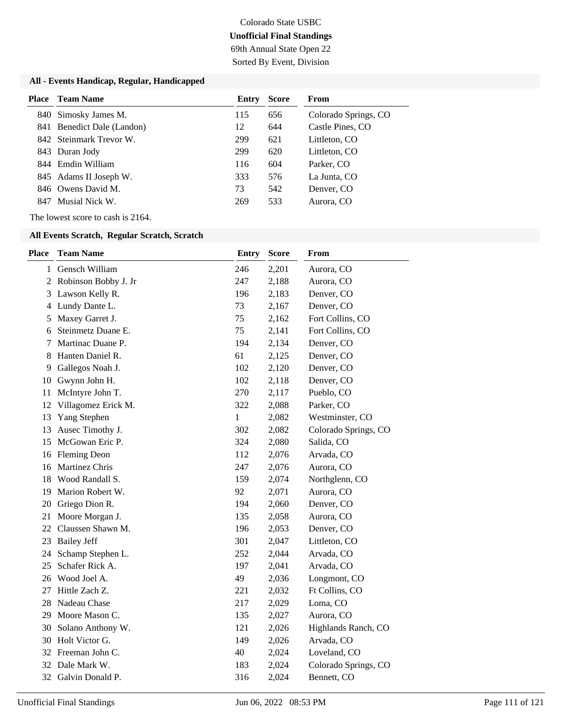69th Annual State Open 22 Sorted By Event, Division

#### **All - Events Handicap, Regular, Handicapped**

| <b>Place</b> | Team Name                  | Entry | <b>Score</b> | From                 |
|--------------|----------------------------|-------|--------------|----------------------|
|              | 840 Simosky James M.       | 115   | 656          | Colorado Springs, CO |
|              | 841 Benedict Dale (Landon) | 12    | 644          | Castle Pines, CO     |
|              | 842 Steinmark Trevor W.    | 299   | 621          | Littleton, CO        |
|              | 843 Duran Jody             | 299   | 620          | Littleton, CO        |
|              | 844 Emdin William          | 116   | 604          | Parker, CO           |
|              | 845 Adams II Joseph W.     | 333   | 576          | La Junta, CO         |
|              | 846 Owens David M.         | 73    | 542          | Denver, CO           |
| 847          | Musial Nick W.             | 269   | 533          | Aurora, CO           |

The lowest score to cash is 2164.

| <b>Place</b> | <b>Team Name</b>      | <b>Entry</b> | <b>Score</b> | From                 |
|--------------|-----------------------|--------------|--------------|----------------------|
| 1            | Gensch William        | 246          | 2,201        | Aurora, CO           |
| 2            | Robinson Bobby J. Jr  | 247          | 2,188        | Aurora, CO           |
| 3            | Lawson Kelly R.       | 196          | 2,183        | Denver, CO           |
| 4            | Lundy Dante L.        | 73           | 2,167        | Denver, CO           |
| 5            | Maxey Garret J.       | 75           | 2,162        | Fort Collins, CO     |
| 6            | Steinmetz Duane E.    | 75           | 2,141        | Fort Collins, CO     |
| 7            | Martinac Duane P.     | 194          | 2,134        | Denver, CO           |
| 8            | Hanten Daniel R.      | 61           | 2,125        | Denver, CO           |
| 9            | Gallegos Noah J.      | 102          | 2,120        | Denver, CO           |
| 10           | Gwynn John H.         | 102          | 2,118        | Denver, CO           |
| 11           | McIntyre John T.      | 270          | 2,117        | Pueblo, CO           |
| 12           | Villagomez Erick M.   | 322          | 2,088        | Parker, CO           |
| 13           | Yang Stephen          | 1            | 2,082        | Westminster, CO      |
| 13           | Ausec Timothy J.      | 302          | 2,082        | Colorado Springs, CO |
| 15           | McGowan Eric P.       | 324          | 2,080        | Salida, CO           |
| 16           | <b>Fleming Deon</b>   | 112          | 2,076        | Arvada, CO           |
| 16           | <b>Martinez Chris</b> | 247          | 2,076        | Aurora, CO           |
| 18           | Wood Randall S.       | 159          | 2,074        | Northglenn, CO       |
| 19           | Marion Robert W.      | 92           | 2,071        | Aurora, CO           |
| 20           | Griego Dion R.        | 194          | 2,060        | Denver, CO           |
| 21           | Moore Morgan J.       | 135          | 2,058        | Aurora, CO           |
| 22           | Claussen Shawn M.     | 196          | 2,053        | Denver, CO           |
| 23           | <b>Bailey Jeff</b>    | 301          | 2,047        | Littleton, CO        |
| 24           | Schamp Stephen L.     | 252          | 2,044        | Arvada, CO           |
| 25           | Schafer Rick A.       | 197          | 2,041        | Arvada, CO           |
| 26           | Wood Joel A.          | 49           | 2,036        | Longmont, CO         |
| 27           | Hittle Zach Z.        | 221          | 2,032        | Ft Collins, CO       |
| 28           | Nadeau Chase          | 217          | 2,029        | Loma, CO             |
| 29           | Moore Mason C.        | 135          | 2,027        | Aurora, CO           |
| 30           | Solano Anthony W.     | 121          | 2,026        | Highlands Ranch, CO  |
| 30           | Holt Victor G.        | 149          | 2,026        | Arvada, CO           |
| 32           | Freeman John C.       | 40           | 2,024        | Loveland, CO         |
| 32           | Dale Mark W.          | 183          | 2,024        | Colorado Springs, CO |
| 32           | Galvin Donald P.      | 316          | 2,024        | Bennett, CO          |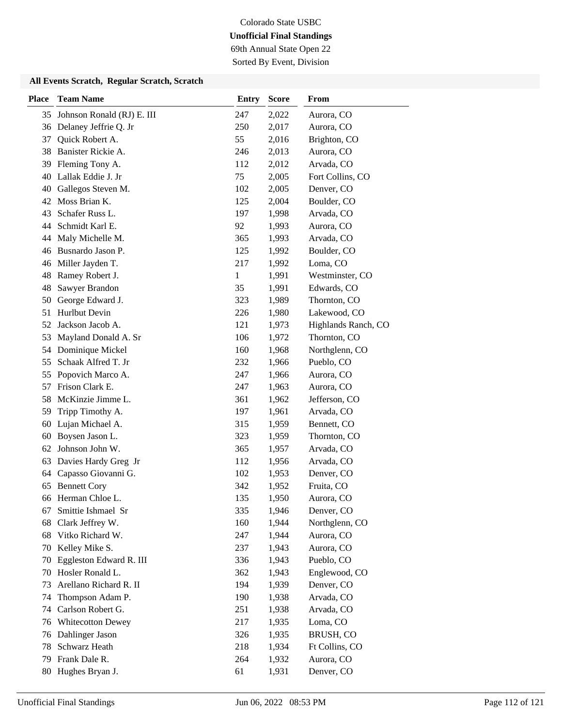69th Annual State Open 22

Sorted By Event, Division

| <b>Place</b> | <b>Team Name</b>           | <b>Entry</b> | <b>Score</b> | From                |
|--------------|----------------------------|--------------|--------------|---------------------|
| 35           | Johnson Ronald (RJ) E. III | 247          | 2,022        | Aurora, CO          |
| 36           | Delaney Jeffrie Q. Jr      | 250          | 2,017        | Aurora, CO          |
| 37           | Quick Robert A.            | 55           | 2,016        | Brighton, CO        |
| 38           | Banister Rickie A.         | 246          | 2,013        | Aurora, CO          |
| 39           | Fleming Tony A.            | 112          | 2,012        | Arvada, CO          |
| 40           | Lallak Eddie J. Jr         | 75           | 2,005        | Fort Collins, CO    |
| 40           | Gallegos Steven M.         | 102          | 2,005        | Denver, CO          |
| 42           | Moss Brian K.              | 125          | 2,004        | Boulder, CO         |
| 43           | Schafer Russ L.            | 197          | 1,998        | Arvada, CO          |
| 44           | Schmidt Karl E.            | 92           | 1,993        | Aurora, CO          |
| 44           | Maly Michelle M.           | 365          | 1,993        | Arvada, CO          |
| 46           | Busnardo Jason P.          | 125          | 1,992        | Boulder, CO         |
| 46           | Miller Jayden T.           | 217          | 1,992        | Loma, CO            |
| 48           | Ramey Robert J.            | $\mathbf{1}$ | 1,991        | Westminster, CO     |
| 48           | Sawyer Brandon             | 35           | 1,991        | Edwards, CO         |
| 50           | George Edward J.           | 323          | 1,989        | Thornton, CO        |
| 51           | Hurlbut Devin              | 226          | 1,980        | Lakewood, CO        |
| 52           | Jackson Jacob A.           | 121          | 1,973        | Highlands Ranch, CO |
| 53           | Mayland Donald A. Sr       | 106          | 1,972        | Thornton, CO        |
| 54           | Dominique Mickel           | 160          | 1,968        | Northglenn, CO      |
| 55           | Schaak Alfred T. Jr        | 232          | 1,966        | Pueblo, CO          |
| 55           | Popovich Marco A.          | 247          | 1,966        | Aurora, CO          |
| 57           | Frison Clark E.            | 247          | 1,963        | Aurora, CO          |
| 58           | McKinzie Jimme L.          | 361          | 1,962        | Jefferson, CO       |
| 59           | Tripp Timothy A.           | 197          | 1,961        | Arvada, CO          |
| 60           | Lujan Michael A.           | 315          | 1,959        | Bennett, CO         |
| 60           | Boysen Jason L.            | 323          | 1,959        | Thornton, CO        |
| 62           | Johnson John W.            | 365          | 1,957        | Arvada, CO          |
| 63           | Davies Hardy Greg Jr       | 112          | 1,956        | Arvada, CO          |
| 64           | Capasso Giovanni G.        | 102          | 1,953        | Denver, CO          |
| 65           | <b>Bennett Cory</b>        | 342          | 1,952        | Fruita, CO          |
| 66           | Herman Chloe L.            | 135          | 1,950        | Aurora, CO          |
| 67           | Smittie Ishmael Sr         | 335          | 1,946        | Denver, CO          |
| 68           | Clark Jeffrey W.           | 160          | 1,944        | Northglenn, CO      |
| 68           | Vitko Richard W.           | 247          | 1,944        | Aurora, CO          |
| 70           | Kelley Mike S.             | 237          | 1,943        | Aurora, CO          |
| 70           | Eggleston Edward R. III    | 336          | 1,943        | Pueblo, CO          |
| 70           | Hosler Ronald L.           | 362          | 1,943        | Englewood, CO       |
| 73           | Arellano Richard R. II     | 194          | 1,939        | Denver, CO          |
| 74           | Thompson Adam P.           | 190          | 1,938        | Arvada, CO          |
| 74           | Carlson Robert G.          | 251          | 1,938        | Arvada, CO          |
| 76           | <b>Whitecotton Dewey</b>   | 217          | 1,935        | Loma, CO            |
| 76           | Dahlinger Jason            | 326          | 1,935        | BRUSH, CO           |
| 78           | Schwarz Heath              | 218          | 1,934        | Ft Collins, CO      |
| 79           | Frank Dale R.              | 264          | 1,932        | Aurora, CO          |
| 80           | Hughes Bryan J.            | 61           | 1,931        | Denver, CO          |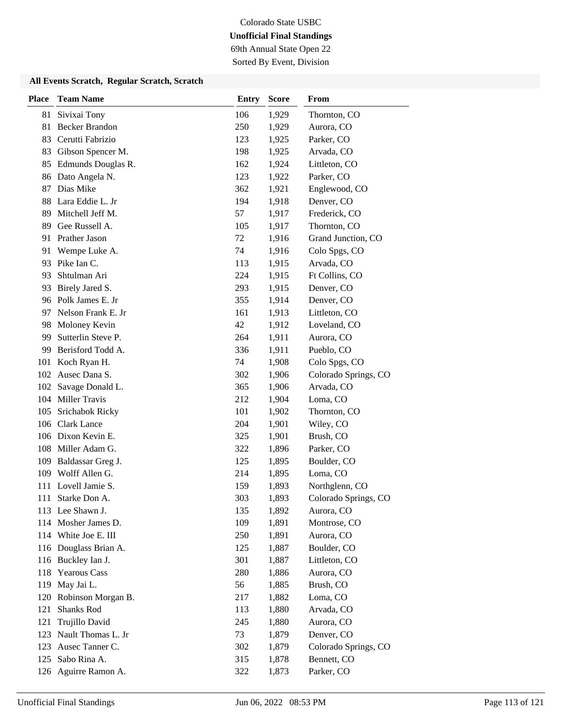69th Annual State Open 22

Sorted By Event, Division

| <b>Place</b> | <b>Team Name</b>      | <b>Entry</b> | <b>Score</b> | From                 |
|--------------|-----------------------|--------------|--------------|----------------------|
| 81           | Sivixai Tony          | 106          | 1,929        | Thornton, CO         |
| 81           | <b>Becker Brandon</b> | 250          | 1,929        | Aurora, CO           |
| 83           | Cerutti Fabrizio      | 123          | 1,925        | Parker, CO           |
| 83           | Gibson Spencer M.     | 198          | 1,925        | Arvada, CO           |
| 85           | Edmunds Douglas R.    | 162          | 1,924        | Littleton, CO        |
| 86           | Dato Angela N.        | 123          | 1,922        | Parker, CO           |
| 87           | Dias Mike             | 362          | 1,921        | Englewood, CO        |
| 88           | Lara Eddie L. Jr      | 194          | 1,918        | Denver, CO           |
| 89           | Mitchell Jeff M.      | 57           | 1,917        | Frederick, CO        |
| 89           | Gee Russell A.        | 105          | 1,917        | Thornton, CO         |
| 91           | Prather Jason         | 72           | 1,916        | Grand Junction, CO   |
| 91           | Wempe Luke A.         | 74           | 1,916        | Colo Spgs, CO        |
| 93           | Pike Ian C.           | 113          | 1,915        | Arvada, CO           |
| 93           | Shtulman Ari          | 224          | 1,915        | Ft Collins, CO       |
| 93           | Birely Jared S.       | 293          | 1,915        | Denver, CO           |
|              | 96 Polk James E. Jr   | 355          | 1,914        | Denver, CO           |
| 97           | Nelson Frank E. Jr    | 161          | 1,913        | Littleton, CO        |
| 98           | Moloney Kevin         | 42           | 1,912        | Loveland, CO         |
| 99           | Sutterlin Steve P.    | 264          | 1,911        | Aurora, CO           |
| 99           | Berisford Todd A.     | 336          | 1,911        | Pueblo, CO           |
| 101          | Koch Ryan H.          | 74           | 1,908        | Colo Spgs, CO        |
| 102          | Ausec Dana S.         | 302          | 1,906        | Colorado Springs, CO |
| 102          | Savage Donald L.      | 365          | 1,906        | Arvada, CO           |
|              | 104 Miller Travis     | 212          | 1,904        | Loma, CO             |
| 105          | Srichabok Ricky       | 101          | 1,902        | Thornton, CO         |
| 106          | <b>Clark Lance</b>    | 204          | 1,901        | Wiley, CO            |
|              | 106 Dixon Kevin E.    | 325          | 1,901        | Brush, CO            |
| 108          | Miller Adam G.        | 322          | 1,896        | Parker, CO           |
| 109          | Baldassar Greg J.     | 125          | 1,895        | Boulder, CO          |
|              | 109 Wolff Allen G.    | 214          | 1,895        | Loma, CO             |
| 111          | Lovell Jamie S.       | 159          | 1,893        | Northglenn, CO       |
| 111          | Starke Don A.         | 303          | 1,893        | Colorado Springs, CO |
|              | 113 Lee Shawn J.      | 135          | 1,892        | Aurora, CO           |
|              | 114 Mosher James D.   | 109          | 1,891        | Montrose, CO         |
|              | 114 White Joe E. III  | 250          | 1,891        | Aurora, CO           |
|              | 116 Douglass Brian A. | 125          | 1,887        | Boulder, CO          |
|              | 116 Buckley Ian J.    | 301          | 1,887        | Littleton, CO        |
| 118          | <b>Yearous Cass</b>   | 280          | 1,886        | Aurora, CO           |
| 119          | May Jai L.            | 56           | 1,885        | Brush, CO            |
| 120          | Robinson Morgan B.    | 217          | 1,882        | Loma, CO             |
| 121          | Shanks Rod            | 113          | 1,880        | Arvada, CO           |
| 121          | Trujillo David        | 245          | 1,880        | Aurora, CO           |
| 123          | Nault Thomas L. Jr    | 73           | 1,879        | Denver, CO           |
| 123          | Ausec Tanner C.       | 302          | 1,879        | Colorado Springs, CO |
| 125          | Sabo Rina A.          | 315          | 1,878        | Bennett, CO          |
| 126          | Aguirre Ramon A.      | 322          | 1,873        | Parker, CO           |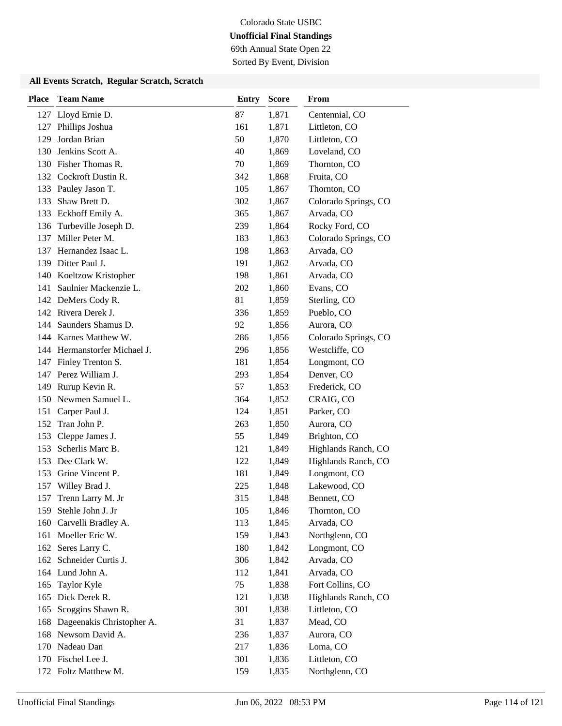69th Annual State Open 22 Sorted By Event, Division

| <b>Place</b> | <b>Team Name</b>             | <b>Entry</b> | <b>Score</b> | From                 |
|--------------|------------------------------|--------------|--------------|----------------------|
|              | 127 Lloyd Ernie D.           | 87           | 1,871        | Centennial, CO       |
| 127          | Phillips Joshua              | 161          | 1,871        | Littleton, CO        |
| 129          | Jordan Brian                 | 50           | 1,870        | Littleton, CO        |
| 130          | Jenkins Scott A.             | 40           | 1,869        | Loveland, CO         |
|              | 130 Fisher Thomas R.         | 70           | 1,869        | Thornton, CO         |
|              | 132 Cockroft Dustin R.       | 342          | 1,868        | Fruita, CO           |
|              | 133 Pauley Jason T.          | 105          | 1,867        | Thornton, CO         |
|              | 133 Shaw Brett D.            | 302          | 1,867        | Colorado Springs, CO |
|              | 133 Eckhoff Emily A.         | 365          | 1,867        | Arvada, CO           |
| 136          | Turbeville Joseph D.         | 239          | 1,864        | Rocky Ford, CO       |
|              | 137 Miller Peter M.          | 183          | 1,863        | Colorado Springs, CO |
|              | 137 Hernandez Isaac L.       | 198          | 1,863        | Arvada, CO           |
| 139          | Ditter Paul J.               | 191          | 1,862        | Arvada, CO           |
|              | 140 Koeltzow Kristopher      | 198          | 1,861        | Arvada, CO           |
| 141          | Saulnier Mackenzie L.        | 202          | 1,860        | Evans, CO            |
|              | 142 DeMers Cody R.           | 81           | 1,859        | Sterling, CO         |
|              | 142 Rivera Derek J.          | 336          | 1,859        | Pueblo, CO           |
|              | 144 Saunders Shamus D.       | 92           | 1,856        | Aurora, CO           |
|              | 144 Karnes Matthew W.        | 286          | 1,856        | Colorado Springs, CO |
|              | 144 Hermanstorfer Michael J. | 296          | 1,856        | Westcliffe, CO       |
| 147          | Finley Trenton S.            | 181          | 1,854        | Longmont, CO         |
|              | 147 Perez William J.         | 293          | 1,854        | Denver, CO           |
|              | 149 Rurup Kevin R.           | 57           | 1,853        | Frederick, CO        |
|              | 150 Newmen Samuel L.         | 364          | 1,852        | CRAIG, CO            |
| 151          | Carper Paul J.               | 124          | 1,851        | Parker, CO           |
| 152          | Tran John P.                 | 263          | 1,850        | Aurora, CO           |
| 153          | Cleppe James J.              | 55           | 1,849        | Brighton, CO         |
| 153          | Scherlis Marc B.             | 121          | 1,849        | Highlands Ranch, CO  |
|              | 153 Dee Clark W.             | 122          | 1,849        | Highlands Ranch, CO  |
| 153          | Grine Vincent P.             | 181          | 1,849        | Longmont, CO         |
|              | 157 Willey Brad J.           | 225          | 1,848        | Lakewood, CO         |
| 157          | Trenn Larry M. Jr            | 315          | 1,848        | Bennett, CO          |
|              | 159 Stehle John J. Jr        | 105          | 1,846        | Thornton, CO         |
| 160          | Carvelli Bradley A.          | 113          | 1,845        | Arvada, CO           |
|              | 161 Moeller Eric W.          | 159          | 1,843        | Northglenn, CO       |
|              | 162 Seres Larry C.           | 180          | 1,842        | Longmont, CO         |
|              | 162 Schneider Curtis J.      | 306          | 1,842        | Arvada, CO           |
|              | 164 Lund John A.             | 112          | 1,841        | Arvada, CO           |
| 165          | Taylor Kyle                  | 75           | 1,838        | Fort Collins, CO     |
| 165          | Dick Derek R.                | 121          | 1,838        | Highlands Ranch, CO  |
| 165          | Scoggins Shawn R.            | 301          | 1,838        | Littleton, CO        |
| 168          | Dageenakis Christopher A.    | 31           | 1,837        | Mead, CO             |
|              | 168 Newsom David A.          | 236          | 1,837        | Aurora, CO           |
|              | 170 Nadeau Dan               | 217          | 1,836        | Loma, CO             |
|              | 170 Fischel Lee J.           | 301          | 1,836        | Littleton, CO        |
|              | 172 Foltz Matthew M.         | 159          | 1,835        | Northglenn, CO       |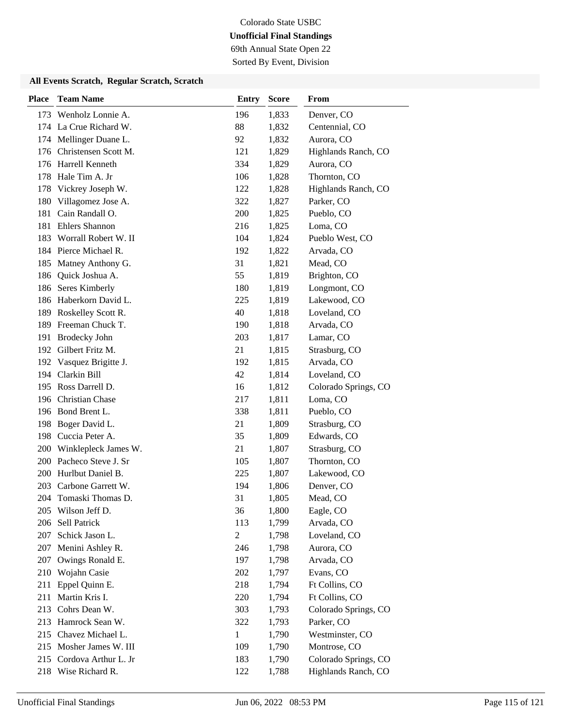69th Annual State Open 22

Sorted By Event, Division

| <b>Place</b> | <b>Team Name</b>         | <b>Entry</b> | <b>Score</b> | From                 |
|--------------|--------------------------|--------------|--------------|----------------------|
|              | 173 Wenholz Lonnie A.    | 196          | 1,833        | Denver, CO           |
|              | 174 La Crue Richard W.   | 88           | 1,832        | Centennial, CO       |
|              | 174 Mellinger Duane L.   | 92           | 1,832        | Aurora, CO           |
| 176          | Christensen Scott M.     | 121          | 1,829        | Highlands Ranch, CO  |
| 176          | Harrell Kenneth          | 334          | 1,829        | Aurora, CO           |
| 178          | Hale Tim A. Jr           | 106          | 1,828        | Thornton, CO         |
| 178          | Vickrey Joseph W.        | 122          | 1,828        | Highlands Ranch, CO  |
| 180          | Villagomez Jose A.       | 322          | 1,827        | Parker, CO           |
| 181          | Cain Randall O.          | 200          | 1,825        | Pueblo, CO           |
| 181          | <b>Ehlers Shannon</b>    | 216          | 1,825        | Loma, CO             |
| 183          | Worrall Robert W. II     | 104          | 1,824        | Pueblo West, CO      |
|              | 184 Pierce Michael R.    | 192          | 1,822        | Arvada, CO           |
| 185          | Matney Anthony G.        | 31           | 1,821        | Mead, CO             |
| 186          | Quick Joshua A.          | 55           | 1,819        | Brighton, CO         |
| 186          | Seres Kimberly           | 180          | 1,819        | Longmont, CO         |
|              | 186 Haberkorn David L.   | 225          | 1,819        | Lakewood, CO         |
| 189          | Roskelley Scott R.       | 40           | 1,818        | Loveland, CO         |
| 189          | Freeman Chuck T.         | 190          | 1,818        | Arvada, CO           |
| 191          | <b>Brodecky John</b>     | 203          | 1,817        | Lamar, CO            |
|              | 192 Gilbert Fritz M.     | 21           | 1,815        | Strasburg, CO        |
|              | 192 Vasquez Brigitte J.  | 192          | 1,815        | Arvada, CO           |
| 194          | Clarkin Bill             | 42           | 1,814        | Loveland, CO         |
|              | 195 Ross Darrell D.      | 16           | 1,812        | Colorado Springs, CO |
|              | 196 Christian Chase      | 217          | 1,811        | Loma, CO             |
|              | 196 Bond Brent L.        | 338          | 1,811        | Pueblo, CO           |
| 198          | Boger David L.           | 21           | 1,809        | Strasburg, CO        |
|              | 198 Cuccia Peter A.      | 35           | 1,809        | Edwards, CO          |
| 200          | Winklepleck James W.     | 21           | 1,807        | Strasburg, CO        |
| 200          | Pacheco Steve J. Sr      | 105          | 1,807        | Thornton, CO         |
| 200          | Hurlbut Daniel B.        | 225          | 1,807        | Lakewood, CO         |
| 203          | Carbone Garrett W.       | 194          | 1,806        | Denver, CO           |
|              | 204 Tomaski Thomas D.    | 31           | 1,805        | Mead, CO             |
|              | 205 Wilson Jeff D.       | 36           | 1,800        | Eagle, CO            |
| 206          | Sell Patrick             | 113          | 1,799        | Arvada, CO           |
| 207          | Schick Jason L.          | $\mathbf{2}$ | 1,798        | Loveland, CO         |
| 207          | Menini Ashley R.         | 246          | 1,798        | Aurora, CO           |
| 207          | Owings Ronald E.         | 197          | 1,798        | Arvada, CO           |
| 210          | Wojahn Casie             | 202          | 1,797        | Evans, CO            |
| 211          | Eppel Quinn E.           | 218          | 1,794        | Ft Collins, CO       |
| 211          | Martin Kris I.           | 220          | 1,794        | Ft Collins, CO       |
| 213          | Cohrs Dean W.            | 303          | 1,793        | Colorado Springs, CO |
| 213          | Hamrock Sean W.          | 322          | 1,793        | Parker, CO           |
|              | 215 Chavez Michael L.    | 1            | 1,790        | Westminster, CO      |
|              | 215 Mosher James W. III  | 109          | 1,790        | Montrose, CO         |
|              | 215 Cordova Arthur L. Jr | 183          | 1,790        | Colorado Springs, CO |
|              | 218 Wise Richard R.      | 122          | 1,788        | Highlands Ranch, CO  |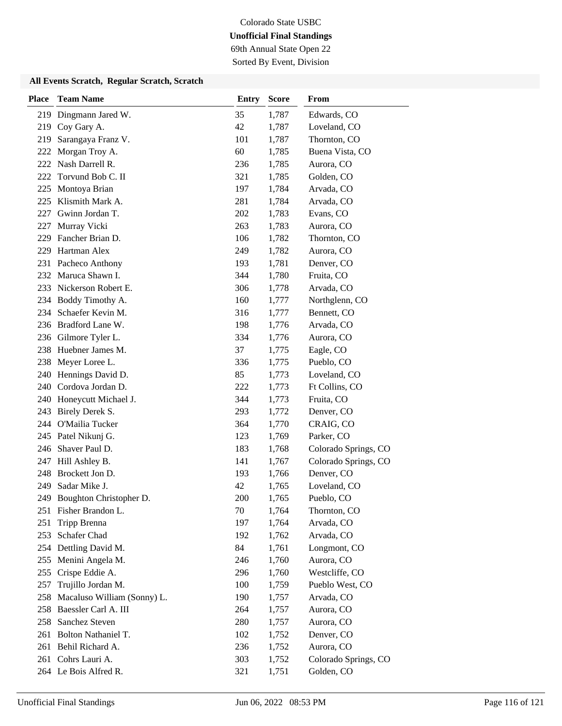69th Annual State Open 22

Sorted By Event, Division

| <b>Place</b> | <b>Team Name</b>            | <b>Entry</b> | <b>Score</b> | From                 |
|--------------|-----------------------------|--------------|--------------|----------------------|
| 219          | Dingmann Jared W.           | 35           | 1,787        | Edwards, CO          |
| 219          | Coy Gary A.                 | 42           | 1,787        | Loveland, CO         |
| 219          | Sarangaya Franz V.          | 101          | 1,787        | Thornton, CO         |
| 222          | Morgan Troy A.              | 60           | 1,785        | Buena Vista, CO      |
| 222          | Nash Darrell R.             | 236          | 1,785        | Aurora, CO           |
| 222          | Torvund Bob C. II           | 321          | 1,785        | Golden, CO           |
| 225          | Montoya Brian               | 197          | 1,784        | Arvada, CO           |
| 225          | Klismith Mark A.            | 281          | 1,784        | Arvada, CO           |
| 227          | Gwinn Jordan T.             | 202          | 1,783        | Evans, CO            |
| 227          | Murray Vicki                | 263          | 1,783        | Aurora, CO           |
| 229          | Fancher Brian D.            | 106          | 1,782        | Thornton, CO         |
| 229          | Hartman Alex                | 249          | 1,782        | Aurora, CO           |
| 231          | Pacheco Anthony             | 193          | 1,781        | Denver, CO           |
| 232          | Maruca Shawn I.             | 344          | 1,780        | Fruita, CO           |
| 233          | Nickerson Robert E.         | 306          | 1,778        | Arvada, CO           |
|              | 234 Boddy Timothy A.        | 160          | 1,777        | Northglenn, CO       |
| 234          | Schaefer Kevin M.           | 316          | 1,777        | Bennett, CO          |
| 236          | Bradford Lane W.            | 198          | 1,776        | Arvada, CO           |
| 236          | Gilmore Tyler L.            | 334          | 1,776        | Aurora, CO           |
| 238          | Huebner James M.            | 37           | 1,775        | Eagle, CO            |
| 238          | Meyer Loree L.              | 336          | 1,775        | Pueblo, CO           |
| 240          | Hennings David D.           | 85           | 1,773        | Loveland, CO         |
| 240          | Cordova Jordan D.           | 222          | 1,773        | Ft Collins, CO       |
| 240          | Honeycutt Michael J.        | 344          | 1,773        | Fruita, CO           |
| 243          | Birely Derek S.             | 293          | 1,772        | Denver, CO           |
| 244          | O'Mailia Tucker             | 364          | 1,770        | CRAIG, CO            |
| 245          | Patel Nikunj G.             | 123          | 1,769        | Parker, CO           |
| 246          | Shaver Paul D.              | 183          | 1,768        | Colorado Springs, CO |
| 247          | Hill Ashley B.              | 141          | 1,767        | Colorado Springs, CO |
| 248          | Brockett Jon D.             | 193          | 1,766        | Denver, CO           |
| 249          | Sadar Mike J.               | 42           | 1,765        | Loveland, CO         |
| 249          | Boughton Christopher D.     | 200          | 1,765        | Pueblo, CO           |
| 251          | Fisher Brandon L.           | 70           | 1,764        | Thornton, CO         |
| 251          | Tripp Brenna                | 197          | 1,764        | Arvada, CO           |
| 253          | Schafer Chad                | 192          | 1,762        | Arvada, CO           |
|              | 254 Dettling David M.       | 84           | 1,761        | Longmont, CO         |
| 255          | Menini Angela M.            | 246          | 1,760        | Aurora, CO           |
| 255          | Crispe Eddie A.             | 296          | 1,760        | Westcliffe, CO       |
| 257          | Trujillo Jordan M.          | 100          | 1,759        | Pueblo West, CO      |
| 258          | Macaluso William (Sonny) L. | 190          | 1,757        | Arvada, CO           |
| 258          | Baessler Carl A. III        | 264          | 1,757        | Aurora, CO           |
| 258          | Sanchez Steven              | 280          | 1,757        | Aurora, CO           |
| 261          | Bolton Nathaniel T.         | 102          | 1,752        | Denver, CO           |
|              | 261 Behil Richard A.        | 236          | 1,752        | Aurora, CO           |
| 261          | Cohrs Lauri A.              | 303          | 1,752        | Colorado Springs, CO |
|              | 264 Le Bois Alfred R.       | 321          | 1,751        | Golden, CO           |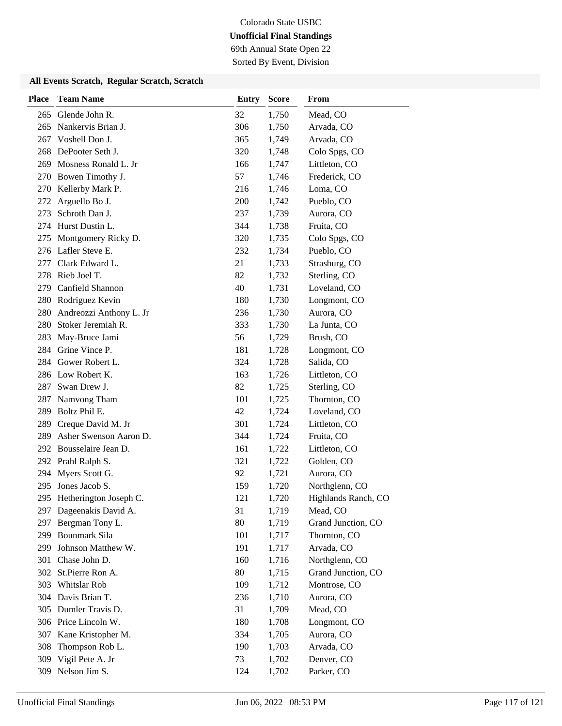69th Annual State Open 22 Sorted By Event, Division

| <b>Place</b> | <b>Team Name</b>           | Entry | <b>Score</b> | From                |
|--------------|----------------------------|-------|--------------|---------------------|
| 265          | Glende John R.             | 32    | 1,750        | Mead, CO            |
| 265          | Nankervis Brian J.         | 306   | 1,750        | Arvada, CO          |
| 267          | Voshell Don J.             | 365   | 1,749        | Arvada, CO          |
| 268          | DePooter Seth J.           | 320   | 1,748        | Colo Spgs, CO       |
| 269          | Mosness Ronald L. Jr       | 166   | 1,747        | Littleton, CO       |
| 270          | Bowen Timothy J.           | 57    | 1,746        | Frederick, CO       |
|              | 270 Kellerby Mark P.       | 216   | 1,746        | Loma, CO            |
| 272          | Arguello Bo J.             | 200   | 1,742        | Pueblo, CO          |
| 273          | Schroth Dan J.             | 237   | 1,739        | Aurora, CO          |
|              | 274 Hurst Dustin L.        | 344   | 1,738        | Fruita, CO          |
| 275          | Montgomery Ricky D.        | 320   | 1,735        | Colo Spgs, CO       |
|              | 276 Lafler Steve E.        | 232   | 1,734        | Pueblo, CO          |
| 277          | Clark Edward L.            | 21    | 1,733        | Strasburg, CO       |
| 278          | Rieb Joel T.               | 82    | 1,732        | Sterling, CO        |
| 279          | Canfield Shannon           | 40    | 1,731        | Loveland, CO        |
|              | 280 Rodriguez Kevin        | 180   | 1,730        | Longmont, CO        |
| 280          | Andreozzi Anthony L. Jr    | 236   | 1,730        | Aurora, CO          |
| 280          | Stoker Jeremiah R.         | 333   | 1,730        | La Junta, CO        |
| 283          | May-Bruce Jami             | 56    | 1,729        | Brush, CO           |
|              | 284 Grine Vince P.         | 181   | 1,728        | Longmont, CO        |
|              | 284 Gower Robert L.        | 324   | 1,728        | Salida, CO          |
|              | 286 Low Robert K.          | 163   | 1,726        | Littleton, CO       |
| 287          | Swan Drew J.               | 82    | 1,725        | Sterling, CO        |
| 287          | Namvong Tham               | 101   | 1,725        | Thornton, CO        |
| 289          | Boltz Phil E.              | 42    | 1,724        | Loveland, CO        |
| 289          | Creque David M. Jr         | 301   | 1,724        | Littleton, CO       |
| 289          | Asher Swenson Aaron D.     | 344   | 1,724        | Fruita, CO          |
|              | 292 Bousselaire Jean D.    | 161   | 1,722        | Littleton, CO       |
|              | 292 Prahl Ralph S.         | 321   | 1,722        | Golden, CO          |
| 294          | Myers Scott G.             | 92    | 1,721        | Aurora, CO          |
| 295          | Jones Jacob S.             | 159   | 1,720        | Northglenn, CO      |
|              | 295 Hetherington Joseph C. | 121   | 1,720        | Highlands Ranch, CO |
|              | 297 Dageenakis David A.    | 31    | 1,719        | Mead, CO            |
| 297          | Bergman Tony L.            | 80    | 1,719        | Grand Junction, CO  |
| 299          | Bounmark Sila              | 101   | 1,717        | Thornton, CO        |
| 299          | Johnson Matthew W.         | 191   | 1,717        | Arvada, CO          |
| 301          | Chase John D.              | 160   | 1,716        | Northglenn, CO      |
|              | 302 St.Pierre Ron A.       | 80    | 1,715        | Grand Junction, CO  |
| 303          | Whitslar Rob               | 109   | 1,712        | Montrose, CO        |
|              | 304 Davis Brian T.         | 236   | 1,710        | Aurora, CO          |
|              | 305 Dumler Travis D.       | 31    | 1,709        | Mead, CO            |
|              | 306 Price Lincoln W.       | 180   | 1,708        | Longmont, CO        |
|              | 307 Kane Kristopher M.     | 334   | 1,705        | Aurora, CO          |
| 308          | Thompson Rob L.            | 190   | 1,703        | Arvada, CO          |
| 309          | Vigil Pete A. Jr           | 73    | 1,702        | Denver, CO          |
|              | 309 Nelson Jim S.          | 124   | 1,702        | Parker, CO          |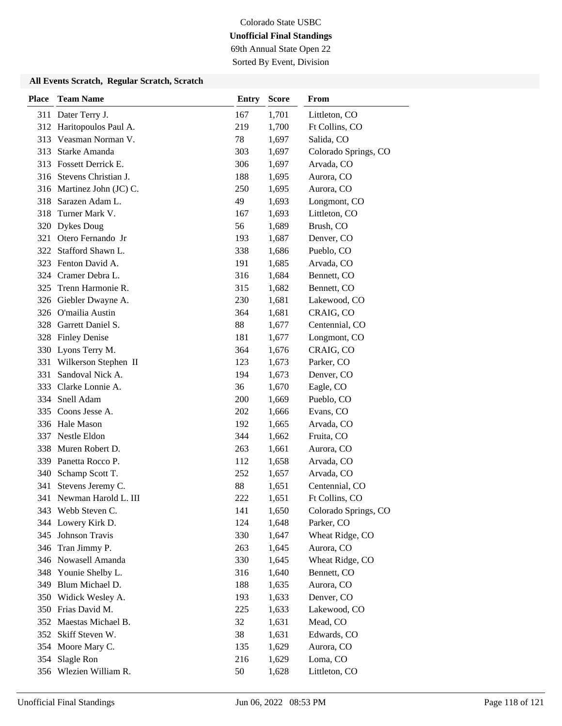69th Annual State Open 22 Sorted By Event, Division

| <b>Place</b> | <b>Team Name</b>          | <b>Entry</b> | <b>Score</b> | From                 |
|--------------|---------------------------|--------------|--------------|----------------------|
|              | 311 Dater Terry J.        | 167          | 1,701        | Littleton, CO        |
|              | 312 Haritopoulos Paul A.  | 219          | 1,700        | Ft Collins, CO       |
| 313          | Veasman Norman V.         | 78           | 1,697        | Salida, CO           |
| 313          | Starke Amanda             | 303          | 1,697        | Colorado Springs, CO |
| 313          | <b>Fossett Derrick E.</b> | 306          | 1,697        | Arvada, CO           |
|              | 316 Stevens Christian J.  | 188          | 1,695        | Aurora, CO           |
|              | 316 Martinez John (JC) C. | 250          | 1,695        | Aurora, CO           |
| 318          | Sarazen Adam L.           | 49           | 1,693        | Longmont, CO         |
| 318          | Turner Mark V.            | 167          | 1,693        | Littleton, CO        |
| 320          | <b>Dykes Doug</b>         | 56           | 1,689        | Brush, CO            |
| 321          | Otero Fernando Jr         | 193          | 1,687        | Denver, CO           |
| 322          | Stafford Shawn L.         | 338          | 1,686        | Pueblo, CO           |
| 323          | Fenton David A.           | 191          | 1,685        | Arvada, CO           |
| 324          | Cramer Debra L.           | 316          | 1,684        | Bennett, CO          |
| 325          | Trenn Harmonie R.         | 315          | 1,682        | Bennett, CO          |
|              | 326 Giebler Dwayne A.     | 230          | 1,681        | Lakewood, CO         |
|              | 326 O'mailia Austin       | 364          | 1,681        | CRAIG, CO            |
| 328          | Garrett Daniel S.         | 88           | 1,677        | Centennial, CO       |
| 328          | <b>Finley Denise</b>      | 181          | 1,677        | Longmont, CO         |
|              | 330 Lyons Terry M.        | 364          | 1,676        | CRAIG, CO            |
| 331          | Wilkerson Stephen II      | 123          | 1,673        | Parker, CO           |
| 331          | Sandoval Nick A.          | 194          | 1,673        | Denver, CO           |
| 333          | Clarke Lonnie A.          | 36           | 1,670        | Eagle, CO            |
|              | 334 Snell Adam            | 200          | 1,669        | Pueblo, CO           |
| 335          | Coons Jesse A.            | 202          | 1,666        | Evans, CO            |
|              | 336 Hale Mason            | 192          | 1,665        | Arvada, CO           |
| 337          | Nestle Eldon              | 344          | 1,662        | Fruita, CO           |
| 338          | Muren Robert D.           | 263          | 1,661        | Aurora, CO           |
|              | 339 Panetta Rocco P.      | 112          | 1,658        | Arvada, CO           |
| 340          | Schamp Scott T.           | 252          | 1,657        | Arvada, CO           |
| 341          | Stevens Jeremy C.         | 88           | 1,651        | Centennial, CO       |
| 341          | Newman Harold L. III      | 222          | 1,651        | Ft Collins, CO       |
|              | 343 Webb Steven C.        | 141          | 1,650        | Colorado Springs, CO |
|              | 344 Lowery Kirk D.        | 124          | 1,648        | Parker, CO           |
| 345          | Johnson Travis            | 330          | 1,647        | Wheat Ridge, CO      |
| 346          | Tran Jimmy P.             | 263          | 1,645        | Aurora, CO           |
|              | 346 Nowasell Amanda       | 330          | 1,645        | Wheat Ridge, CO      |
| 348          | Younie Shelby L.          | 316          | 1,640        | Bennett, CO          |
| 349          | Blum Michael D.           | 188          | 1,635        | Aurora, CO           |
|              | 350 Widick Wesley A.      | 193          | 1,633        | Denver, CO           |
|              | 350 Frias David M.        | 225          | 1,633        | Lakewood, CO         |
|              | 352 Maestas Michael B.    | 32           | 1,631        | Mead, CO             |
| 352          | Skiff Steven W.           | 38           | 1,631        | Edwards, CO          |
|              | 354 Moore Mary C.         | 135          | 1,629        | Aurora, CO           |
| 354          | Slagle Ron                | 216          | 1,629        | Loma, CO             |
|              | 356 Wlezien William R.    | 50           | 1,628        | Littleton, CO        |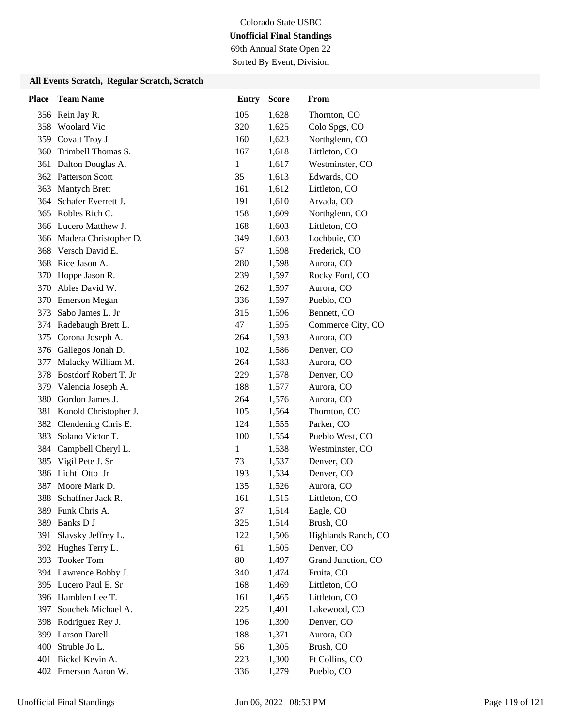69th Annual State Open 22

Sorted By Event, Division

| <b>Place</b> | <b>Team Name</b>          | <b>Entry</b> | <b>Score</b> | From                |
|--------------|---------------------------|--------------|--------------|---------------------|
|              | 356 Rein Jay R.           | 105          | 1,628        | Thornton, CO        |
|              | 358 Woolard Vic           | 320          | 1,625        | Colo Spgs, CO       |
|              | 359 Covalt Troy J.        | 160          | 1,623        | Northglenn, CO      |
| 360          | Trimbell Thomas S.        | 167          | 1,618        | Littleton, CO       |
|              | 361 Dalton Douglas A.     | 1            | 1,617        | Westminster, CO     |
|              | 362 Patterson Scott       | 35           | 1,613        | Edwards, CO         |
|              | 363 Mantych Brett         | 161          | 1,612        | Littleton, CO       |
|              | 364 Schafer Everrett J.   | 191          | 1,610        | Arvada, CO          |
|              | 365 Robles Rich C.        | 158          | 1,609        | Northglenn, CO      |
|              | 366 Lucero Matthew J.     | 168          | 1,603        | Littleton, CO       |
|              | 366 Madera Christopher D. | 349          | 1,603        | Lochbuie, CO        |
|              | 368 Versch David E.       | 57           | 1,598        | Frederick, CO       |
|              | 368 Rice Jason A.         | 280          | 1,598        | Aurora, CO          |
| 370          | Hoppe Jason R.            | 239          | 1,597        | Rocky Ford, CO      |
| 370          | Ables David W.            | 262          | 1,597        | Aurora, CO          |
| 370          | <b>Emerson Megan</b>      | 336          | 1,597        | Pueblo, CO          |
| 373          | Sabo James L. Jr          | 315          | 1,596        | Bennett, CO         |
|              | 374 Radebaugh Brett L.    | 47           | 1,595        | Commerce City, CO   |
| 375          | Corona Joseph A.          | 264          | 1,593        | Aurora, CO          |
| 376          | Gallegos Jonah D.         | 102          | 1,586        | Denver, CO          |
| 377          | Malacky William M.        | 264          | 1,583        | Aurora, CO          |
| 378          | Bostdorf Robert T. Jr     | 229          | 1,578        | Denver, CO          |
| 379          | Valencia Joseph A.        | 188          | 1,577        | Aurora, CO          |
| 380          | Gordon James J.           | 264          | 1,576        | Aurora, CO          |
| 381          | Konold Christopher J.     | 105          | 1,564        | Thornton, CO        |
| 382          | Clendening Chris E.       | 124          | 1,555        | Parker, CO          |
| 383          | Solano Victor T.          | 100          | 1,554        | Pueblo West, CO     |
| 384          | Campbell Cheryl L.        | 1            | 1,538        | Westminster, CO     |
| 385          | Vigil Pete J. Sr          | 73           | 1,537        | Denver, CO          |
|              | 386 Lichtl Otto Jr        | 193          | 1,534        | Denver, CO          |
| 387          | Moore Mark D.             | 135          | 1,526        | Aurora, CO          |
| 388          | Schaffner Jack R.         | 161          | 1,515        | Littleton, CO       |
|              | 389 Funk Chris A.         | 37           | 1,514        | Eagle, CO           |
| 389          | Banks D J                 | 325          | 1,514        | Brush, CO           |
| 391          | Slavsky Jeffrey L.        | 122          | 1,506        | Highlands Ranch, CO |
|              | 392 Hughes Terry L.       | 61           | 1,505        | Denver, CO          |
| 393          | <b>Tooker Tom</b>         | 80           | 1,497        | Grand Junction, CO  |
|              | 394 Lawrence Bobby J.     | 340          | 1,474        | Fruita, CO          |
|              | 395 Lucero Paul E. Sr     | 168          | 1,469        | Littleton, CO       |
|              | 396 Hamblen Lee T.        | 161          | 1,465        | Littleton, CO       |
| 397          | Souchek Michael A.        | 225          | 1,401        | Lakewood, CO        |
| 398          | Rodriguez Rey J.          | 196          | 1,390        | Denver, CO          |
|              | 399 Larson Darell         | 188          | 1,371        | Aurora, CO          |
|              | 400 Struble Jo L.         | 56           | 1,305        | Brush, CO           |
|              | 401 Bickel Kevin A.       | 223          | 1,300        | Ft Collins, CO      |
|              | 402 Emerson Aaron W.      | 336          | 1,279        | Pueblo, CO          |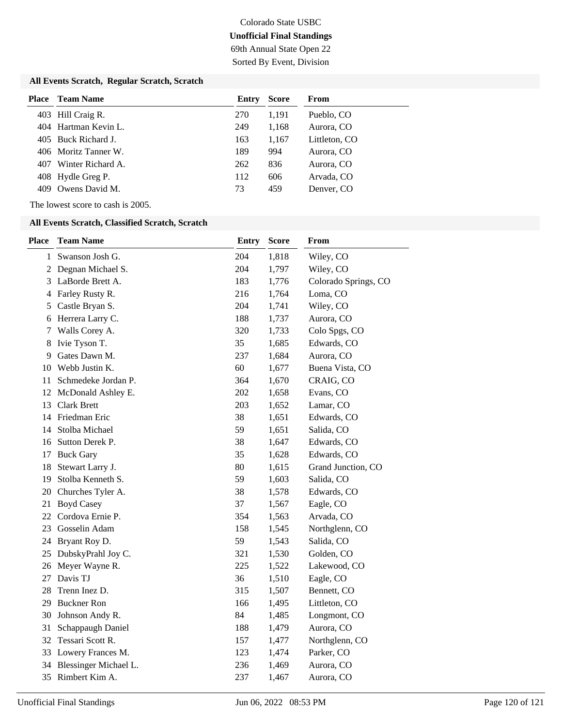## Colorado State USBC **Unofficial Final Standings** 69th Annual State Open 22

Sorted By Event, Division

#### **All Events Scratch, Regular Scratch, Scratch**

| Place | <b>Team Name</b>     | Entry | <b>Score</b> | From          |
|-------|----------------------|-------|--------------|---------------|
|       | 403 Hill Craig R.    | 270   | 1.191        | Pueblo, CO    |
|       | 404 Hartman Kevin L. | 249   | 1,168        | Aurora, CO    |
|       | 405 Buck Richard J.  | 163   | 1.167        | Littleton, CO |
|       | 406 Moritz Tanner W. | 189   | 994          | Aurora, CO    |
| 407   | Winter Richard A.    | 262   | 836          | Aurora, CO    |
|       | 408 Hydle Greg P.    | 112   | 606          | Arvada, CO    |
|       | 409 Owens David M.   | 73    | 459          | Denver, CO    |

The lowest score to cash is 2005.

#### **All Events Scratch, Classified Scratch, Scratch**

| <b>Place</b>   | <b>Team Name</b>      | <b>Entry</b> | <b>Score</b> | From                 |
|----------------|-----------------------|--------------|--------------|----------------------|
| 1              | Swanson Josh G.       | 204          | 1,818        | Wiley, CO            |
| $\overline{c}$ | Degnan Michael S.     | 204          | 1,797        | Wiley, CO            |
| 3              | LaBorde Brett A.      | 183          | 1,776        | Colorado Springs, CO |
| 4              | Farley Rusty R.       | 216          | 1,764        | Loma, CO             |
| 5              | Castle Bryan S.       | 204          | 1,741        | Wiley, CO            |
| 6              | Herrera Larry C.      | 188          | 1,737        | Aurora, CO           |
| 7              | Walls Corey A.        | 320          | 1,733        | Colo Spgs, CO        |
| 8              | Ivie Tyson T.         | 35           | 1,685        | Edwards, CO          |
| 9              | Gates Dawn M.         | 237          | 1,684        | Aurora, CO           |
| 10             | Webb Justin K.        | 60           | 1,677        | Buena Vista, CO      |
| 11             | Schmedeke Jordan P.   | 364          | 1,670        | CRAIG, CO            |
| 12             | McDonald Ashley E.    | 202          | 1,658        | Evans, CO            |
| 13             | <b>Clark Brett</b>    | 203          | 1,652        | Lamar, CO            |
| 14             | Friedman Eric         | 38           | 1,651        | Edwards, CO          |
| 14             | Stolba Michael        | 59           | 1,651        | Salida, CO           |
|                | 16 Sutton Derek P.    | 38           | 1,647        | Edwards, CO          |
| 17             | <b>Buck Gary</b>      | 35           | 1,628        | Edwards, CO          |
| 18             | Stewart Larry J.      | 80           | 1,615        | Grand Junction, CO   |
| 19             | Stolba Kenneth S.     | 59           | 1,603        | Salida, CO           |
| 20             | Churches Tyler A.     | 38           | 1,578        | Edwards, CO          |
| 21             | <b>Boyd Casey</b>     | 37           | 1,567        | Eagle, CO            |
| 22             | Cordova Ernie P.      | 354          | 1,563        | Arvada, CO           |
| 23             | Gosselin Adam         | 158          | 1,545        | Northglenn, CO       |
| 24             | Bryant Roy D.         | 59           | 1,543        | Salida, CO           |
| 25             | DubskyPrahl Joy C.    | 321          | 1,530        | Golden, CO           |
| 26             | Meyer Wayne R.        | 225          | 1,522        | Lakewood, CO         |
| 27             | Davis TJ              | 36           | 1,510        | Eagle, CO            |
| 28             | Trenn Inez D.         | 315          | 1,507        | Bennett, CO          |
| 29             | <b>Buckner Ron</b>    | 166          | 1,495        | Littleton, CO        |
| 30             | Johnson Andy R.       | 84           | 1,485        | Longmont, CO         |
| 31             | Schappaugh Daniel     | 188          | 1,479        | Aurora, CO           |
| 32             | Tessari Scott R.      | 157          | 1,477        | Northglenn, CO       |
|                | 33 Lowery Frances M.  | 123          | 1,474        | Parker, CO           |
| 34             | Blessinger Michael L. | 236          | 1,469        | Aurora, CO           |
| 35             | Rimbert Kim A.        | 237          | 1,467        | Aurora, CO           |